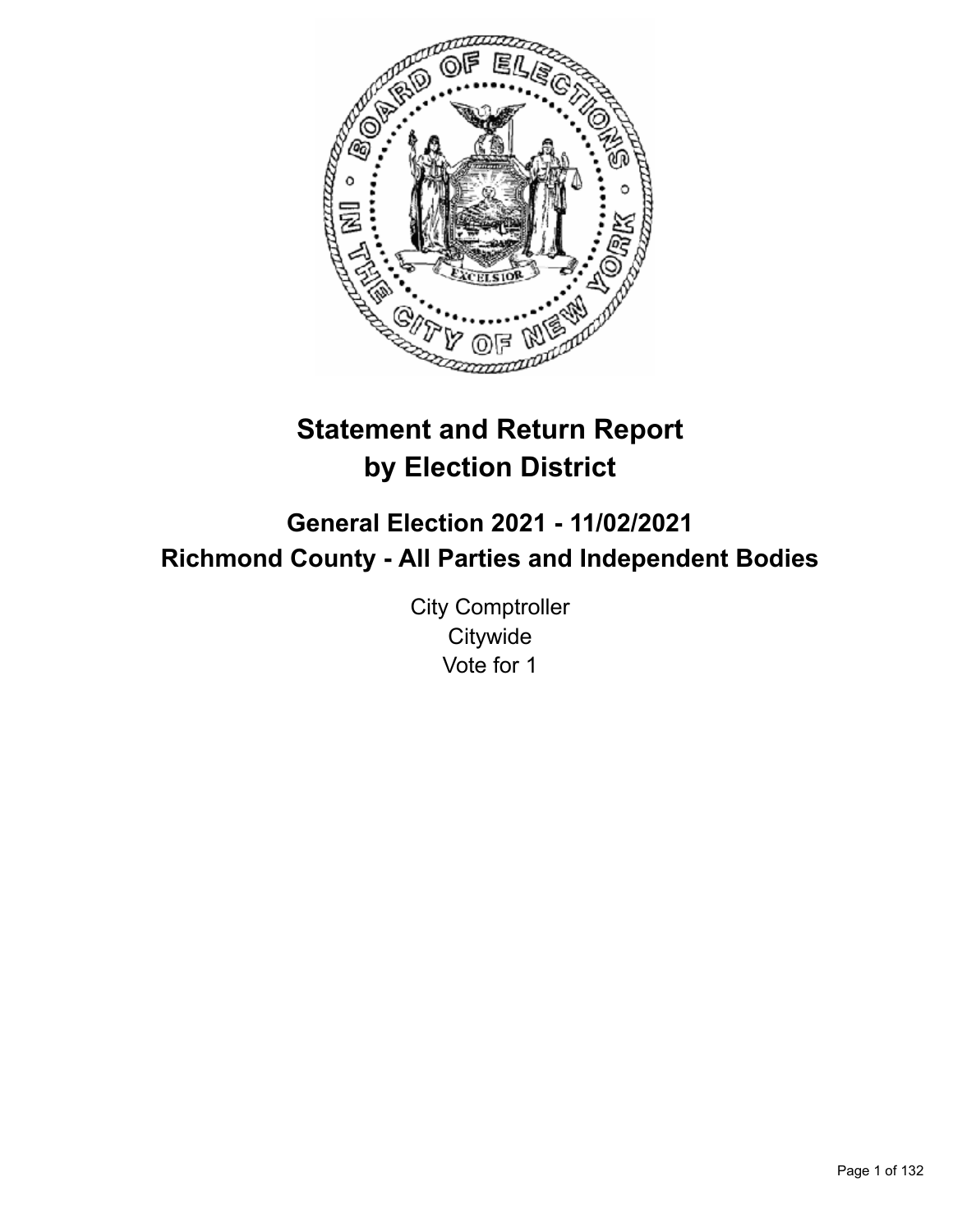

# **Statement and Return Report by Election District**

**General Election 2021 - 11/02/2021 Richmond County - All Parties and Independent Bodies**

> City Comptroller **Citywide** Vote for 1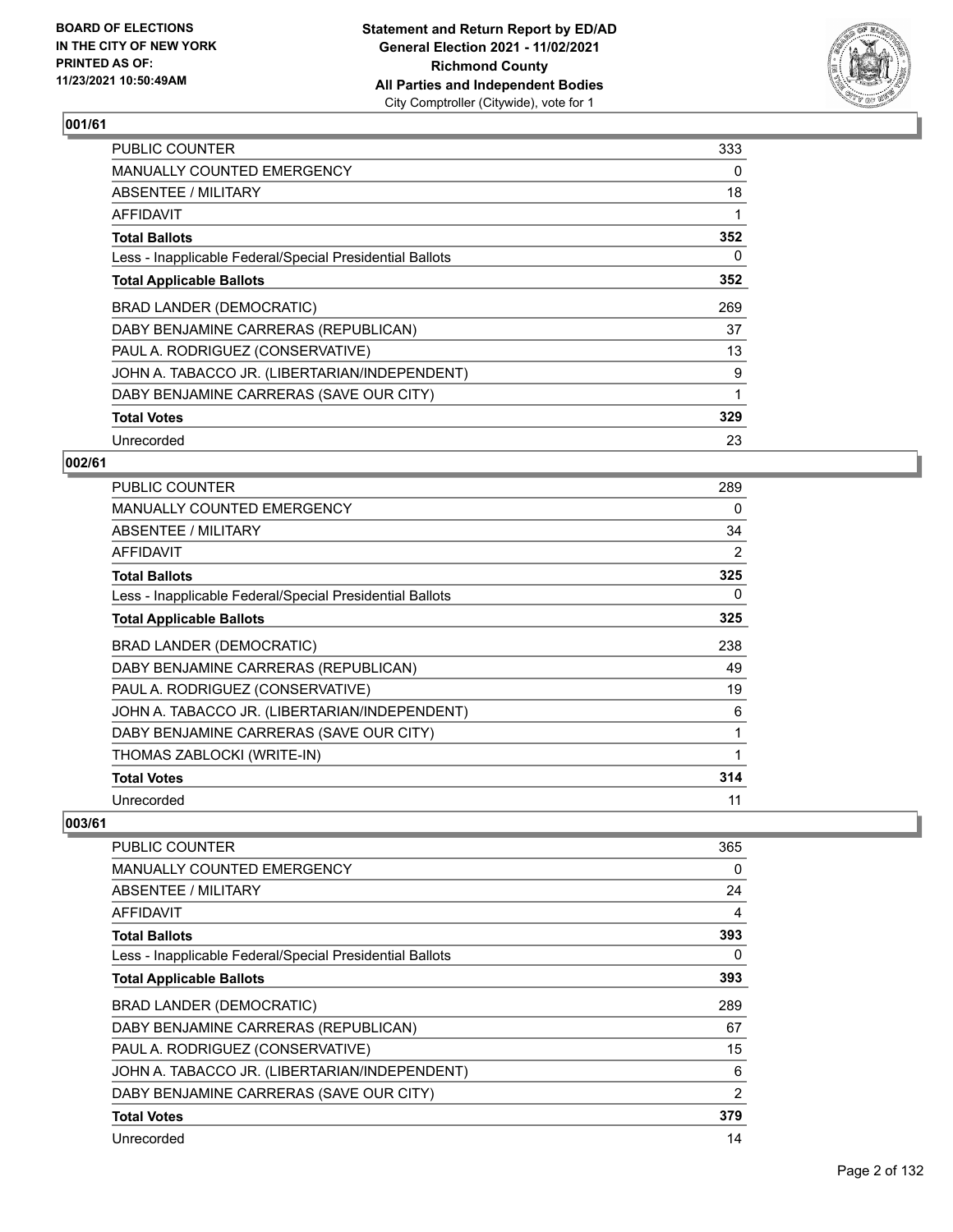

| <b>PUBLIC COUNTER</b>                                    | 333 |
|----------------------------------------------------------|-----|
| MANUALLY COUNTED EMERGENCY                               | 0   |
| ABSENTEE / MILITARY                                      | 18  |
| AFFIDAVIT                                                |     |
| <b>Total Ballots</b>                                     | 352 |
| Less - Inapplicable Federal/Special Presidential Ballots | 0   |
| <b>Total Applicable Ballots</b>                          | 352 |
| BRAD LANDER (DEMOCRATIC)                                 | 269 |
| DABY BENJAMINE CARRERAS (REPUBLICAN)                     | 37  |
| PAUL A. RODRIGUEZ (CONSERVATIVE)                         | 13  |
| JOHN A. TABACCO JR. (LIBERTARIAN/INDEPENDENT)            | 9   |
| DABY BENJAMINE CARRERAS (SAVE OUR CITY)                  |     |
| <b>Total Votes</b>                                       | 329 |
| Unrecorded                                               | 23  |

## **002/61**

| <b>PUBLIC COUNTER</b>                                    | 289 |
|----------------------------------------------------------|-----|
| <b>MANUALLY COUNTED EMERGENCY</b>                        | 0   |
| ABSENTEE / MILITARY                                      | 34  |
| <b>AFFIDAVIT</b>                                         | 2   |
| <b>Total Ballots</b>                                     | 325 |
| Less - Inapplicable Federal/Special Presidential Ballots | 0   |
| <b>Total Applicable Ballots</b>                          | 325 |
| BRAD LANDER (DEMOCRATIC)                                 | 238 |
| DABY BENJAMINE CARRERAS (REPUBLICAN)                     | 49  |
| PAUL A. RODRIGUEZ (CONSERVATIVE)                         | 19  |
| JOHN A. TABACCO JR. (LIBERTARIAN/INDEPENDENT)            | 6   |
| DABY BENJAMINE CARRERAS (SAVE OUR CITY)                  | 1   |
| THOMAS ZABLOCKI (WRITE-IN)                               |     |
| <b>Total Votes</b>                                       | 314 |
| Unrecorded                                               | 11  |

| <b>PUBLIC COUNTER</b>                                    | 365 |
|----------------------------------------------------------|-----|
| <b>MANUALLY COUNTED EMERGENCY</b>                        | 0   |
| ABSENTEE / MILITARY                                      | 24  |
| <b>AFFIDAVIT</b>                                         | 4   |
| <b>Total Ballots</b>                                     | 393 |
| Less - Inapplicable Federal/Special Presidential Ballots | 0   |
| <b>Total Applicable Ballots</b>                          | 393 |
| BRAD LANDER (DEMOCRATIC)                                 | 289 |
| DABY BENJAMINE CARRERAS (REPUBLICAN)                     | 67  |
| PAUL A. RODRIGUEZ (CONSERVATIVE)                         | 15  |
| JOHN A. TABACCO JR. (LIBERTARIAN/INDEPENDENT)            | 6   |
| DABY BENJAMINE CARRERAS (SAVE OUR CITY)                  | 2   |
| <b>Total Votes</b>                                       | 379 |
| Unrecorded                                               | 14  |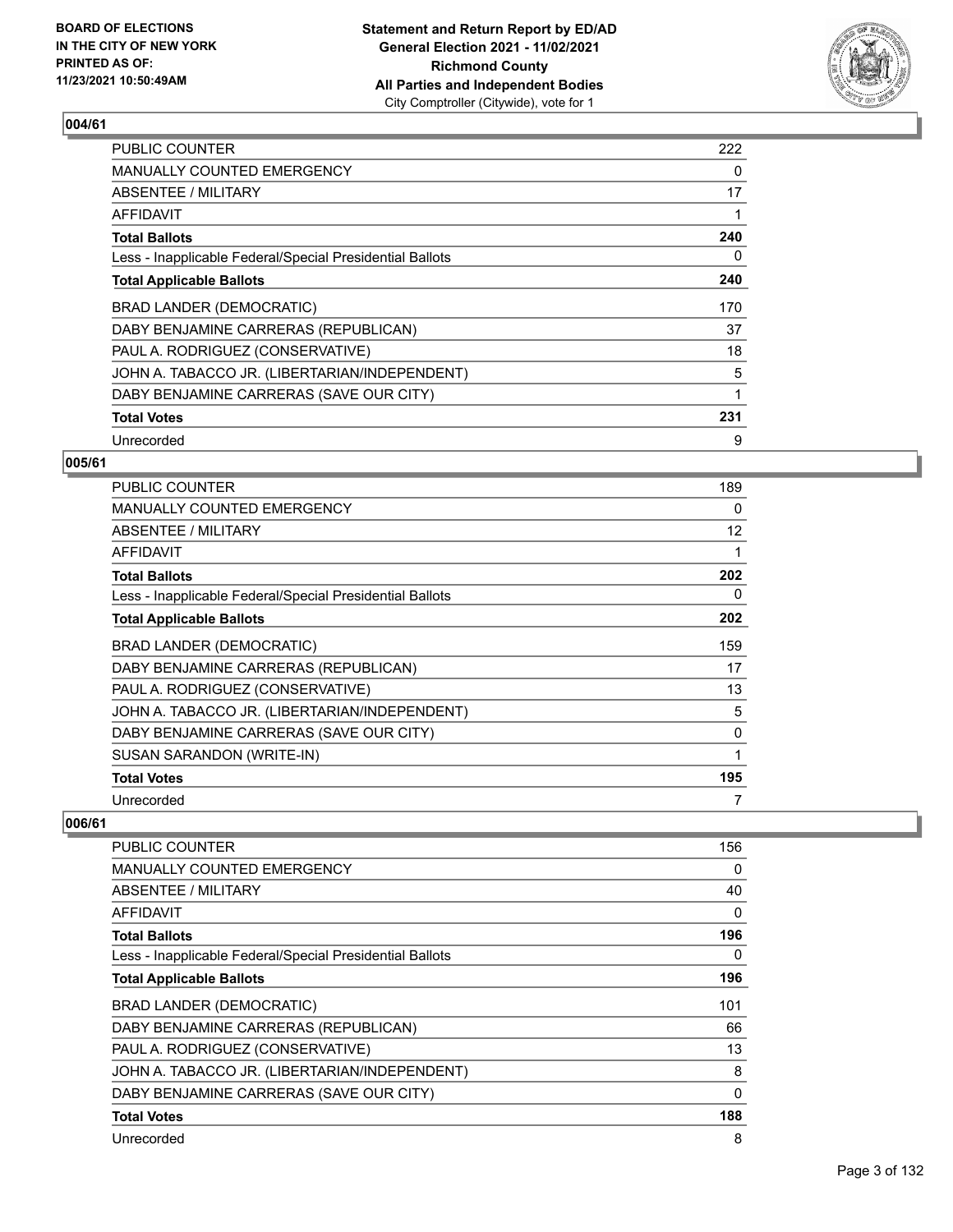

| <b>PUBLIC COUNTER</b>                                    | 222 |
|----------------------------------------------------------|-----|
| <b>MANUALLY COUNTED EMERGENCY</b>                        | 0   |
| ABSENTEE / MILITARY                                      | 17  |
| AFFIDAVIT                                                | 1   |
| <b>Total Ballots</b>                                     | 240 |
| Less - Inapplicable Federal/Special Presidential Ballots | 0   |
| <b>Total Applicable Ballots</b>                          | 240 |
| <b>BRAD LANDER (DEMOCRATIC)</b>                          | 170 |
| DABY BENJAMINE CARRERAS (REPUBLICAN)                     | 37  |
| PAUL A. RODRIGUEZ (CONSERVATIVE)                         | 18  |
| JOHN A. TABACCO JR. (LIBERTARIAN/INDEPENDENT)            | 5   |
| DABY BENJAMINE CARRERAS (SAVE OUR CITY)                  | 1   |
| <b>Total Votes</b>                                       | 231 |
| Unrecorded                                               | 9   |

## **005/61**

| <b>PUBLIC COUNTER</b>                                    | 189 |
|----------------------------------------------------------|-----|
| <b>MANUALLY COUNTED EMERGENCY</b>                        | 0   |
| ABSENTEE / MILITARY                                      | 12  |
| AFFIDAVIT                                                |     |
| <b>Total Ballots</b>                                     | 202 |
| Less - Inapplicable Federal/Special Presidential Ballots | 0   |
| <b>Total Applicable Ballots</b>                          | 202 |
| BRAD LANDER (DEMOCRATIC)                                 | 159 |
| DABY BENJAMINE CARRERAS (REPUBLICAN)                     | 17  |
| PAUL A. RODRIGUEZ (CONSERVATIVE)                         | 13  |
| JOHN A. TABACCO JR. (LIBERTARIAN/INDEPENDENT)            | 5   |
| DABY BENJAMINE CARRERAS (SAVE OUR CITY)                  | 0   |
| SUSAN SARANDON (WRITE-IN)                                | 1   |
| <b>Total Votes</b>                                       | 195 |
| Unrecorded                                               |     |

| PUBLIC COUNTER                                           | 156          |
|----------------------------------------------------------|--------------|
| MANUALLY COUNTED EMERGENCY                               | 0            |
| ABSENTEE / MILITARY                                      | 40           |
| <b>AFFIDAVIT</b>                                         | 0            |
| <b>Total Ballots</b>                                     | 196          |
| Less - Inapplicable Federal/Special Presidential Ballots | 0            |
| <b>Total Applicable Ballots</b>                          | 196          |
| <b>BRAD LANDER (DEMOCRATIC)</b>                          | 101          |
| DABY BENJAMINE CARRERAS (REPUBLICAN)                     | 66           |
| PAUL A. RODRIGUEZ (CONSERVATIVE)                         | 13           |
| JOHN A. TABACCO JR. (LIBERTARIAN/INDEPENDENT)            | 8            |
| DABY BENJAMINE CARRERAS (SAVE OUR CITY)                  | $\mathbf{0}$ |
| <b>Total Votes</b>                                       | 188          |
| Unrecorded                                               | 8            |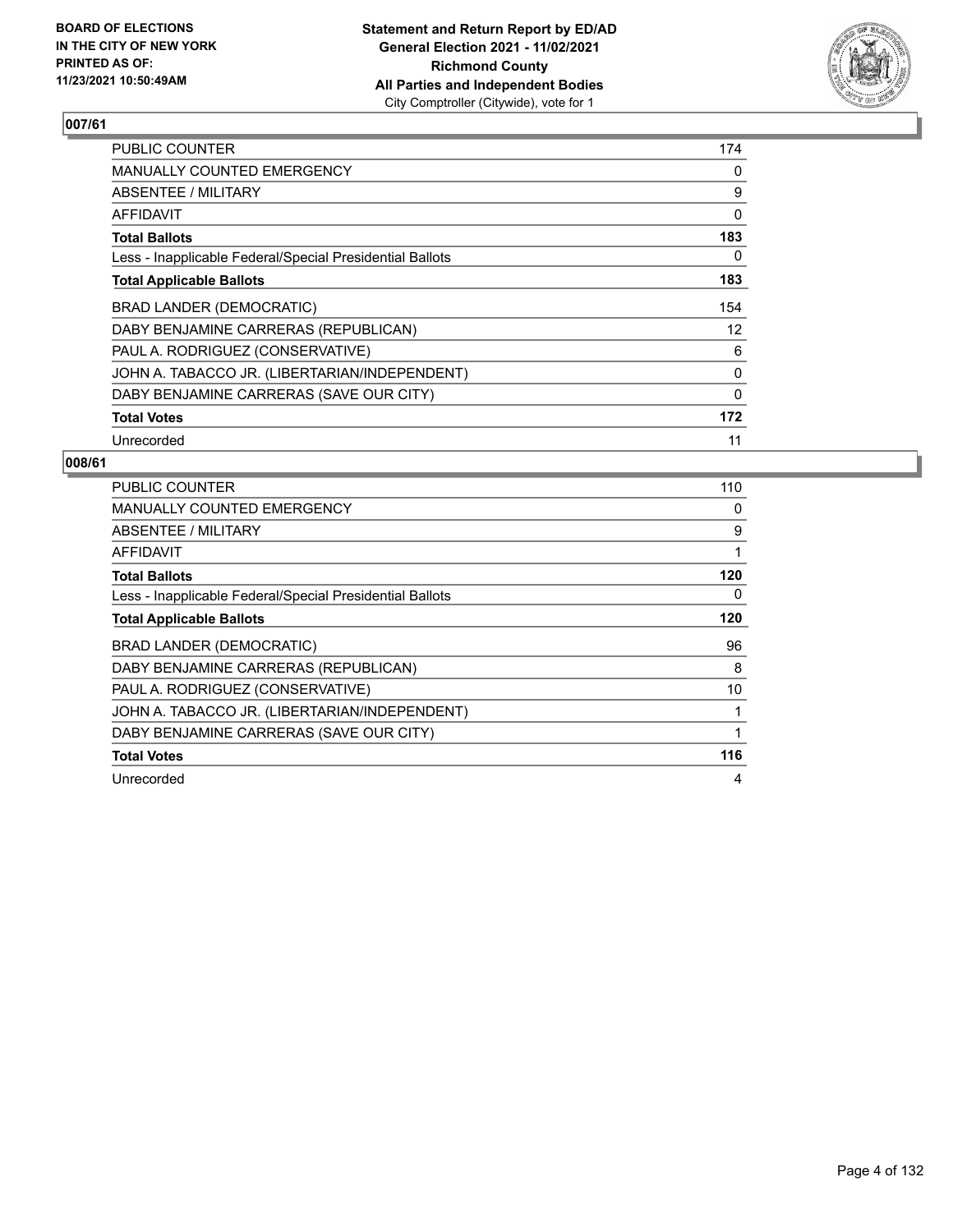

| <b>PUBLIC COUNTER</b>                                    | 174               |
|----------------------------------------------------------|-------------------|
| <b>MANUALLY COUNTED EMERGENCY</b>                        | 0                 |
| ABSENTEE / MILITARY                                      | 9                 |
| AFFIDAVIT                                                | 0                 |
| <b>Total Ballots</b>                                     | 183               |
| Less - Inapplicable Federal/Special Presidential Ballots | 0                 |
| <b>Total Applicable Ballots</b>                          | 183               |
| <b>BRAD LANDER (DEMOCRATIC)</b>                          | 154               |
| DABY BENJAMINE CARRERAS (REPUBLICAN)                     | $12 \overline{ }$ |
| PAUL A. RODRIGUEZ (CONSERVATIVE)                         | 6                 |
| JOHN A. TABACCO JR. (LIBERTARIAN/INDEPENDENT)            | 0                 |
| DABY BENJAMINE CARRERAS (SAVE OUR CITY)                  | 0                 |
| <b>Total Votes</b>                                       | 172               |
|                                                          |                   |

| PUBLIC COUNTER                                           | 110 |
|----------------------------------------------------------|-----|
| <b>MANUALLY COUNTED EMERGENCY</b>                        | 0   |
| ABSENTEE / MILITARY                                      | 9   |
| AFFIDAVIT                                                |     |
| <b>Total Ballots</b>                                     | 120 |
| Less - Inapplicable Federal/Special Presidential Ballots | 0   |
| <b>Total Applicable Ballots</b>                          | 120 |
| <b>BRAD LANDER (DEMOCRATIC)</b>                          | 96  |
| DABY BENJAMINE CARRERAS (REPUBLICAN)                     | 8   |
| PAUL A. RODRIGUEZ (CONSERVATIVE)                         | 10  |
|                                                          |     |
| JOHN A. TABACCO JR. (LIBERTARIAN/INDEPENDENT)            |     |
| DABY BENJAMINE CARRERAS (SAVE OUR CITY)                  |     |
| <b>Total Votes</b>                                       | 116 |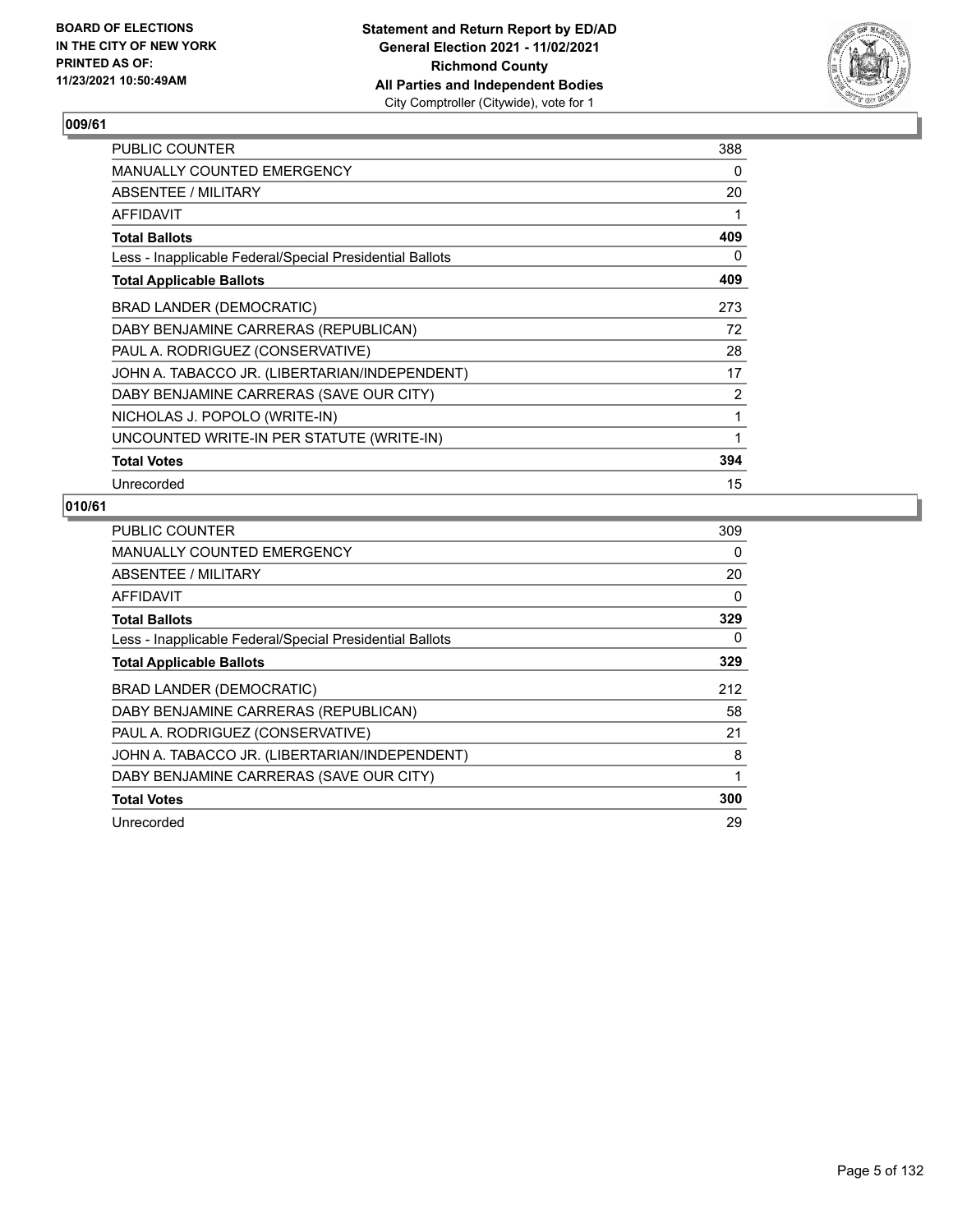

| PUBLIC COUNTER                                           | 388 |
|----------------------------------------------------------|-----|
| MANUALLY COUNTED EMERGENCY                               | 0   |
| ABSENTEE / MILITARY                                      | 20  |
| AFFIDAVIT                                                | 1   |
| <b>Total Ballots</b>                                     | 409 |
| Less - Inapplicable Federal/Special Presidential Ballots | 0   |
| <b>Total Applicable Ballots</b>                          | 409 |
| <b>BRAD LANDER (DEMOCRATIC)</b>                          | 273 |
| DABY BENJAMINE CARRERAS (REPUBLICAN)                     | 72  |
| PAUL A. RODRIGUEZ (CONSERVATIVE)                         | 28  |
| JOHN A. TABACCO JR. (LIBERTARIAN/INDEPENDENT)            | 17  |
| DABY BENJAMINE CARRERAS (SAVE OUR CITY)                  | 2   |
| NICHOLAS J. POPOLO (WRITE-IN)                            | 1   |
| UNCOUNTED WRITE-IN PER STATUTE (WRITE-IN)                | 1   |
| <b>Total Votes</b>                                       | 394 |
| Unrecorded                                               | 15  |

| <b>PUBLIC COUNTER</b>                                    | 309      |
|----------------------------------------------------------|----------|
| MANUALLY COUNTED EMERGENCY                               | 0        |
| ABSENTEE / MILITARY                                      | 20       |
| AFFIDAVIT                                                | $\Omega$ |
| <b>Total Ballots</b>                                     | 329      |
| Less - Inapplicable Federal/Special Presidential Ballots | 0        |
| <b>Total Applicable Ballots</b>                          | 329      |
| BRAD LANDER (DEMOCRATIC)                                 | 212      |
| DABY BENJAMINE CARRERAS (REPUBLICAN)                     | 58       |
| PAUL A. RODRIGUEZ (CONSERVATIVE)                         | 21       |
| JOHN A. TABACCO JR. (LIBERTARIAN/INDEPENDENT)            | 8        |
| DABY BENJAMINE CARRERAS (SAVE OUR CITY)                  | 1        |
| <b>Total Votes</b>                                       | 300      |
| Unrecorded                                               | 29       |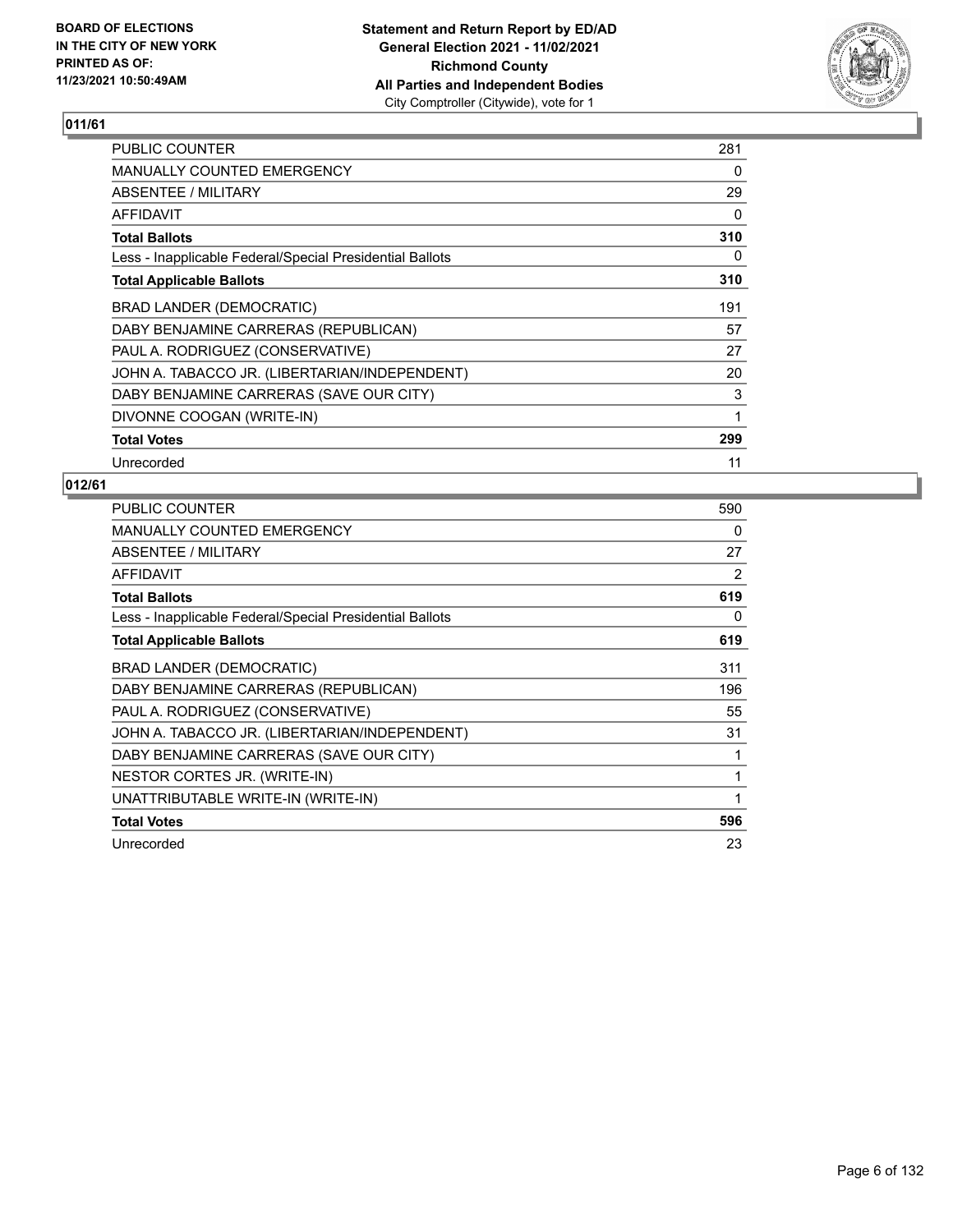

| PUBLIC COUNTER                                           | 281 |
|----------------------------------------------------------|-----|
| MANUALLY COUNTED EMERGENCY                               | 0   |
| ABSENTEE / MILITARY                                      | 29  |
| AFFIDAVIT                                                | 0   |
| <b>Total Ballots</b>                                     | 310 |
| Less - Inapplicable Federal/Special Presidential Ballots | 0   |
| <b>Total Applicable Ballots</b>                          | 310 |
| BRAD LANDER (DEMOCRATIC)                                 | 191 |
| DABY BENJAMINE CARRERAS (REPUBLICAN)                     | 57  |
| PAUL A. RODRIGUEZ (CONSERVATIVE)                         | 27  |
| JOHN A. TABACCO JR. (LIBERTARIAN/INDEPENDENT)            | 20  |
| DABY BENJAMINE CARRERAS (SAVE OUR CITY)                  | 3   |
| DIVONNE COOGAN (WRITE-IN)                                | 1   |
| <b>Total Votes</b>                                       | 299 |
| Unrecorded                                               | 11  |

| PUBLIC COUNTER                                           | 590 |
|----------------------------------------------------------|-----|
| MANUALLY COUNTED EMERGENCY                               | 0   |
| ABSENTEE / MILITARY                                      | 27  |
| AFFIDAVIT                                                | 2   |
| <b>Total Ballots</b>                                     | 619 |
| Less - Inapplicable Federal/Special Presidential Ballots | 0   |
| <b>Total Applicable Ballots</b>                          | 619 |
| BRAD LANDER (DEMOCRATIC)                                 | 311 |
| DABY BENJAMINE CARRERAS (REPUBLICAN)                     | 196 |
| PAUL A. RODRIGUEZ (CONSERVATIVE)                         | 55  |
| JOHN A. TABACCO JR. (LIBERTARIAN/INDEPENDENT)            | 31  |
| DABY BENJAMINE CARRERAS (SAVE OUR CITY)                  | 1   |
| NESTOR CORTES JR. (WRITE-IN)                             | 1   |
| UNATTRIBUTABLE WRITE-IN (WRITE-IN)                       | 1   |
| <b>Total Votes</b>                                       | 596 |
| Unrecorded                                               | 23  |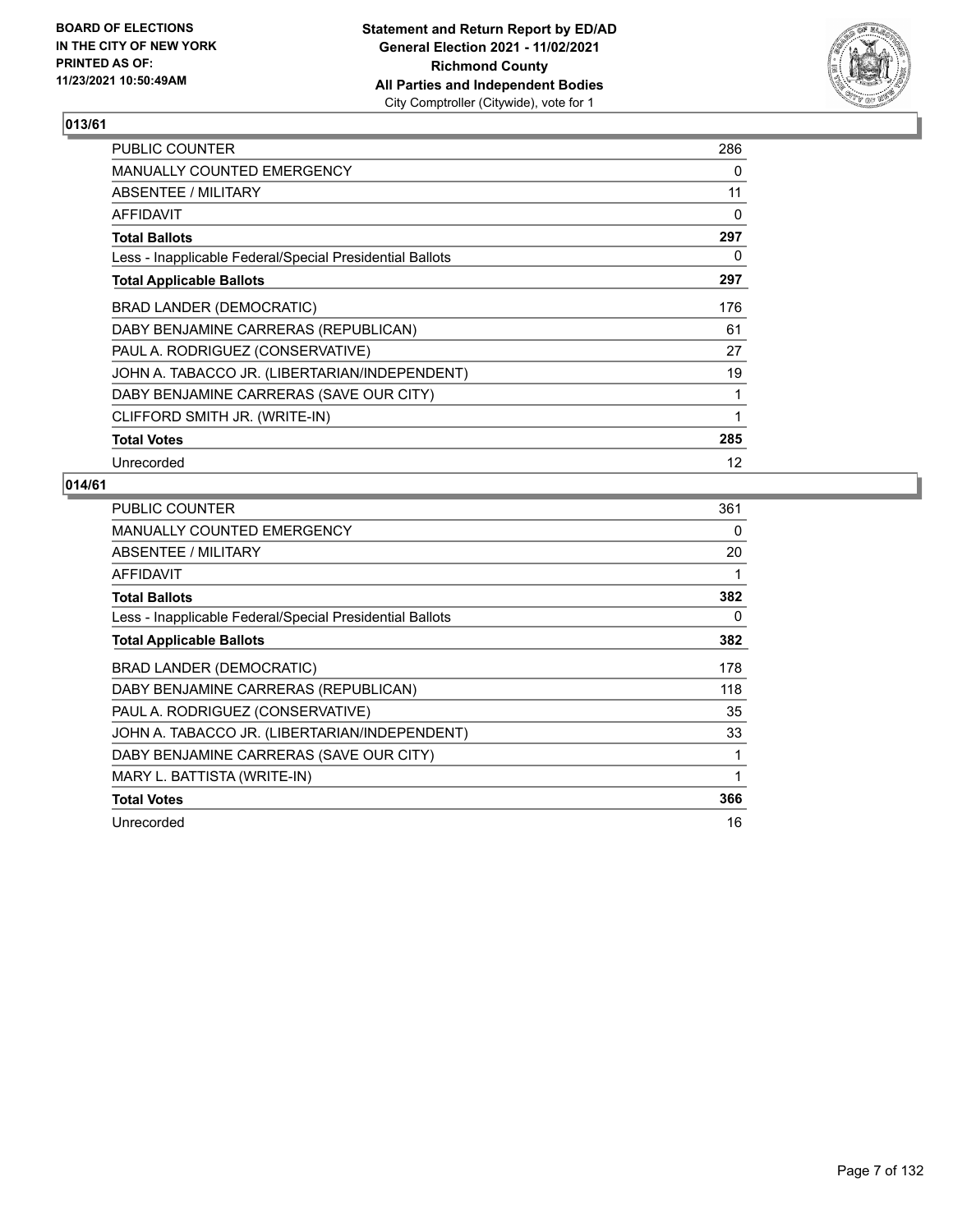

| <b>PUBLIC COUNTER</b>                                    | 286 |
|----------------------------------------------------------|-----|
| <b>MANUALLY COUNTED EMERGENCY</b>                        | 0   |
| ABSENTEE / MILITARY                                      | 11  |
| AFFIDAVIT                                                | 0   |
| <b>Total Ballots</b>                                     | 297 |
| Less - Inapplicable Federal/Special Presidential Ballots | 0   |
| <b>Total Applicable Ballots</b>                          | 297 |
| BRAD LANDER (DEMOCRATIC)                                 | 176 |
| DABY BENJAMINE CARRERAS (REPUBLICAN)                     | 61  |
| PAUL A. RODRIGUEZ (CONSERVATIVE)                         | 27  |
| JOHN A. TABACCO JR. (LIBERTARIAN/INDEPENDENT)            | 19  |
| DABY BENJAMINE CARRERAS (SAVE OUR CITY)                  | 1   |
| CLIFFORD SMITH JR. (WRITE-IN)                            | 1   |
| <b>Total Votes</b>                                       | 285 |
| Unrecorded                                               | 12  |

| PUBLIC COUNTER                                           | 361 |
|----------------------------------------------------------|-----|
| <b>MANUALLY COUNTED EMERGENCY</b>                        | 0   |
| ABSENTEE / MILITARY                                      | 20  |
| AFFIDAVIT                                                |     |
| <b>Total Ballots</b>                                     | 382 |
| Less - Inapplicable Federal/Special Presidential Ballots | 0   |
| <b>Total Applicable Ballots</b>                          | 382 |
| BRAD LANDER (DEMOCRATIC)                                 | 178 |
| DABY BENJAMINE CARRERAS (REPUBLICAN)                     | 118 |
| PAUL A. RODRIGUEZ (CONSERVATIVE)                         | 35  |
| JOHN A. TABACCO JR. (LIBERTARIAN/INDEPENDENT)            | 33  |
| DABY BENJAMINE CARRERAS (SAVE OUR CITY)                  |     |
| MARY L. BATTISTA (WRITE-IN)                              | 1   |
| <b>Total Votes</b>                                       | 366 |
| Unrecorded                                               | 16  |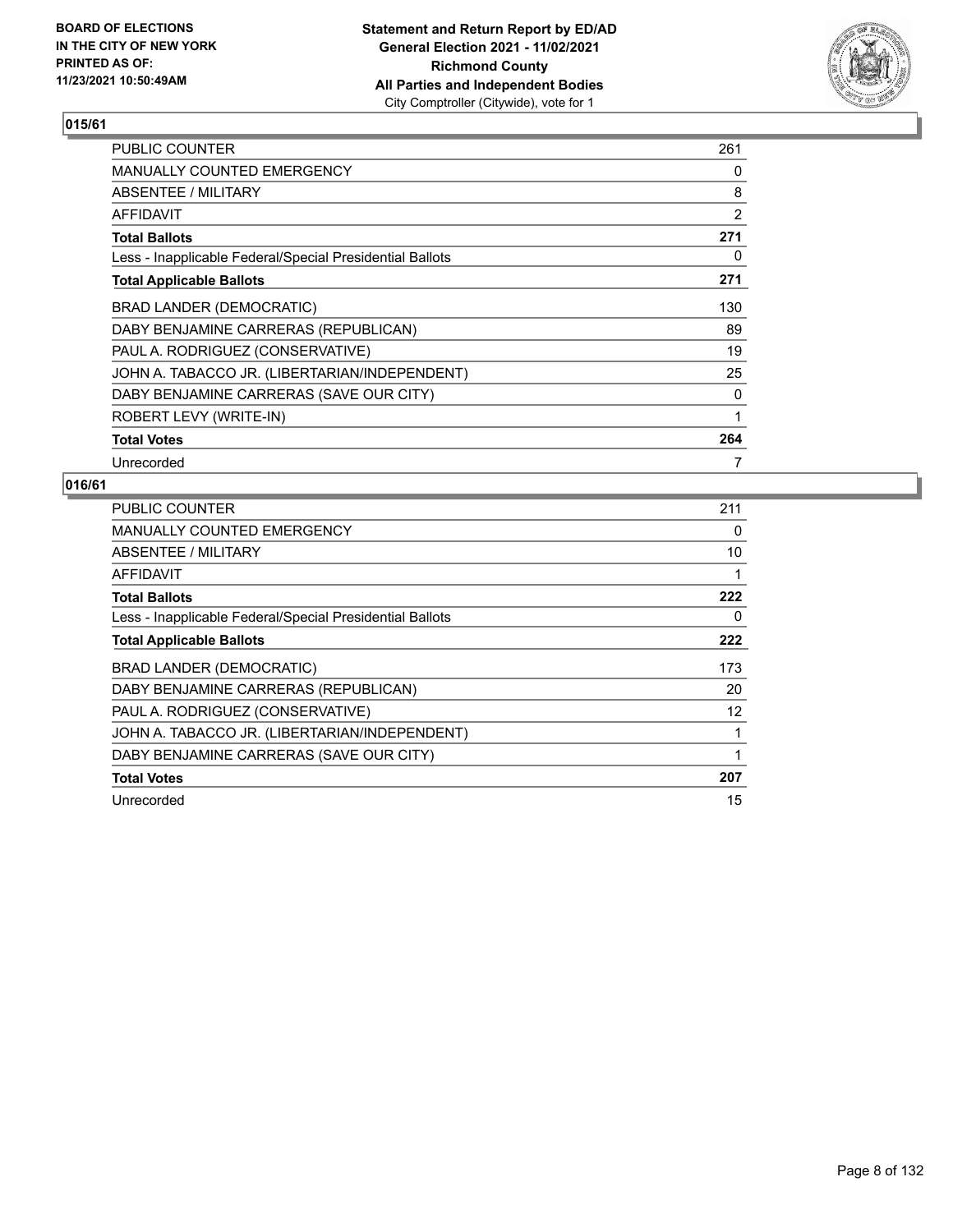

| <b>PUBLIC COUNTER</b>                                    | 261            |
|----------------------------------------------------------|----------------|
| <b>MANUALLY COUNTED EMERGENCY</b>                        | 0              |
| ABSENTEE / MILITARY                                      | 8              |
| <b>AFFIDAVIT</b>                                         | $\overline{2}$ |
| <b>Total Ballots</b>                                     | 271            |
| Less - Inapplicable Federal/Special Presidential Ballots | 0              |
| <b>Total Applicable Ballots</b>                          | 271            |
| BRAD LANDER (DEMOCRATIC)                                 | 130            |
| DABY BENJAMINE CARRERAS (REPUBLICAN)                     | 89             |
| PAUL A. RODRIGUEZ (CONSERVATIVE)                         | 19             |
| JOHN A. TABACCO JR. (LIBERTARIAN/INDEPENDENT)            | 25             |
| DABY BENJAMINE CARRERAS (SAVE OUR CITY)                  | 0              |
| ROBERT LEVY (WRITE-IN)                                   | 1              |
| <b>Total Votes</b>                                       | 264            |
| Unrecorded                                               | 7              |

| PUBLIC COUNTER                                           | 211 |
|----------------------------------------------------------|-----|
| <b>MANUALLY COUNTED EMERGENCY</b>                        | 0   |
| <b>ABSENTEE / MILITARY</b>                               | 10  |
| AFFIDAVIT                                                |     |
| <b>Total Ballots</b>                                     | 222 |
| Less - Inapplicable Federal/Special Presidential Ballots | 0   |
| <b>Total Applicable Ballots</b>                          | 222 |
| <b>BRAD LANDER (DEMOCRATIC)</b>                          | 173 |
| DABY BENJAMINE CARRERAS (REPUBLICAN)                     | 20  |
|                                                          |     |
| PAUL A. RODRIGUEZ (CONSERVATIVE)                         | 12  |
| JOHN A. TABACCO JR. (LIBERTARIAN/INDEPENDENT)            |     |
| DABY BENJAMINE CARRERAS (SAVE OUR CITY)                  |     |
| <b>Total Votes</b>                                       | 207 |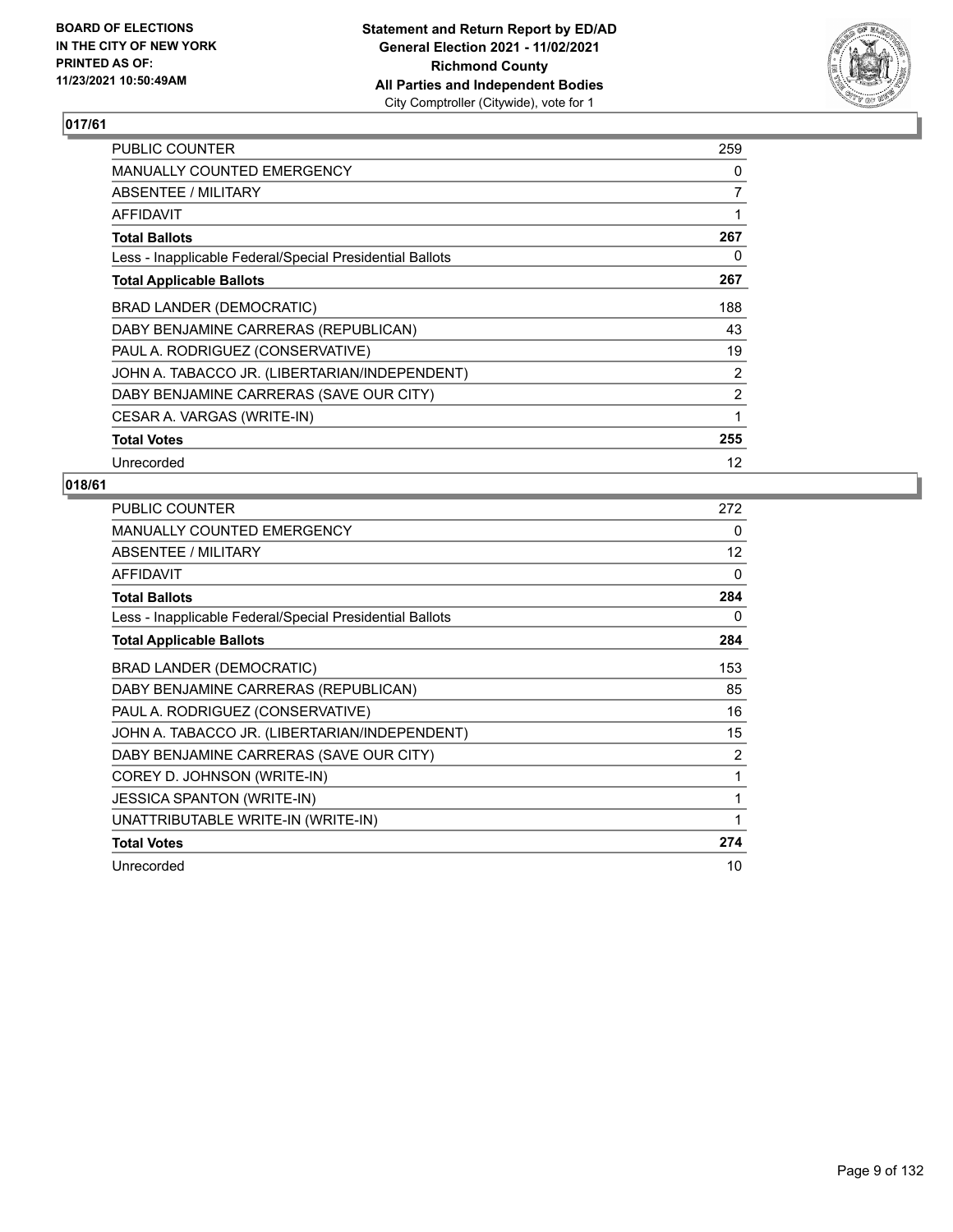

| PUBLIC COUNTER                                           | 259            |
|----------------------------------------------------------|----------------|
| <b>MANUALLY COUNTED EMERGENCY</b>                        | 0              |
| ABSENTEE / MILITARY                                      | 7              |
| <b>AFFIDAVIT</b>                                         | 1              |
| <b>Total Ballots</b>                                     | 267            |
| Less - Inapplicable Federal/Special Presidential Ballots | 0              |
| <b>Total Applicable Ballots</b>                          | 267            |
| <b>BRAD LANDER (DEMOCRATIC)</b>                          | 188            |
| DABY BENJAMINE CARRERAS (REPUBLICAN)                     | 43             |
| PAUL A. RODRIGUEZ (CONSERVATIVE)                         | 19             |
| JOHN A. TABACCO JR. (LIBERTARIAN/INDEPENDENT)            | 2              |
| DABY BENJAMINE CARRERAS (SAVE OUR CITY)                  | $\overline{2}$ |
| CESAR A. VARGAS (WRITE-IN)                               | 1              |
| <b>Total Votes</b>                                       | 255            |
| Unrecorded                                               | 12             |

| PUBLIC COUNTER                                           | 272 |
|----------------------------------------------------------|-----|
| <b>MANUALLY COUNTED EMERGENCY</b>                        | 0   |
| ABSENTEE / MILITARY                                      | 12  |
| <b>AFFIDAVIT</b>                                         | 0   |
| <b>Total Ballots</b>                                     | 284 |
| Less - Inapplicable Federal/Special Presidential Ballots | 0   |
| <b>Total Applicable Ballots</b>                          | 284 |
| BRAD LANDER (DEMOCRATIC)                                 | 153 |
| DABY BENJAMINE CARRERAS (REPUBLICAN)                     | 85  |
| PAUL A. RODRIGUEZ (CONSERVATIVE)                         | 16  |
| JOHN A. TABACCO JR. (LIBERTARIAN/INDEPENDENT)            | 15  |
| DABY BENJAMINE CARRERAS (SAVE OUR CITY)                  | 2   |
| COREY D. JOHNSON (WRITE-IN)                              | 1   |
| <b>JESSICA SPANTON (WRITE-IN)</b>                        | 1   |
| UNATTRIBUTABLE WRITE-IN (WRITE-IN)                       | 1   |
| <b>Total Votes</b>                                       | 274 |
| Unrecorded                                               | 10  |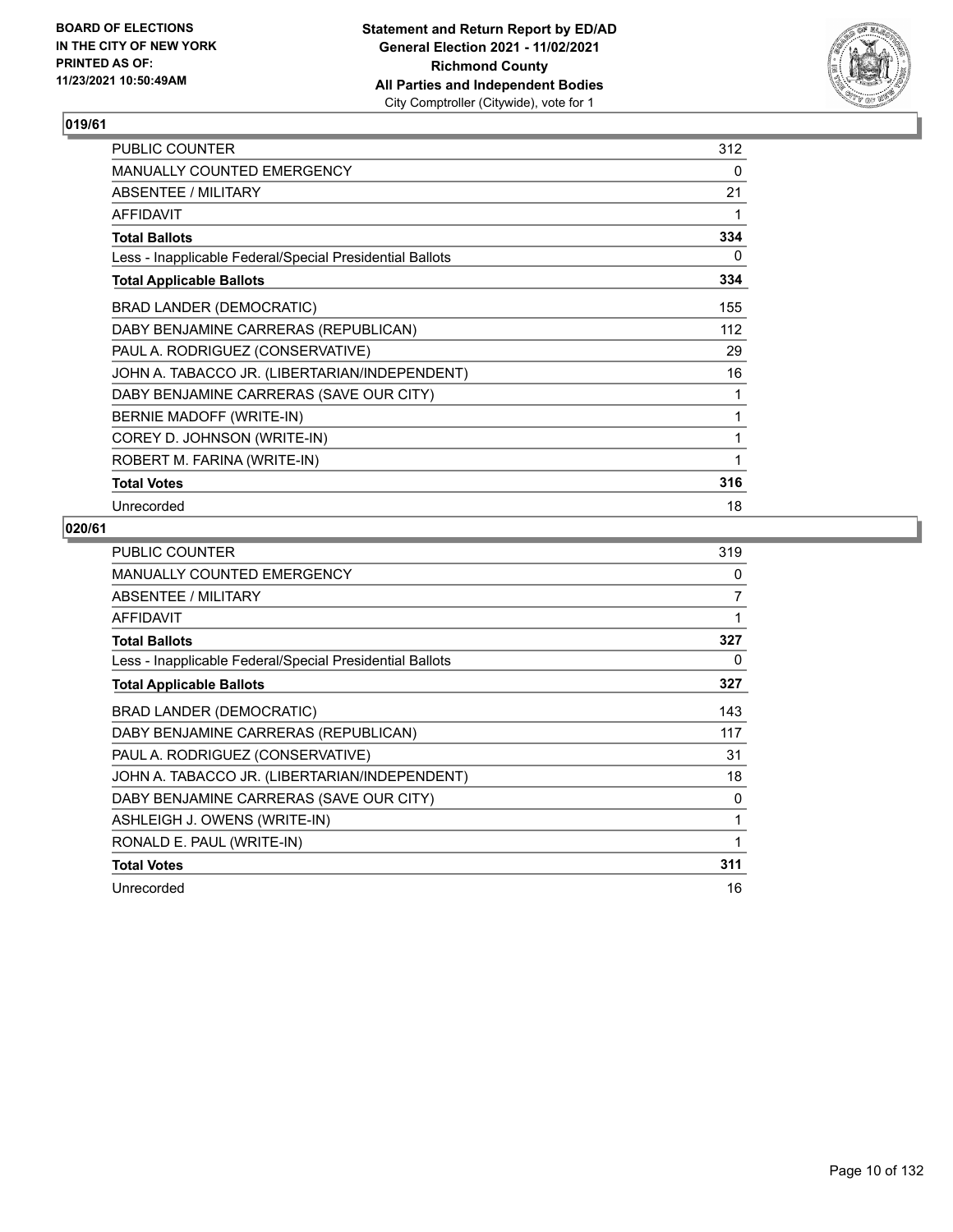

| <b>PUBLIC COUNTER</b>                                    | 312 |
|----------------------------------------------------------|-----|
| <b>MANUALLY COUNTED EMERGENCY</b>                        | 0   |
| ABSENTEE / MILITARY                                      | 21  |
| <b>AFFIDAVIT</b>                                         | 1   |
| <b>Total Ballots</b>                                     | 334 |
| Less - Inapplicable Federal/Special Presidential Ballots | 0   |
| <b>Total Applicable Ballots</b>                          | 334 |
| BRAD LANDER (DEMOCRATIC)                                 | 155 |
| DABY BENJAMINE CARRERAS (REPUBLICAN)                     | 112 |
| PAUL A. RODRIGUEZ (CONSERVATIVE)                         | 29  |
| JOHN A. TABACCO JR. (LIBERTARIAN/INDEPENDENT)            | 16  |
| DABY BENJAMINE CARRERAS (SAVE OUR CITY)                  | 1   |
| BERNIE MADOFF (WRITE-IN)                                 | 1   |
| COREY D. JOHNSON (WRITE-IN)                              | 1   |
| ROBERT M. FARINA (WRITE-IN)                              | 1   |
| <b>Total Votes</b>                                       | 316 |
| Unrecorded                                               | 18  |

| PUBLIC COUNTER                                           | 319 |
|----------------------------------------------------------|-----|
| <b>MANUALLY COUNTED EMERGENCY</b>                        | 0   |
| ABSENTEE / MILITARY                                      | 7   |
| <b>AFFIDAVIT</b>                                         | 1   |
| <b>Total Ballots</b>                                     | 327 |
| Less - Inapplicable Federal/Special Presidential Ballots | 0   |
| <b>Total Applicable Ballots</b>                          | 327 |
| BRAD LANDER (DEMOCRATIC)                                 | 143 |
| DABY BENJAMINE CARRERAS (REPUBLICAN)                     | 117 |
| PAUL A. RODRIGUEZ (CONSERVATIVE)                         | 31  |
| JOHN A. TABACCO JR. (LIBERTARIAN/INDEPENDENT)            | 18  |
| DABY BENJAMINE CARRERAS (SAVE OUR CITY)                  | 0   |
| ASHLEIGH J. OWENS (WRITE-IN)                             | 1   |
| RONALD E. PAUL (WRITE-IN)                                | 1   |
| <b>Total Votes</b>                                       | 311 |
| Unrecorded                                               | 16  |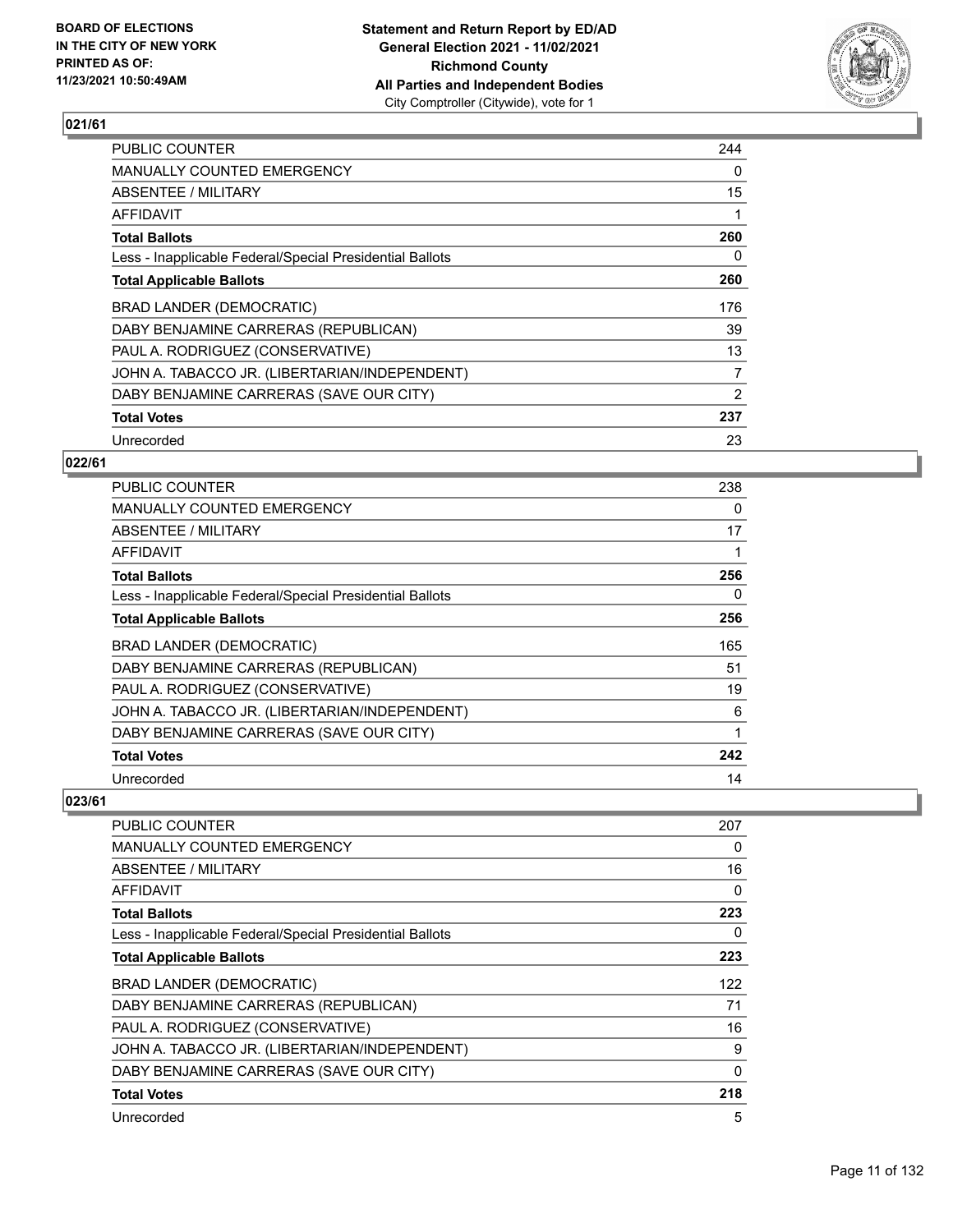

| <b>PUBLIC COUNTER</b>                                    | 244 |
|----------------------------------------------------------|-----|
| MANUALLY COUNTED EMERGENCY                               | 0   |
| ABSENTEE / MILITARY                                      | 15  |
| AFFIDAVIT                                                |     |
| <b>Total Ballots</b>                                     | 260 |
| Less - Inapplicable Federal/Special Presidential Ballots | 0   |
| <b>Total Applicable Ballots</b>                          | 260 |
| BRAD LANDER (DEMOCRATIC)                                 | 176 |
| DABY BENJAMINE CARRERAS (REPUBLICAN)                     | 39  |
| PAUL A. RODRIGUEZ (CONSERVATIVE)                         | 13  |
| JOHN A. TABACCO JR. (LIBERTARIAN/INDEPENDENT)            | 7   |
| DABY BENJAMINE CARRERAS (SAVE OUR CITY)                  | 2   |
| <b>Total Votes</b>                                       | 237 |
| Unrecorded                                               | 23  |

## **022/61**

| <b>PUBLIC COUNTER</b>                                    | 238 |
|----------------------------------------------------------|-----|
| <b>MANUALLY COUNTED EMERGENCY</b>                        | 0   |
| ABSENTEE / MILITARY                                      | 17  |
| AFFIDAVIT                                                |     |
| <b>Total Ballots</b>                                     | 256 |
| Less - Inapplicable Federal/Special Presidential Ballots | 0   |
| <b>Total Applicable Ballots</b>                          | 256 |
| BRAD LANDER (DEMOCRATIC)                                 | 165 |
| DABY BENJAMINE CARRERAS (REPUBLICAN)                     | 51  |
| PAUL A. RODRIGUEZ (CONSERVATIVE)                         | 19  |
| JOHN A. TABACCO JR. (LIBERTARIAN/INDEPENDENT)            | 6   |
| DABY BENJAMINE CARRERAS (SAVE OUR CITY)                  |     |
| <b>Total Votes</b>                                       | 242 |
| Unrecorded                                               | 14  |

| <b>PUBLIC COUNTER</b>                                    | 207      |
|----------------------------------------------------------|----------|
| <b>MANUALLY COUNTED EMERGENCY</b>                        | 0        |
| ABSENTEE / MILITARY                                      | 16       |
| AFFIDAVIT                                                | 0        |
| <b>Total Ballots</b>                                     | 223      |
| Less - Inapplicable Federal/Special Presidential Ballots | 0        |
| <b>Total Applicable Ballots</b>                          | 223      |
| BRAD LANDER (DEMOCRATIC)                                 | 122      |
| DABY BENJAMINE CARRERAS (REPUBLICAN)                     | 71       |
| PAUL A. RODRIGUEZ (CONSERVATIVE)                         | 16       |
| JOHN A. TABACCO JR. (LIBERTARIAN/INDEPENDENT)            | 9        |
| DABY BENJAMINE CARRERAS (SAVE OUR CITY)                  | $\Omega$ |
| <b>Total Votes</b>                                       | 218      |
| Unrecorded                                               | 5        |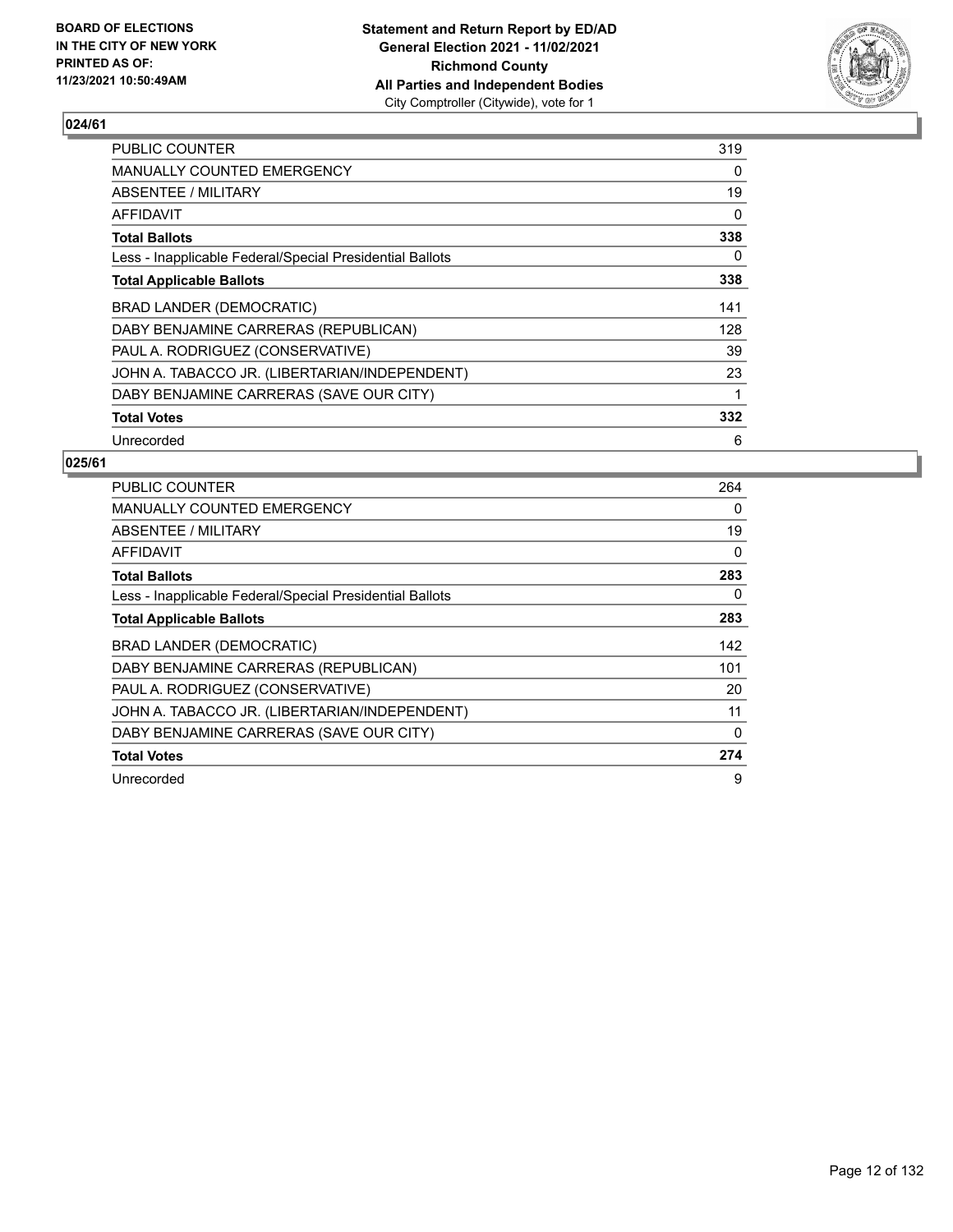

| <b>PUBLIC COUNTER</b>                                    | 319 |
|----------------------------------------------------------|-----|
| <b>MANUALLY COUNTED EMERGENCY</b>                        | 0   |
| ABSENTEE / MILITARY                                      | 19  |
| AFFIDAVIT                                                | 0   |
| <b>Total Ballots</b>                                     | 338 |
| Less - Inapplicable Federal/Special Presidential Ballots | 0   |
| <b>Total Applicable Ballots</b>                          | 338 |
| <b>BRAD LANDER (DEMOCRATIC)</b>                          | 141 |
| DABY BENJAMINE CARRERAS (REPUBLICAN)                     | 128 |
| PAUL A. RODRIGUEZ (CONSERVATIVE)                         | 39  |
| JOHN A. TABACCO JR. (LIBERTARIAN/INDEPENDENT)            | 23  |
| DABY BENJAMINE CARRERAS (SAVE OUR CITY)                  | 1   |
| <b>Total Votes</b>                                       | 332 |
| Unrecorded                                               | 6   |

| <b>PUBLIC COUNTER</b>                                    | 264 |
|----------------------------------------------------------|-----|
| <b>MANUALLY COUNTED EMERGENCY</b>                        | 0   |
| <b>ABSENTEE / MILITARY</b>                               | 19  |
| AFFIDAVIT                                                | 0   |
| <b>Total Ballots</b>                                     | 283 |
| Less - Inapplicable Federal/Special Presidential Ballots | 0   |
| <b>Total Applicable Ballots</b>                          | 283 |
| <b>BRAD LANDER (DEMOCRATIC)</b>                          | 142 |
| DABY BENJAMINE CARRERAS (REPUBLICAN)                     | 101 |
| PAUL A. RODRIGUEZ (CONSERVATIVE)                         | 20  |
| JOHN A. TABACCO JR. (LIBERTARIAN/INDEPENDENT)            | 11  |
| DABY BENJAMINE CARRERAS (SAVE OUR CITY)                  | 0   |
| <b>Total Votes</b>                                       | 274 |
| Unrecorded                                               | 9   |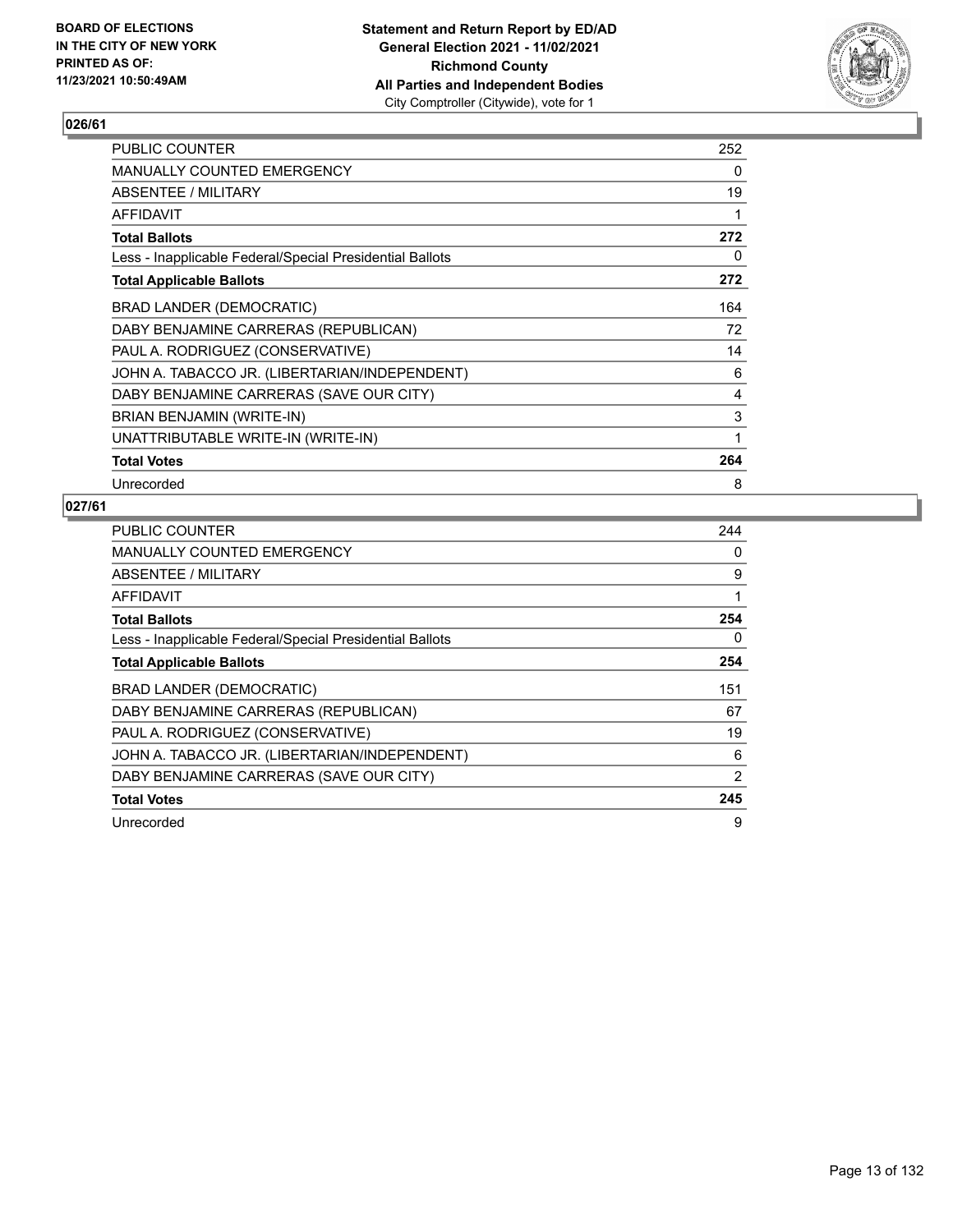

| <b>PUBLIC COUNTER</b>                                    | 252 |
|----------------------------------------------------------|-----|
| <b>MANUALLY COUNTED EMERGENCY</b>                        | 0   |
| ABSENTEE / MILITARY                                      | 19  |
| AFFIDAVIT                                                |     |
| <b>Total Ballots</b>                                     | 272 |
| Less - Inapplicable Federal/Special Presidential Ballots | 0   |
| <b>Total Applicable Ballots</b>                          | 272 |
| <b>BRAD LANDER (DEMOCRATIC)</b>                          | 164 |
| DABY BENJAMINE CARRERAS (REPUBLICAN)                     | 72  |
| PAUL A. RODRIGUEZ (CONSERVATIVE)                         | 14  |
| JOHN A. TABACCO JR. (LIBERTARIAN/INDEPENDENT)            | 6   |
| DABY BENJAMINE CARRERAS (SAVE OUR CITY)                  | 4   |
| BRIAN BENJAMIN (WRITE-IN)                                | 3   |
| UNATTRIBUTABLE WRITE-IN (WRITE-IN)                       | 1   |
| <b>Total Votes</b>                                       | 264 |
| Unrecorded                                               | 8   |

| <b>PUBLIC COUNTER</b>                                    | 244 |
|----------------------------------------------------------|-----|
| <b>MANUALLY COUNTED EMERGENCY</b>                        | 0   |
| ABSENTEE / MILITARY                                      | 9   |
| AFFIDAVIT                                                | 1   |
| <b>Total Ballots</b>                                     | 254 |
| Less - Inapplicable Federal/Special Presidential Ballots | 0   |
| <b>Total Applicable Ballots</b>                          | 254 |
| BRAD LANDER (DEMOCRATIC)                                 | 151 |
| DABY BENJAMINE CARRERAS (REPUBLICAN)                     | 67  |
| PAUL A. RODRIGUEZ (CONSERVATIVE)                         | 19  |
| JOHN A. TABACCO JR. (LIBERTARIAN/INDEPENDENT)            | 6   |
| DABY BENJAMINE CARRERAS (SAVE OUR CITY)                  | 2   |
| <b>Total Votes</b>                                       | 245 |
| Unrecorded                                               | 9   |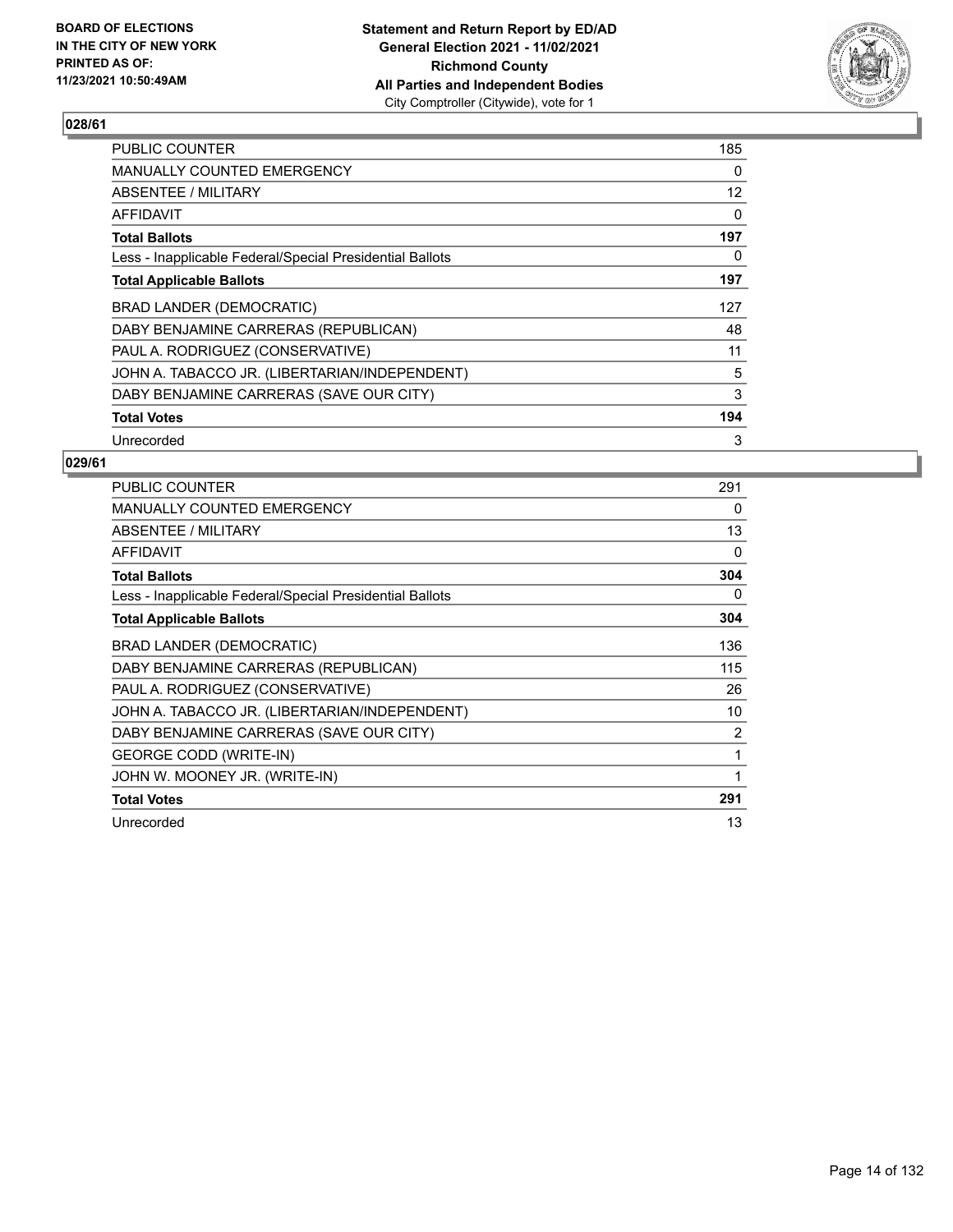

| <b>PUBLIC COUNTER</b>                                    | 185 |
|----------------------------------------------------------|-----|
| <b>MANUALLY COUNTED EMERGENCY</b>                        | 0   |
| ABSENTEE / MILITARY                                      | 12  |
| AFFIDAVIT                                                | 0   |
| <b>Total Ballots</b>                                     | 197 |
| Less - Inapplicable Federal/Special Presidential Ballots | 0   |
| <b>Total Applicable Ballots</b>                          | 197 |
| BRAD LANDER (DEMOCRATIC)                                 | 127 |
| DABY BENJAMINE CARRERAS (REPUBLICAN)                     | 48  |
| PAUL A. RODRIGUEZ (CONSERVATIVE)                         | 11  |
| JOHN A. TABACCO JR. (LIBERTARIAN/INDEPENDENT)            | 5   |
| DABY BENJAMINE CARRERAS (SAVE OUR CITY)                  | 3   |
| <b>Total Votes</b>                                       | 194 |
| Unrecorded                                               | 3   |

| PUBLIC COUNTER                                           | 291 |
|----------------------------------------------------------|-----|
| <b>MANUALLY COUNTED EMERGENCY</b>                        | 0   |
| ABSENTEE / MILITARY                                      | 13  |
| <b>AFFIDAVIT</b>                                         | 0   |
| <b>Total Ballots</b>                                     | 304 |
| Less - Inapplicable Federal/Special Presidential Ballots | 0   |
| <b>Total Applicable Ballots</b>                          | 304 |
| BRAD LANDER (DEMOCRATIC)                                 | 136 |
| DABY BENJAMINE CARRERAS (REPUBLICAN)                     | 115 |
| PAUL A. RODRIGUEZ (CONSERVATIVE)                         | 26  |
| JOHN A. TABACCO JR. (LIBERTARIAN/INDEPENDENT)            | 10  |
| DABY BENJAMINE CARRERAS (SAVE OUR CITY)                  | 2   |
| <b>GEORGE CODD (WRITE-IN)</b>                            | 1   |
| JOHN W. MOONEY JR. (WRITE-IN)                            |     |
| <b>Total Votes</b>                                       | 291 |
| Unrecorded                                               | 13  |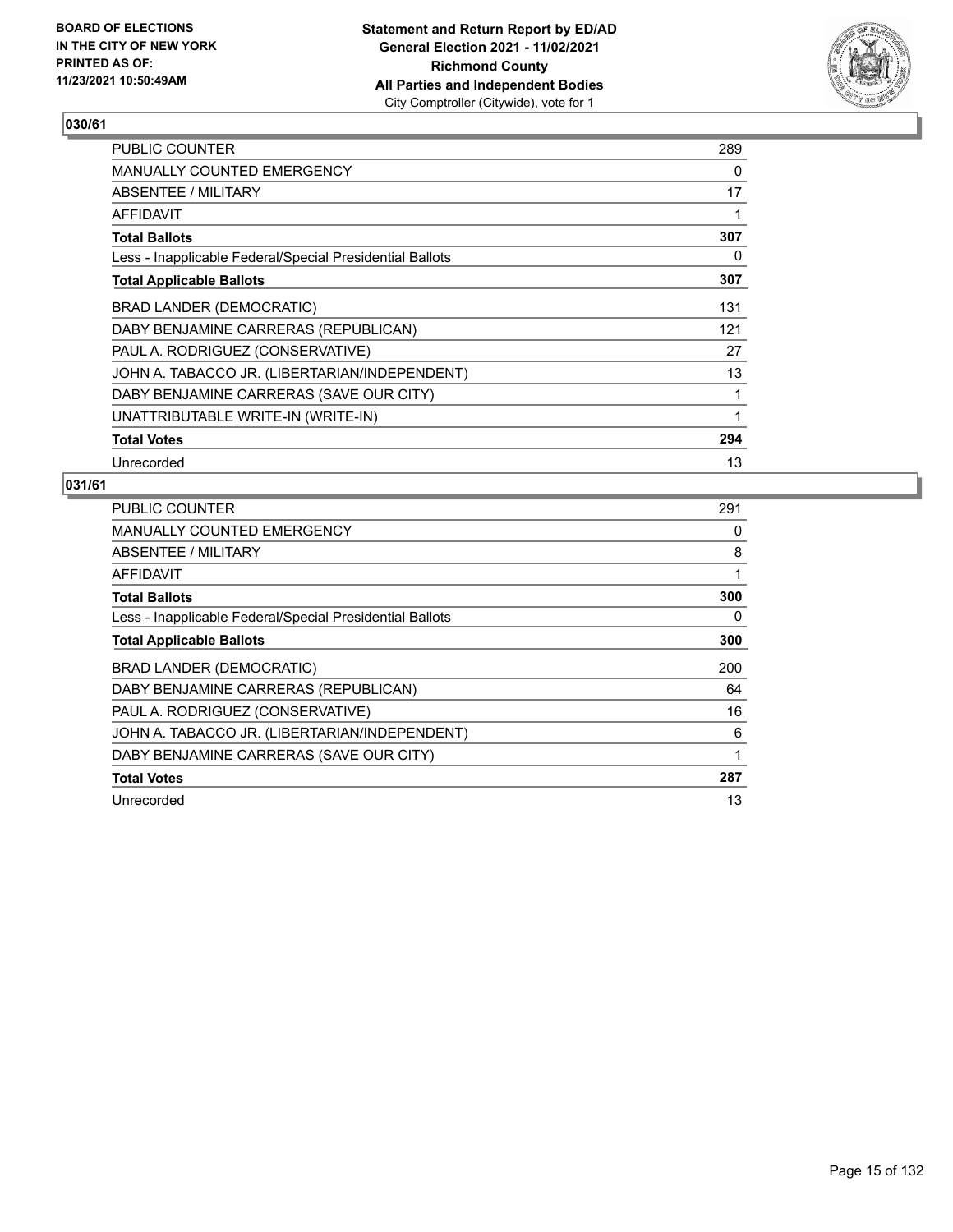

| <b>PUBLIC COUNTER</b>                                    | 289 |
|----------------------------------------------------------|-----|
| MANUALLY COUNTED EMERGENCY                               | 0   |
| ABSENTEE / MILITARY                                      | 17  |
| AFFIDAVIT                                                | 1   |
| <b>Total Ballots</b>                                     | 307 |
| Less - Inapplicable Federal/Special Presidential Ballots | 0   |
| <b>Total Applicable Ballots</b>                          | 307 |
| BRAD LANDER (DEMOCRATIC)                                 | 131 |
| DABY BENJAMINE CARRERAS (REPUBLICAN)                     | 121 |
| PAUL A. RODRIGUEZ (CONSERVATIVE)                         | 27  |
| JOHN A. TABACCO JR. (LIBERTARIAN/INDEPENDENT)            | 13  |
| DABY BENJAMINE CARRERAS (SAVE OUR CITY)                  | 1   |
| UNATTRIBUTABLE WRITE-IN (WRITE-IN)                       | 1   |
| <b>Total Votes</b>                                       | 294 |
| Unrecorded                                               | 13  |

| <b>PUBLIC COUNTER</b>                                    | 291 |
|----------------------------------------------------------|-----|
| <b>MANUALLY COUNTED EMERGENCY</b>                        | 0   |
| ABSENTEE / MILITARY                                      | 8   |
| AFFIDAVIT                                                | 1   |
| <b>Total Ballots</b>                                     | 300 |
| Less - Inapplicable Federal/Special Presidential Ballots | 0   |
| <b>Total Applicable Ballots</b>                          | 300 |
| BRAD LANDER (DEMOCRATIC)                                 | 200 |
| DABY BENJAMINE CARRERAS (REPUBLICAN)                     | 64  |
| PAUL A. RODRIGUEZ (CONSERVATIVE)                         | 16  |
|                                                          |     |
| JOHN A. TABACCO JR. (LIBERTARIAN/INDEPENDENT)            | 6   |
| DABY BENJAMINE CARRERAS (SAVE OUR CITY)                  | 1   |
| <b>Total Votes</b>                                       | 287 |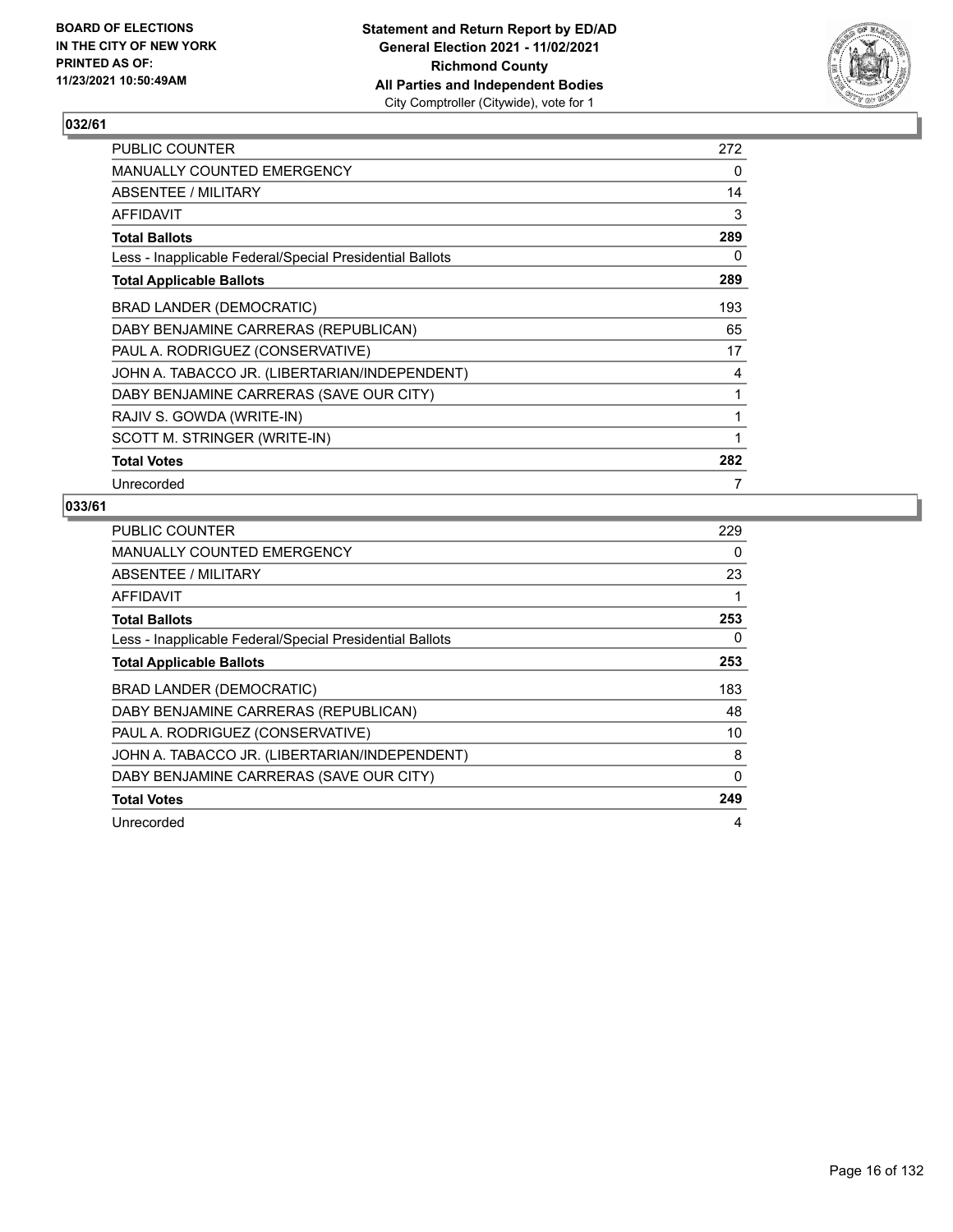

| PUBLIC COUNTER                                           | 272 |
|----------------------------------------------------------|-----|
| <b>MANUALLY COUNTED EMERGENCY</b>                        | 0   |
| ABSENTEE / MILITARY                                      | 14  |
| AFFIDAVIT                                                | 3   |
| <b>Total Ballots</b>                                     | 289 |
| Less - Inapplicable Federal/Special Presidential Ballots | 0   |
| <b>Total Applicable Ballots</b>                          | 289 |
| <b>BRAD LANDER (DEMOCRATIC)</b>                          | 193 |
| DABY BENJAMINE CARRERAS (REPUBLICAN)                     | 65  |
| PAUL A. RODRIGUEZ (CONSERVATIVE)                         | 17  |
| JOHN A. TABACCO JR. (LIBERTARIAN/INDEPENDENT)            | 4   |
| DABY BENJAMINE CARRERAS (SAVE OUR CITY)                  | 1   |
| RAJIV S. GOWDA (WRITE-IN)                                | 1   |
| SCOTT M. STRINGER (WRITE-IN)                             | 1   |
| <b>Total Votes</b>                                       | 282 |
| Unrecorded                                               | 7   |

| <b>PUBLIC COUNTER</b>                                    | 229 |
|----------------------------------------------------------|-----|
| <b>MANUALLY COUNTED EMERGENCY</b>                        | 0   |
| ABSENTEE / MILITARY                                      | 23  |
| AFFIDAVIT                                                | 1   |
| <b>Total Ballots</b>                                     | 253 |
| Less - Inapplicable Federal/Special Presidential Ballots | 0   |
| <b>Total Applicable Ballots</b>                          | 253 |
| BRAD LANDER (DEMOCRATIC)                                 | 183 |
| DABY BENJAMINE CARRERAS (REPUBLICAN)                     | 48  |
| PAUL A. RODRIGUEZ (CONSERVATIVE)                         | 10  |
| JOHN A. TABACCO JR. (LIBERTARIAN/INDEPENDENT)            | 8   |
| DABY BENJAMINE CARRERAS (SAVE OUR CITY)                  | 0   |
| <b>Total Votes</b>                                       | 249 |
| Unrecorded                                               | 4   |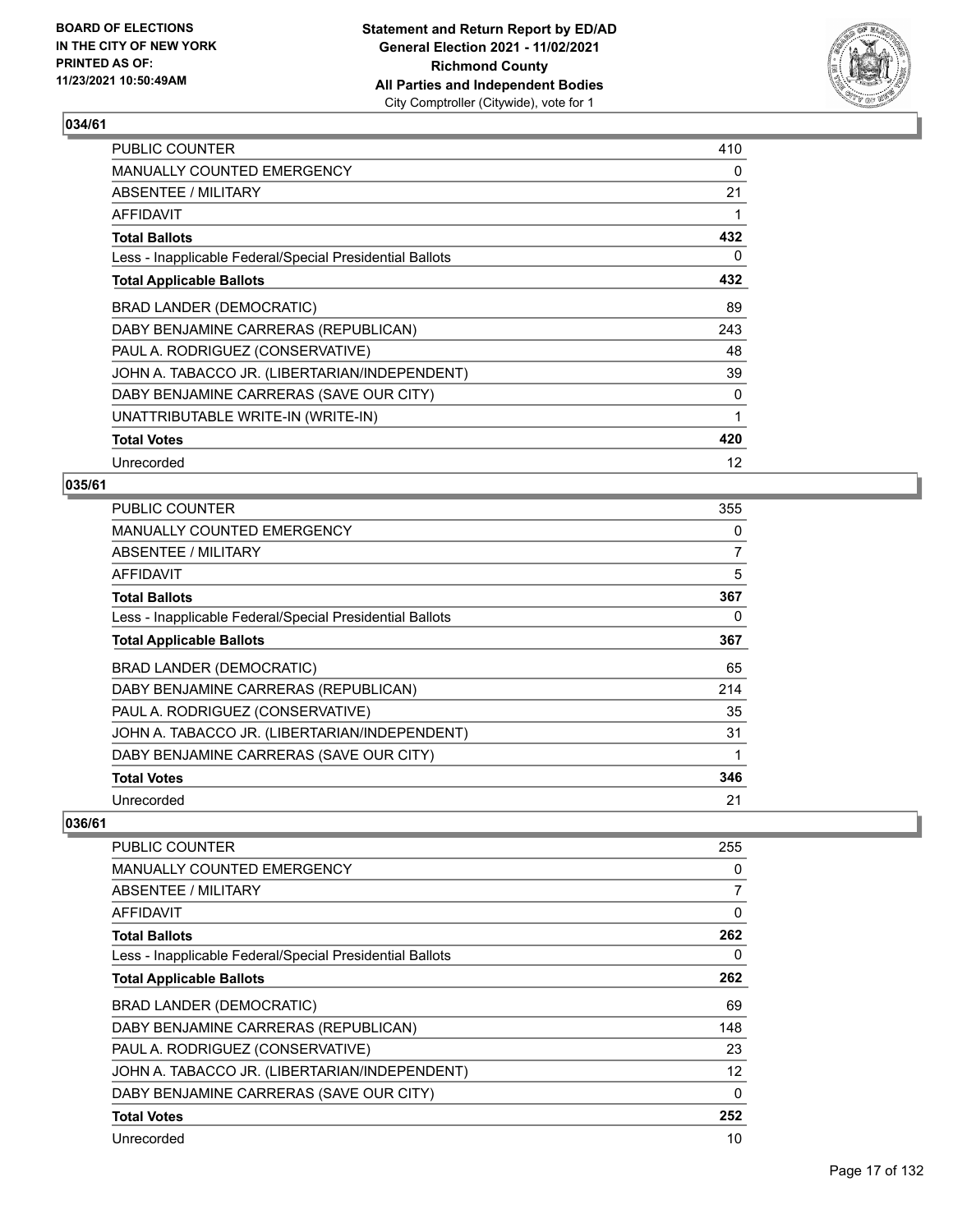

| <b>PUBLIC COUNTER</b>                                    | 410 |
|----------------------------------------------------------|-----|
| <b>MANUALLY COUNTED EMERGENCY</b>                        | 0   |
| ABSENTEE / MILITARY                                      | 21  |
| <b>AFFIDAVIT</b>                                         | 1   |
| <b>Total Ballots</b>                                     | 432 |
| Less - Inapplicable Federal/Special Presidential Ballots | 0   |
| <b>Total Applicable Ballots</b>                          | 432 |
| <b>BRAD LANDER (DEMOCRATIC)</b>                          | 89  |
| DABY BENJAMINE CARRERAS (REPUBLICAN)                     | 243 |
| PAUL A. RODRIGUEZ (CONSERVATIVE)                         | 48  |
| JOHN A. TABACCO JR. (LIBERTARIAN/INDEPENDENT)            | 39  |
| DABY BENJAMINE CARRERAS (SAVE OUR CITY)                  | 0   |
| UNATTRIBUTABLE WRITE-IN (WRITE-IN)                       | 1   |
| <b>Total Votes</b>                                       | 420 |
| Unrecorded                                               | 12  |

#### **035/61**

| <b>PUBLIC COUNTER</b>                                    | 355            |
|----------------------------------------------------------|----------------|
| MANUALLY COUNTED EMERGENCY                               | 0              |
| ABSENTEE / MILITARY                                      | $\overline{7}$ |
| AFFIDAVIT                                                | 5              |
| <b>Total Ballots</b>                                     | 367            |
| Less - Inapplicable Federal/Special Presidential Ballots | 0              |
| <b>Total Applicable Ballots</b>                          | 367            |
| BRAD LANDER (DEMOCRATIC)                                 | 65             |
| DABY BENJAMINE CARRERAS (REPUBLICAN)                     | 214            |
| PAUL A. RODRIGUEZ (CONSERVATIVE)                         | 35             |
| JOHN A. TABACCO JR. (LIBERTARIAN/INDEPENDENT)            | 31             |
| DABY BENJAMINE CARRERAS (SAVE OUR CITY)                  |                |
| <b>Total Votes</b>                                       | 346            |
| Unrecorded                                               | 21             |

| <b>PUBLIC COUNTER</b>                                    | 255          |
|----------------------------------------------------------|--------------|
| <b>MANUALLY COUNTED EMERGENCY</b>                        | 0            |
| ABSENTEE / MILITARY                                      | 7            |
| AFFIDAVIT                                                | $\mathbf{0}$ |
| <b>Total Ballots</b>                                     | 262          |
| Less - Inapplicable Federal/Special Presidential Ballots | 0            |
| <b>Total Applicable Ballots</b>                          | 262          |
| BRAD LANDER (DEMOCRATIC)                                 | 69           |
| DABY BENJAMINE CARRERAS (REPUBLICAN)                     | 148          |
| PAUL A. RODRIGUEZ (CONSERVATIVE)                         | 23           |
| JOHN A. TABACCO JR. (LIBERTARIAN/INDEPENDENT)            | 12           |
| DABY BENJAMINE CARRERAS (SAVE OUR CITY)                  | 0            |
| <b>Total Votes</b>                                       | 252          |
| Unrecorded                                               | 10           |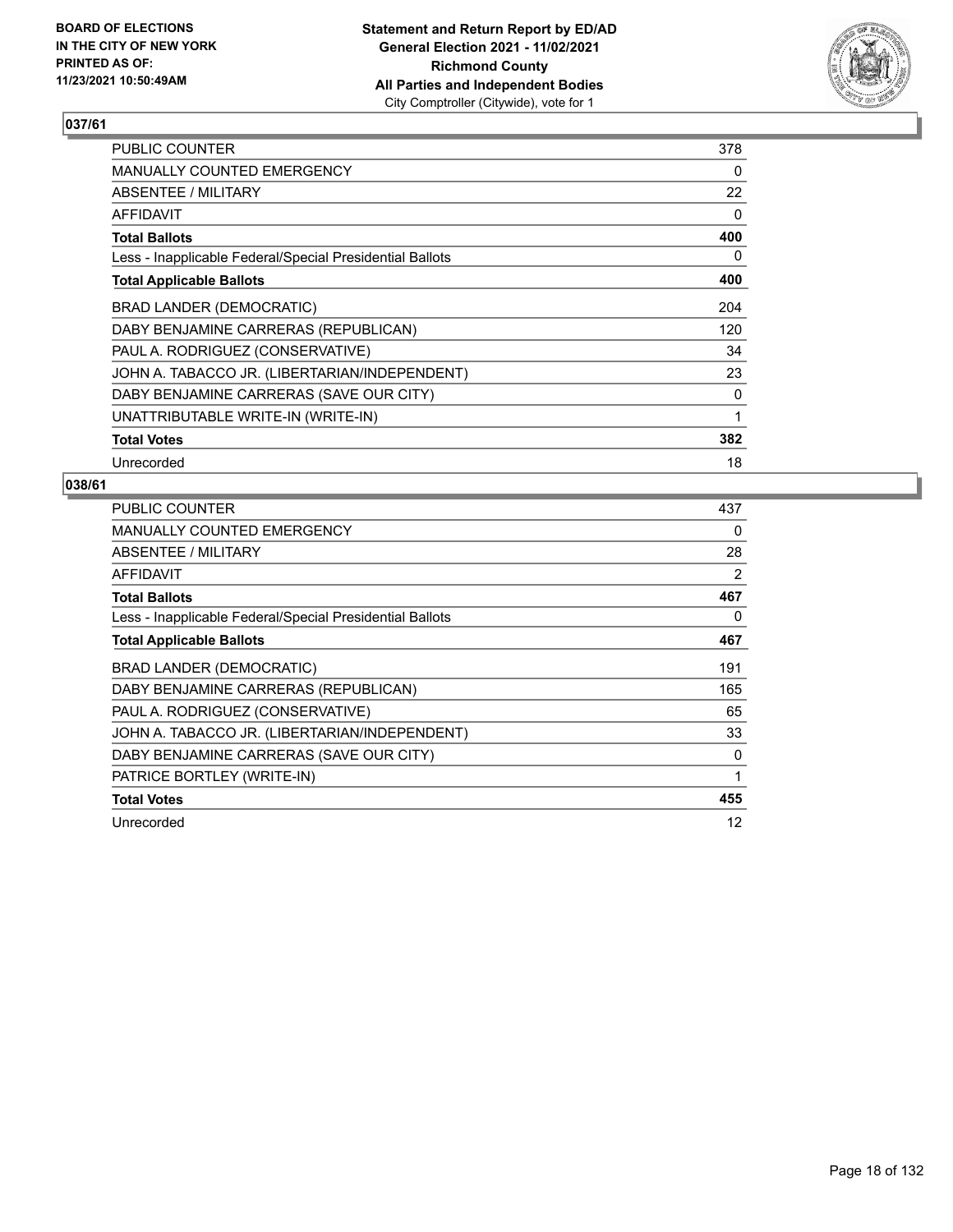

| <b>PUBLIC COUNTER</b>                                    | 378      |
|----------------------------------------------------------|----------|
| <b>MANUALLY COUNTED EMERGENCY</b>                        | 0        |
| ABSENTEE / MILITARY                                      | 22       |
| AFFIDAVIT                                                | $\Omega$ |
| <b>Total Ballots</b>                                     | 400      |
| Less - Inapplicable Federal/Special Presidential Ballots | 0        |
| <b>Total Applicable Ballots</b>                          | 400      |
| BRAD LANDER (DEMOCRATIC)                                 | 204      |
| DABY BENJAMINE CARRERAS (REPUBLICAN)                     | 120      |
| PAUL A. RODRIGUEZ (CONSERVATIVE)                         | 34       |
| JOHN A. TABACCO JR. (LIBERTARIAN/INDEPENDENT)            | 23       |
| DABY BENJAMINE CARRERAS (SAVE OUR CITY)                  | 0        |
| UNATTRIBUTABLE WRITE-IN (WRITE-IN)                       | 1        |
| <b>Total Votes</b>                                       | 382      |
| Unrecorded                                               | 18       |

| PUBLIC COUNTER                                           | 437 |
|----------------------------------------------------------|-----|
| <b>MANUALLY COUNTED EMERGENCY</b>                        | 0   |
| ABSENTEE / MILITARY                                      | 28  |
| AFFIDAVIT                                                | 2   |
| <b>Total Ballots</b>                                     | 467 |
| Less - Inapplicable Federal/Special Presidential Ballots | 0   |
| <b>Total Applicable Ballots</b>                          | 467 |
| BRAD LANDER (DEMOCRATIC)                                 | 191 |
| DABY BENJAMINE CARRERAS (REPUBLICAN)                     | 165 |
| PAUL A. RODRIGUEZ (CONSERVATIVE)                         | 65  |
| JOHN A. TABACCO JR. (LIBERTARIAN/INDEPENDENT)            | 33  |
| DABY BENJAMINE CARRERAS (SAVE OUR CITY)                  | 0   |
| PATRICE BORTLEY (WRITE-IN)                               | 1   |
| <b>Total Votes</b>                                       | 455 |
| Unrecorded                                               | 12  |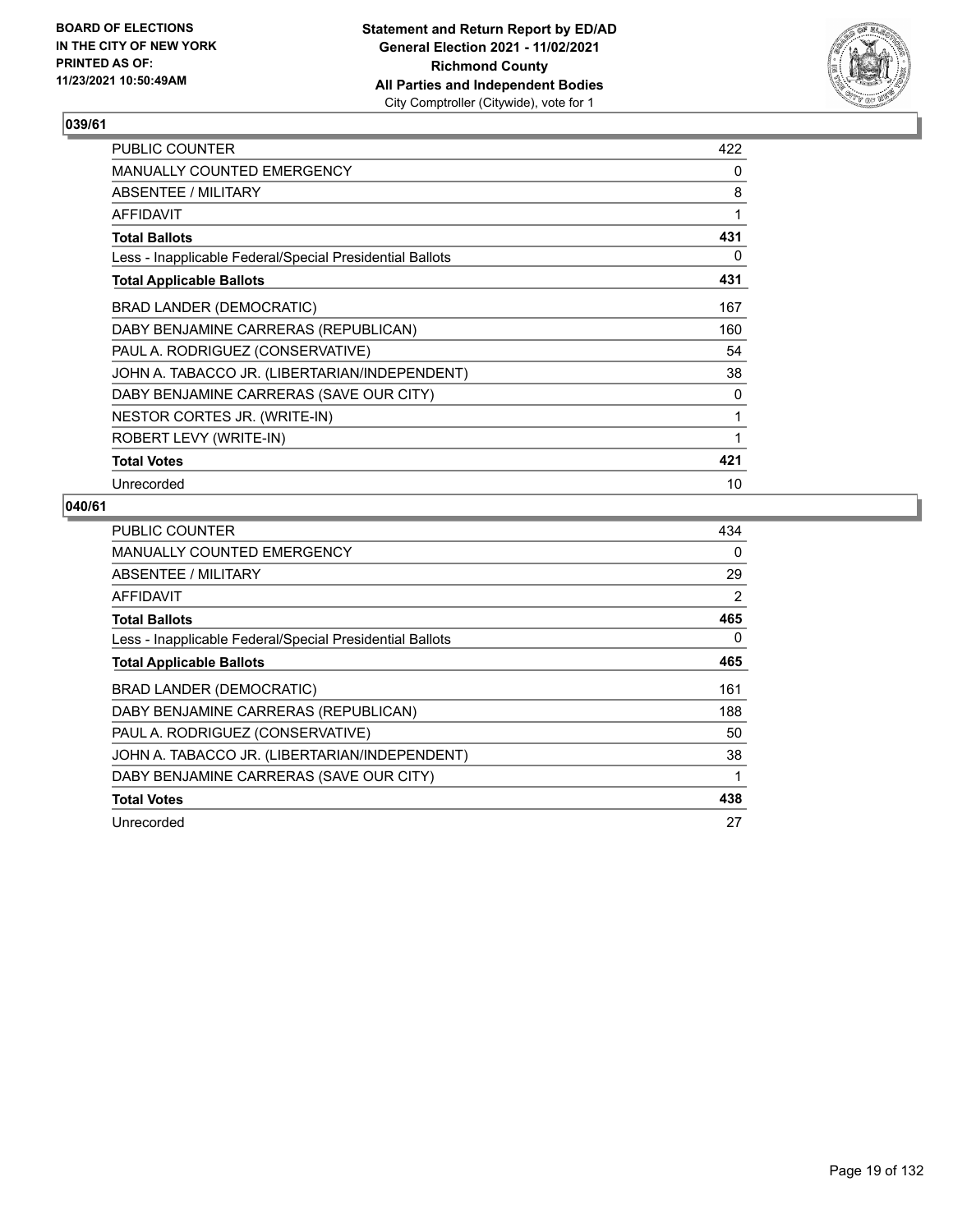

| PUBLIC COUNTER                                           | 422 |
|----------------------------------------------------------|-----|
| <b>MANUALLY COUNTED EMERGENCY</b>                        | 0   |
| ABSENTEE / MILITARY                                      | 8   |
| AFFIDAVIT                                                | 1   |
| <b>Total Ballots</b>                                     | 431 |
| Less - Inapplicable Federal/Special Presidential Ballots | 0   |
| <b>Total Applicable Ballots</b>                          | 431 |
| <b>BRAD LANDER (DEMOCRATIC)</b>                          | 167 |
| DABY BENJAMINE CARRERAS (REPUBLICAN)                     | 160 |
| PAUL A. RODRIGUEZ (CONSERVATIVE)                         | 54  |
| JOHN A. TABACCO JR. (LIBERTARIAN/INDEPENDENT)            | 38  |
| DABY BENJAMINE CARRERAS (SAVE OUR CITY)                  | 0   |
| NESTOR CORTES JR. (WRITE-IN)                             | 1   |
| ROBERT LEVY (WRITE-IN)                                   | 1   |
| <b>Total Votes</b>                                       | 421 |
| Unrecorded                                               | 10  |

| <b>PUBLIC COUNTER</b>                                    | 434 |
|----------------------------------------------------------|-----|
| MANUALLY COUNTED EMERGENCY                               | 0   |
| ABSENTEE / MILITARY                                      | 29  |
| AFFIDAVIT                                                | 2   |
| <b>Total Ballots</b>                                     | 465 |
| Less - Inapplicable Federal/Special Presidential Ballots | 0   |
| <b>Total Applicable Ballots</b>                          | 465 |
| BRAD LANDER (DEMOCRATIC)                                 | 161 |
| DABY BENJAMINE CARRERAS (REPUBLICAN)                     | 188 |
| PAUL A. RODRIGUEZ (CONSERVATIVE)                         | 50  |
| JOHN A. TABACCO JR. (LIBERTARIAN/INDEPENDENT)            | 38  |
| DABY BENJAMINE CARRERAS (SAVE OUR CITY)                  | 1   |
| <b>Total Votes</b>                                       | 438 |
| Unrecorded                                               | 27  |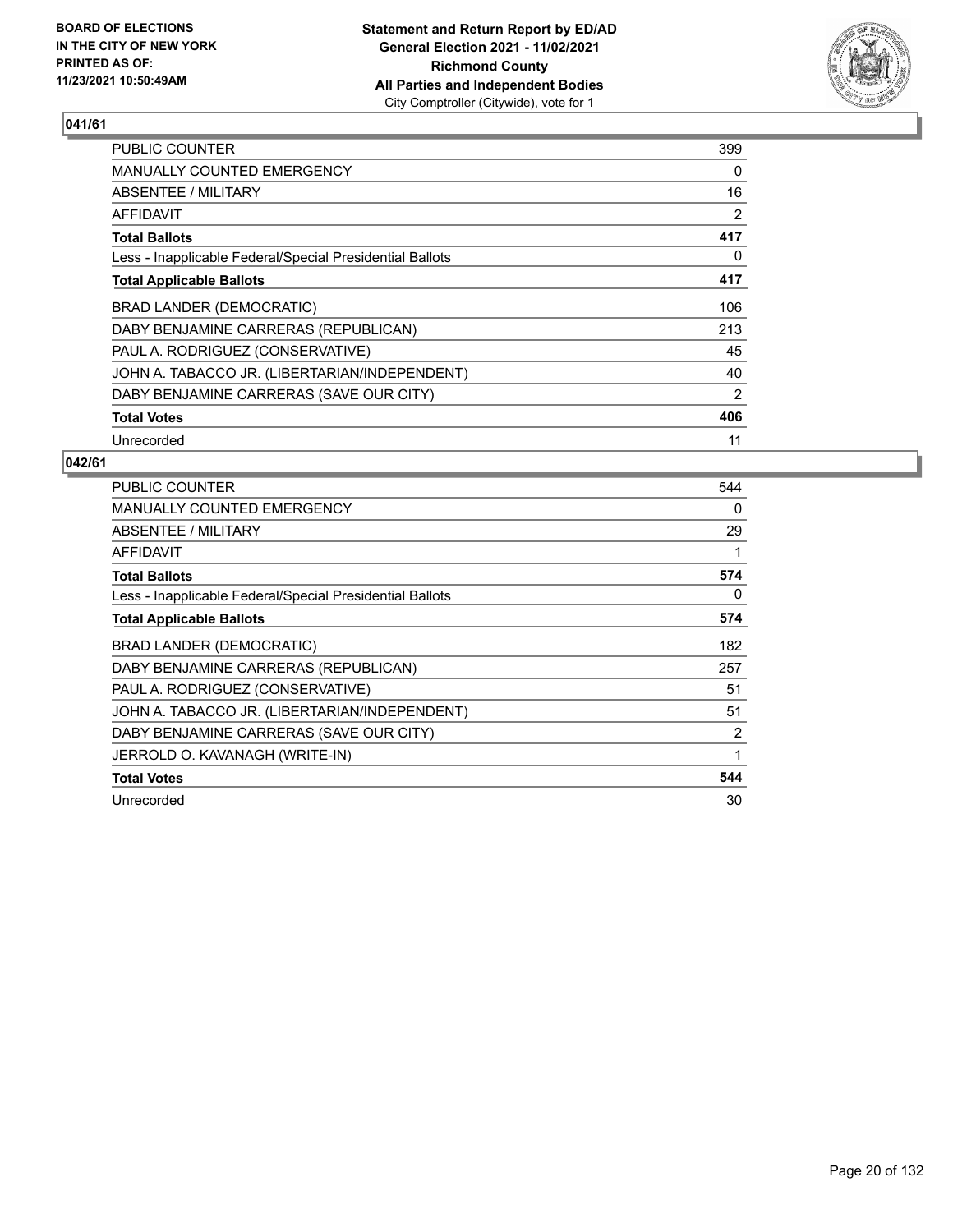

| <b>PUBLIC COUNTER</b>                                    | 399 |
|----------------------------------------------------------|-----|
| <b>MANUALLY COUNTED EMERGENCY</b>                        | 0   |
| ABSENTEE / MILITARY                                      | 16  |
| AFFIDAVIT                                                | 2   |
| <b>Total Ballots</b>                                     | 417 |
| Less - Inapplicable Federal/Special Presidential Ballots | 0   |
| <b>Total Applicable Ballots</b>                          | 417 |
| BRAD LANDER (DEMOCRATIC)                                 | 106 |
| DABY BENJAMINE CARRERAS (REPUBLICAN)                     | 213 |
| PAUL A. RODRIGUEZ (CONSERVATIVE)                         | 45  |
| JOHN A. TABACCO JR. (LIBERTARIAN/INDEPENDENT)            | 40  |
| DABY BENJAMINE CARRERAS (SAVE OUR CITY)                  | 2   |
| <b>Total Votes</b>                                       | 406 |
| Unrecorded                                               | 11  |

| <b>PUBLIC COUNTER</b>                                    | 544 |
|----------------------------------------------------------|-----|
| <b>MANUALLY COUNTED EMERGENCY</b>                        | 0   |
| ABSENTEE / MILITARY                                      | 29  |
| AFFIDAVIT                                                | 1   |
| <b>Total Ballots</b>                                     | 574 |
| Less - Inapplicable Federal/Special Presidential Ballots | 0   |
| <b>Total Applicable Ballots</b>                          | 574 |
| BRAD LANDER (DEMOCRATIC)                                 | 182 |
| DABY BENJAMINE CARRERAS (REPUBLICAN)                     | 257 |
| PAUL A. RODRIGUEZ (CONSERVATIVE)                         | 51  |
| JOHN A. TABACCO JR. (LIBERTARIAN/INDEPENDENT)            | 51  |
| DABY BENJAMINE CARRERAS (SAVE OUR CITY)                  | 2   |
| JERROLD O. KAVANAGH (WRITE-IN)                           | 1   |
| <b>Total Votes</b>                                       | 544 |
| Unrecorded                                               | 30  |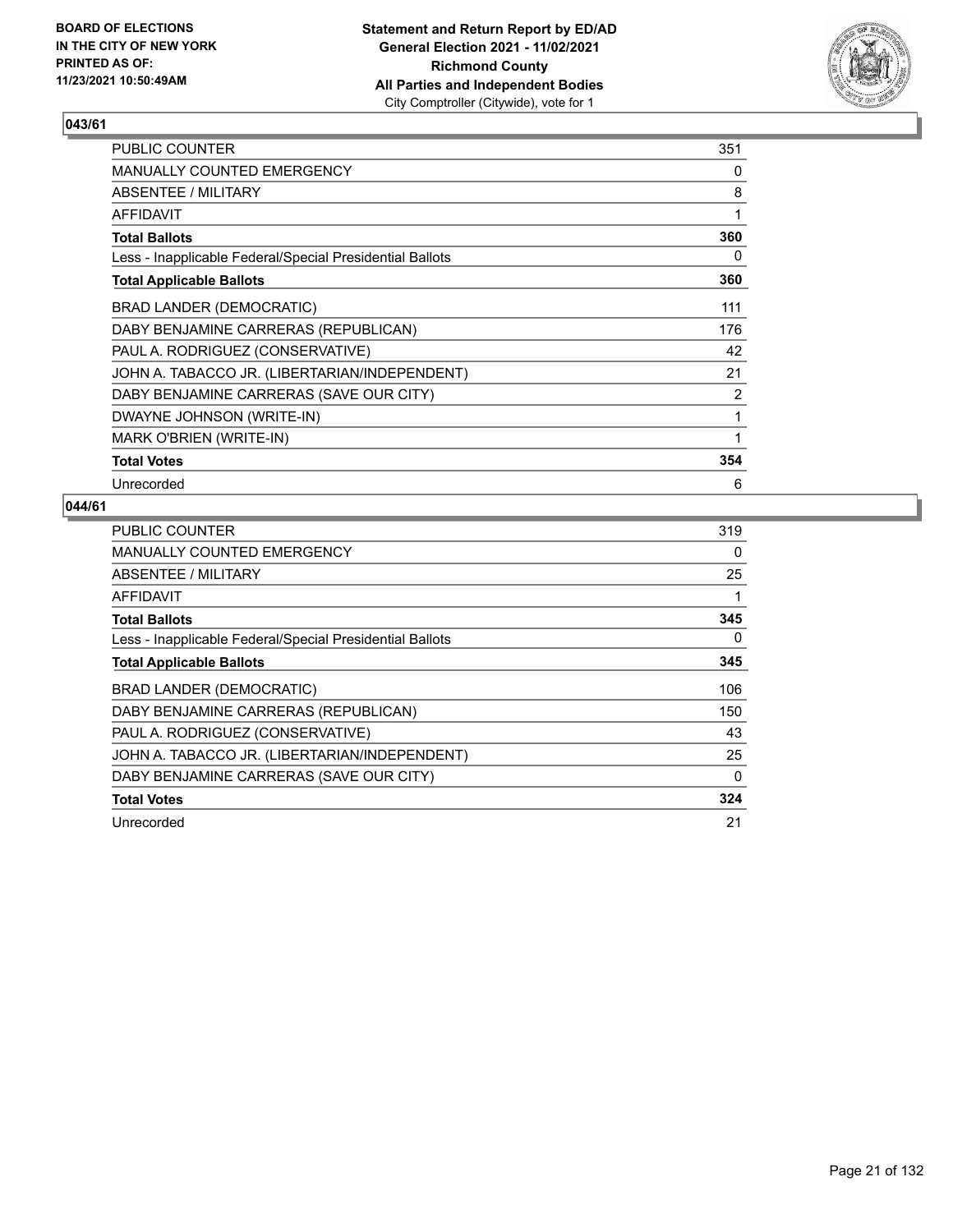

| PUBLIC COUNTER                                           | 351 |
|----------------------------------------------------------|-----|
| <b>MANUALLY COUNTED EMERGENCY</b>                        | 0   |
| ABSENTEE / MILITARY                                      | 8   |
| AFFIDAVIT                                                | 1   |
| <b>Total Ballots</b>                                     | 360 |
| Less - Inapplicable Federal/Special Presidential Ballots | 0   |
| <b>Total Applicable Ballots</b>                          | 360 |
| <b>BRAD LANDER (DEMOCRATIC)</b>                          | 111 |
| DABY BENJAMINE CARRERAS (REPUBLICAN)                     | 176 |
| PAUL A. RODRIGUEZ (CONSERVATIVE)                         | 42  |
| JOHN A. TABACCO JR. (LIBERTARIAN/INDEPENDENT)            | 21  |
| DABY BENJAMINE CARRERAS (SAVE OUR CITY)                  | 2   |
| DWAYNE JOHNSON (WRITE-IN)                                | 1   |
| MARK O'BRIEN (WRITE-IN)                                  | 1   |
| <b>Total Votes</b>                                       | 354 |
| Unrecorded                                               | 6   |

| <b>PUBLIC COUNTER</b>                                    | 319      |
|----------------------------------------------------------|----------|
| <b>MANUALLY COUNTED EMERGENCY</b>                        | 0        |
| ABSENTEE / MILITARY                                      | 25       |
| AFFIDAVIT                                                | 1        |
| <b>Total Ballots</b>                                     | 345      |
| Less - Inapplicable Federal/Special Presidential Ballots | 0        |
| <b>Total Applicable Ballots</b>                          | 345      |
| BRAD LANDER (DEMOCRATIC)                                 | 106      |
| DABY BENJAMINE CARRERAS (REPUBLICAN)                     | 150      |
| PAUL A. RODRIGUEZ (CONSERVATIVE)                         | 43       |
| JOHN A. TABACCO JR. (LIBERTARIAN/INDEPENDENT)            | 25       |
| DABY BENJAMINE CARRERAS (SAVE OUR CITY)                  | $\Omega$ |
| <b>Total Votes</b>                                       | 324      |
| Unrecorded                                               | 21       |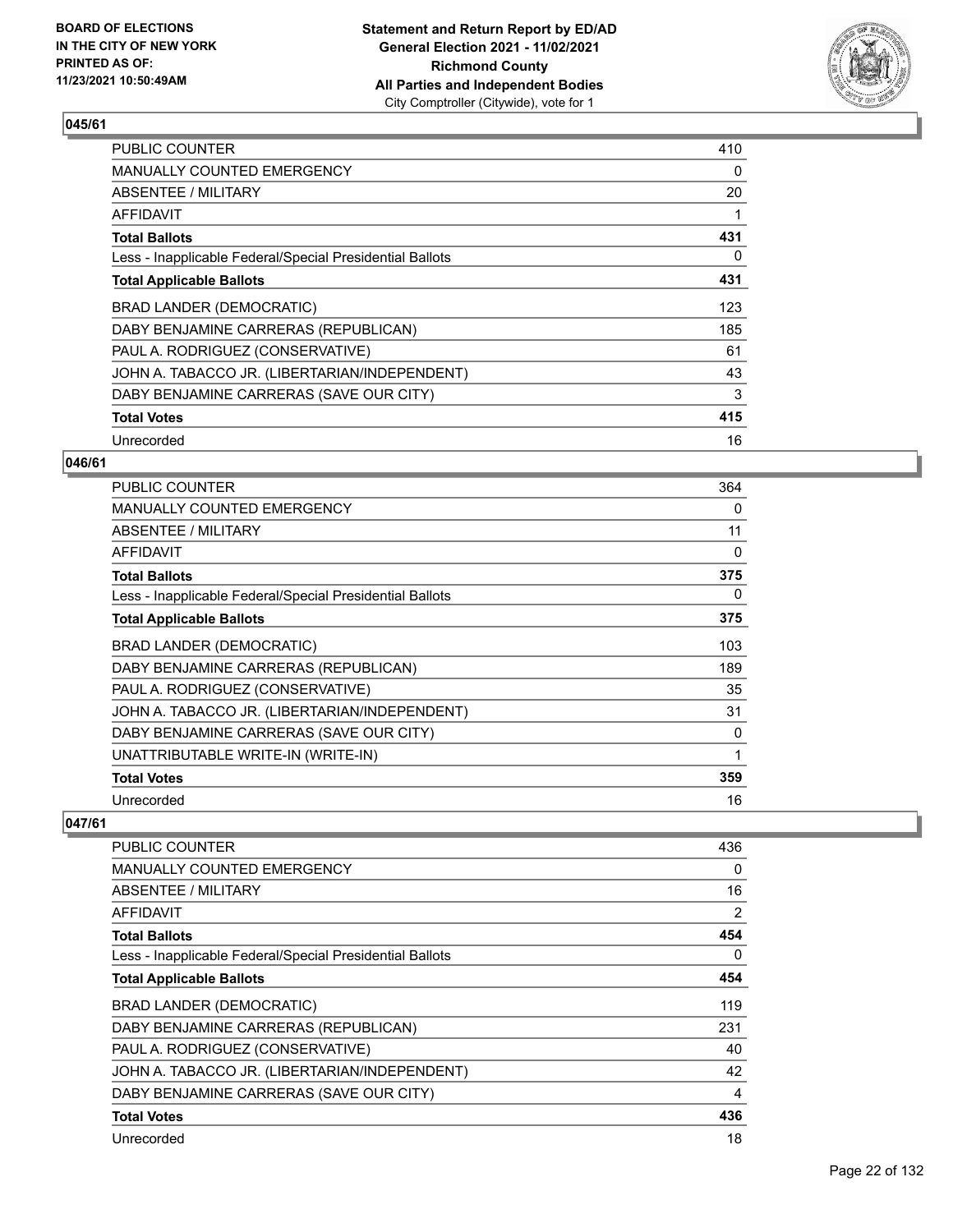

| <b>PUBLIC COUNTER</b>                                    | 410 |
|----------------------------------------------------------|-----|
| MANUALLY COUNTED EMERGENCY                               | 0   |
| ABSENTEE / MILITARY                                      | 20  |
| AFFIDAVIT                                                | 1   |
| <b>Total Ballots</b>                                     | 431 |
| Less - Inapplicable Federal/Special Presidential Ballots | 0   |
| <b>Total Applicable Ballots</b>                          | 431 |
| <b>BRAD LANDER (DEMOCRATIC)</b>                          | 123 |
| DABY BENJAMINE CARRERAS (REPUBLICAN)                     | 185 |
| PAUL A. RODRIGUEZ (CONSERVATIVE)                         | 61  |
| JOHN A. TABACCO JR. (LIBERTARIAN/INDEPENDENT)            | 43  |
| DABY BENJAMINE CARRERAS (SAVE OUR CITY)                  | 3   |
| <b>Total Votes</b>                                       | 415 |
| Unrecorded                                               | 16  |

## **046/61**

| <b>PUBLIC COUNTER</b>                                    | 364 |
|----------------------------------------------------------|-----|
| <b>MANUALLY COUNTED EMERGENCY</b>                        | 0   |
| ABSENTEE / MILITARY                                      | 11  |
| AFFIDAVIT                                                | 0   |
| <b>Total Ballots</b>                                     | 375 |
| Less - Inapplicable Federal/Special Presidential Ballots | 0   |
| <b>Total Applicable Ballots</b>                          | 375 |
| BRAD LANDER (DEMOCRATIC)                                 | 103 |
| DABY BENJAMINE CARRERAS (REPUBLICAN)                     | 189 |
| PAUL A. RODRIGUEZ (CONSERVATIVE)                         | 35  |
| JOHN A. TABACCO JR. (LIBERTARIAN/INDEPENDENT)            | 31  |
| DABY BENJAMINE CARRERAS (SAVE OUR CITY)                  | 0   |
| UNATTRIBUTABLE WRITE-IN (WRITE-IN)                       | 1   |
| <b>Total Votes</b>                                       | 359 |
| Unrecorded                                               | 16  |

| PUBLIC COUNTER                                           | 436 |
|----------------------------------------------------------|-----|
| <b>MANUALLY COUNTED EMERGENCY</b>                        | 0   |
| ABSENTEE / MILITARY                                      | 16  |
| <b>AFFIDAVIT</b>                                         | 2   |
| <b>Total Ballots</b>                                     | 454 |
| Less - Inapplicable Federal/Special Presidential Ballots | 0   |
| <b>Total Applicable Ballots</b>                          | 454 |
| BRAD LANDER (DEMOCRATIC)                                 | 119 |
| DABY BENJAMINE CARRERAS (REPUBLICAN)                     | 231 |
| PAUL A. RODRIGUEZ (CONSERVATIVE)                         | 40  |
| JOHN A. TABACCO JR. (LIBERTARIAN/INDEPENDENT)            | 42  |
| DABY BENJAMINE CARRERAS (SAVE OUR CITY)                  | 4   |
| <b>Total Votes</b>                                       | 436 |
| Unrecorded                                               | 18  |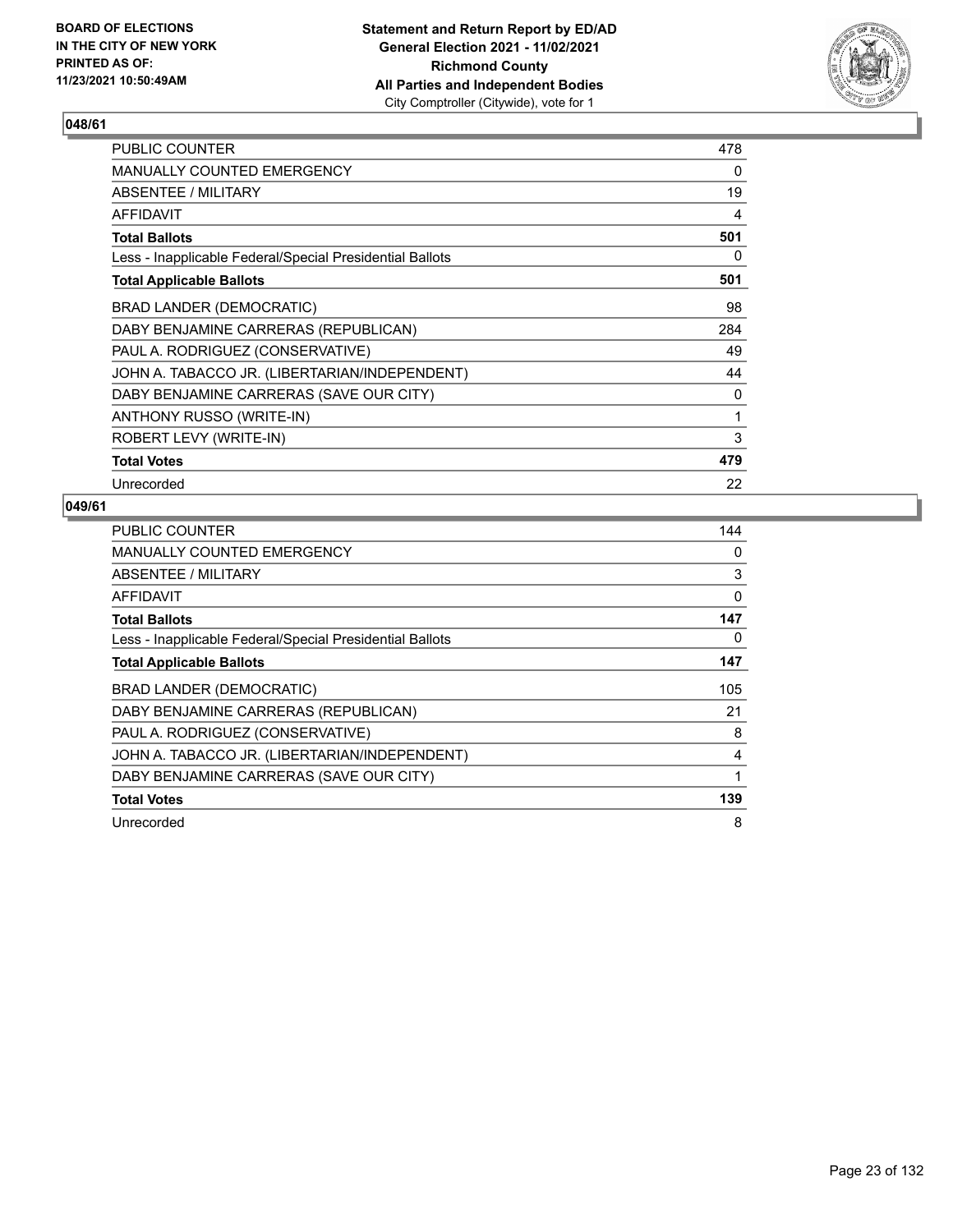

| PUBLIC COUNTER                                           | 478 |
|----------------------------------------------------------|-----|
| <b>MANUALLY COUNTED EMERGENCY</b>                        | 0   |
| ABSENTEE / MILITARY                                      | 19  |
| <b>AFFIDAVIT</b>                                         | 4   |
| <b>Total Ballots</b>                                     | 501 |
| Less - Inapplicable Federal/Special Presidential Ballots | 0   |
| <b>Total Applicable Ballots</b>                          | 501 |
| BRAD LANDER (DEMOCRATIC)                                 | 98  |
| DABY BENJAMINE CARRERAS (REPUBLICAN)                     | 284 |
| PAUL A. RODRIGUEZ (CONSERVATIVE)                         | 49  |
| JOHN A. TABACCO JR. (LIBERTARIAN/INDEPENDENT)            | 44  |
| DABY BENJAMINE CARRERAS (SAVE OUR CITY)                  | 0   |
| ANTHONY RUSSO (WRITE-IN)                                 | 1   |
| ROBERT LEVY (WRITE-IN)                                   | 3   |
| <b>Total Votes</b>                                       | 479 |
| Unrecorded                                               | 22  |

| <b>PUBLIC COUNTER</b>                                    | 144 |
|----------------------------------------------------------|-----|
| <b>MANUALLY COUNTED EMERGENCY</b>                        | 0   |
| ABSENTEE / MILITARY                                      | 3   |
| AFFIDAVIT                                                | 0   |
| <b>Total Ballots</b>                                     | 147 |
| Less - Inapplicable Federal/Special Presidential Ballots | 0   |
| <b>Total Applicable Ballots</b>                          | 147 |
| BRAD LANDER (DEMOCRATIC)                                 | 105 |
| DABY BENJAMINE CARRERAS (REPUBLICAN)                     | 21  |
| PAUL A. RODRIGUEZ (CONSERVATIVE)                         | 8   |
| JOHN A. TABACCO JR. (LIBERTARIAN/INDEPENDENT)            | 4   |
| DABY BENJAMINE CARRERAS (SAVE OUR CITY)                  | 1   |
| <b>Total Votes</b>                                       | 139 |
| Unrecorded                                               | 8   |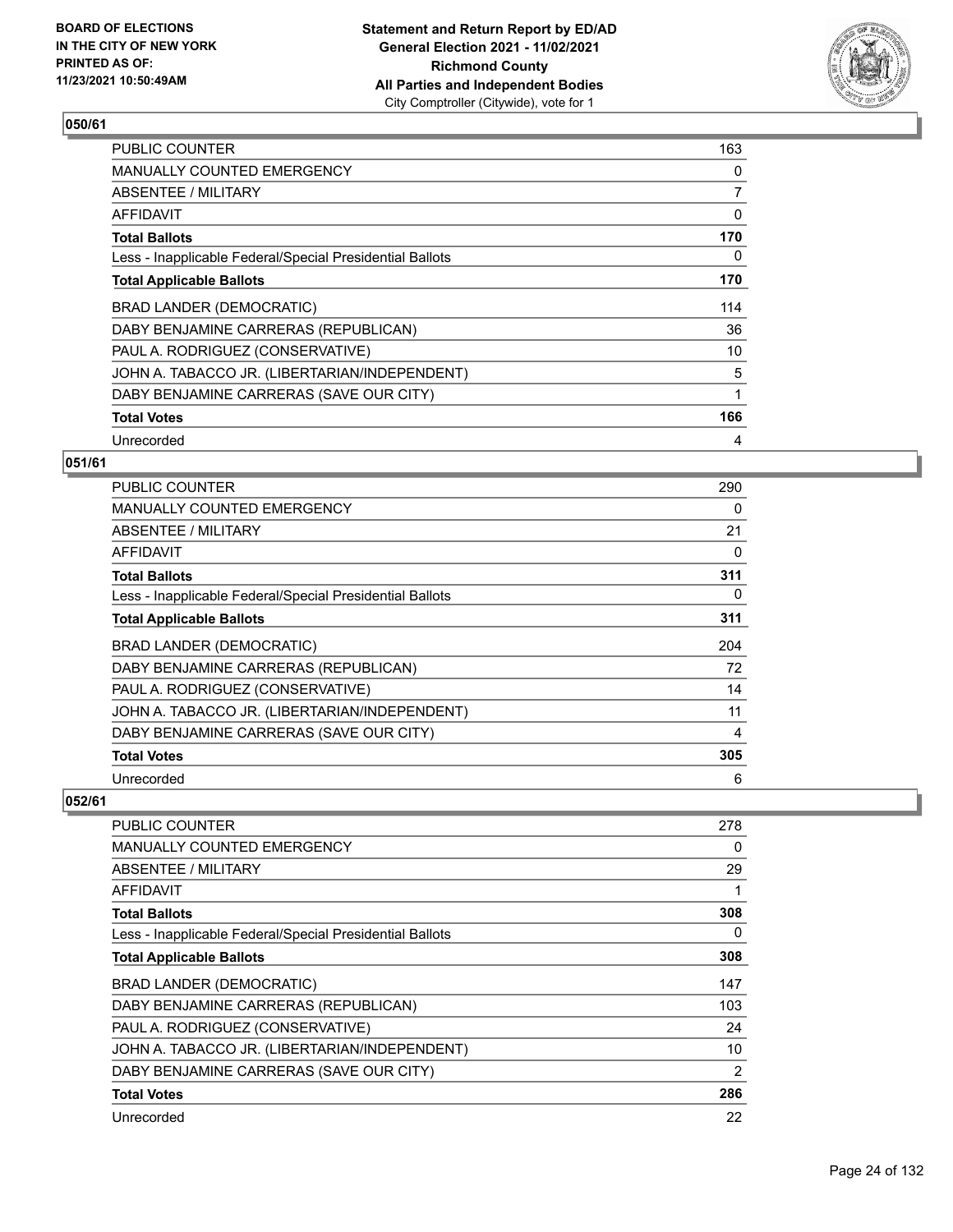

| <b>PUBLIC COUNTER</b>                                    | 163 |
|----------------------------------------------------------|-----|
| <b>MANUALLY COUNTED EMERGENCY</b>                        | 0   |
| ABSENTEE / MILITARY                                      | 7   |
| AFFIDAVIT                                                | 0   |
| <b>Total Ballots</b>                                     | 170 |
| Less - Inapplicable Federal/Special Presidential Ballots | 0   |
| <b>Total Applicable Ballots</b>                          | 170 |
| BRAD LANDER (DEMOCRATIC)                                 | 114 |
| DABY BENJAMINE CARRERAS (REPUBLICAN)                     | 36  |
| PAUL A. RODRIGUEZ (CONSERVATIVE)                         | 10  |
| JOHN A. TABACCO JR. (LIBERTARIAN/INDEPENDENT)            | 5   |
| DABY BENJAMINE CARRERAS (SAVE OUR CITY)                  | 1   |
| <b>Total Votes</b>                                       | 166 |
| Unrecorded                                               | 4   |

## **051/61**

| <b>PUBLIC COUNTER</b>                                    | 290 |
|----------------------------------------------------------|-----|
| <b>MANUALLY COUNTED EMERGENCY</b>                        | 0   |
| ABSENTEE / MILITARY                                      | 21  |
| AFFIDAVIT                                                | 0   |
| <b>Total Ballots</b>                                     | 311 |
| Less - Inapplicable Federal/Special Presidential Ballots | 0   |
| <b>Total Applicable Ballots</b>                          | 311 |
| BRAD LANDER (DEMOCRATIC)                                 | 204 |
| DABY BENJAMINE CARRERAS (REPUBLICAN)                     | 72  |
| PAUL A. RODRIGUEZ (CONSERVATIVE)                         | 14  |
| JOHN A. TABACCO JR. (LIBERTARIAN/INDEPENDENT)            | 11  |
| DABY BENJAMINE CARRERAS (SAVE OUR CITY)                  | 4   |
| <b>Total Votes</b>                                       | 305 |
|                                                          |     |

| PUBLIC COUNTER                                           | 278 |
|----------------------------------------------------------|-----|
| <b>MANUALLY COUNTED EMERGENCY</b>                        | 0   |
| ABSENTEE / MILITARY                                      | 29  |
| AFFIDAVIT                                                |     |
| <b>Total Ballots</b>                                     | 308 |
| Less - Inapplicable Federal/Special Presidential Ballots | 0   |
| <b>Total Applicable Ballots</b>                          | 308 |
| BRAD LANDER (DEMOCRATIC)                                 | 147 |
| DABY BENJAMINE CARRERAS (REPUBLICAN)                     | 103 |
| PAUL A. RODRIGUEZ (CONSERVATIVE)                         | 24  |
| JOHN A. TABACCO JR. (LIBERTARIAN/INDEPENDENT)            | 10  |
| DABY BENJAMINE CARRERAS (SAVE OUR CITY)                  | 2   |
| <b>Total Votes</b>                                       | 286 |
| Unrecorded                                               | 22  |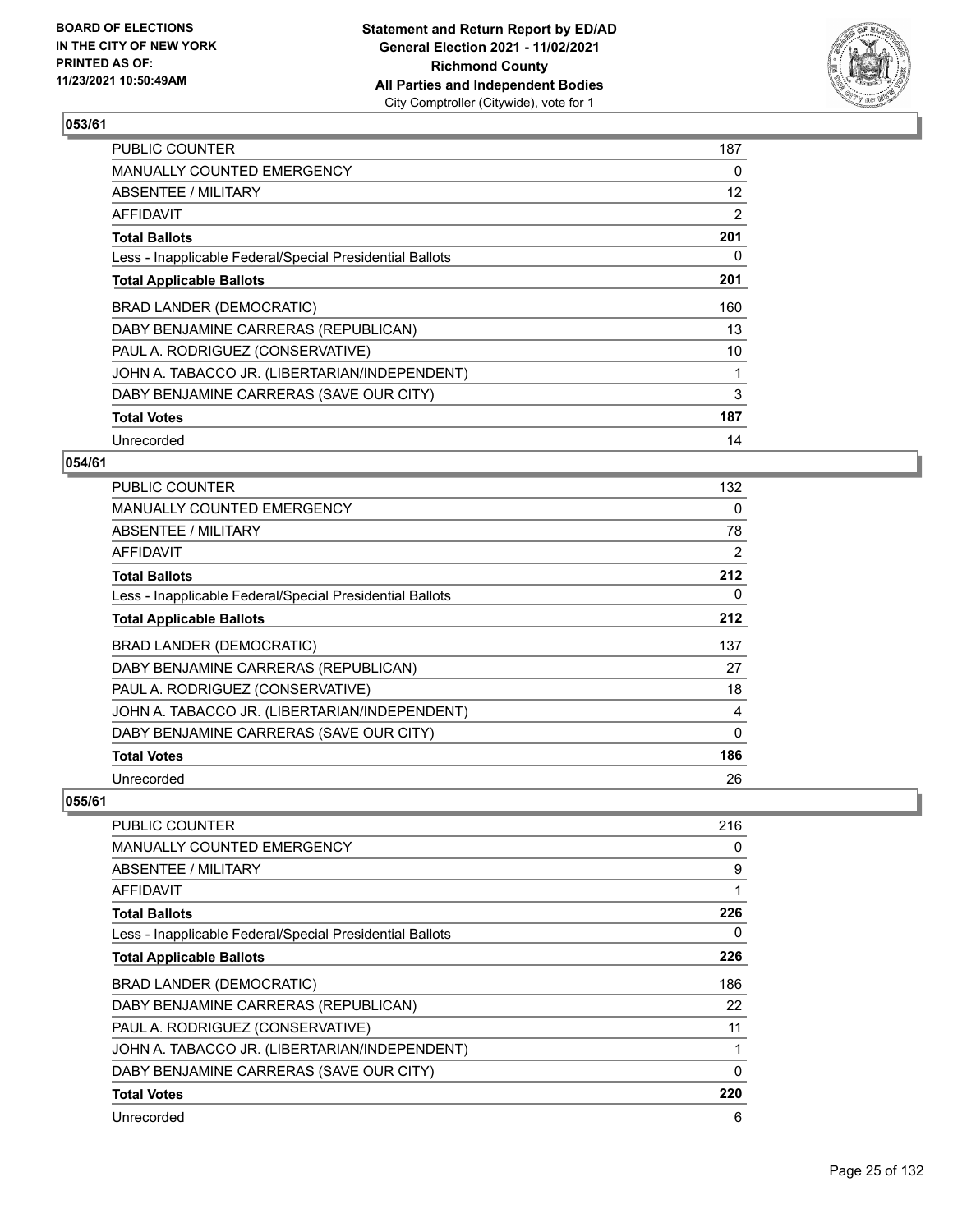

| <b>PUBLIC COUNTER</b>                                    | 187            |
|----------------------------------------------------------|----------------|
| MANUALLY COUNTED EMERGENCY                               | 0              |
| ABSENTEE / MILITARY                                      | 12             |
| <b>AFFIDAVIT</b>                                         | $\overline{2}$ |
| <b>Total Ballots</b>                                     | 201            |
| Less - Inapplicable Federal/Special Presidential Ballots | 0              |
| <b>Total Applicable Ballots</b>                          | 201            |
| <b>BRAD LANDER (DEMOCRATIC)</b>                          | 160            |
| DABY BENJAMINE CARRERAS (REPUBLICAN)                     | 13             |
| PAUL A. RODRIGUEZ (CONSERVATIVE)                         | 10             |
| JOHN A. TABACCO JR. (LIBERTARIAN/INDEPENDENT)            | 1              |
| DABY BENJAMINE CARRERAS (SAVE OUR CITY)                  | 3              |
| <b>Total Votes</b>                                       | 187            |
| Unrecorded                                               | 14             |

## **054/61**

| <b>PUBLIC COUNTER</b>                                    | 132 |
|----------------------------------------------------------|-----|
| <b>MANUALLY COUNTED EMERGENCY</b>                        | 0   |
| ABSENTEE / MILITARY                                      | 78  |
| AFFIDAVIT                                                | 2   |
| <b>Total Ballots</b>                                     | 212 |
| Less - Inapplicable Federal/Special Presidential Ballots | 0   |
| <b>Total Applicable Ballots</b>                          | 212 |
| BRAD LANDER (DEMOCRATIC)                                 | 137 |
| DABY BENJAMINE CARRERAS (REPUBLICAN)                     | 27  |
| PAUL A. RODRIGUEZ (CONSERVATIVE)                         | 18  |
| JOHN A. TABACCO JR. (LIBERTARIAN/INDEPENDENT)            | 4   |
| DABY BENJAMINE CARRERAS (SAVE OUR CITY)                  | 0   |
| <b>Total Votes</b>                                       | 186 |
| Unrecorded                                               | 26  |

| <b>PUBLIC COUNTER</b>                                    | 216 |
|----------------------------------------------------------|-----|
| <b>MANUALLY COUNTED EMERGENCY</b>                        | 0   |
| ABSENTEE / MILITARY                                      | 9   |
| AFFIDAVIT                                                | 1   |
| <b>Total Ballots</b>                                     | 226 |
| Less - Inapplicable Federal/Special Presidential Ballots | 0   |
| <b>Total Applicable Ballots</b>                          | 226 |
| BRAD LANDER (DEMOCRATIC)                                 | 186 |
| DABY BENJAMINE CARRERAS (REPUBLICAN)                     | 22  |
| PAUL A. RODRIGUEZ (CONSERVATIVE)                         | 11  |
| JOHN A. TABACCO JR. (LIBERTARIAN/INDEPENDENT)            |     |
| DABY BENJAMINE CARRERAS (SAVE OUR CITY)                  | 0   |
| <b>Total Votes</b>                                       | 220 |
| Unrecorded                                               | 6   |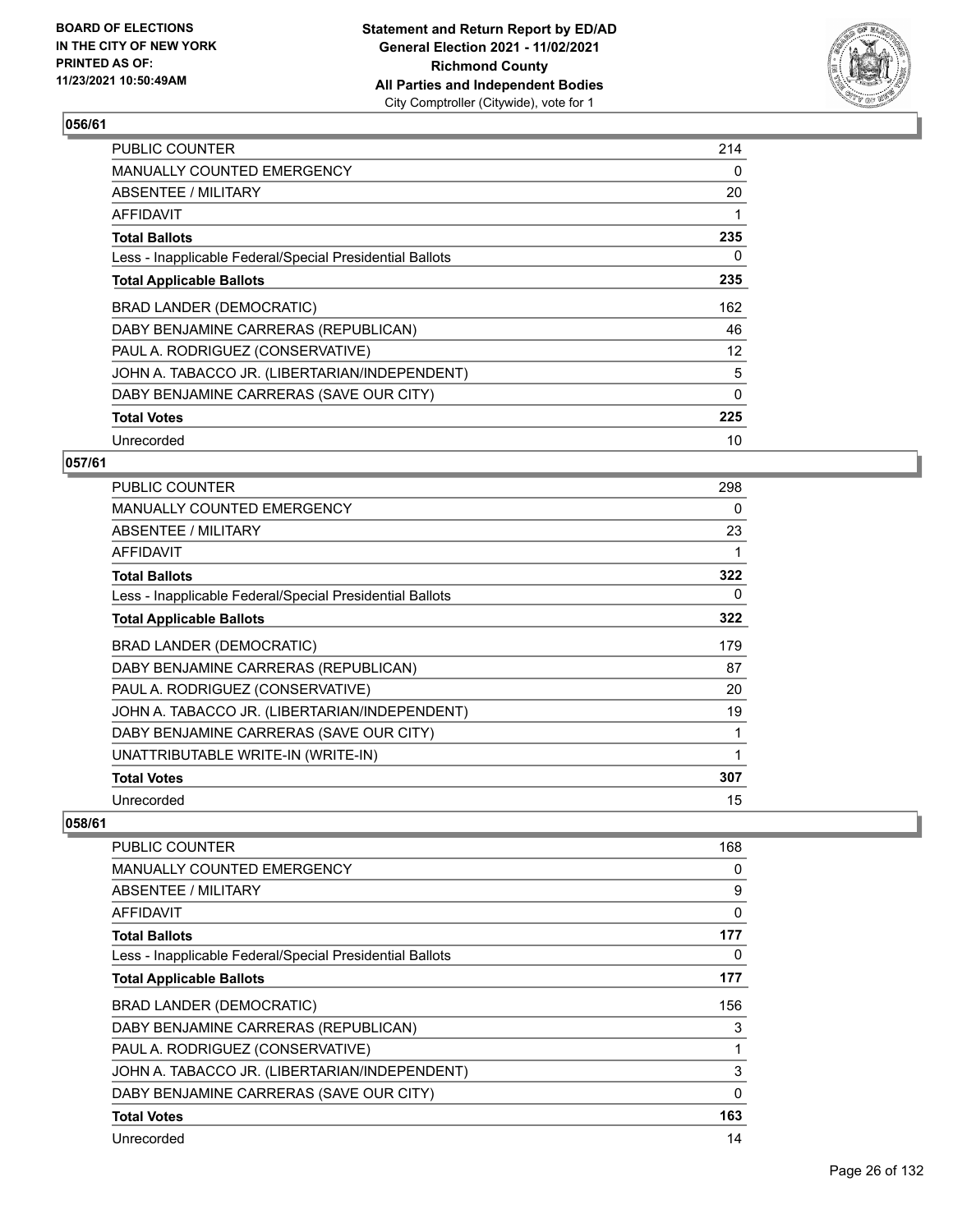

| <b>PUBLIC COUNTER</b>                                    | 214      |
|----------------------------------------------------------|----------|
| MANUALLY COUNTED EMERGENCY                               | 0        |
| ABSENTEE / MILITARY                                      | 20       |
| AFFIDAVIT                                                | 1        |
| <b>Total Ballots</b>                                     | 235      |
| Less - Inapplicable Federal/Special Presidential Ballots | 0        |
| <b>Total Applicable Ballots</b>                          | 235      |
| <b>BRAD LANDER (DEMOCRATIC)</b>                          | 162      |
| DABY BENJAMINE CARRERAS (REPUBLICAN)                     | 46       |
| PAUL A. RODRIGUEZ (CONSERVATIVE)                         | 12       |
| JOHN A. TABACCO JR. (LIBERTARIAN/INDEPENDENT)            | 5        |
| DABY BENJAMINE CARRERAS (SAVE OUR CITY)                  | $\Omega$ |
| <b>Total Votes</b>                                       | 225      |
| Unrecorded                                               | 10       |

## **057/61**

| <b>PUBLIC COUNTER</b>                                    | 298 |
|----------------------------------------------------------|-----|
| <b>MANUALLY COUNTED EMERGENCY</b>                        | 0   |
| ABSENTEE / MILITARY                                      | 23  |
| AFFIDAVIT                                                |     |
| <b>Total Ballots</b>                                     | 322 |
| Less - Inapplicable Federal/Special Presidential Ballots | 0   |
| <b>Total Applicable Ballots</b>                          | 322 |
| BRAD LANDER (DEMOCRATIC)                                 | 179 |
| DABY BENJAMINE CARRERAS (REPUBLICAN)                     | 87  |
| PAUL A. RODRIGUEZ (CONSERVATIVE)                         | 20  |
| JOHN A. TABACCO JR. (LIBERTARIAN/INDEPENDENT)            | 19  |
| DABY BENJAMINE CARRERAS (SAVE OUR CITY)                  |     |
| UNATTRIBUTABLE WRITE-IN (WRITE-IN)                       |     |
| <b>Total Votes</b>                                       | 307 |
| Unrecorded                                               | 15  |

| PUBLIC COUNTER                                           | 168          |
|----------------------------------------------------------|--------------|
| <b>MANUALLY COUNTED EMERGENCY</b>                        | 0            |
| ABSENTEE / MILITARY                                      | 9            |
| AFFIDAVIT                                                | $\mathbf{0}$ |
| <b>Total Ballots</b>                                     | 177          |
| Less - Inapplicable Federal/Special Presidential Ballots | 0            |
| <b>Total Applicable Ballots</b>                          | 177          |
| BRAD LANDER (DEMOCRATIC)                                 | 156          |
| DABY BENJAMINE CARRERAS (REPUBLICAN)                     | 3            |
| PAUL A. RODRIGUEZ (CONSERVATIVE)                         | 1            |
| JOHN A. TABACCO JR. (LIBERTARIAN/INDEPENDENT)            | 3            |
| DABY BENJAMINE CARRERAS (SAVE OUR CITY)                  | 0            |
| <b>Total Votes</b>                                       | 163          |
| Unrecorded                                               | 14           |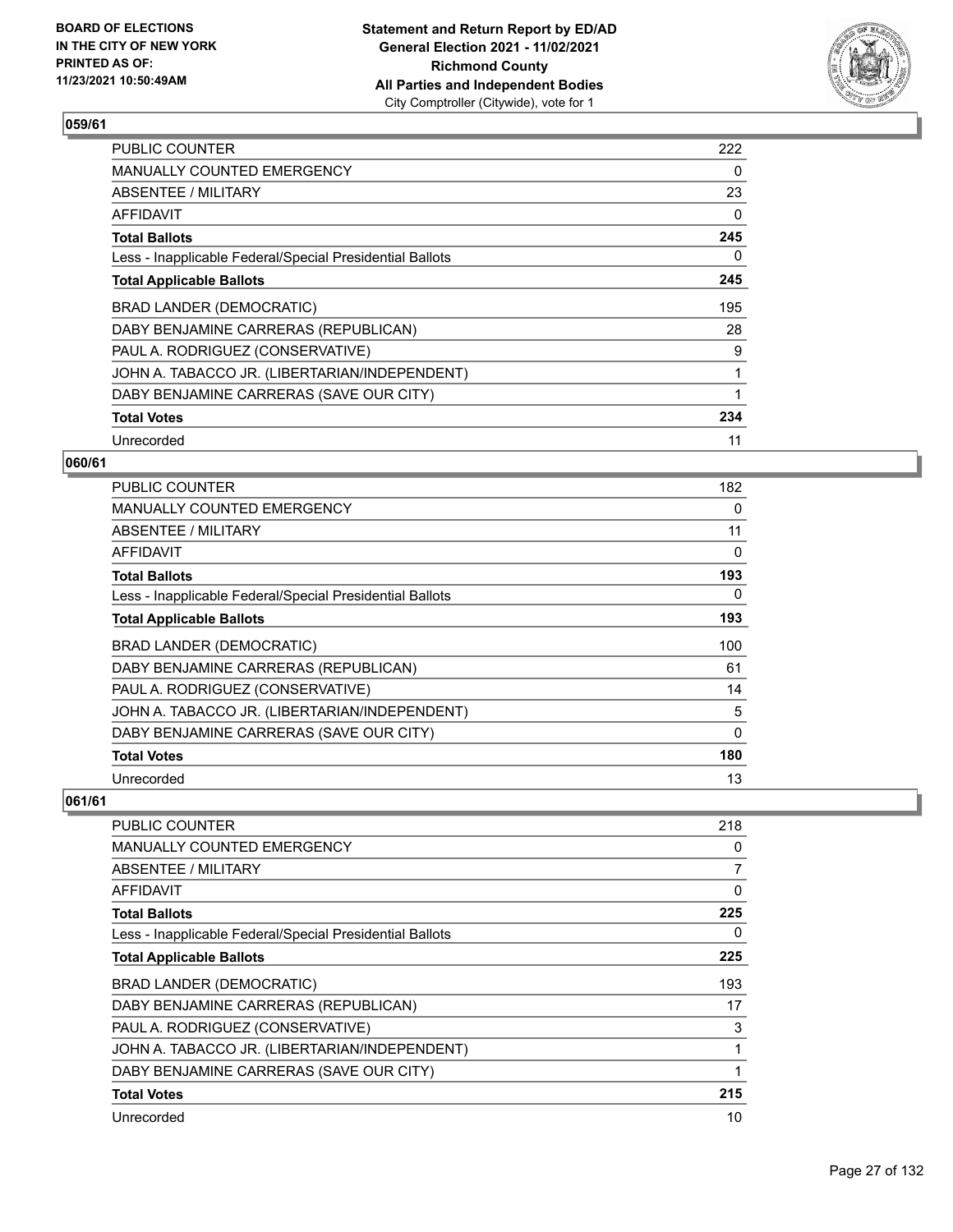

| <b>PUBLIC COUNTER</b>                                    | 222 |
|----------------------------------------------------------|-----|
| <b>MANUALLY COUNTED EMERGENCY</b>                        | 0   |
| ABSENTEE / MILITARY                                      | 23  |
| AFFIDAVIT                                                | 0   |
| <b>Total Ballots</b>                                     | 245 |
| Less - Inapplicable Federal/Special Presidential Ballots | 0   |
| <b>Total Applicable Ballots</b>                          | 245 |
| BRAD LANDER (DEMOCRATIC)                                 | 195 |
| DABY BENJAMINE CARRERAS (REPUBLICAN)                     | 28  |
| PAUL A. RODRIGUEZ (CONSERVATIVE)                         | 9   |
| JOHN A. TABACCO JR. (LIBERTARIAN/INDEPENDENT)            | 1   |
| DABY BENJAMINE CARRERAS (SAVE OUR CITY)                  | 1   |
| <b>Total Votes</b>                                       | 234 |
| Unrecorded                                               | 11  |

## **060/61**

| <b>PUBLIC COUNTER</b>                                    | 182 |
|----------------------------------------------------------|-----|
| <b>MANUALLY COUNTED EMERGENCY</b>                        | 0   |
| ABSENTEE / MILITARY                                      | 11  |
| AFFIDAVIT                                                | 0   |
| <b>Total Ballots</b>                                     | 193 |
| Less - Inapplicable Federal/Special Presidential Ballots | 0   |
| <b>Total Applicable Ballots</b>                          | 193 |
| BRAD LANDER (DEMOCRATIC)                                 | 100 |
| DABY BENJAMINE CARRERAS (REPUBLICAN)                     | 61  |
| PAUL A. RODRIGUEZ (CONSERVATIVE)                         | 14  |
| JOHN A. TABACCO JR. (LIBERTARIAN/INDEPENDENT)            | 5   |
| DABY BENJAMINE CARRERAS (SAVE OUR CITY)                  | 0   |
| <b>Total Votes</b>                                       | 180 |
| Unrecorded                                               | 13  |

| PUBLIC COUNTER                                           | 218      |
|----------------------------------------------------------|----------|
| <b>MANUALLY COUNTED EMERGENCY</b>                        | 0        |
| ABSENTEE / MILITARY                                      | 7        |
| AFFIDAVIT                                                | $\Omega$ |
| <b>Total Ballots</b>                                     | 225      |
| Less - Inapplicable Federal/Special Presidential Ballots | 0        |
| <b>Total Applicable Ballots</b>                          | 225      |
| <b>BRAD LANDER (DEMOCRATIC)</b>                          | 193      |
|                                                          | 17       |
| DABY BENJAMINE CARRERAS (REPUBLICAN)                     |          |
| PAUL A. RODRIGUEZ (CONSERVATIVE)                         | 3        |
| JOHN A. TABACCO JR. (LIBERTARIAN/INDEPENDENT)            | 1        |
| DABY BENJAMINE CARRERAS (SAVE OUR CITY)                  | 1        |
| <b>Total Votes</b>                                       | 215      |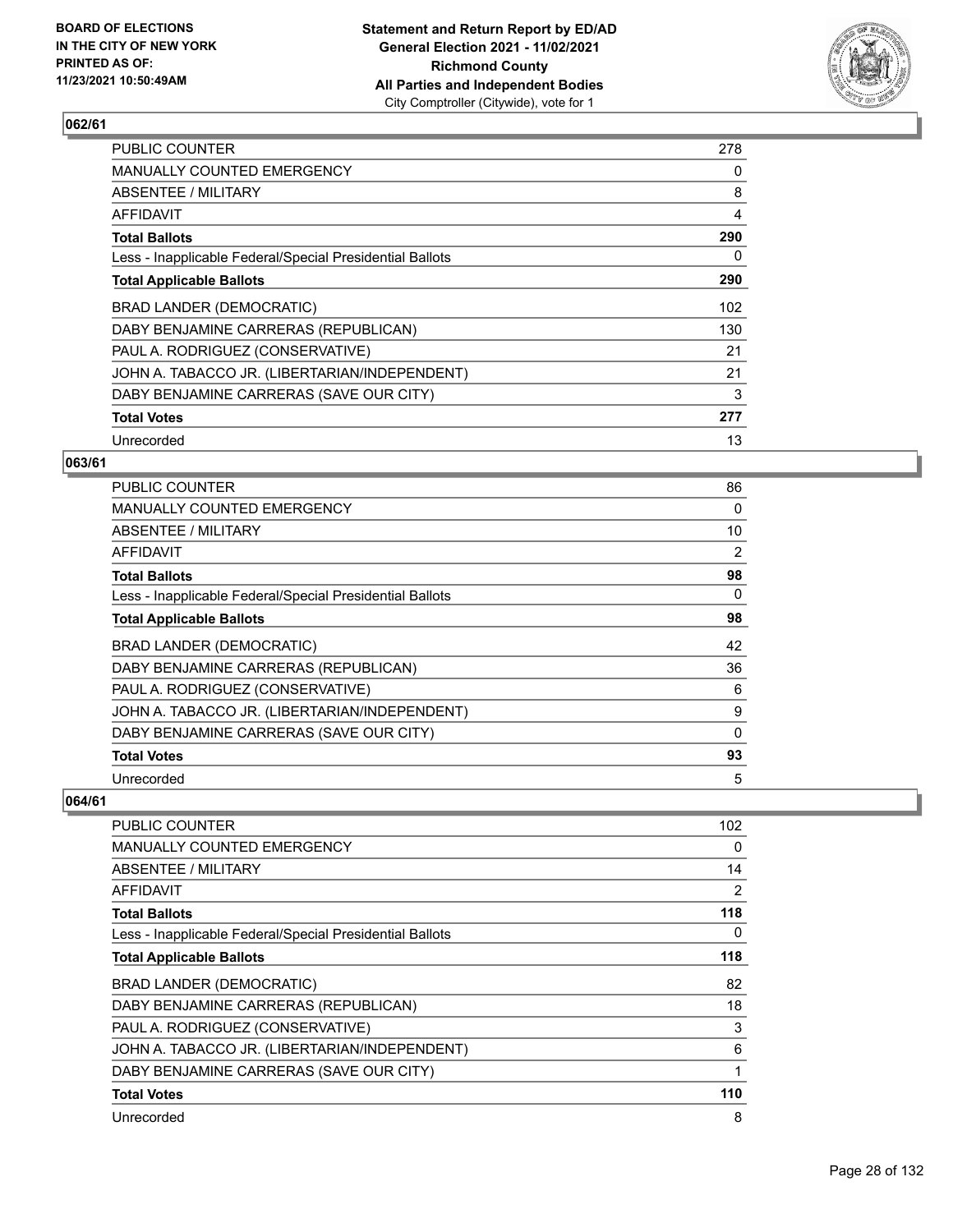

| <b>PUBLIC COUNTER</b>                                    | 278 |
|----------------------------------------------------------|-----|
| <b>MANUALLY COUNTED EMERGENCY</b>                        | 0   |
| ABSENTEE / MILITARY                                      | 8   |
| AFFIDAVIT                                                | 4   |
| <b>Total Ballots</b>                                     | 290 |
| Less - Inapplicable Federal/Special Presidential Ballots | 0   |
| <b>Total Applicable Ballots</b>                          | 290 |
| BRAD LANDER (DEMOCRATIC)                                 | 102 |
| DABY BENJAMINE CARRERAS (REPUBLICAN)                     | 130 |
| PAUL A. RODRIGUEZ (CONSERVATIVE)                         | 21  |
| JOHN A. TABACCO JR. (LIBERTARIAN/INDEPENDENT)            | 21  |
| DABY BENJAMINE CARRERAS (SAVE OUR CITY)                  | 3   |
| <b>Total Votes</b>                                       | 277 |
| Unrecorded                                               | 13  |

## **063/61**

| PUBLIC COUNTER                                           | 86 |
|----------------------------------------------------------|----|
| <b>MANUALLY COUNTED EMERGENCY</b>                        | 0  |
| ABSENTEE / MILITARY                                      | 10 |
| AFFIDAVIT                                                | 2  |
| <b>Total Ballots</b>                                     | 98 |
| Less - Inapplicable Federal/Special Presidential Ballots | 0  |
| <b>Total Applicable Ballots</b>                          | 98 |
| BRAD LANDER (DEMOCRATIC)                                 | 42 |
| DABY BENJAMINE CARRERAS (REPUBLICAN)                     | 36 |
| PAUL A. RODRIGUEZ (CONSERVATIVE)                         | 6  |
| JOHN A. TABACCO JR. (LIBERTARIAN/INDEPENDENT)            | 9  |
| DABY BENJAMINE CARRERAS (SAVE OUR CITY)                  | 0  |
| <b>Total Votes</b>                                       | 93 |
| Unrecorded                                               | 5  |

| <b>PUBLIC COUNTER</b>                                    | 102            |
|----------------------------------------------------------|----------------|
| MANUALLY COUNTED EMERGENCY                               | 0              |
| ABSENTEE / MILITARY                                      | 14             |
| <b>AFFIDAVIT</b>                                         | $\overline{2}$ |
| <b>Total Ballots</b>                                     | 118            |
| Less - Inapplicable Federal/Special Presidential Ballots | 0              |
| <b>Total Applicable Ballots</b>                          | 118            |
| BRAD LANDER (DEMOCRATIC)                                 | 82             |
| DABY BENJAMINE CARRERAS (REPUBLICAN)                     | 18             |
| PAUL A. RODRIGUEZ (CONSERVATIVE)                         | 3              |
| JOHN A. TABACCO JR. (LIBERTARIAN/INDEPENDENT)            | 6              |
| DABY BENJAMINE CARRERAS (SAVE OUR CITY)                  |                |
| <b>Total Votes</b>                                       | 110            |
| Unrecorded                                               | 8              |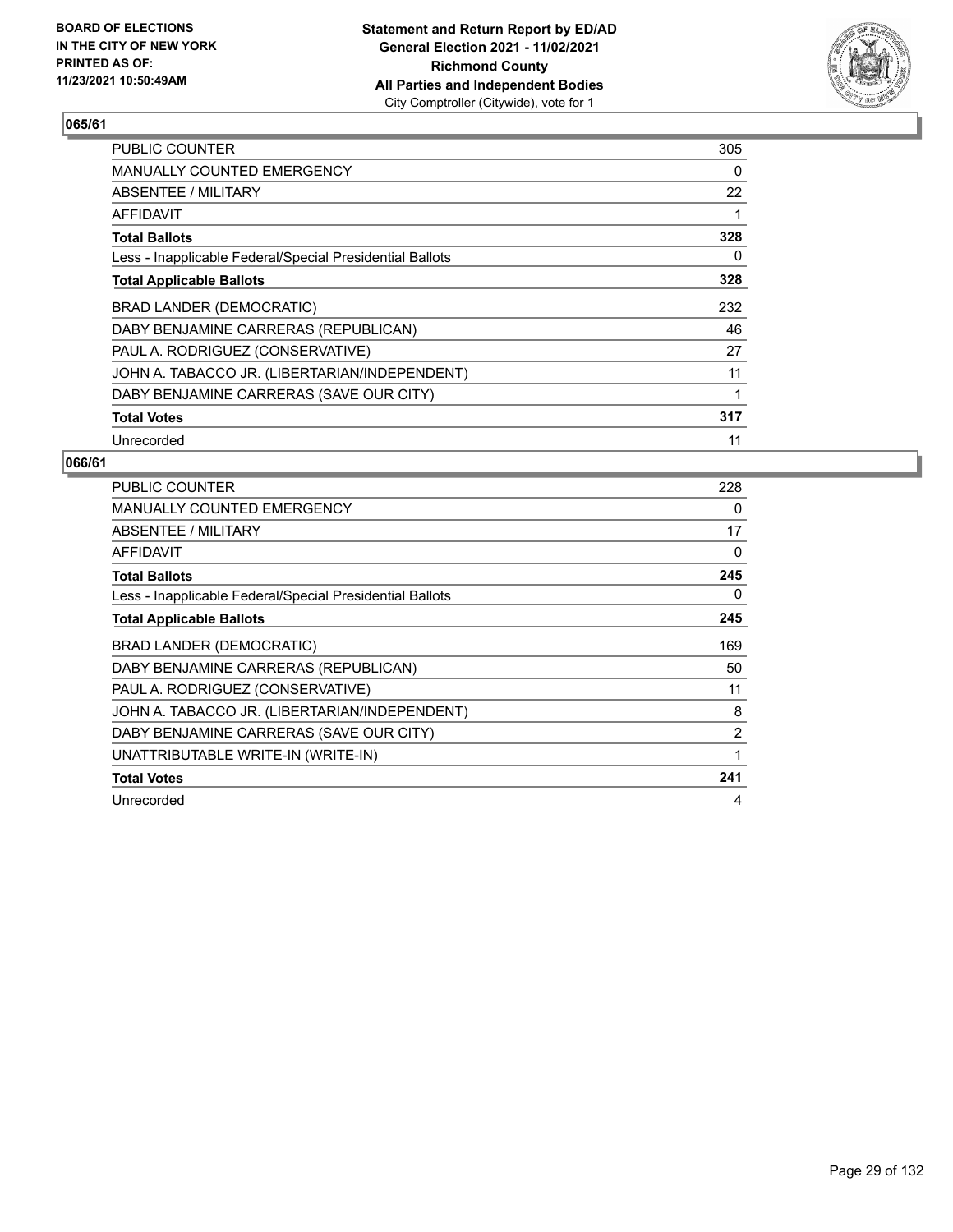

| <b>PUBLIC COUNTER</b>                                    | 305 |
|----------------------------------------------------------|-----|
| <b>MANUALLY COUNTED EMERGENCY</b>                        | 0   |
| ABSENTEE / MILITARY                                      | 22  |
| AFFIDAVIT                                                | 1   |
| <b>Total Ballots</b>                                     | 328 |
| Less - Inapplicable Federal/Special Presidential Ballots | 0   |
| <b>Total Applicable Ballots</b>                          | 328 |
| BRAD LANDER (DEMOCRATIC)                                 | 232 |
| DABY BENJAMINE CARRERAS (REPUBLICAN)                     | 46  |
| PAUL A. RODRIGUEZ (CONSERVATIVE)                         | 27  |
| JOHN A. TABACCO JR. (LIBERTARIAN/INDEPENDENT)            | 11  |
| DABY BENJAMINE CARRERAS (SAVE OUR CITY)                  | 1   |
| <b>Total Votes</b>                                       | 317 |
| Unrecorded                                               | 11  |

| <b>PUBLIC COUNTER</b>                                    | 228 |
|----------------------------------------------------------|-----|
| <b>MANUALLY COUNTED EMERGENCY</b>                        | 0   |
| <b>ABSENTEE / MILITARY</b>                               | 17  |
| <b>AFFIDAVIT</b>                                         | 0   |
| <b>Total Ballots</b>                                     | 245 |
| Less - Inapplicable Federal/Special Presidential Ballots | 0   |
| <b>Total Applicable Ballots</b>                          | 245 |
| BRAD LANDER (DEMOCRATIC)                                 | 169 |
| DABY BENJAMINE CARRERAS (REPUBLICAN)                     | 50  |
| PAUL A. RODRIGUEZ (CONSERVATIVE)                         | 11  |
| JOHN A. TABACCO JR. (LIBERTARIAN/INDEPENDENT)            | 8   |
| DABY BENJAMINE CARRERAS (SAVE OUR CITY)                  | 2   |
| UNATTRIBUTABLE WRITE-IN (WRITE-IN)                       | 1   |
| <b>Total Votes</b>                                       | 241 |
| Unrecorded                                               | 4   |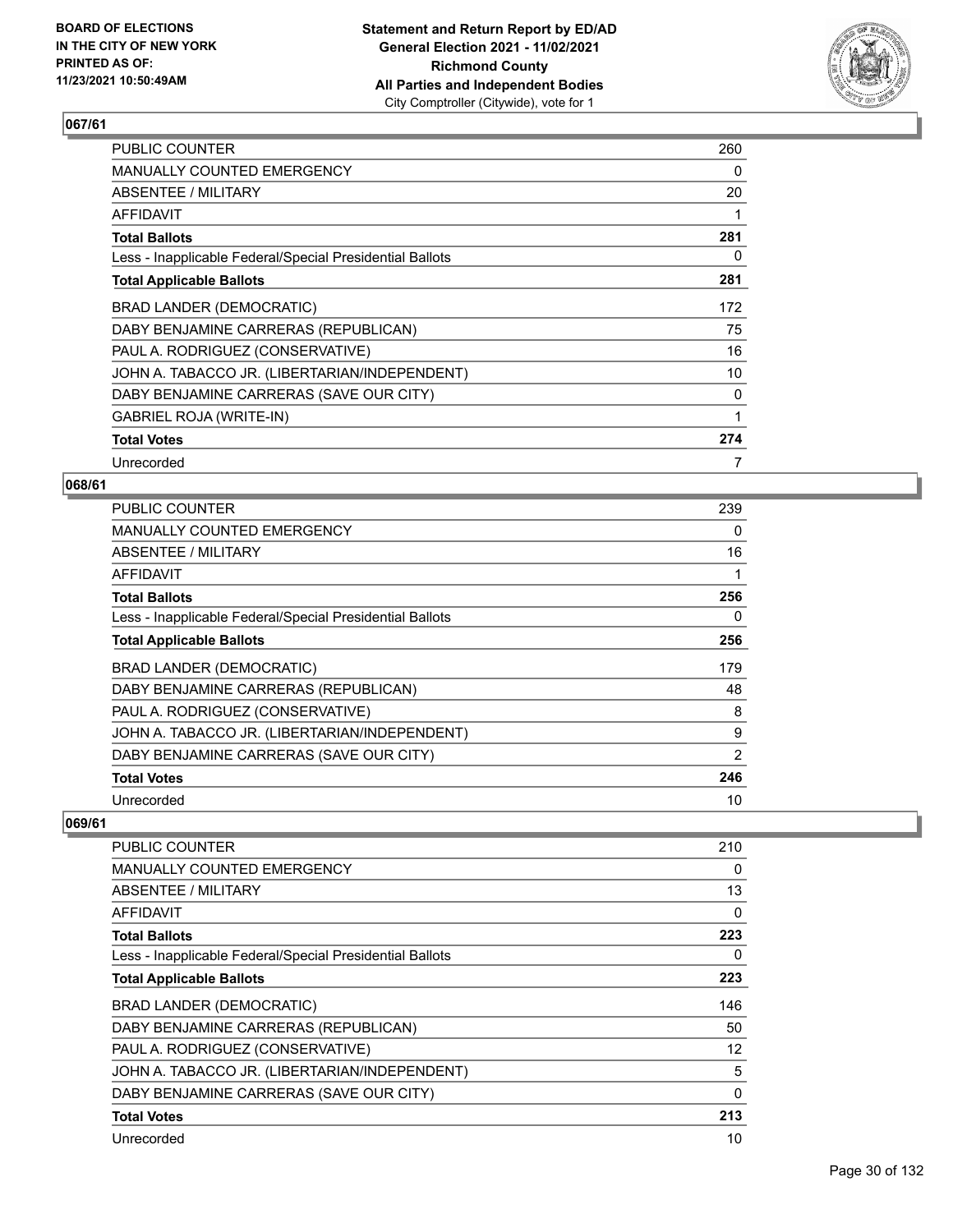

| <b>PUBLIC COUNTER</b>                                    | 260 |
|----------------------------------------------------------|-----|
| <b>MANUALLY COUNTED EMERGENCY</b>                        | 0   |
| ABSENTEE / MILITARY                                      | 20  |
| <b>AFFIDAVIT</b>                                         | 1   |
| <b>Total Ballots</b>                                     | 281 |
| Less - Inapplicable Federal/Special Presidential Ballots | 0   |
| <b>Total Applicable Ballots</b>                          | 281 |
| BRAD LANDER (DEMOCRATIC)                                 | 172 |
| DABY BENJAMINE CARRERAS (REPUBLICAN)                     | 75  |
| PAUL A. RODRIGUEZ (CONSERVATIVE)                         | 16  |
| JOHN A. TABACCO JR. (LIBERTARIAN/INDEPENDENT)            | 10  |
| DABY BENJAMINE CARRERAS (SAVE OUR CITY)                  | 0   |
| <b>GABRIEL ROJA (WRITE-IN)</b>                           | 1   |
| <b>Total Votes</b>                                       | 274 |
| Unrecorded                                               | 7   |

#### **068/61**

| <b>PUBLIC COUNTER</b>                                    | 239      |
|----------------------------------------------------------|----------|
| <b>MANUALLY COUNTED EMERGENCY</b>                        | $\Omega$ |
| ABSENTEE / MILITARY                                      | 16       |
| AFFIDAVIT                                                | 1        |
| <b>Total Ballots</b>                                     | 256      |
| Less - Inapplicable Federal/Special Presidential Ballots | 0        |
| <b>Total Applicable Ballots</b>                          | 256      |
| BRAD LANDER (DEMOCRATIC)                                 | 179      |
| DABY BENJAMINE CARRERAS (REPUBLICAN)                     | 48       |
| PAUL A. RODRIGUEZ (CONSERVATIVE)                         | 8        |
| JOHN A. TABACCO JR. (LIBERTARIAN/INDEPENDENT)            | 9        |
| DABY BENJAMINE CARRERAS (SAVE OUR CITY)                  | 2        |
| <b>Total Votes</b>                                       | 246      |
| Unrecorded                                               | 10       |

| PUBLIC COUNTER                                           | 210               |
|----------------------------------------------------------|-------------------|
| MANUALLY COUNTED EMERGENCY                               | 0                 |
| ABSENTEE / MILITARY                                      | 13                |
| <b>AFFIDAVIT</b>                                         | 0                 |
| <b>Total Ballots</b>                                     | 223               |
| Less - Inapplicable Federal/Special Presidential Ballots | 0                 |
| <b>Total Applicable Ballots</b>                          | 223               |
| <b>BRAD LANDER (DEMOCRATIC)</b>                          | 146               |
| DABY BENJAMINE CARRERAS (REPUBLICAN)                     | 50                |
| PAUL A. RODRIGUEZ (CONSERVATIVE)                         | $12 \overline{ }$ |
| JOHN A. TABACCO JR. (LIBERTARIAN/INDEPENDENT)            | 5                 |
| DABY BENJAMINE CARRERAS (SAVE OUR CITY)                  | $\mathbf{0}$      |
| <b>Total Votes</b>                                       | 213               |
| Unrecorded                                               | 10                |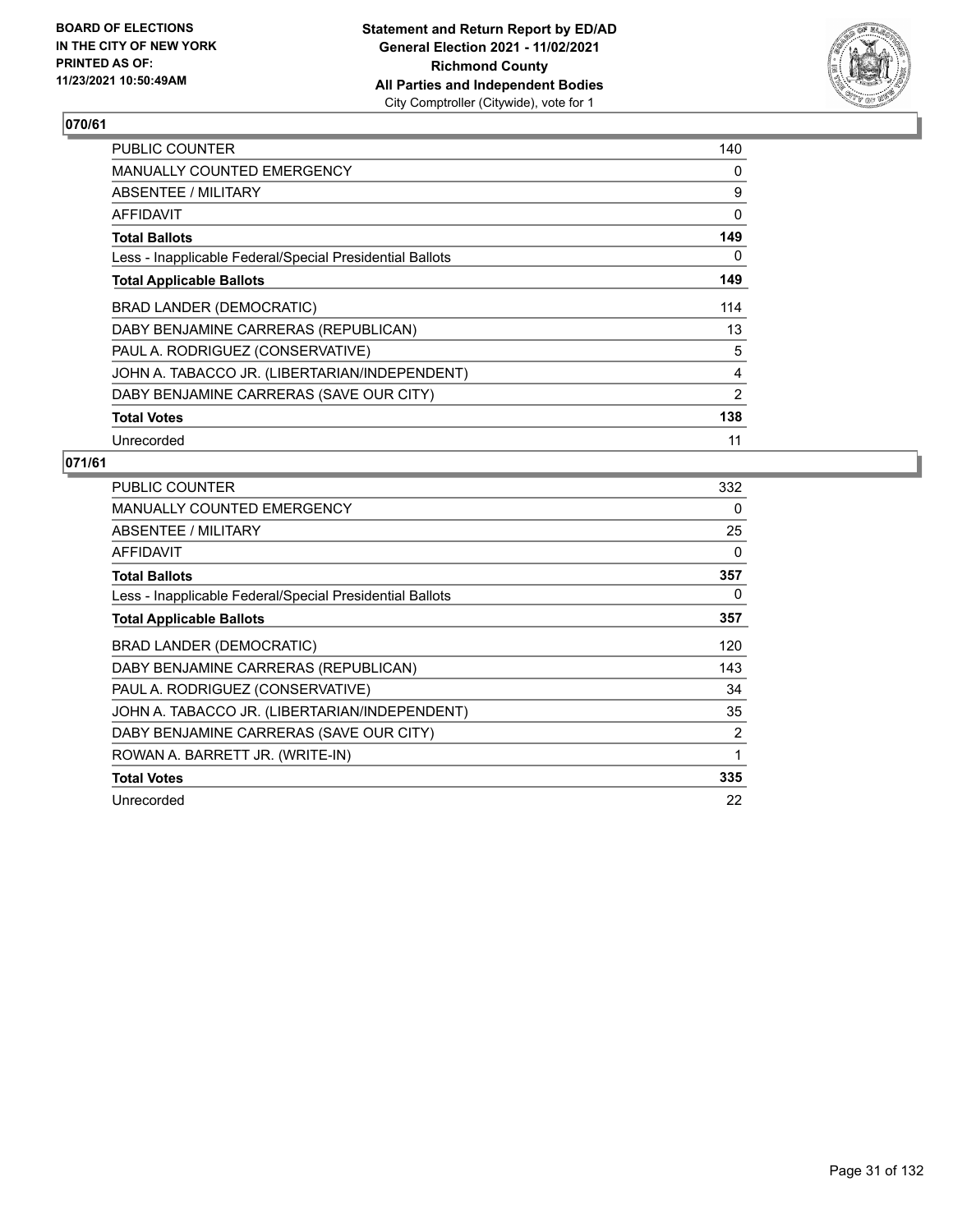

| <b>PUBLIC COUNTER</b>                                    | 140 |
|----------------------------------------------------------|-----|
| <b>MANUALLY COUNTED EMERGENCY</b>                        | 0   |
| ABSENTEE / MILITARY                                      | 9   |
| AFFIDAVIT                                                | 0   |
| <b>Total Ballots</b>                                     | 149 |
| Less - Inapplicable Federal/Special Presidential Ballots | 0   |
| <b>Total Applicable Ballots</b>                          | 149 |
| BRAD LANDER (DEMOCRATIC)                                 | 114 |
| DABY BENJAMINE CARRERAS (REPUBLICAN)                     | 13  |
| PAUL A. RODRIGUEZ (CONSERVATIVE)                         | 5   |
| JOHN A. TABACCO JR. (LIBERTARIAN/INDEPENDENT)            | 4   |
| DABY BENJAMINE CARRERAS (SAVE OUR CITY)                  | 2   |
| <b>Total Votes</b>                                       | 138 |
| Unrecorded                                               | 11  |

| <b>PUBLIC COUNTER</b>                                    | 332      |
|----------------------------------------------------------|----------|
| <b>MANUALLY COUNTED EMERGENCY</b>                        | 0        |
| ABSENTEE / MILITARY                                      | 25       |
| AFFIDAVIT                                                | $\Omega$ |
| <b>Total Ballots</b>                                     | 357      |
| Less - Inapplicable Federal/Special Presidential Ballots | 0        |
| <b>Total Applicable Ballots</b>                          | 357      |
| BRAD LANDER (DEMOCRATIC)                                 | 120      |
| DABY BENJAMINE CARRERAS (REPUBLICAN)                     | 143      |
| PAUL A. RODRIGUEZ (CONSERVATIVE)                         | 34       |
| JOHN A. TABACCO JR. (LIBERTARIAN/INDEPENDENT)            | 35       |
| DABY BENJAMINE CARRERAS (SAVE OUR CITY)                  | 2        |
| ROWAN A. BARRETT JR. (WRITE-IN)                          | 1        |
| <b>Total Votes</b>                                       | 335      |
| Unrecorded                                               | 22       |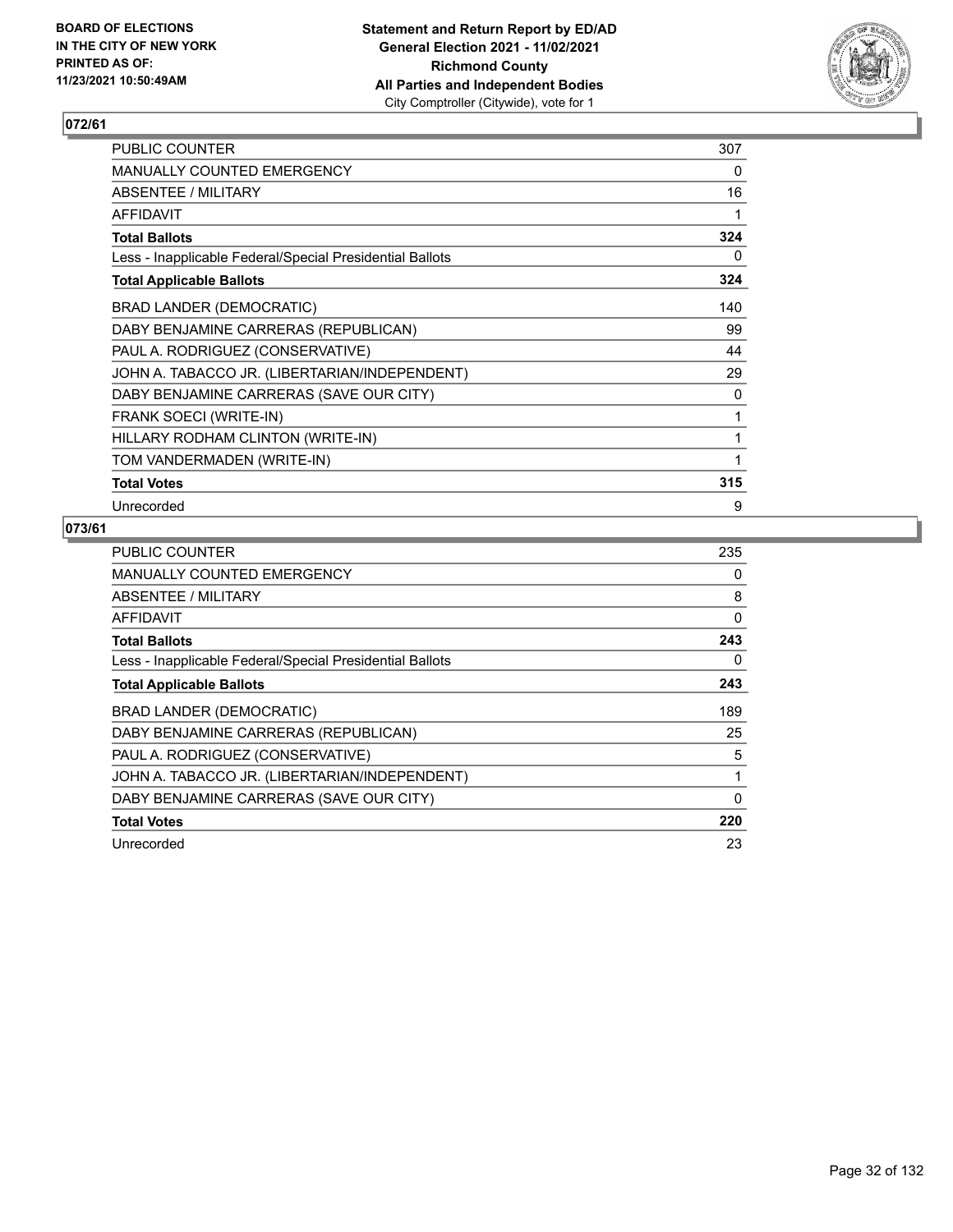

| PUBLIC COUNTER                                           | 307 |
|----------------------------------------------------------|-----|
| MANUALLY COUNTED EMERGENCY                               | 0   |
| <b>ABSENTEE / MILITARY</b>                               | 16  |
| <b>AFFIDAVIT</b>                                         | 1   |
| <b>Total Ballots</b>                                     | 324 |
| Less - Inapplicable Federal/Special Presidential Ballots | 0   |
| <b>Total Applicable Ballots</b>                          | 324 |
| BRAD LANDER (DEMOCRATIC)                                 | 140 |
| DABY BENJAMINE CARRERAS (REPUBLICAN)                     | 99  |
| PAUL A. RODRIGUEZ (CONSERVATIVE)                         | 44  |
| JOHN A. TABACCO JR. (LIBERTARIAN/INDEPENDENT)            | 29  |
| DABY BENJAMINE CARRERAS (SAVE OUR CITY)                  | 0   |
| FRANK SOECI (WRITE-IN)                                   | 1   |
| HILLARY RODHAM CLINTON (WRITE-IN)                        | 1   |
| TOM VANDERMADEN (WRITE-IN)                               | 1   |
| <b>Total Votes</b>                                       | 315 |
| Unrecorded                                               | 9   |

| PUBLIC COUNTER                                           | 235 |
|----------------------------------------------------------|-----|
| <b>MANUALLY COUNTED EMERGENCY</b>                        | 0   |
| ABSENTEE / MILITARY                                      | 8   |
| AFFIDAVIT                                                | 0   |
| <b>Total Ballots</b>                                     | 243 |
| Less - Inapplicable Federal/Special Presidential Ballots | 0   |
| <b>Total Applicable Ballots</b>                          | 243 |
| BRAD LANDER (DEMOCRATIC)                                 | 189 |
| DABY BENJAMINE CARRERAS (REPUBLICAN)                     | 25  |
| PAUL A. RODRIGUEZ (CONSERVATIVE)                         | 5   |
| JOHN A. TABACCO JR. (LIBERTARIAN/INDEPENDENT)            | 1   |
| DABY BENJAMINE CARRERAS (SAVE OUR CITY)                  | 0   |
| <b>Total Votes</b>                                       | 220 |
| Unrecorded                                               | 23  |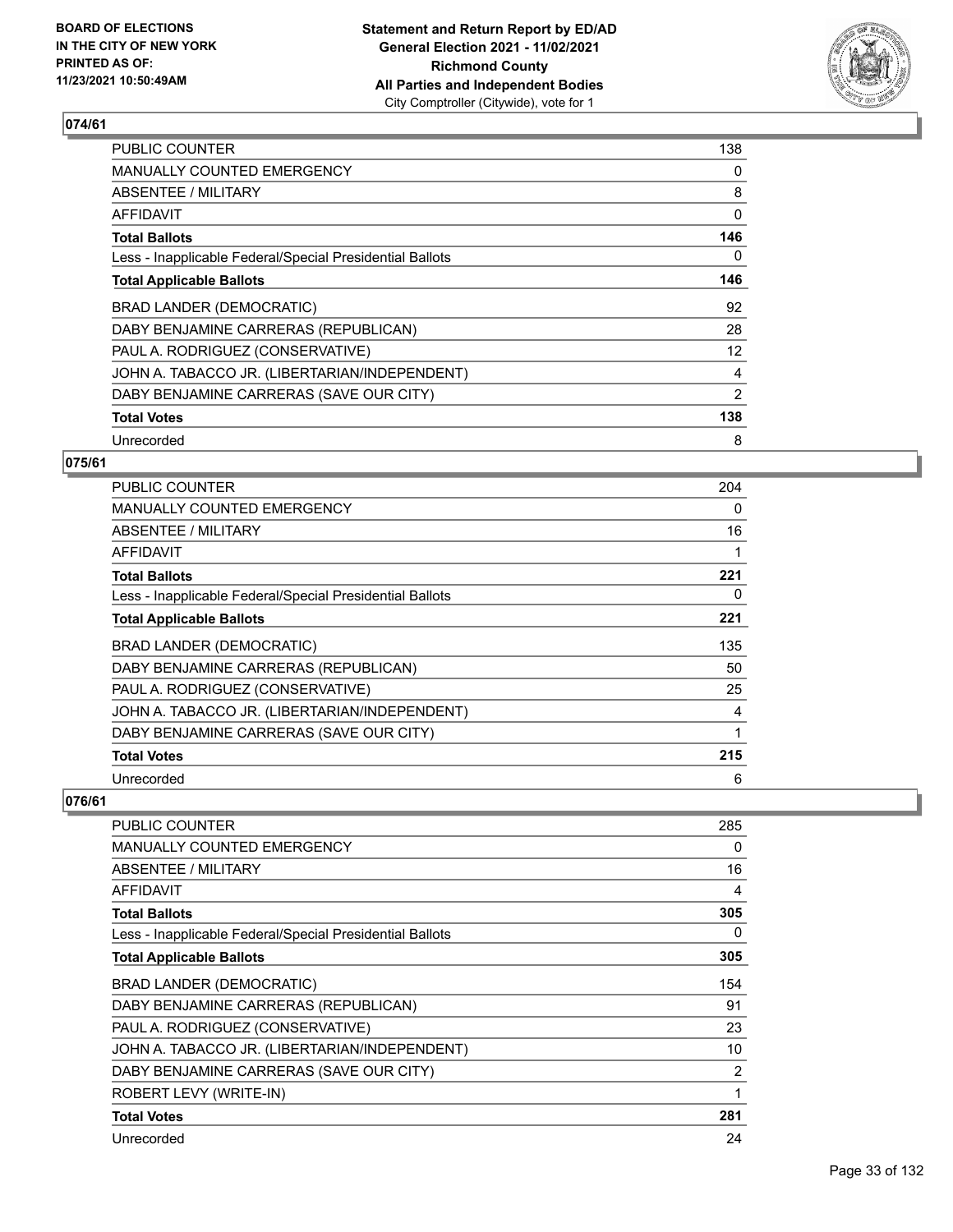

| PUBLIC COUNTER                                           | 138 |
|----------------------------------------------------------|-----|
| <b>MANUALLY COUNTED EMERGENCY</b>                        | 0   |
| ABSENTEE / MILITARY                                      | 8   |
| AFFIDAVIT                                                | 0   |
| <b>Total Ballots</b>                                     | 146 |
| Less - Inapplicable Federal/Special Presidential Ballots | 0   |
| <b>Total Applicable Ballots</b>                          | 146 |
| BRAD LANDER (DEMOCRATIC)                                 | 92  |
| DABY BENJAMINE CARRERAS (REPUBLICAN)                     | 28  |
| PAUL A. RODRIGUEZ (CONSERVATIVE)                         | 12  |
| JOHN A. TABACCO JR. (LIBERTARIAN/INDEPENDENT)            | 4   |
| DABY BENJAMINE CARRERAS (SAVE OUR CITY)                  | 2   |
| <b>Total Votes</b>                                       | 138 |
| Unrecorded                                               | 8   |

## **075/61**

| <b>PUBLIC COUNTER</b>                                    | 204         |
|----------------------------------------------------------|-------------|
| <b>MANUALLY COUNTED EMERGENCY</b>                        | 0           |
| ABSENTEE / MILITARY                                      | 16          |
| AFFIDAVIT                                                | 1           |
| <b>Total Ballots</b>                                     | 221         |
| Less - Inapplicable Federal/Special Presidential Ballots | 0           |
| <b>Total Applicable Ballots</b>                          | 221         |
| BRAD LANDER (DEMOCRATIC)                                 | 135         |
| DABY BENJAMINE CARRERAS (REPUBLICAN)                     | 50          |
| PAUL A. RODRIGUEZ (CONSERVATIVE)                         | 25          |
| JOHN A. TABACCO JR. (LIBERTARIAN/INDEPENDENT)            | 4           |
| DABY BENJAMINE CARRERAS (SAVE OUR CITY)                  | $\mathbf 1$ |
| <b>Total Votes</b>                                       | 215         |
| Unrecorded                                               | 6           |

| <b>PUBLIC COUNTER</b>                                    | 285 |
|----------------------------------------------------------|-----|
| <b>MANUALLY COUNTED EMERGENCY</b>                        | 0   |
| ABSENTEE / MILITARY                                      | 16  |
| AFFIDAVIT                                                | 4   |
| <b>Total Ballots</b>                                     | 305 |
| Less - Inapplicable Federal/Special Presidential Ballots | 0   |
| <b>Total Applicable Ballots</b>                          | 305 |
| BRAD LANDER (DEMOCRATIC)                                 | 154 |
| DABY BENJAMINE CARRERAS (REPUBLICAN)                     | 91  |
| PAUL A. RODRIGUEZ (CONSERVATIVE)                         | 23  |
| JOHN A. TABACCO JR. (LIBERTARIAN/INDEPENDENT)            | 10  |
| DABY BENJAMINE CARRERAS (SAVE OUR CITY)                  | 2   |
| ROBERT LEVY (WRITE-IN)                                   | 1   |
| <b>Total Votes</b>                                       | 281 |
| Unrecorded                                               | 24  |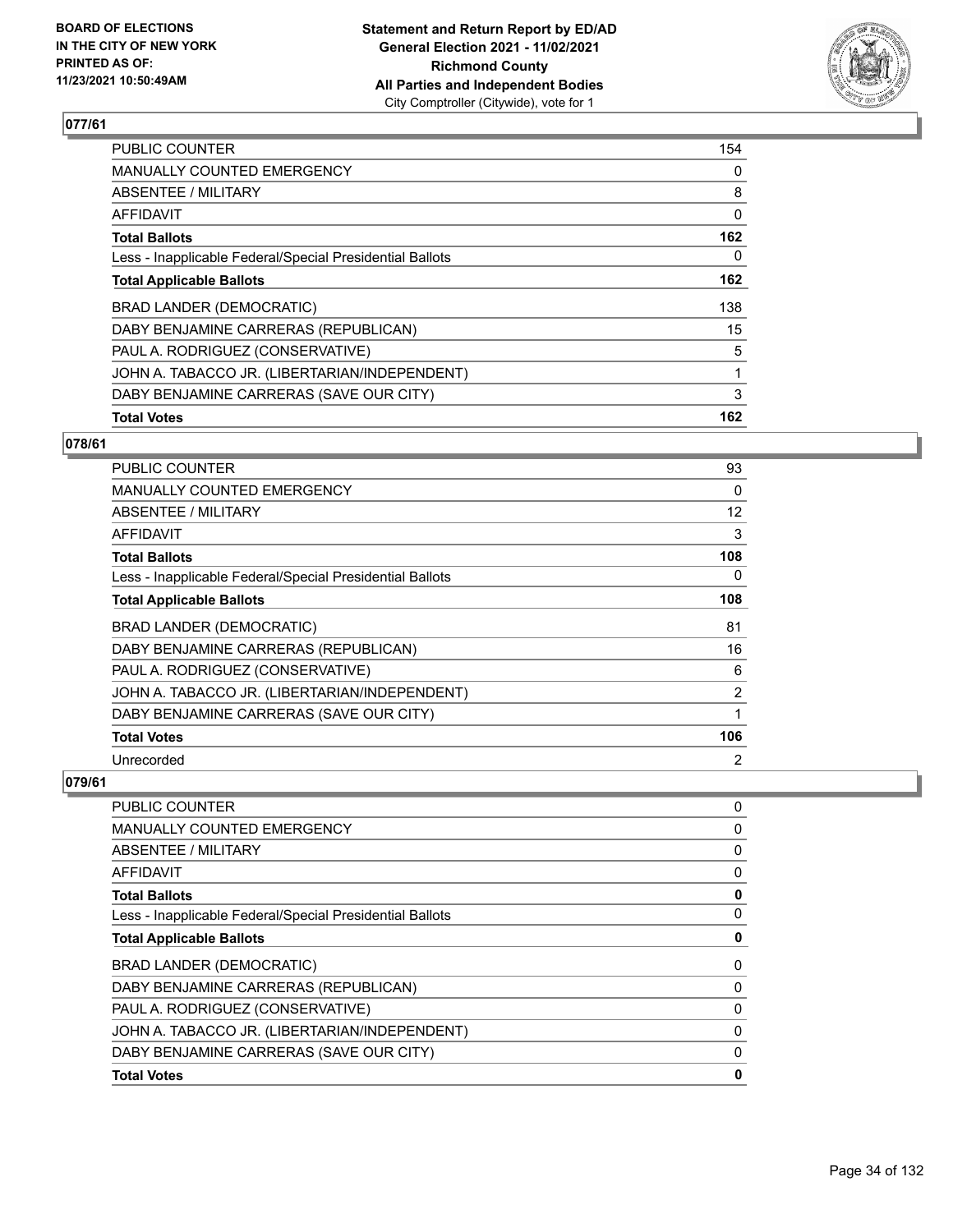

| <b>PUBLIC COUNTER</b>                                    | 154 |
|----------------------------------------------------------|-----|
| <b>MANUALLY COUNTED EMERGENCY</b>                        | 0   |
| ABSENTEE / MILITARY                                      | 8   |
| <b>AFFIDAVIT</b>                                         | 0   |
| <b>Total Ballots</b>                                     | 162 |
| Less - Inapplicable Federal/Special Presidential Ballots | 0   |
| <b>Total Applicable Ballots</b>                          | 162 |
| BRAD LANDER (DEMOCRATIC)                                 | 138 |
| DABY BENJAMINE CARRERAS (REPUBLICAN)                     | 15  |
| PAUL A. RODRIGUEZ (CONSERVATIVE)                         | 5   |
| JOHN A. TABACCO JR. (LIBERTARIAN/INDEPENDENT)            | 1   |
| DABY BENJAMINE CARRERAS (SAVE OUR CITY)                  | 3   |
| <b>Total Votes</b>                                       | 162 |

## **078/61**

| <b>PUBLIC COUNTER</b>                                    | 93             |
|----------------------------------------------------------|----------------|
| <b>MANUALLY COUNTED EMERGENCY</b>                        | 0              |
| ABSENTEE / MILITARY                                      | 12             |
| <b>AFFIDAVIT</b>                                         | 3              |
| <b>Total Ballots</b>                                     | 108            |
| Less - Inapplicable Federal/Special Presidential Ballots | $\Omega$       |
| <b>Total Applicable Ballots</b>                          | 108            |
| BRAD LANDER (DEMOCRATIC)                                 | 81             |
| DABY BENJAMINE CARRERAS (REPUBLICAN)                     | 16             |
| PAUL A. RODRIGUEZ (CONSERVATIVE)                         | 6              |
| JOHN A. TABACCO JR. (LIBERTARIAN/INDEPENDENT)            | $\overline{2}$ |
| DABY BENJAMINE CARRERAS (SAVE OUR CITY)                  |                |
| <b>Total Votes</b>                                       | 106            |
| Unrecorded                                               | $\overline{2}$ |

| 0        |
|----------|
| 0        |
| 0        |
| 0        |
| 0        |
| 0        |
| 0        |
| 0        |
| 0        |
| 0        |
| 0        |
| $\Omega$ |
| 0        |
|          |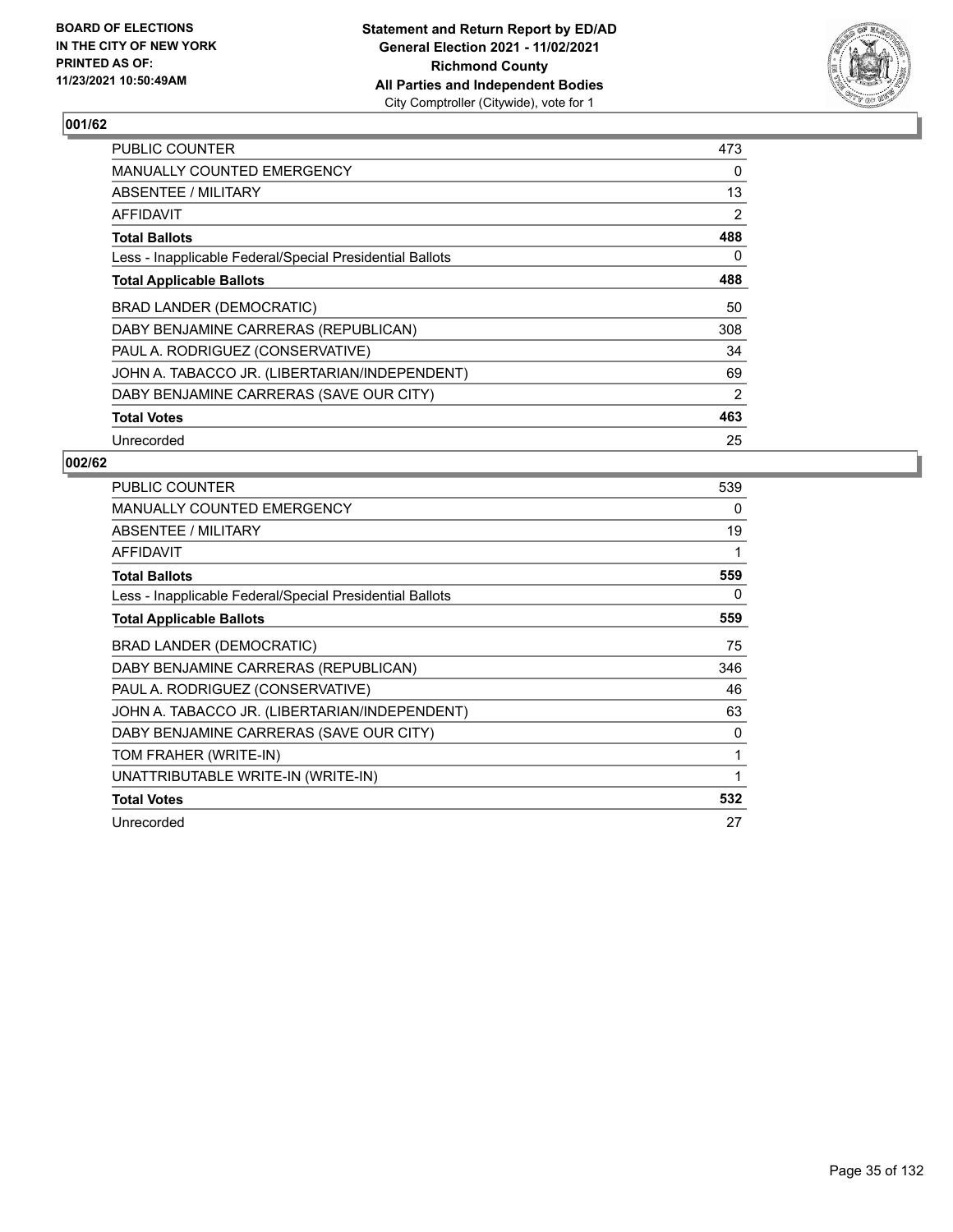

| <b>PUBLIC COUNTER</b>                                    | 473 |
|----------------------------------------------------------|-----|
| <b>MANUALLY COUNTED EMERGENCY</b>                        | 0   |
| ABSENTEE / MILITARY                                      | 13  |
| AFFIDAVIT                                                | 2   |
| <b>Total Ballots</b>                                     | 488 |
| Less - Inapplicable Federal/Special Presidential Ballots | 0   |
| <b>Total Applicable Ballots</b>                          | 488 |
| BRAD LANDER (DEMOCRATIC)                                 | 50  |
| DABY BENJAMINE CARRERAS (REPUBLICAN)                     | 308 |
| PAUL A. RODRIGUEZ (CONSERVATIVE)                         | 34  |
| JOHN A. TABACCO JR. (LIBERTARIAN/INDEPENDENT)            | 69  |
| DABY BENJAMINE CARRERAS (SAVE OUR CITY)                  | 2   |
| <b>Total Votes</b>                                       | 463 |
| Unrecorded                                               | 25  |

| <b>PUBLIC COUNTER</b>                                    | 539 |
|----------------------------------------------------------|-----|
| <b>MANUALLY COUNTED EMERGENCY</b>                        | 0   |
| ABSENTEE / MILITARY                                      | 19  |
| <b>AFFIDAVIT</b>                                         | 1   |
| <b>Total Ballots</b>                                     | 559 |
| Less - Inapplicable Federal/Special Presidential Ballots | 0   |
| <b>Total Applicable Ballots</b>                          | 559 |
| BRAD LANDER (DEMOCRATIC)                                 | 75  |
| DABY BENJAMINE CARRERAS (REPUBLICAN)                     | 346 |
| PAUL A. RODRIGUEZ (CONSERVATIVE)                         | 46  |
| JOHN A. TABACCO JR. (LIBERTARIAN/INDEPENDENT)            | 63  |
| DABY BENJAMINE CARRERAS (SAVE OUR CITY)                  | 0   |
| TOM FRAHER (WRITE-IN)                                    | 1   |
| UNATTRIBUTABLE WRITE-IN (WRITE-IN)                       | 1   |
| <b>Total Votes</b>                                       | 532 |
| Unrecorded                                               | 27  |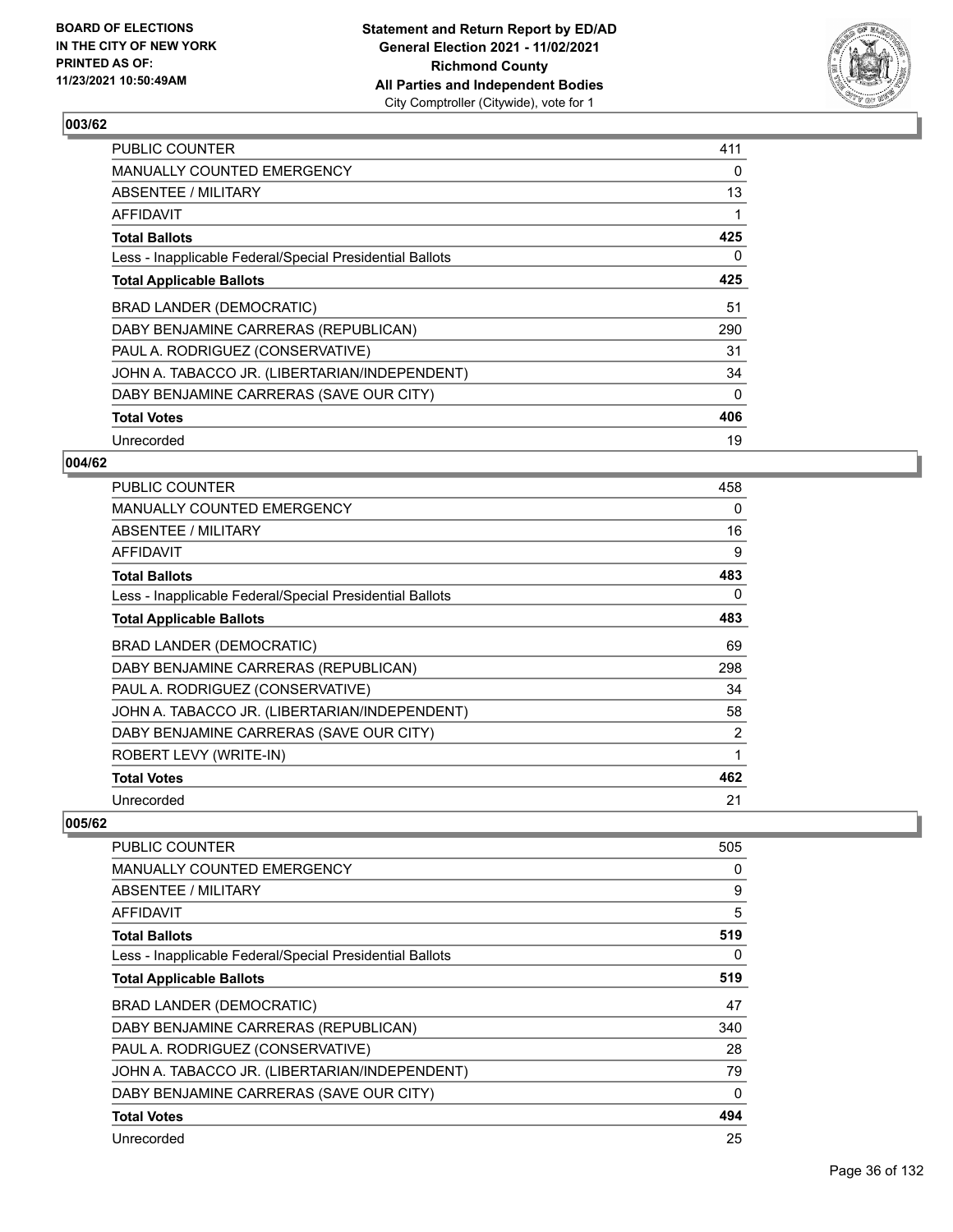

| <b>PUBLIC COUNTER</b>                                    | 411      |
|----------------------------------------------------------|----------|
| MANUALLY COUNTED EMERGENCY                               | 0        |
| ABSENTEE / MILITARY                                      | 13       |
| AFFIDAVIT                                                | 1        |
| <b>Total Ballots</b>                                     | 425      |
| Less - Inapplicable Federal/Special Presidential Ballots | 0        |
| <b>Total Applicable Ballots</b>                          | 425      |
| BRAD LANDER (DEMOCRATIC)                                 | 51       |
| DABY BENJAMINE CARRERAS (REPUBLICAN)                     | 290      |
| PAUL A. RODRIGUEZ (CONSERVATIVE)                         | 31       |
| JOHN A. TABACCO JR. (LIBERTARIAN/INDEPENDENT)            | 34       |
| DABY BENJAMINE CARRERAS (SAVE OUR CITY)                  | $\Omega$ |
| <b>Total Votes</b>                                       | 406      |
| Unrecorded                                               | 19       |

## **004/62**

| <b>PUBLIC COUNTER</b>                                    | 458            |
|----------------------------------------------------------|----------------|
| <b>MANUALLY COUNTED EMERGENCY</b>                        | 0              |
| ABSENTEE / MILITARY                                      | 16             |
| AFFIDAVIT                                                | 9              |
| <b>Total Ballots</b>                                     | 483            |
| Less - Inapplicable Federal/Special Presidential Ballots | 0              |
| <b>Total Applicable Ballots</b>                          | 483            |
| BRAD LANDER (DEMOCRATIC)                                 | 69             |
| DABY BENJAMINE CARRERAS (REPUBLICAN)                     | 298            |
| PAUL A. RODRIGUEZ (CONSERVATIVE)                         | 34             |
| JOHN A. TABACCO JR. (LIBERTARIAN/INDEPENDENT)            | 58             |
| DABY BENJAMINE CARRERAS (SAVE OUR CITY)                  | $\overline{2}$ |
| ROBERT LEVY (WRITE-IN)                                   | 1              |
| <b>Total Votes</b>                                       | 462            |
| Unrecorded                                               | 21             |

| PUBLIC COUNTER                                           | 505 |
|----------------------------------------------------------|-----|
| MANUALLY COUNTED EMERGENCY                               | 0   |
| ABSENTEE / MILITARY                                      | 9   |
| AFFIDAVIT                                                | 5   |
| <b>Total Ballots</b>                                     | 519 |
| Less - Inapplicable Federal/Special Presidential Ballots | 0   |
| <b>Total Applicable Ballots</b>                          | 519 |
| <b>BRAD LANDER (DEMOCRATIC)</b>                          | 47  |
| DABY BENJAMINE CARRERAS (REPUBLICAN)                     | 340 |
| PAUL A. RODRIGUEZ (CONSERVATIVE)                         | 28  |
| JOHN A. TABACCO JR. (LIBERTARIAN/INDEPENDENT)            | 79  |
| DABY BENJAMINE CARRERAS (SAVE OUR CITY)                  | 0   |
| <b>Total Votes</b>                                       | 494 |
| Unrecorded                                               | 25  |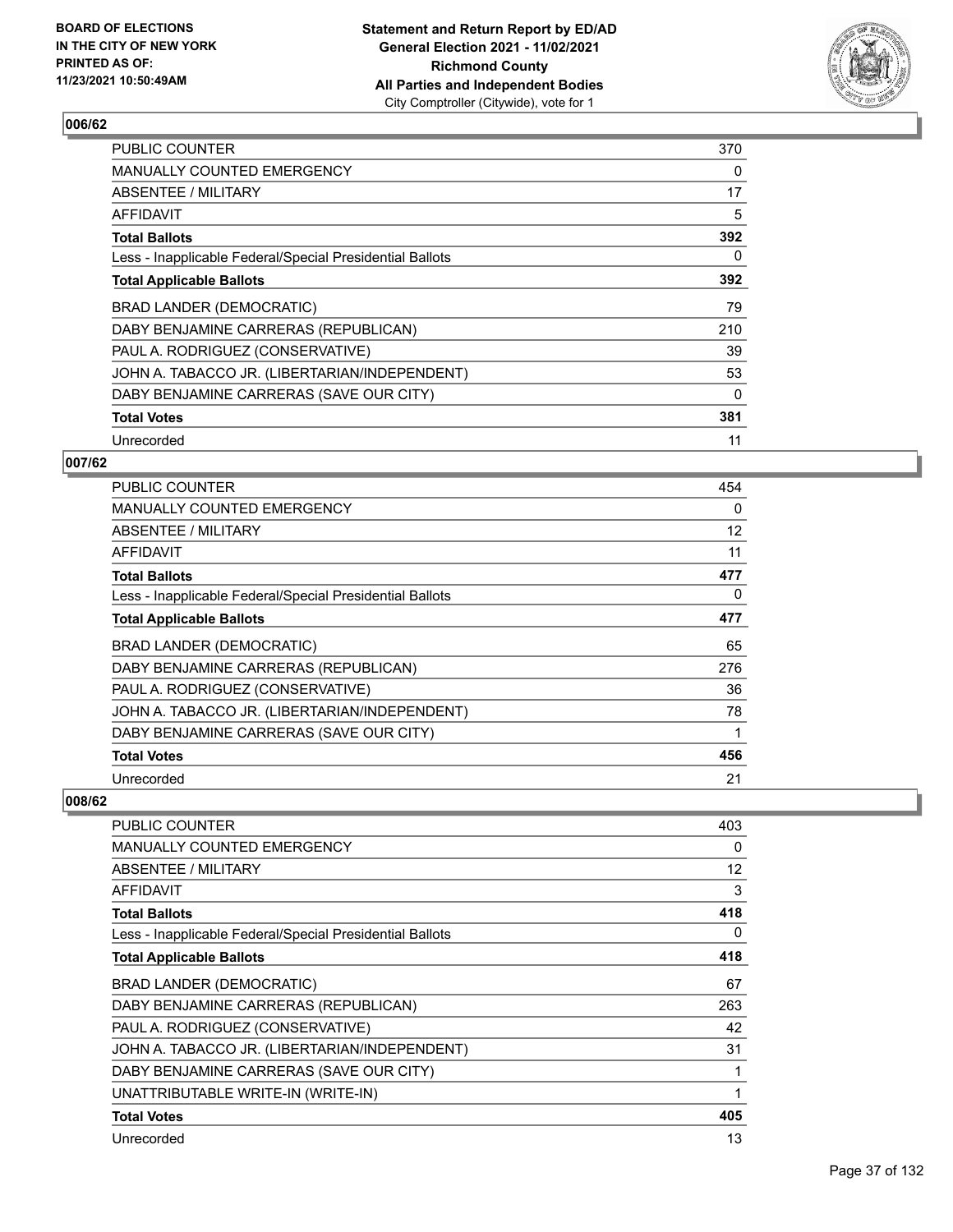

| <b>PUBLIC COUNTER</b>                                    | 370      |
|----------------------------------------------------------|----------|
| <b>MANUALLY COUNTED EMERGENCY</b>                        | 0        |
| ABSENTEE / MILITARY                                      | 17       |
| AFFIDAVIT                                                | 5        |
| <b>Total Ballots</b>                                     | 392      |
| Less - Inapplicable Federal/Special Presidential Ballots | 0        |
| <b>Total Applicable Ballots</b>                          | 392      |
| BRAD LANDER (DEMOCRATIC)                                 | 79       |
| DABY BENJAMINE CARRERAS (REPUBLICAN)                     | 210      |
| PAUL A. RODRIGUEZ (CONSERVATIVE)                         | 39       |
| JOHN A. TABACCO JR. (LIBERTARIAN/INDEPENDENT)            | 53       |
| DABY BENJAMINE CARRERAS (SAVE OUR CITY)                  | $\Omega$ |
| <b>Total Votes</b>                                       | 381      |
| Unrecorded                                               | 11       |

## **007/62**

| PUBLIC COUNTER                                           | 454 |
|----------------------------------------------------------|-----|
| <b>MANUALLY COUNTED EMERGENCY</b>                        | 0   |
| ABSENTEE / MILITARY                                      | 12  |
| <b>AFFIDAVIT</b>                                         | 11  |
| <b>Total Ballots</b>                                     | 477 |
| Less - Inapplicable Federal/Special Presidential Ballots | 0   |
| <b>Total Applicable Ballots</b>                          | 477 |
| <b>BRAD LANDER (DEMOCRATIC)</b>                          | 65  |
| DABY BENJAMINE CARRERAS (REPUBLICAN)                     | 276 |
| PAUL A. RODRIGUEZ (CONSERVATIVE)                         | 36  |
| JOHN A. TABACCO JR. (LIBERTARIAN/INDEPENDENT)            | 78  |
| DABY BENJAMINE CARRERAS (SAVE OUR CITY)                  | 1   |
| <b>Total Votes</b>                                       | 456 |
| Unrecorded                                               | 21  |

| PUBLIC COUNTER                                           | 403 |
|----------------------------------------------------------|-----|
| <b>MANUALLY COUNTED EMERGENCY</b>                        | 0   |
| <b>ABSENTEE / MILITARY</b>                               | 12  |
| <b>AFFIDAVIT</b>                                         | 3   |
| <b>Total Ballots</b>                                     | 418 |
| Less - Inapplicable Federal/Special Presidential Ballots | 0   |
| <b>Total Applicable Ballots</b>                          | 418 |
| BRAD LANDER (DEMOCRATIC)                                 | 67  |
| DABY BENJAMINE CARRERAS (REPUBLICAN)                     | 263 |
| PAUL A. RODRIGUEZ (CONSERVATIVE)                         | 42  |
| JOHN A. TABACCO JR. (LIBERTARIAN/INDEPENDENT)            | 31  |
| DABY BENJAMINE CARRERAS (SAVE OUR CITY)                  | 1   |
| UNATTRIBUTABLE WRITE-IN (WRITE-IN)                       |     |
| <b>Total Votes</b>                                       | 405 |
| Unrecorded                                               | 13  |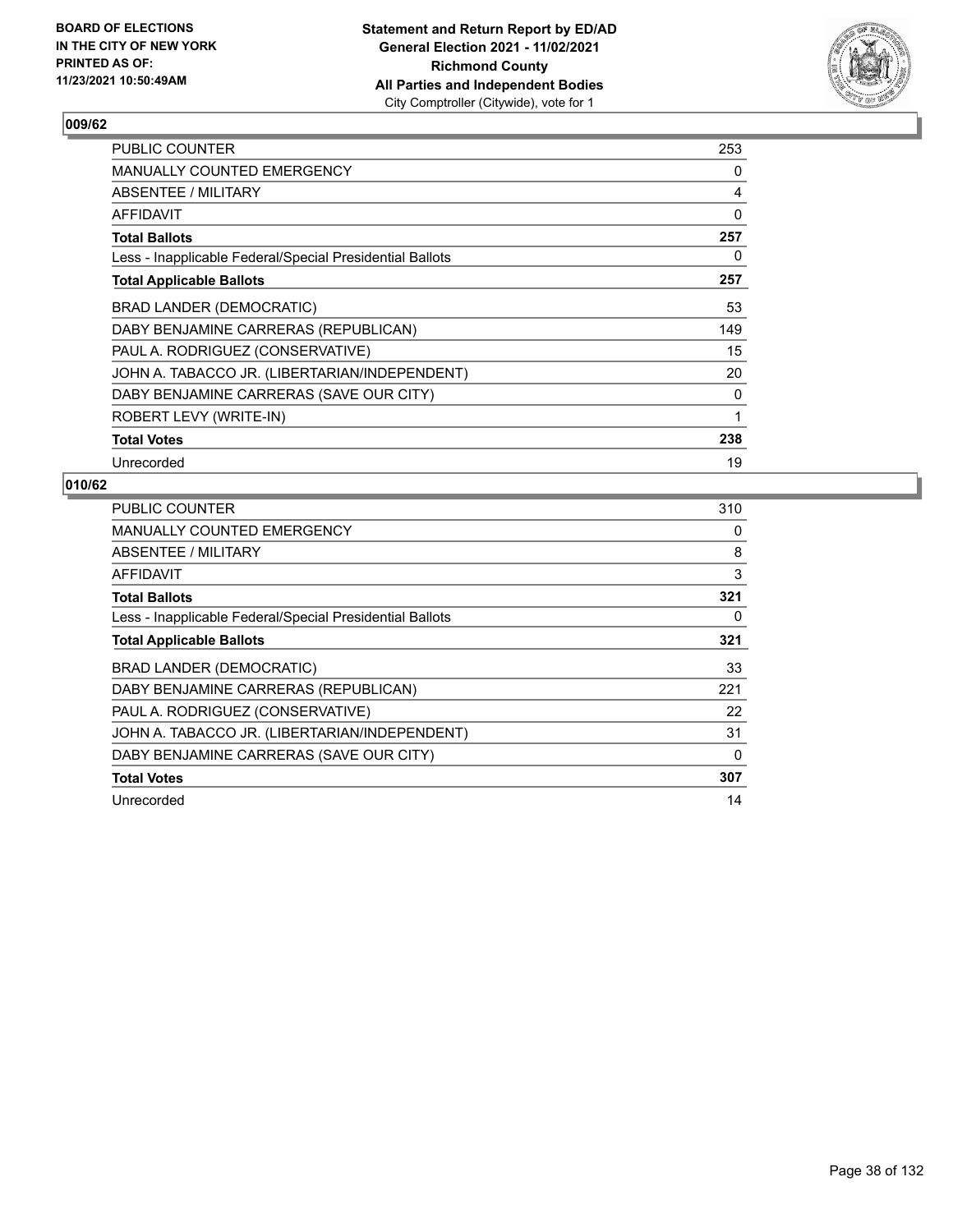

| <b>PUBLIC COUNTER</b>                                    | 253 |
|----------------------------------------------------------|-----|
| <b>MANUALLY COUNTED EMERGENCY</b>                        | 0   |
| ABSENTEE / MILITARY                                      | 4   |
| <b>AFFIDAVIT</b>                                         | 0   |
| <b>Total Ballots</b>                                     | 257 |
| Less - Inapplicable Federal/Special Presidential Ballots | 0   |
| <b>Total Applicable Ballots</b>                          | 257 |
| BRAD LANDER (DEMOCRATIC)                                 | 53  |
| DABY BENJAMINE CARRERAS (REPUBLICAN)                     | 149 |
| PAUL A. RODRIGUEZ (CONSERVATIVE)                         | 15  |
| JOHN A. TABACCO JR. (LIBERTARIAN/INDEPENDENT)            | 20  |
| DABY BENJAMINE CARRERAS (SAVE OUR CITY)                  | 0   |
| ROBERT LEVY (WRITE-IN)                                   | 1   |
| <b>Total Votes</b>                                       | 238 |
| Unrecorded                                               | 19  |

| <b>PUBLIC COUNTER</b>                                    | 310      |
|----------------------------------------------------------|----------|
| <b>MANUALLY COUNTED EMERGENCY</b>                        | 0        |
| ABSENTEE / MILITARY                                      | 8        |
| AFFIDAVIT                                                | 3        |
| <b>Total Ballots</b>                                     | 321      |
| Less - Inapplicable Federal/Special Presidential Ballots | 0        |
| <b>Total Applicable Ballots</b>                          | 321      |
| <b>BRAD LANDER (DEMOCRATIC)</b>                          | 33       |
| DABY BENJAMINE CARRERAS (REPUBLICAN)                     | 221      |
| PAUL A. RODRIGUEZ (CONSERVATIVE)                         | 22       |
| JOHN A. TABACCO JR. (LIBERTARIAN/INDEPENDENT)            | 31       |
| DABY BENJAMINE CARRERAS (SAVE OUR CITY)                  | $\Omega$ |
| <b>Total Votes</b>                                       | 307      |
| Unrecorded                                               | 14       |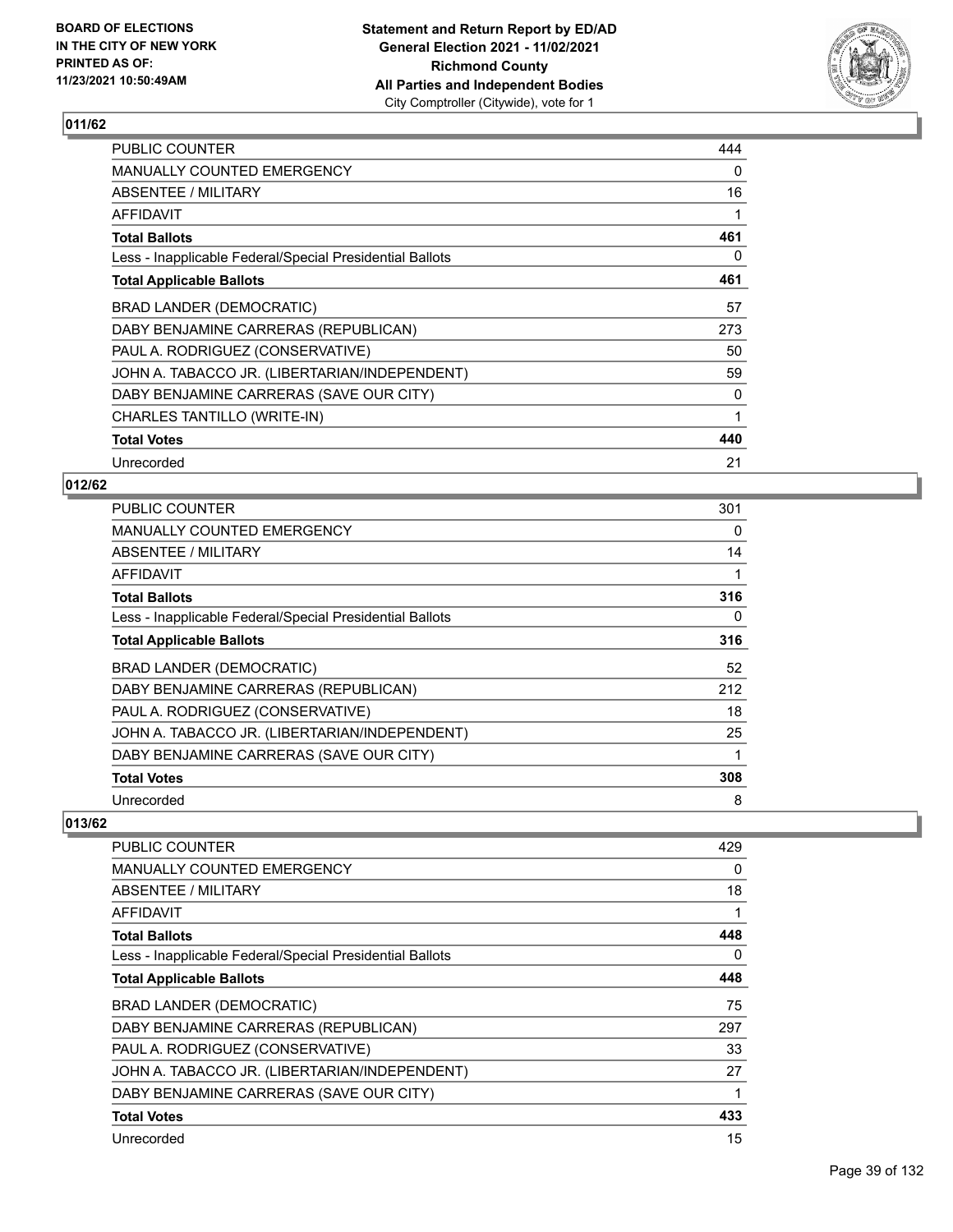

| PUBLIC COUNTER                                           | 444 |
|----------------------------------------------------------|-----|
| <b>MANUALLY COUNTED EMERGENCY</b>                        | 0   |
| ABSENTEE / MILITARY                                      | 16  |
| <b>AFFIDAVIT</b>                                         |     |
| <b>Total Ballots</b>                                     | 461 |
| Less - Inapplicable Federal/Special Presidential Ballots | 0   |
| <b>Total Applicable Ballots</b>                          | 461 |
| BRAD LANDER (DEMOCRATIC)                                 | 57  |
| DABY BENJAMINE CARRERAS (REPUBLICAN)                     | 273 |
| PAUL A. RODRIGUEZ (CONSERVATIVE)                         | 50  |
| JOHN A. TABACCO JR. (LIBERTARIAN/INDEPENDENT)            | 59  |
| DABY BENJAMINE CARRERAS (SAVE OUR CITY)                  | 0   |
| CHARLES TANTILLO (WRITE-IN)                              | 1   |
| <b>Total Votes</b>                                       | 440 |
| Unrecorded                                               | 21  |

## **012/62**

| <b>PUBLIC COUNTER</b>                                    | 301 |
|----------------------------------------------------------|-----|
| <b>MANUALLY COUNTED EMERGENCY</b>                        | 0   |
| ABSENTEE / MILITARY                                      | 14  |
| AFFIDAVIT                                                |     |
| <b>Total Ballots</b>                                     | 316 |
| Less - Inapplicable Federal/Special Presidential Ballots | 0   |
| <b>Total Applicable Ballots</b>                          | 316 |
| BRAD LANDER (DEMOCRATIC)                                 | 52  |
| DABY BENJAMINE CARRERAS (REPUBLICAN)                     | 212 |
| PAUL A. RODRIGUEZ (CONSERVATIVE)                         | 18  |
| JOHN A. TABACCO JR. (LIBERTARIAN/INDEPENDENT)            | 25  |
| DABY BENJAMINE CARRERAS (SAVE OUR CITY)                  | 1   |
| <b>Total Votes</b>                                       | 308 |
| Unrecorded                                               | 8   |

| <b>PUBLIC COUNTER</b>                                    | 429 |
|----------------------------------------------------------|-----|
| <b>MANUALLY COUNTED EMERGENCY</b>                        | 0   |
| ABSENTEE / MILITARY                                      | 18  |
| AFFIDAVIT                                                | 1   |
| <b>Total Ballots</b>                                     | 448 |
| Less - Inapplicable Federal/Special Presidential Ballots | 0   |
| <b>Total Applicable Ballots</b>                          | 448 |
| BRAD LANDER (DEMOCRATIC)                                 | 75  |
| DABY BENJAMINE CARRERAS (REPUBLICAN)                     | 297 |
| PAUL A. RODRIGUEZ (CONSERVATIVE)                         | 33  |
| JOHN A. TABACCO JR. (LIBERTARIAN/INDEPENDENT)            | 27  |
| DABY BENJAMINE CARRERAS (SAVE OUR CITY)                  | 1   |
| <b>Total Votes</b>                                       | 433 |
| Unrecorded                                               | 15  |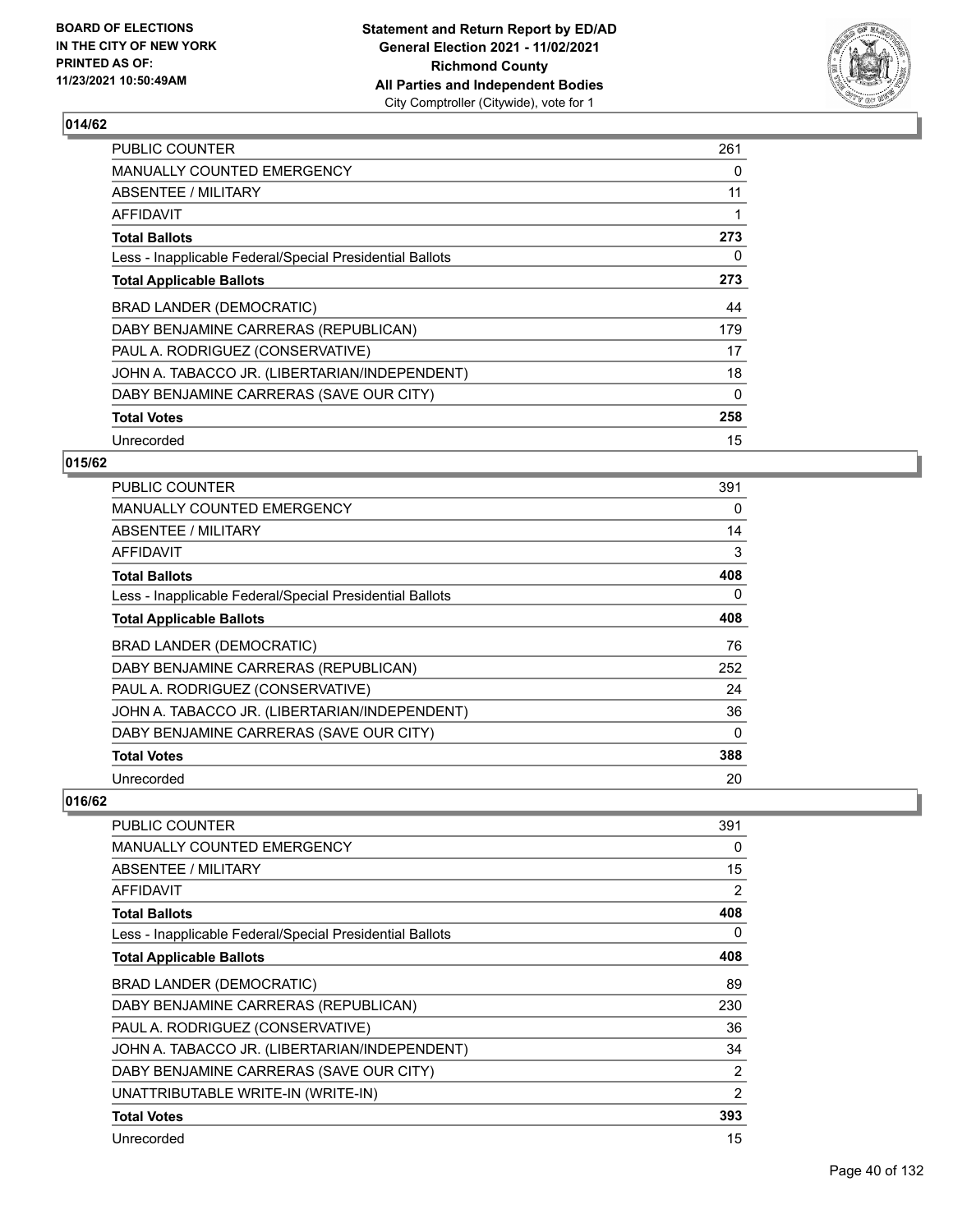

| <b>PUBLIC COUNTER</b>                                    | 261      |
|----------------------------------------------------------|----------|
| <b>MANUALLY COUNTED EMERGENCY</b>                        | 0        |
| ABSENTEE / MILITARY                                      | 11       |
| AFFIDAVIT                                                |          |
| <b>Total Ballots</b>                                     | 273      |
| Less - Inapplicable Federal/Special Presidential Ballots | 0        |
| <b>Total Applicable Ballots</b>                          | 273      |
| <b>BRAD LANDER (DEMOCRATIC)</b>                          | 44       |
| DABY BENJAMINE CARRERAS (REPUBLICAN)                     | 179      |
| PAUL A. RODRIGUEZ (CONSERVATIVE)                         | 17       |
| JOHN A. TABACCO JR. (LIBERTARIAN/INDEPENDENT)            | 18       |
| DABY BENJAMINE CARRERAS (SAVE OUR CITY)                  | $\Omega$ |
| <b>Total Votes</b>                                       | 258      |
| Unrecorded                                               | 15       |

### **015/62**

| <b>PUBLIC COUNTER</b>                                    | 391 |
|----------------------------------------------------------|-----|
| <b>MANUALLY COUNTED EMERGENCY</b>                        | 0   |
| ABSENTEE / MILITARY                                      | 14  |
| <b>AFFIDAVIT</b>                                         | 3   |
| <b>Total Ballots</b>                                     | 408 |
| Less - Inapplicable Federal/Special Presidential Ballots | 0   |
| <b>Total Applicable Ballots</b>                          | 408 |
| <b>BRAD LANDER (DEMOCRATIC)</b>                          | 76  |
| DABY BENJAMINE CARRERAS (REPUBLICAN)                     | 252 |
| PAUL A. RODRIGUEZ (CONSERVATIVE)                         | 24  |
| JOHN A. TABACCO JR. (LIBERTARIAN/INDEPENDENT)            | 36  |
| DABY BENJAMINE CARRERAS (SAVE OUR CITY)                  | 0   |
| <b>Total Votes</b>                                       | 388 |
| Unrecorded                                               | 20  |

| PUBLIC COUNTER                                           | 391            |
|----------------------------------------------------------|----------------|
| <b>MANUALLY COUNTED EMERGENCY</b>                        | 0              |
| ABSENTEE / MILITARY                                      | 15             |
| <b>AFFIDAVIT</b>                                         | 2              |
| <b>Total Ballots</b>                                     | 408            |
| Less - Inapplicable Federal/Special Presidential Ballots | 0              |
| <b>Total Applicable Ballots</b>                          | 408            |
| BRAD LANDER (DEMOCRATIC)                                 | 89             |
| DABY BENJAMINE CARRERAS (REPUBLICAN)                     | 230            |
| PAUL A. RODRIGUEZ (CONSERVATIVE)                         | 36             |
| JOHN A. TABACCO JR. (LIBERTARIAN/INDEPENDENT)            | 34             |
| DABY BENJAMINE CARRERAS (SAVE OUR CITY)                  | 2              |
| UNATTRIBUTABLE WRITE-IN (WRITE-IN)                       | $\overline{2}$ |
| <b>Total Votes</b>                                       | 393            |
| Unrecorded                                               | 15             |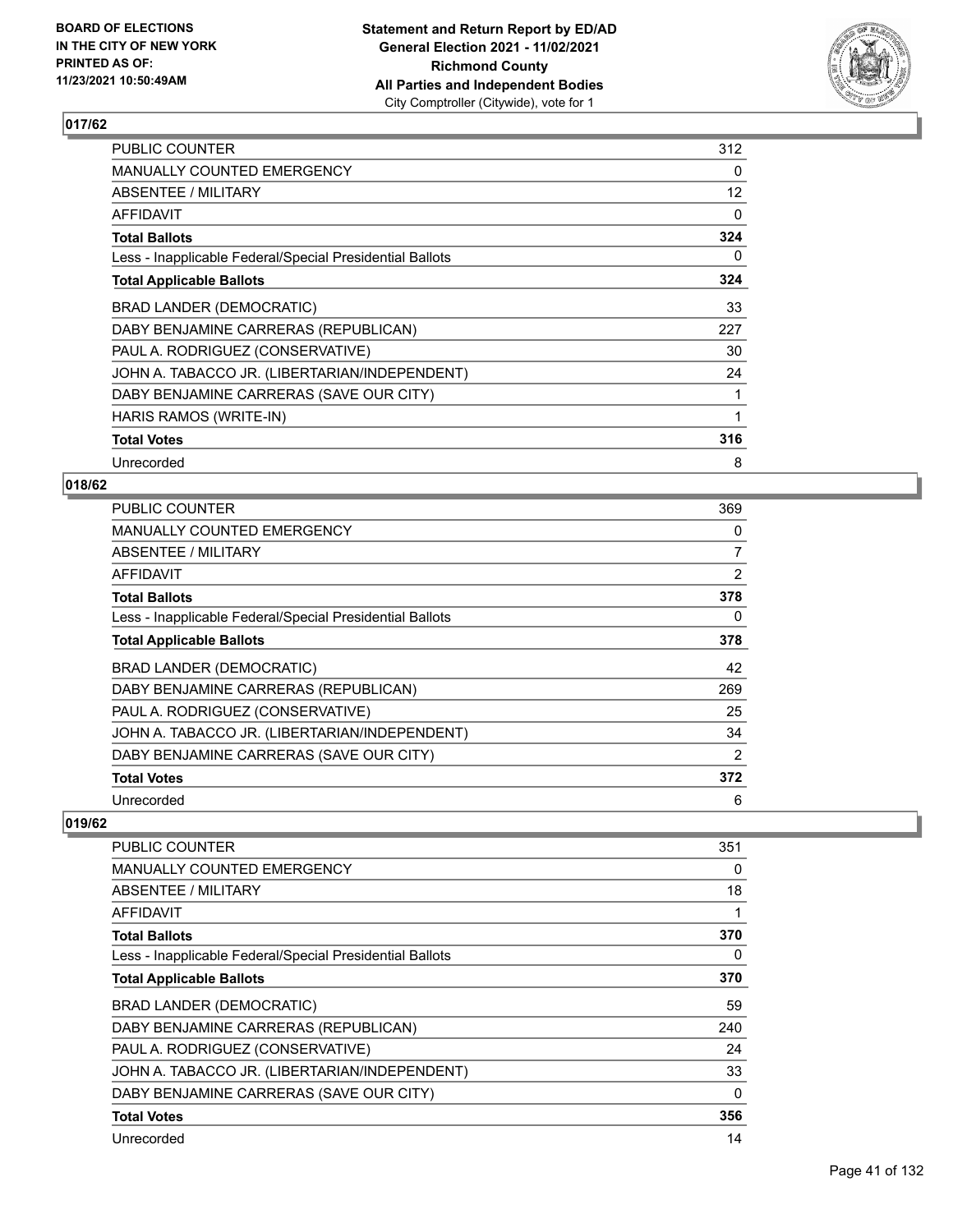

| PUBLIC COUNTER                                           | 312 |
|----------------------------------------------------------|-----|
| <b>MANUALLY COUNTED EMERGENCY</b>                        | 0   |
| ABSENTEE / MILITARY                                      | 12  |
| AFFIDAVIT                                                | 0   |
| <b>Total Ballots</b>                                     | 324 |
| Less - Inapplicable Federal/Special Presidential Ballots | 0   |
| <b>Total Applicable Ballots</b>                          | 324 |
| <b>BRAD LANDER (DEMOCRATIC)</b>                          | 33  |
| DABY BENJAMINE CARRERAS (REPUBLICAN)                     | 227 |
| PAUL A. RODRIGUEZ (CONSERVATIVE)                         | 30  |
| JOHN A. TABACCO JR. (LIBERTARIAN/INDEPENDENT)            | 24  |
| DABY BENJAMINE CARRERAS (SAVE OUR CITY)                  | 1   |
| HARIS RAMOS (WRITE-IN)                                   | 1   |
| <b>Total Votes</b>                                       | 316 |
| Unrecorded                                               | 8   |

#### **018/62**

| <b>PUBLIC COUNTER</b>                                    | 369 |
|----------------------------------------------------------|-----|
| <b>MANUALLY COUNTED EMERGENCY</b>                        | 0   |
| ABSENTEE / MILITARY                                      | 7   |
| AFFIDAVIT                                                | 2   |
| <b>Total Ballots</b>                                     | 378 |
| Less - Inapplicable Federal/Special Presidential Ballots | 0   |
| <b>Total Applicable Ballots</b>                          | 378 |
| BRAD LANDER (DEMOCRATIC)                                 | 42  |
| DABY BENJAMINE CARRERAS (REPUBLICAN)                     | 269 |
| PAUL A. RODRIGUEZ (CONSERVATIVE)                         | 25  |
| JOHN A. TABACCO JR. (LIBERTARIAN/INDEPENDENT)            | 34  |
| DABY BENJAMINE CARRERAS (SAVE OUR CITY)                  | 2   |
| <b>Total Votes</b>                                       | 372 |
| Unrecorded                                               | 6   |

| <b>PUBLIC COUNTER</b>                                    | 351 |
|----------------------------------------------------------|-----|
| MANUALLY COUNTED EMERGENCY                               | 0   |
| ABSENTEE / MILITARY                                      | 18  |
| <b>AFFIDAVIT</b>                                         | 1   |
| <b>Total Ballots</b>                                     | 370 |
| Less - Inapplicable Federal/Special Presidential Ballots | 0   |
| <b>Total Applicable Ballots</b>                          | 370 |
| BRAD LANDER (DEMOCRATIC)                                 | 59  |
| DABY BENJAMINE CARRERAS (REPUBLICAN)                     | 240 |
| PAUL A. RODRIGUEZ (CONSERVATIVE)                         | 24  |
| JOHN A. TABACCO JR. (LIBERTARIAN/INDEPENDENT)            | 33  |
| DABY BENJAMINE CARRERAS (SAVE OUR CITY)                  | 0   |
| <b>Total Votes</b>                                       | 356 |
| Unrecorded                                               | 14  |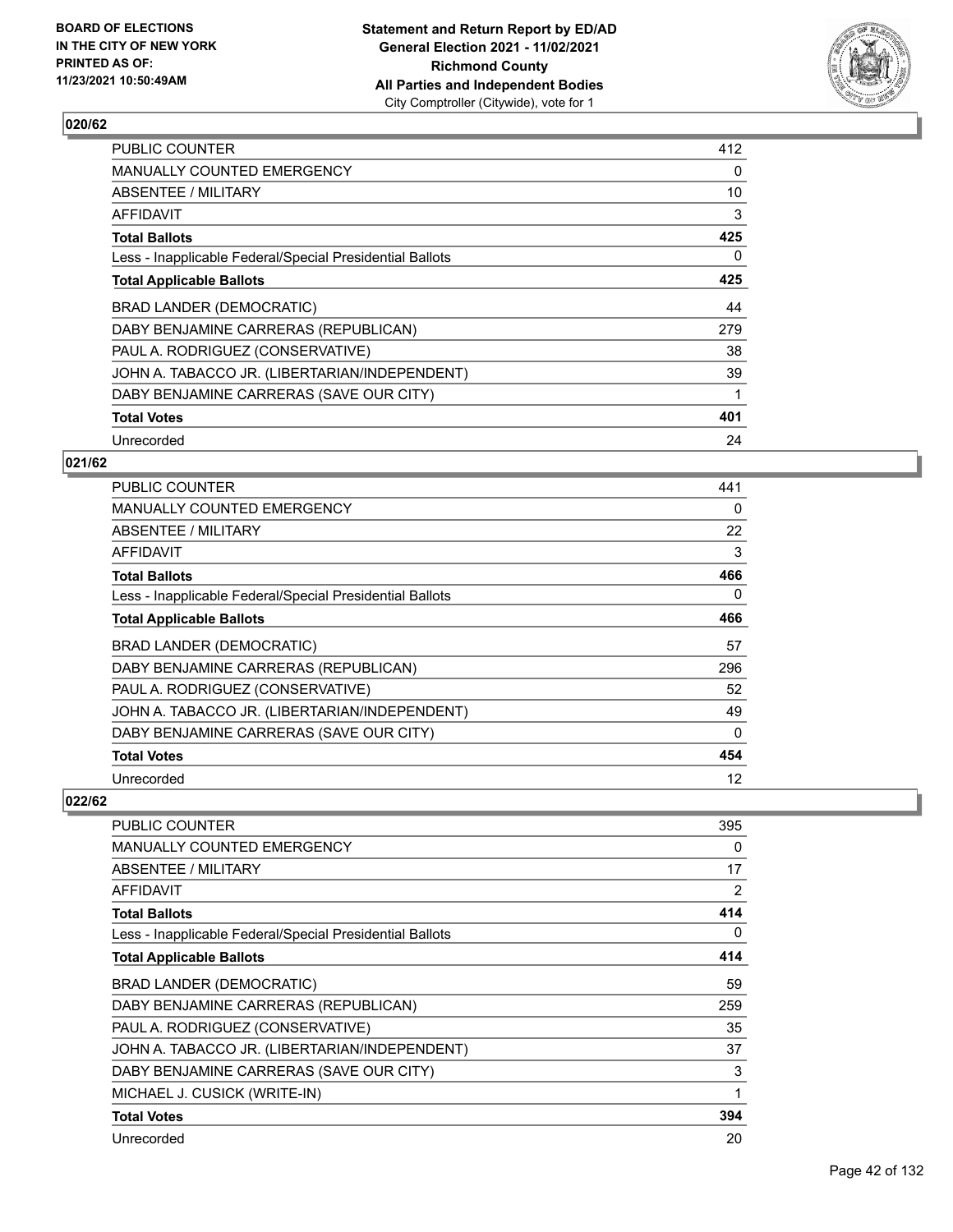

| <b>PUBLIC COUNTER</b>                                    | 412 |
|----------------------------------------------------------|-----|
| MANUALLY COUNTED EMERGENCY                               | 0   |
| ABSENTEE / MILITARY                                      | 10  |
| AFFIDAVIT                                                | 3   |
| <b>Total Ballots</b>                                     | 425 |
| Less - Inapplicable Federal/Special Presidential Ballots | 0   |
| <b>Total Applicable Ballots</b>                          | 425 |
| BRAD LANDER (DEMOCRATIC)                                 | 44  |
| DABY BENJAMINE CARRERAS (REPUBLICAN)                     | 279 |
| PAUL A. RODRIGUEZ (CONSERVATIVE)                         | 38  |
| JOHN A. TABACCO JR. (LIBERTARIAN/INDEPENDENT)            | 39  |
| DABY BENJAMINE CARRERAS (SAVE OUR CITY)                  |     |
| <b>Total Votes</b>                                       | 401 |
| Unrecorded                                               | 24  |

### **021/62**

| <b>PUBLIC COUNTER</b>                                    | 441      |
|----------------------------------------------------------|----------|
| <b>MANUALLY COUNTED EMERGENCY</b>                        | 0        |
| ABSENTEE / MILITARY                                      | 22       |
| AFFIDAVIT                                                | 3        |
| <b>Total Ballots</b>                                     | 466      |
| Less - Inapplicable Federal/Special Presidential Ballots | 0        |
| <b>Total Applicable Ballots</b>                          | 466      |
| <b>BRAD LANDER (DEMOCRATIC)</b>                          | 57       |
| DABY BENJAMINE CARRERAS (REPUBLICAN)                     | 296      |
| PAUL A. RODRIGUEZ (CONSERVATIVE)                         | 52       |
| JOHN A. TABACCO JR. (LIBERTARIAN/INDEPENDENT)            | 49       |
| DABY BENJAMINE CARRERAS (SAVE OUR CITY)                  | $\Omega$ |
| <b>Total Votes</b>                                       | 454      |
| Unrecorded                                               | 12       |

| PUBLIC COUNTER                                           | 395          |
|----------------------------------------------------------|--------------|
| <b>MANUALLY COUNTED EMERGENCY</b>                        | 0            |
| <b>ABSENTEE / MILITARY</b>                               | 17           |
| <b>AFFIDAVIT</b>                                         | 2            |
| <b>Total Ballots</b>                                     | 414          |
| Less - Inapplicable Federal/Special Presidential Ballots | 0            |
| <b>Total Applicable Ballots</b>                          | 414          |
| BRAD LANDER (DEMOCRATIC)                                 | 59           |
| DABY BENJAMINE CARRERAS (REPUBLICAN)                     | 259          |
| PAUL A. RODRIGUEZ (CONSERVATIVE)                         | 35           |
| JOHN A. TABACCO JR. (LIBERTARIAN/INDEPENDENT)            | 37           |
| DABY BENJAMINE CARRERAS (SAVE OUR CITY)                  | 3            |
| MICHAEL J. CUSICK (WRITE-IN)                             | $\mathbf{1}$ |
| <b>Total Votes</b>                                       | 394          |
| Unrecorded                                               | 20           |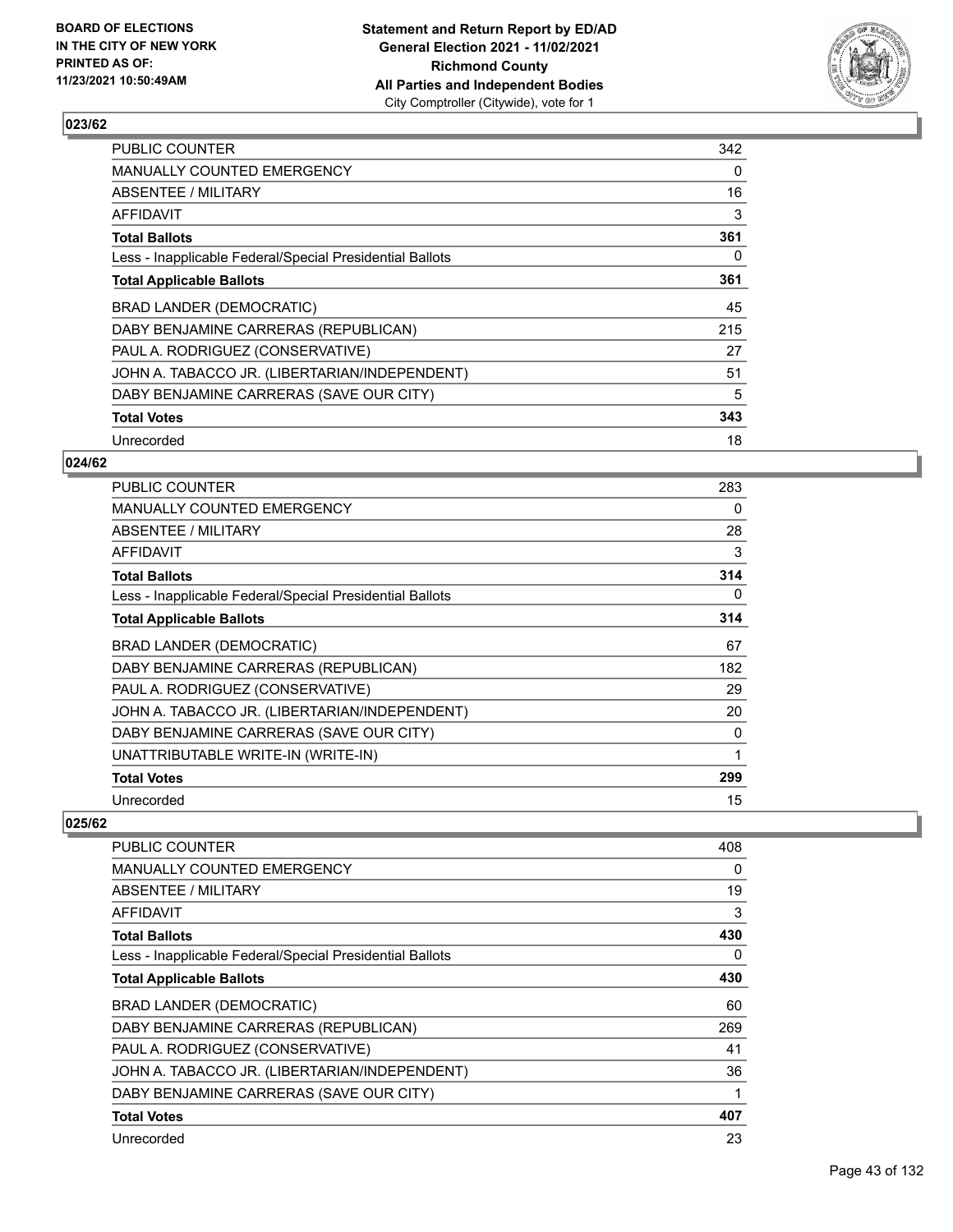

| <b>PUBLIC COUNTER</b>                                    | 342 |
|----------------------------------------------------------|-----|
| MANUALLY COUNTED EMERGENCY                               | 0   |
| ABSENTEE / MILITARY                                      | 16  |
| AFFIDAVIT                                                | 3   |
| <b>Total Ballots</b>                                     | 361 |
| Less - Inapplicable Federal/Special Presidential Ballots | 0   |
| <b>Total Applicable Ballots</b>                          | 361 |
| BRAD LANDER (DEMOCRATIC)                                 | 45  |
| DABY BENJAMINE CARRERAS (REPUBLICAN)                     | 215 |
| PAUL A. RODRIGUEZ (CONSERVATIVE)                         | 27  |
| JOHN A. TABACCO JR. (LIBERTARIAN/INDEPENDENT)            | 51  |
| DABY BENJAMINE CARRERAS (SAVE OUR CITY)                  | 5   |
| <b>Total Votes</b>                                       | 343 |
| Unrecorded                                               | 18  |

### **024/62**

| <b>PUBLIC COUNTER</b>                                    | 283          |
|----------------------------------------------------------|--------------|
| <b>MANUALLY COUNTED EMERGENCY</b>                        | 0            |
| ABSENTEE / MILITARY                                      | 28           |
| AFFIDAVIT                                                | 3            |
| <b>Total Ballots</b>                                     | 314          |
| Less - Inapplicable Federal/Special Presidential Ballots | 0            |
| <b>Total Applicable Ballots</b>                          | 314          |
| BRAD LANDER (DEMOCRATIC)                                 | 67           |
| DABY BENJAMINE CARRERAS (REPUBLICAN)                     | 182          |
| PAUL A. RODRIGUEZ (CONSERVATIVE)                         | 29           |
| JOHN A. TABACCO JR. (LIBERTARIAN/INDEPENDENT)            | 20           |
| DABY BENJAMINE CARRERAS (SAVE OUR CITY)                  | 0            |
| UNATTRIBUTABLE WRITE-IN (WRITE-IN)                       | $\mathbf{1}$ |
| <b>Total Votes</b>                                       | 299          |
| Unrecorded                                               | 15           |

| <b>PUBLIC COUNTER</b>                                    | 408 |
|----------------------------------------------------------|-----|
| <b>MANUALLY COUNTED EMERGENCY</b>                        | 0   |
| ABSENTEE / MILITARY                                      | 19  |
| AFFIDAVIT                                                | 3   |
| <b>Total Ballots</b>                                     | 430 |
| Less - Inapplicable Federal/Special Presidential Ballots | 0   |
| <b>Total Applicable Ballots</b>                          | 430 |
| BRAD LANDER (DEMOCRATIC)                                 | 60  |
| DABY BENJAMINE CARRERAS (REPUBLICAN)                     | 269 |
| PAUL A. RODRIGUEZ (CONSERVATIVE)                         | 41  |
| JOHN A. TABACCO JR. (LIBERTARIAN/INDEPENDENT)            | 36  |
| DABY BENJAMINE CARRERAS (SAVE OUR CITY)                  | 1   |
| <b>Total Votes</b>                                       | 407 |
| Unrecorded                                               | 23  |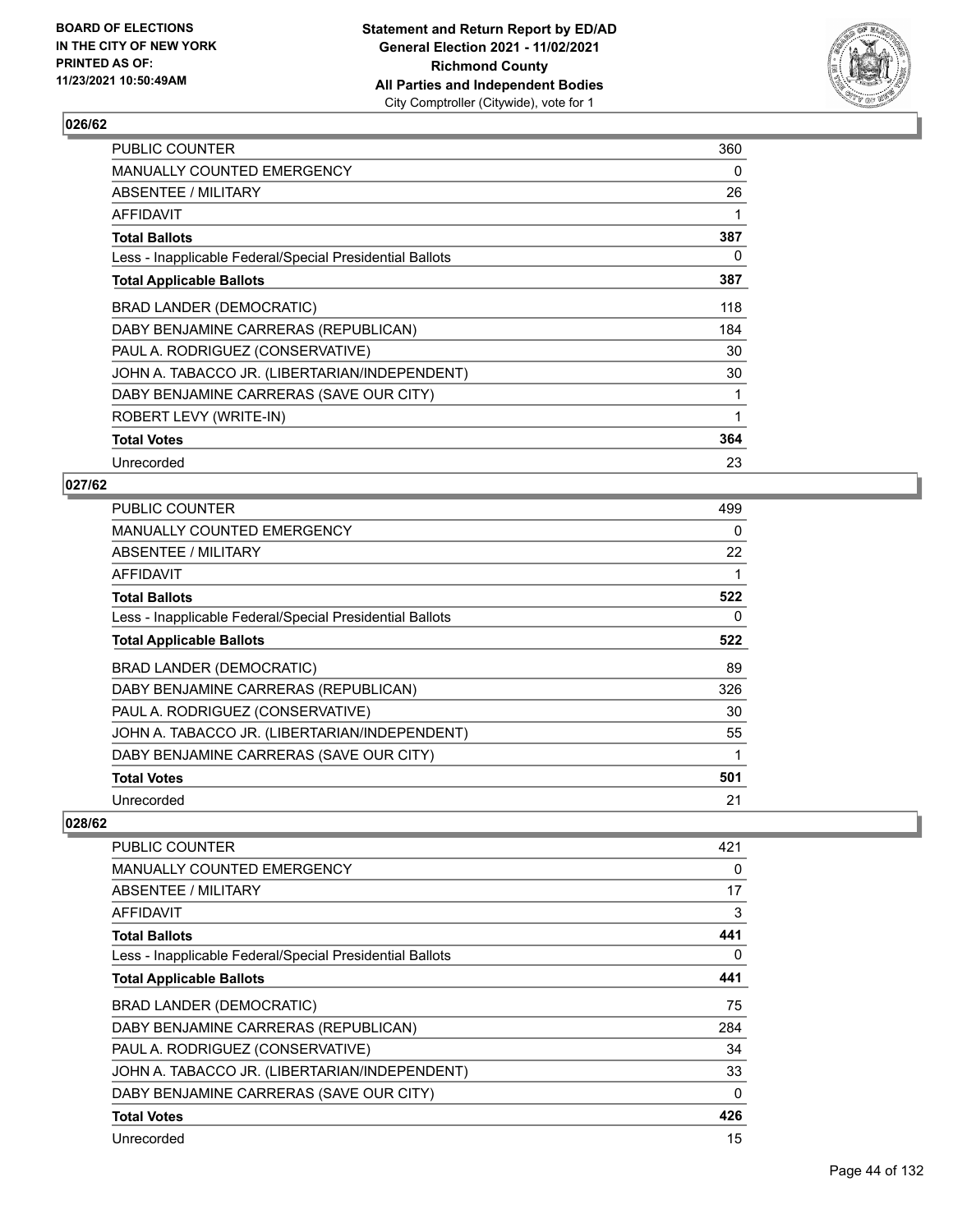

| <b>PUBLIC COUNTER</b>                                    | 360 |
|----------------------------------------------------------|-----|
| MANUALLY COUNTED EMERGENCY                               | 0   |
| ABSENTEE / MILITARY                                      | 26  |
| AFFIDAVIT                                                | 1   |
| <b>Total Ballots</b>                                     | 387 |
| Less - Inapplicable Federal/Special Presidential Ballots | 0   |
| <b>Total Applicable Ballots</b>                          | 387 |
| BRAD LANDER (DEMOCRATIC)                                 | 118 |
| DABY BENJAMINE CARRERAS (REPUBLICAN)                     | 184 |
| PAUL A. RODRIGUEZ (CONSERVATIVE)                         | 30  |
| JOHN A. TABACCO JR. (LIBERTARIAN/INDEPENDENT)            | 30  |
| DABY BENJAMINE CARRERAS (SAVE OUR CITY)                  | 1   |
| ROBERT LEVY (WRITE-IN)                                   | 1   |
| <b>Total Votes</b>                                       | 364 |
| Unrecorded                                               | 23  |

## **027/62**

| <b>PUBLIC COUNTER</b>                                    | 499      |
|----------------------------------------------------------|----------|
| MANUALLY COUNTED EMERGENCY                               | $\Omega$ |
| ABSENTEE / MILITARY                                      | 22       |
| AFFIDAVIT                                                |          |
| <b>Total Ballots</b>                                     | 522      |
| Less - Inapplicable Federal/Special Presidential Ballots | 0        |
| <b>Total Applicable Ballots</b>                          | 522      |
| <b>BRAD LANDER (DEMOCRATIC)</b>                          | 89       |
| DABY BENJAMINE CARRERAS (REPUBLICAN)                     | 326      |
| PAUL A. RODRIGUEZ (CONSERVATIVE)                         | 30       |
| JOHN A. TABACCO JR. (LIBERTARIAN/INDEPENDENT)            | 55       |
| DABY BENJAMINE CARRERAS (SAVE OUR CITY)                  | 1        |
| <b>Total Votes</b>                                       | 501      |
| Unrecorded                                               | 21       |

| <b>PUBLIC COUNTER</b>                                    | 421 |
|----------------------------------------------------------|-----|
| <b>MANUALLY COUNTED EMERGENCY</b>                        | 0   |
| ABSENTEE / MILITARY                                      | 17  |
| <b>AFFIDAVIT</b>                                         | 3   |
| <b>Total Ballots</b>                                     | 441 |
| Less - Inapplicable Federal/Special Presidential Ballots | 0   |
| <b>Total Applicable Ballots</b>                          | 441 |
| BRAD LANDER (DEMOCRATIC)                                 | 75  |
| DABY BENJAMINE CARRERAS (REPUBLICAN)                     | 284 |
| PAUL A. RODRIGUEZ (CONSERVATIVE)                         | 34  |
| JOHN A. TABACCO JR. (LIBERTARIAN/INDEPENDENT)            | 33  |
| DABY BENJAMINE CARRERAS (SAVE OUR CITY)                  | 0   |
| <b>Total Votes</b>                                       | 426 |
| Unrecorded                                               | 15  |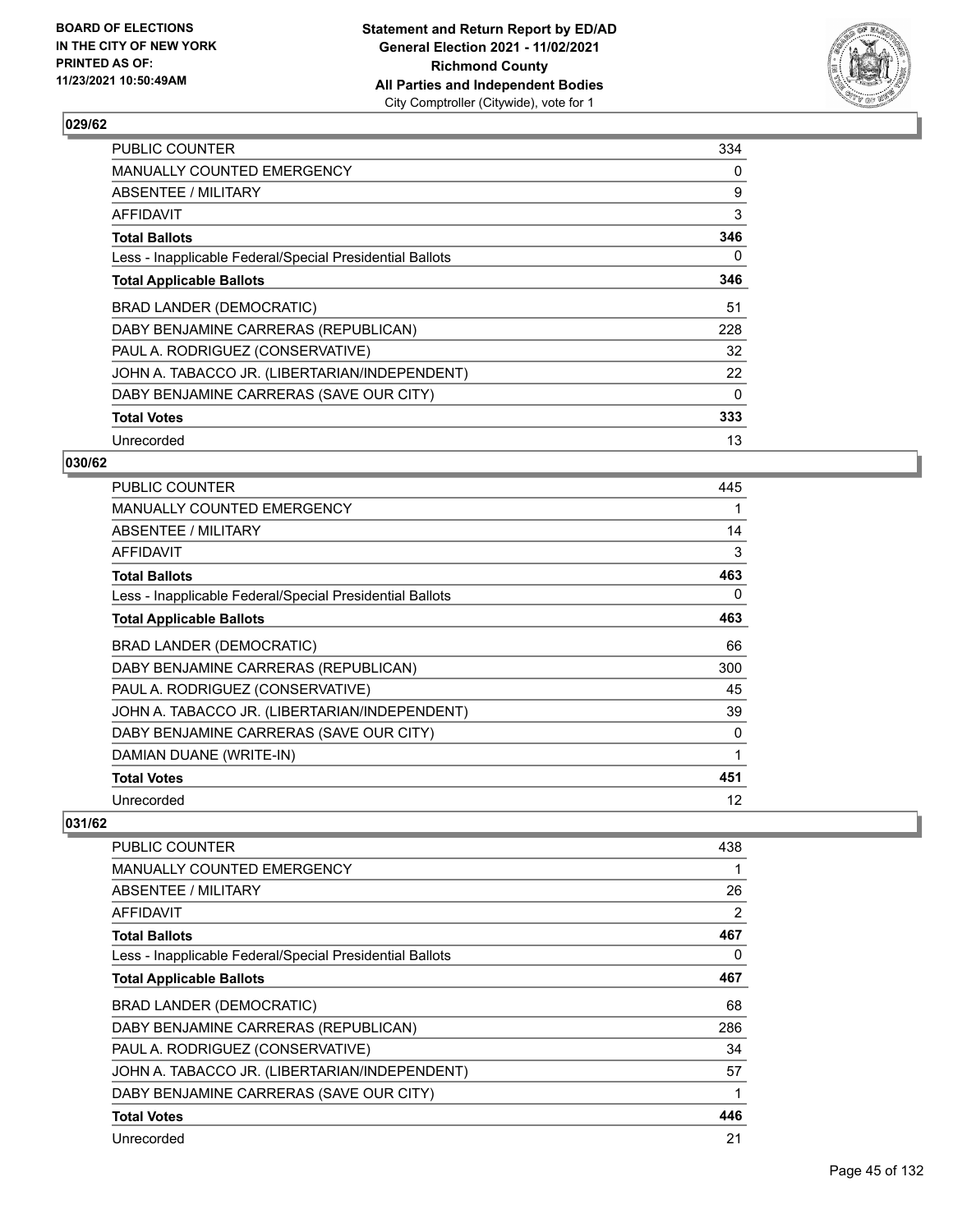

| <b>PUBLIC COUNTER</b>                                    | 334      |
|----------------------------------------------------------|----------|
| MANUALLY COUNTED EMERGENCY                               | 0        |
| ABSENTEE / MILITARY                                      | 9        |
| AFFIDAVIT                                                | 3        |
| <b>Total Ballots</b>                                     | 346      |
| Less - Inapplicable Federal/Special Presidential Ballots | 0        |
| <b>Total Applicable Ballots</b>                          | 346      |
| BRAD LANDER (DEMOCRATIC)                                 | 51       |
| DABY BENJAMINE CARRERAS (REPUBLICAN)                     | 228      |
| PAUL A. RODRIGUEZ (CONSERVATIVE)                         | 32       |
| JOHN A. TABACCO JR. (LIBERTARIAN/INDEPENDENT)            | 22       |
| DABY BENJAMINE CARRERAS (SAVE OUR CITY)                  | $\Omega$ |
| <b>Total Votes</b>                                       | 333      |
| Unrecorded                                               | 13       |

### **030/62**

| <b>PUBLIC COUNTER</b>                                    | 445 |
|----------------------------------------------------------|-----|
| <b>MANUALLY COUNTED EMERGENCY</b>                        |     |
| ABSENTEE / MILITARY                                      | 14  |
| AFFIDAVIT                                                | 3   |
| <b>Total Ballots</b>                                     | 463 |
| Less - Inapplicable Federal/Special Presidential Ballots | 0   |
| <b>Total Applicable Ballots</b>                          | 463 |
| BRAD LANDER (DEMOCRATIC)                                 | 66  |
| DABY BENJAMINE CARRERAS (REPUBLICAN)                     | 300 |
| PAUL A. RODRIGUEZ (CONSERVATIVE)                         | 45  |
| JOHN A. TABACCO JR. (LIBERTARIAN/INDEPENDENT)            | 39  |
| DABY BENJAMINE CARRERAS (SAVE OUR CITY)                  | 0   |
| DAMIAN DUANE (WRITE-IN)                                  | 1   |
| <b>Total Votes</b>                                       | 451 |
| Unrecorded                                               | 12  |

| <b>PUBLIC COUNTER</b>                                    | 438 |
|----------------------------------------------------------|-----|
| <b>MANUALLY COUNTED EMERGENCY</b>                        |     |
| ABSENTEE / MILITARY                                      | 26  |
| AFFIDAVIT                                                | 2   |
| <b>Total Ballots</b>                                     | 467 |
| Less - Inapplicable Federal/Special Presidential Ballots | 0   |
| <b>Total Applicable Ballots</b>                          | 467 |
| BRAD LANDER (DEMOCRATIC)                                 | 68  |
| DABY BENJAMINE CARRERAS (REPUBLICAN)                     | 286 |
| PAUL A. RODRIGUEZ (CONSERVATIVE)                         | 34  |
| JOHN A. TABACCO JR. (LIBERTARIAN/INDEPENDENT)            | 57  |
| DABY BENJAMINE CARRERAS (SAVE OUR CITY)                  | 1   |
| <b>Total Votes</b>                                       | 446 |
| Unrecorded                                               | 21  |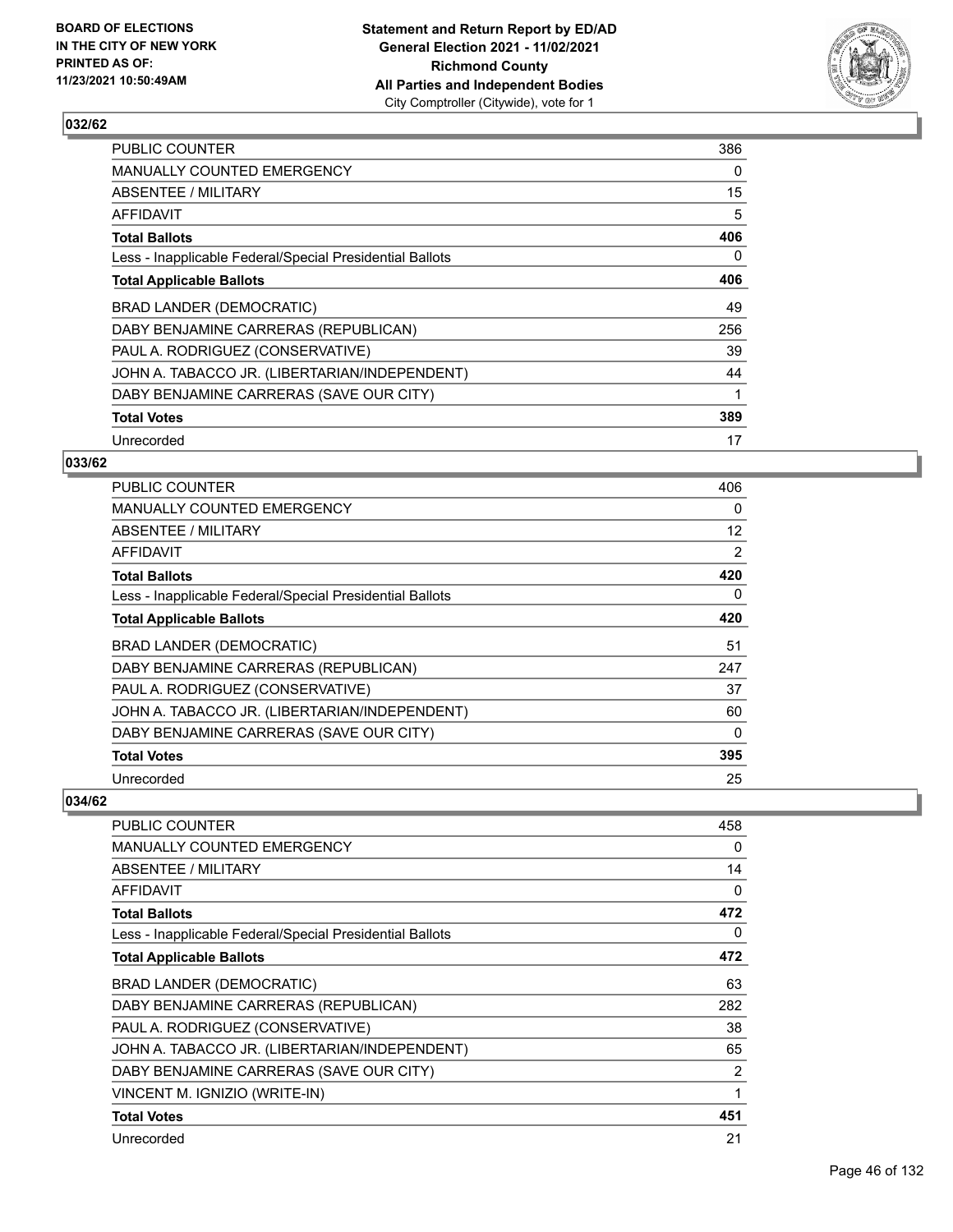

| <b>PUBLIC COUNTER</b>                                    | 386 |
|----------------------------------------------------------|-----|
| <b>MANUALLY COUNTED EMERGENCY</b>                        | 0   |
| ABSENTEE / MILITARY                                      | 15  |
| AFFIDAVIT                                                | 5   |
| <b>Total Ballots</b>                                     | 406 |
| Less - Inapplicable Federal/Special Presidential Ballots | 0   |
| <b>Total Applicable Ballots</b>                          | 406 |
| BRAD LANDER (DEMOCRATIC)                                 | 49  |
| DABY BENJAMINE CARRERAS (REPUBLICAN)                     | 256 |
| PAUL A. RODRIGUEZ (CONSERVATIVE)                         | 39  |
| JOHN A. TABACCO JR. (LIBERTARIAN/INDEPENDENT)            | 44  |
| DABY BENJAMINE CARRERAS (SAVE OUR CITY)                  | 1   |
| <b>Total Votes</b>                                       | 389 |
| Unrecorded                                               | 17  |

### **033/62**

| <b>PUBLIC COUNTER</b>                                    | 406 |
|----------------------------------------------------------|-----|
| <b>MANUALLY COUNTED EMERGENCY</b>                        | 0   |
| ABSENTEE / MILITARY                                      | 12  |
| <b>AFFIDAVIT</b>                                         | 2   |
| <b>Total Ballots</b>                                     | 420 |
| Less - Inapplicable Federal/Special Presidential Ballots | 0   |
| <b>Total Applicable Ballots</b>                          | 420 |
| <b>BRAD LANDER (DEMOCRATIC)</b>                          | 51  |
| DABY BENJAMINE CARRERAS (REPUBLICAN)                     | 247 |
| PAUL A. RODRIGUEZ (CONSERVATIVE)                         | 37  |
| JOHN A. TABACCO JR. (LIBERTARIAN/INDEPENDENT)            | 60  |
| DABY BENJAMINE CARRERAS (SAVE OUR CITY)                  | 0   |
| <b>Total Votes</b>                                       | 395 |
| Unrecorded                                               | 25  |

| PUBLIC COUNTER                                           | 458 |
|----------------------------------------------------------|-----|
| <b>MANUALLY COUNTED EMERGENCY</b>                        | 0   |
| ABSENTEE / MILITARY                                      | 14  |
| AFFIDAVIT                                                | 0   |
| <b>Total Ballots</b>                                     | 472 |
| Less - Inapplicable Federal/Special Presidential Ballots | 0   |
| <b>Total Applicable Ballots</b>                          | 472 |
| <b>BRAD LANDER (DEMOCRATIC)</b>                          | 63  |
| DABY BENJAMINE CARRERAS (REPUBLICAN)                     | 282 |
| PAUL A. RODRIGUEZ (CONSERVATIVE)                         | 38  |
| JOHN A. TABACCO JR. (LIBERTARIAN/INDEPENDENT)            | 65  |
| DABY BENJAMINE CARRERAS (SAVE OUR CITY)                  | 2   |
| VINCENT M. IGNIZIO (WRITE-IN)                            | 1   |
| <b>Total Votes</b>                                       | 451 |
| Unrecorded                                               | 21  |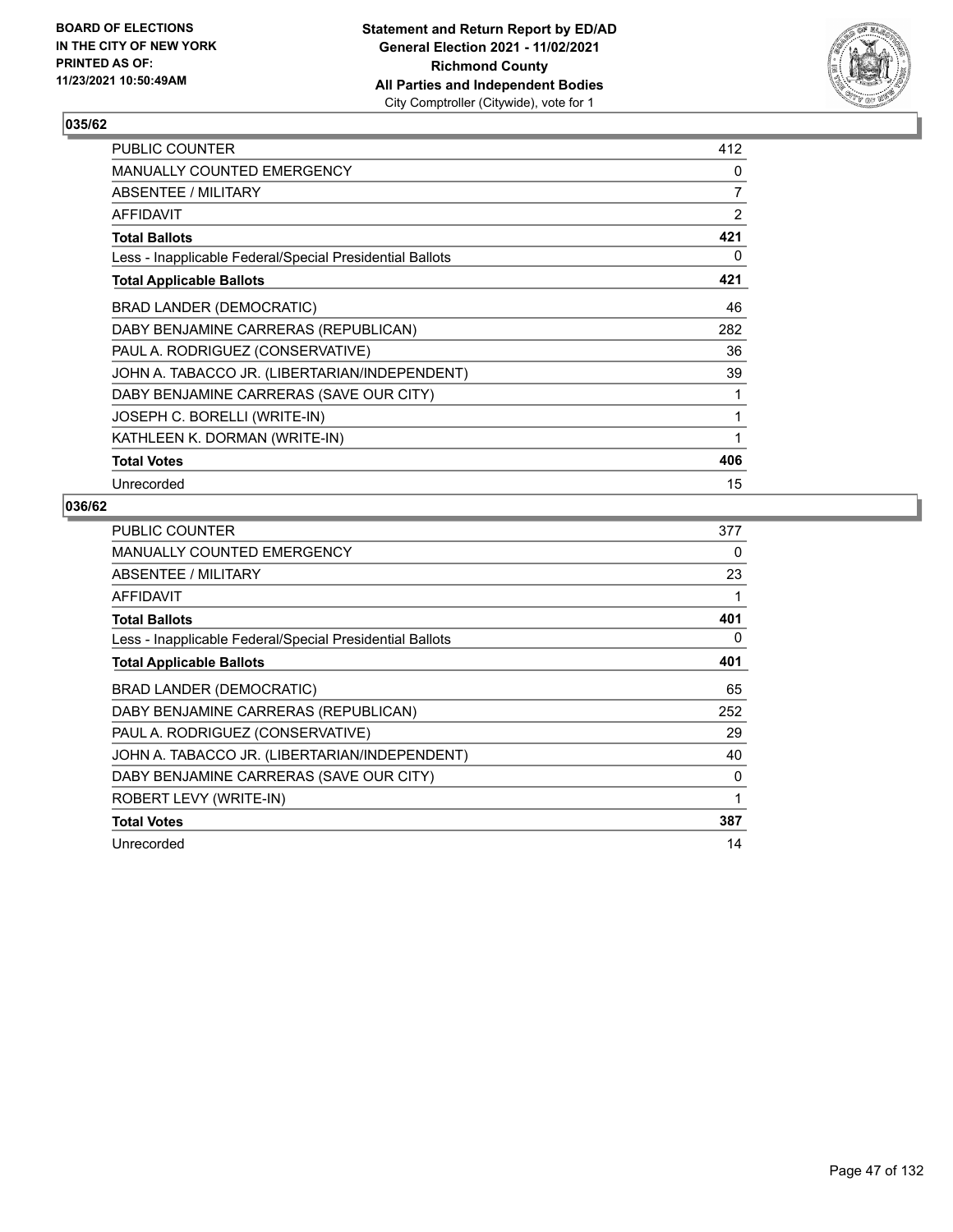

| PUBLIC COUNTER                                           | 412 |
|----------------------------------------------------------|-----|
| <b>MANUALLY COUNTED EMERGENCY</b>                        | 0   |
| ABSENTEE / MILITARY                                      | 7   |
| AFFIDAVIT                                                | 2   |
| <b>Total Ballots</b>                                     | 421 |
| Less - Inapplicable Federal/Special Presidential Ballots | 0   |
| <b>Total Applicable Ballots</b>                          | 421 |
| <b>BRAD LANDER (DEMOCRATIC)</b>                          | 46  |
| DABY BENJAMINE CARRERAS (REPUBLICAN)                     | 282 |
| PAUL A. RODRIGUEZ (CONSERVATIVE)                         | 36  |
| JOHN A. TABACCO JR. (LIBERTARIAN/INDEPENDENT)            | 39  |
| DABY BENJAMINE CARRERAS (SAVE OUR CITY)                  | 1   |
| JOSEPH C. BORELLI (WRITE-IN)                             | 1   |
| KATHLEEN K. DORMAN (WRITE-IN)                            | 1   |
| <b>Total Votes</b>                                       | 406 |
| Unrecorded                                               | 15  |

| PUBLIC COUNTER                                           | 377 |
|----------------------------------------------------------|-----|
| <b>MANUALLY COUNTED EMERGENCY</b>                        | 0   |
| ABSENTEE / MILITARY                                      | 23  |
| AFFIDAVIT                                                | 1   |
| <b>Total Ballots</b>                                     | 401 |
| Less - Inapplicable Federal/Special Presidential Ballots | 0   |
| <b>Total Applicable Ballots</b>                          | 401 |
| <b>BRAD LANDER (DEMOCRATIC)</b>                          | 65  |
| DABY BENJAMINE CARRERAS (REPUBLICAN)                     | 252 |
| PAUL A. RODRIGUEZ (CONSERVATIVE)                         | 29  |
| JOHN A. TABACCO JR. (LIBERTARIAN/INDEPENDENT)            | 40  |
| DABY BENJAMINE CARRERAS (SAVE OUR CITY)                  | 0   |
| ROBERT LEVY (WRITE-IN)                                   | 1   |
| <b>Total Votes</b>                                       | 387 |
| Unrecorded                                               | 14  |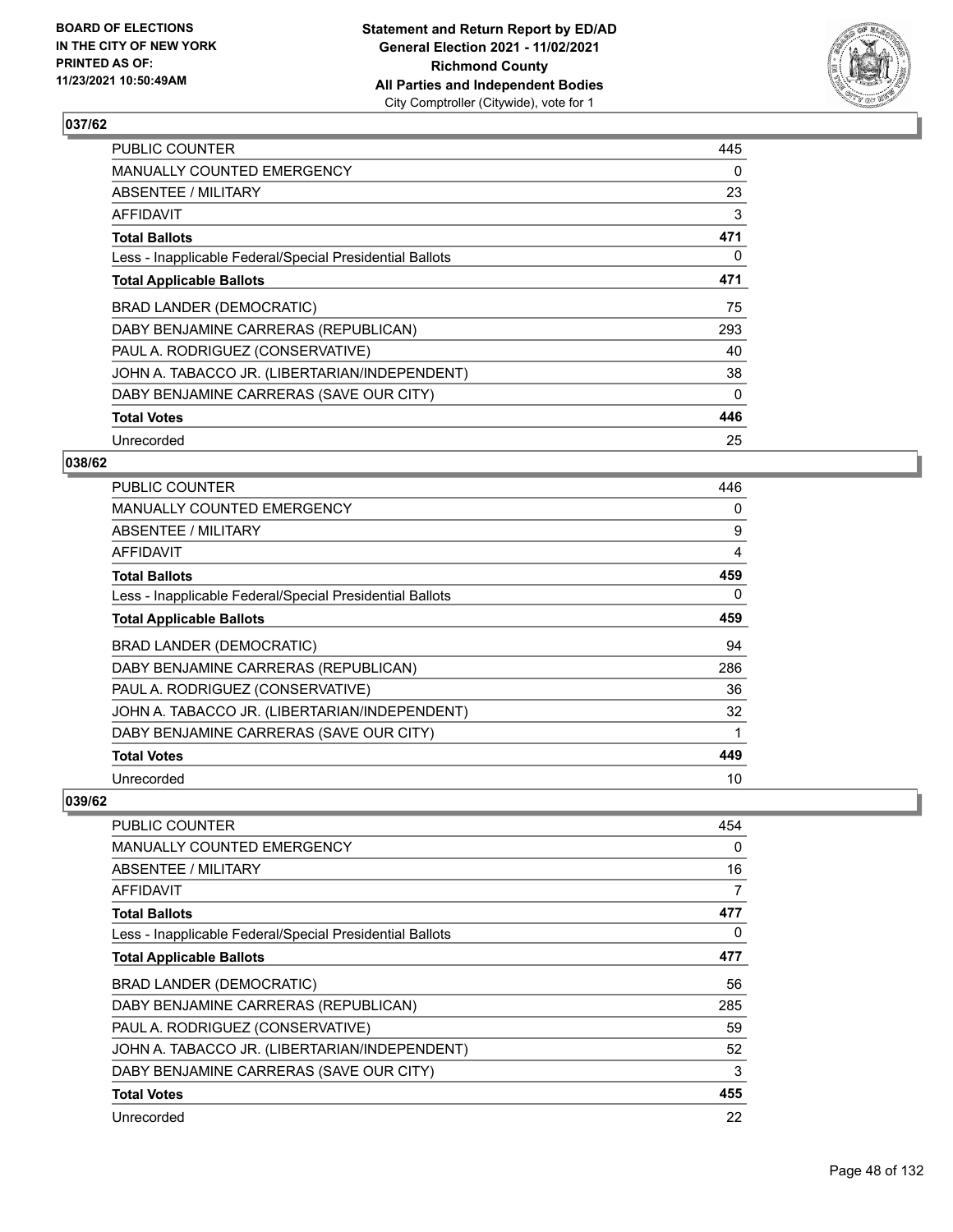

| <b>PUBLIC COUNTER</b>                                    | 445      |
|----------------------------------------------------------|----------|
| <b>MANUALLY COUNTED EMERGENCY</b>                        | 0        |
| ABSENTEE / MILITARY                                      | 23       |
| AFFIDAVIT                                                | 3        |
| <b>Total Ballots</b>                                     | 471      |
| Less - Inapplicable Federal/Special Presidential Ballots | 0        |
| <b>Total Applicable Ballots</b>                          | 471      |
| BRAD LANDER (DEMOCRATIC)                                 | 75       |
| DABY BENJAMINE CARRERAS (REPUBLICAN)                     | 293      |
| PAUL A. RODRIGUEZ (CONSERVATIVE)                         | 40       |
| JOHN A. TABACCO JR. (LIBERTARIAN/INDEPENDENT)            | 38       |
| DABY BENJAMINE CARRERAS (SAVE OUR CITY)                  | $\Omega$ |
| <b>Total Votes</b>                                       | 446      |
| Unrecorded                                               | 25       |

### **038/62**

| <b>PUBLIC COUNTER</b>                                    | 446 |
|----------------------------------------------------------|-----|
| <b>MANUALLY COUNTED EMERGENCY</b>                        | 0   |
| ABSENTEE / MILITARY                                      | 9   |
| <b>AFFIDAVIT</b>                                         | 4   |
| <b>Total Ballots</b>                                     | 459 |
| Less - Inapplicable Federal/Special Presidential Ballots | 0   |
| <b>Total Applicable Ballots</b>                          | 459 |
| <b>BRAD LANDER (DEMOCRATIC)</b>                          | 94  |
| DABY BENJAMINE CARRERAS (REPUBLICAN)                     | 286 |
| PAUL A. RODRIGUEZ (CONSERVATIVE)                         | 36  |
| JOHN A. TABACCO JR. (LIBERTARIAN/INDEPENDENT)            | 32  |
| DABY BENJAMINE CARRERAS (SAVE OUR CITY)                  | 1   |
| <b>Total Votes</b>                                       | 449 |
| Unrecorded                                               | 10  |

| <b>PUBLIC COUNTER</b>                                    | 454 |
|----------------------------------------------------------|-----|
| <b>MANUALLY COUNTED EMERGENCY</b>                        | 0   |
| ABSENTEE / MILITARY                                      | 16  |
| AFFIDAVIT                                                | 7   |
| <b>Total Ballots</b>                                     | 477 |
| Less - Inapplicable Federal/Special Presidential Ballots | 0   |
| <b>Total Applicable Ballots</b>                          | 477 |
| BRAD LANDER (DEMOCRATIC)                                 | 56  |
| DABY BENJAMINE CARRERAS (REPUBLICAN)                     | 285 |
| PAUL A. RODRIGUEZ (CONSERVATIVE)                         | 59  |
| JOHN A. TABACCO JR. (LIBERTARIAN/INDEPENDENT)            | 52  |
| DABY BENJAMINE CARRERAS (SAVE OUR CITY)                  | 3   |
| <b>Total Votes</b>                                       | 455 |
| Unrecorded                                               | 22  |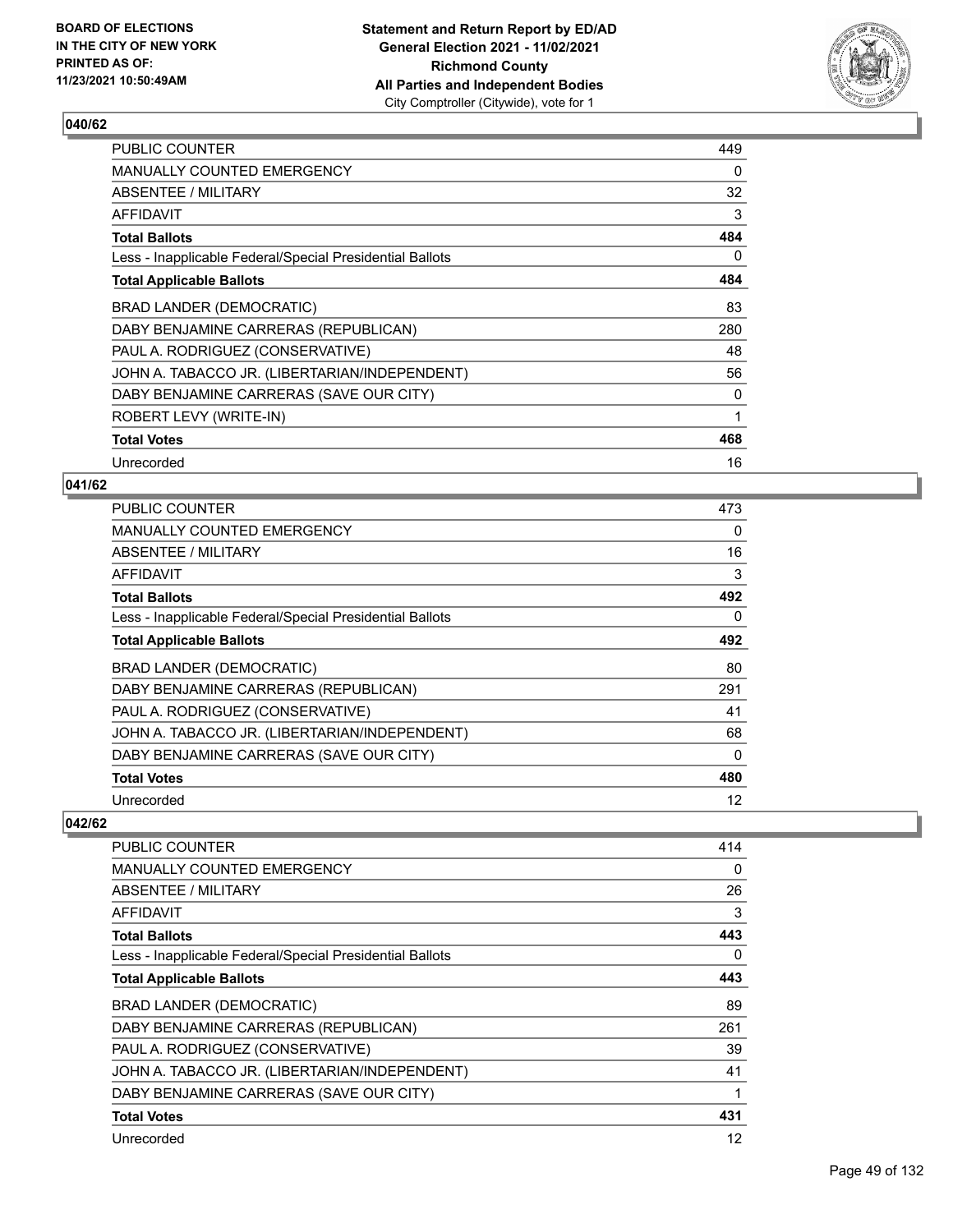

| <b>PUBLIC COUNTER</b>                                    | 449      |
|----------------------------------------------------------|----------|
| <b>MANUALLY COUNTED EMERGENCY</b>                        | $\Omega$ |
| ABSENTEE / MILITARY                                      | 32       |
| AFFIDAVIT                                                | 3        |
| <b>Total Ballots</b>                                     | 484      |
| Less - Inapplicable Federal/Special Presidential Ballots | 0        |
| <b>Total Applicable Ballots</b>                          | 484      |
| BRAD LANDER (DEMOCRATIC)                                 | 83       |
| DABY BENJAMINE CARRERAS (REPUBLICAN)                     | 280      |
| PAUL A. RODRIGUEZ (CONSERVATIVE)                         | 48       |
| JOHN A. TABACCO JR. (LIBERTARIAN/INDEPENDENT)            | 56       |
| DABY BENJAMINE CARRERAS (SAVE OUR CITY)                  | 0        |
| ROBERT LEVY (WRITE-IN)                                   | 1        |
| <b>Total Votes</b>                                       | 468      |
| Unrecorded                                               | 16       |

#### **041/62**

| <b>PUBLIC COUNTER</b>                                    | 473      |
|----------------------------------------------------------|----------|
| <b>MANUALLY COUNTED EMERGENCY</b>                        | $\Omega$ |
| ABSENTEE / MILITARY                                      | 16       |
| AFFIDAVIT                                                | 3        |
| <b>Total Ballots</b>                                     | 492      |
| Less - Inapplicable Federal/Special Presidential Ballots | $\Omega$ |
| <b>Total Applicable Ballots</b>                          | 492      |
| <b>BRAD LANDER (DEMOCRATIC)</b>                          | 80       |
| DABY BENJAMINE CARRERAS (REPUBLICAN)                     | 291      |
| PAUL A. RODRIGUEZ (CONSERVATIVE)                         | 41       |
| JOHN A. TABACCO JR. (LIBERTARIAN/INDEPENDENT)            | 68       |
| DABY BENJAMINE CARRERAS (SAVE OUR CITY)                  | $\Omega$ |
| <b>Total Votes</b>                                       | 480      |
| Unrecorded                                               | 12       |

| <b>PUBLIC COUNTER</b>                                    | 414 |
|----------------------------------------------------------|-----|
| MANUALLY COUNTED EMERGENCY                               | 0   |
| ABSENTEE / MILITARY                                      | 26  |
| <b>AFFIDAVIT</b>                                         | 3   |
| <b>Total Ballots</b>                                     | 443 |
| Less - Inapplicable Federal/Special Presidential Ballots | 0   |
| <b>Total Applicable Ballots</b>                          | 443 |
| BRAD LANDER (DEMOCRATIC)                                 | 89  |
| DABY BENJAMINE CARRERAS (REPUBLICAN)                     | 261 |
| PAUL A. RODRIGUEZ (CONSERVATIVE)                         | 39  |
| JOHN A. TABACCO JR. (LIBERTARIAN/INDEPENDENT)            | 41  |
| DABY BENJAMINE CARRERAS (SAVE OUR CITY)                  | 1   |
| <b>Total Votes</b>                                       | 431 |
| Unrecorded                                               | 12  |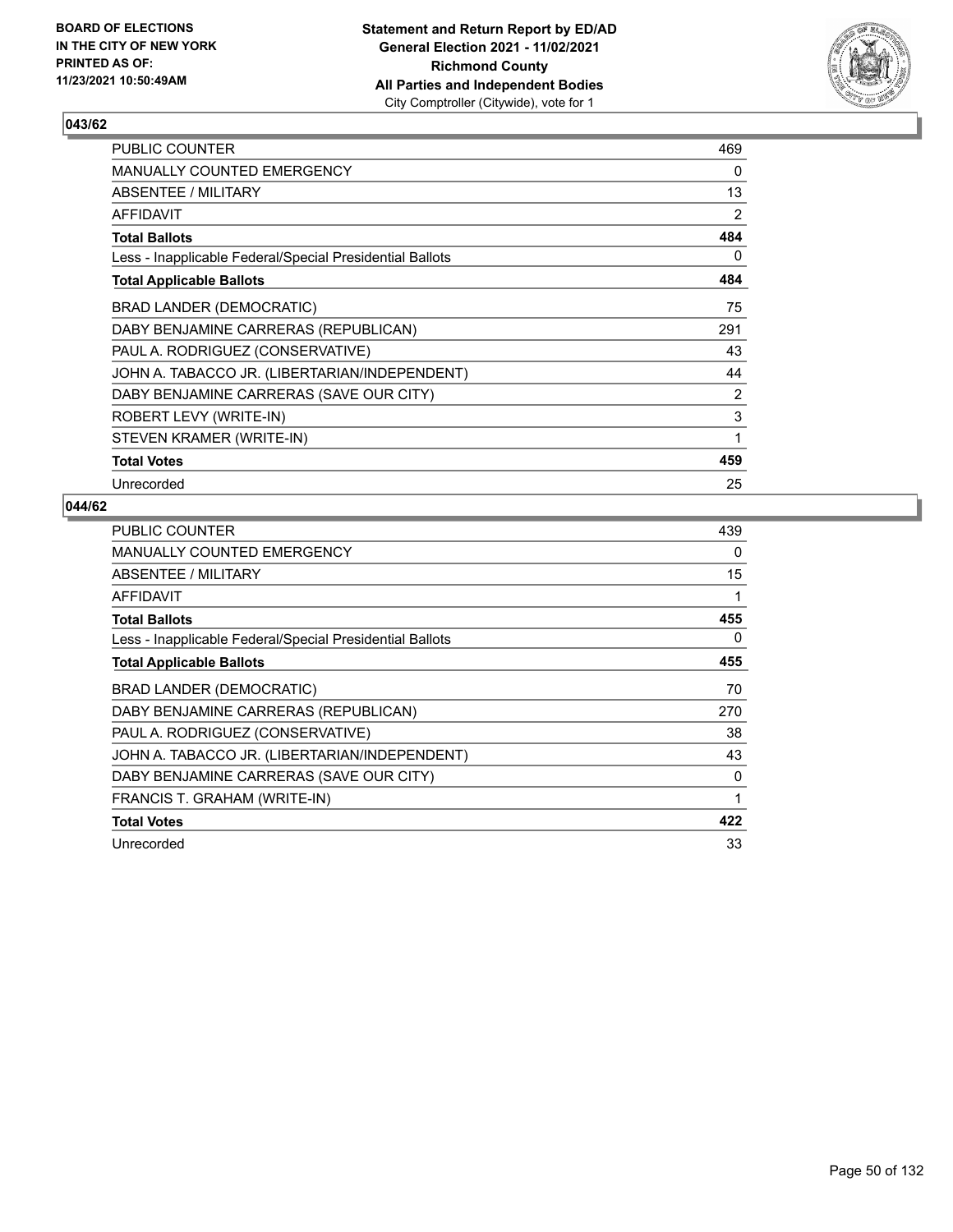

| PUBLIC COUNTER                                           | 469 |
|----------------------------------------------------------|-----|
| MANUALLY COUNTED EMERGENCY                               | 0   |
| <b>ABSENTEE / MILITARY</b>                               | 13  |
| AFFIDAVIT                                                | 2   |
| <b>Total Ballots</b>                                     | 484 |
| Less - Inapplicable Federal/Special Presidential Ballots | 0   |
| <b>Total Applicable Ballots</b>                          | 484 |
| BRAD LANDER (DEMOCRATIC)                                 | 75  |
| DABY BENJAMINE CARRERAS (REPUBLICAN)                     | 291 |
| PAUL A. RODRIGUEZ (CONSERVATIVE)                         | 43  |
| JOHN A. TABACCO JR. (LIBERTARIAN/INDEPENDENT)            | 44  |
| DABY BENJAMINE CARRERAS (SAVE OUR CITY)                  | 2   |
| ROBERT LEVY (WRITE-IN)                                   | 3   |
| STEVEN KRAMER (WRITE-IN)                                 | 1   |
| <b>Total Votes</b>                                       | 459 |
| Unrecorded                                               | 25  |

| PUBLIC COUNTER                                           | 439 |
|----------------------------------------------------------|-----|
| MANUALLY COUNTED EMERGENCY                               | 0   |
| ABSENTEE / MILITARY                                      | 15  |
| <b>AFFIDAVIT</b>                                         | 1   |
| <b>Total Ballots</b>                                     | 455 |
| Less - Inapplicable Federal/Special Presidential Ballots | 0   |
| <b>Total Applicable Ballots</b>                          | 455 |
| BRAD LANDER (DEMOCRATIC)                                 | 70  |
| DABY BENJAMINE CARRERAS (REPUBLICAN)                     | 270 |
| PAUL A. RODRIGUEZ (CONSERVATIVE)                         | 38  |
| JOHN A. TABACCO JR. (LIBERTARIAN/INDEPENDENT)            | 43  |
| DABY BENJAMINE CARRERAS (SAVE OUR CITY)                  | 0   |
| FRANCIS T. GRAHAM (WRITE-IN)                             | 1   |
| <b>Total Votes</b>                                       | 422 |
| Unrecorded                                               | 33  |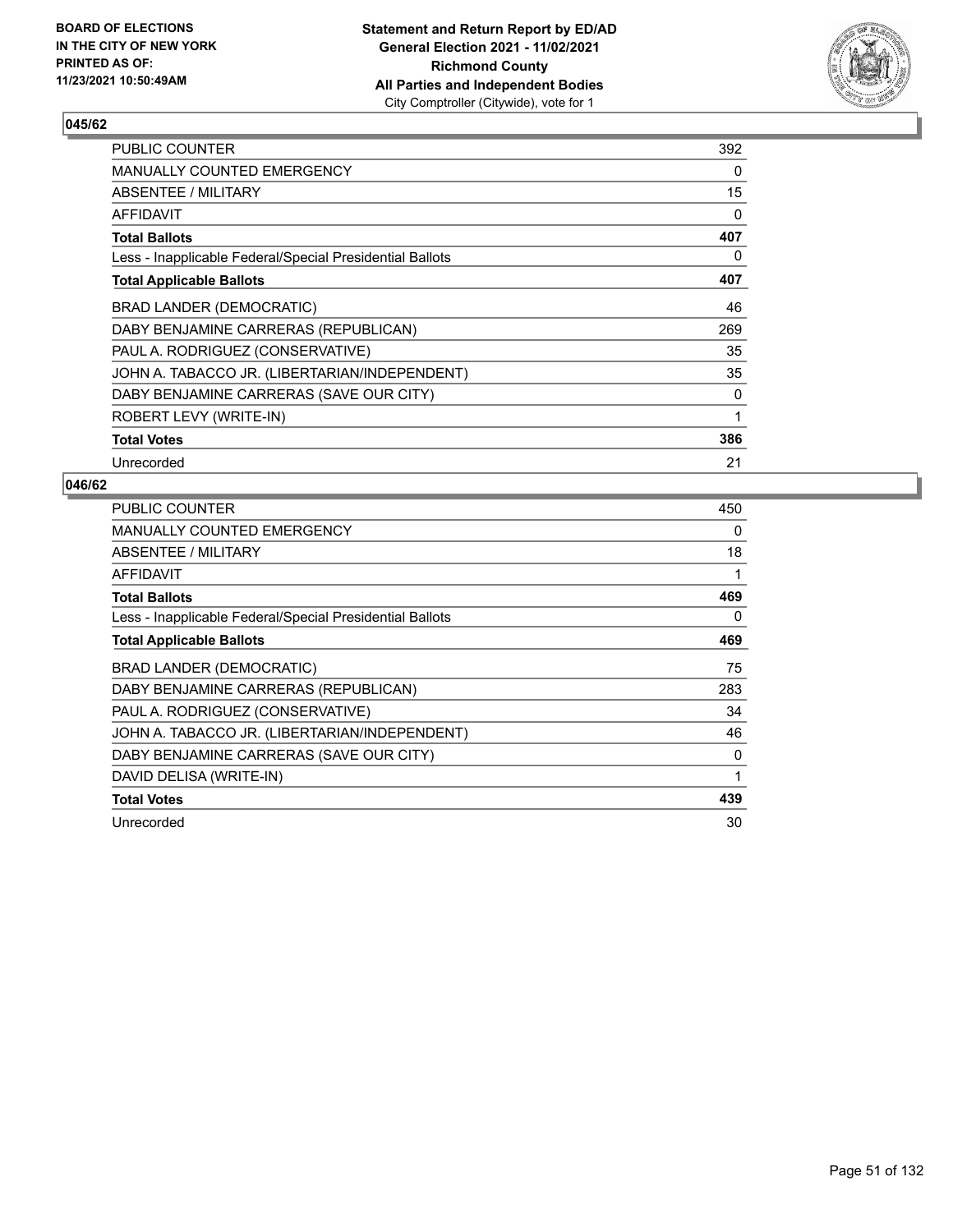

| PUBLIC COUNTER                                           | 392      |
|----------------------------------------------------------|----------|
| MANUALLY COUNTED EMERGENCY                               | $\Omega$ |
| ABSENTEE / MILITARY                                      | 15       |
| AFFIDAVIT                                                | 0        |
| <b>Total Ballots</b>                                     | 407      |
| Less - Inapplicable Federal/Special Presidential Ballots | 0        |
| <b>Total Applicable Ballots</b>                          | 407      |
| BRAD LANDER (DEMOCRATIC)                                 | 46       |
| DABY BENJAMINE CARRERAS (REPUBLICAN)                     | 269      |
| PAUL A. RODRIGUEZ (CONSERVATIVE)                         | 35       |
| JOHN A. TABACCO JR. (LIBERTARIAN/INDEPENDENT)            | 35       |
| DABY BENJAMINE CARRERAS (SAVE OUR CITY)                  | 0        |
| ROBERT LEVY (WRITE-IN)                                   | 1        |
| <b>Total Votes</b>                                       | 386      |
| Unrecorded                                               | 21       |

| <b>PUBLIC COUNTER</b>                                    | 450 |
|----------------------------------------------------------|-----|
| <b>MANUALLY COUNTED EMERGENCY</b>                        | 0   |
| ABSENTEE / MILITARY                                      | 18  |
| <b>AFFIDAVIT</b>                                         | 1   |
| <b>Total Ballots</b>                                     | 469 |
| Less - Inapplicable Federal/Special Presidential Ballots | 0   |
| <b>Total Applicable Ballots</b>                          | 469 |
| BRAD LANDER (DEMOCRATIC)                                 | 75  |
| DABY BENJAMINE CARRERAS (REPUBLICAN)                     | 283 |
| PAUL A. RODRIGUEZ (CONSERVATIVE)                         | 34  |
| JOHN A. TABACCO JR. (LIBERTARIAN/INDEPENDENT)            | 46  |
| DABY BENJAMINE CARRERAS (SAVE OUR CITY)                  | 0   |
| DAVID DELISA (WRITE-IN)                                  | 1   |
| <b>Total Votes</b>                                       | 439 |
| Unrecorded                                               | 30  |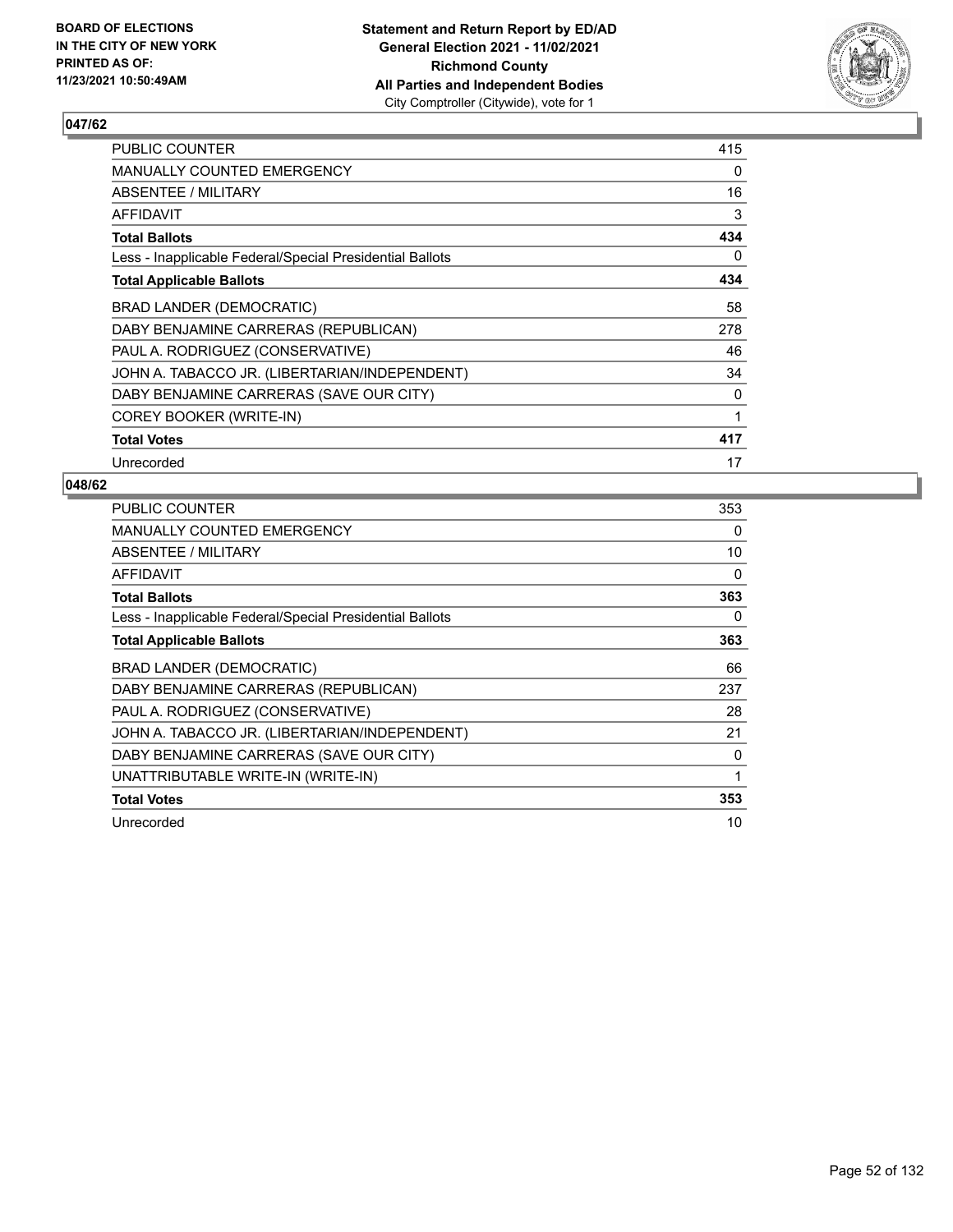

| PUBLIC COUNTER                                           | 415 |
|----------------------------------------------------------|-----|
| <b>MANUALLY COUNTED EMERGENCY</b>                        | 0   |
| ABSENTEE / MILITARY                                      | 16  |
| AFFIDAVIT                                                | 3   |
| <b>Total Ballots</b>                                     | 434 |
| Less - Inapplicable Federal/Special Presidential Ballots | 0   |
| <b>Total Applicable Ballots</b>                          | 434 |
| <b>BRAD LANDER (DEMOCRATIC)</b>                          | 58  |
| DABY BENJAMINE CARRERAS (REPUBLICAN)                     | 278 |
| PAUL A. RODRIGUEZ (CONSERVATIVE)                         | 46  |
| JOHN A. TABACCO JR. (LIBERTARIAN/INDEPENDENT)            | 34  |
| DABY BENJAMINE CARRERAS (SAVE OUR CITY)                  | 0   |
| COREY BOOKER (WRITE-IN)                                  | 1   |
| <b>Total Votes</b>                                       | 417 |
| Unrecorded                                               | 17  |

| <b>PUBLIC COUNTER</b>                                    | 353      |
|----------------------------------------------------------|----------|
| MANUALLY COUNTED EMERGENCY                               | 0        |
| ABSENTEE / MILITARY                                      | 10       |
| AFFIDAVIT                                                | $\Omega$ |
| <b>Total Ballots</b>                                     | 363      |
| Less - Inapplicable Federal/Special Presidential Ballots | 0        |
| <b>Total Applicable Ballots</b>                          | 363      |
| BRAD LANDER (DEMOCRATIC)                                 | 66       |
| DABY BENJAMINE CARRERAS (REPUBLICAN)                     | 237      |
| PAUL A. RODRIGUEZ (CONSERVATIVE)                         | 28       |
| JOHN A. TABACCO JR. (LIBERTARIAN/INDEPENDENT)            | 21       |
| DABY BENJAMINE CARRERAS (SAVE OUR CITY)                  | 0        |
| UNATTRIBUTABLE WRITE-IN (WRITE-IN)                       | 1        |
| <b>Total Votes</b>                                       | 353      |
| Unrecorded                                               | 10       |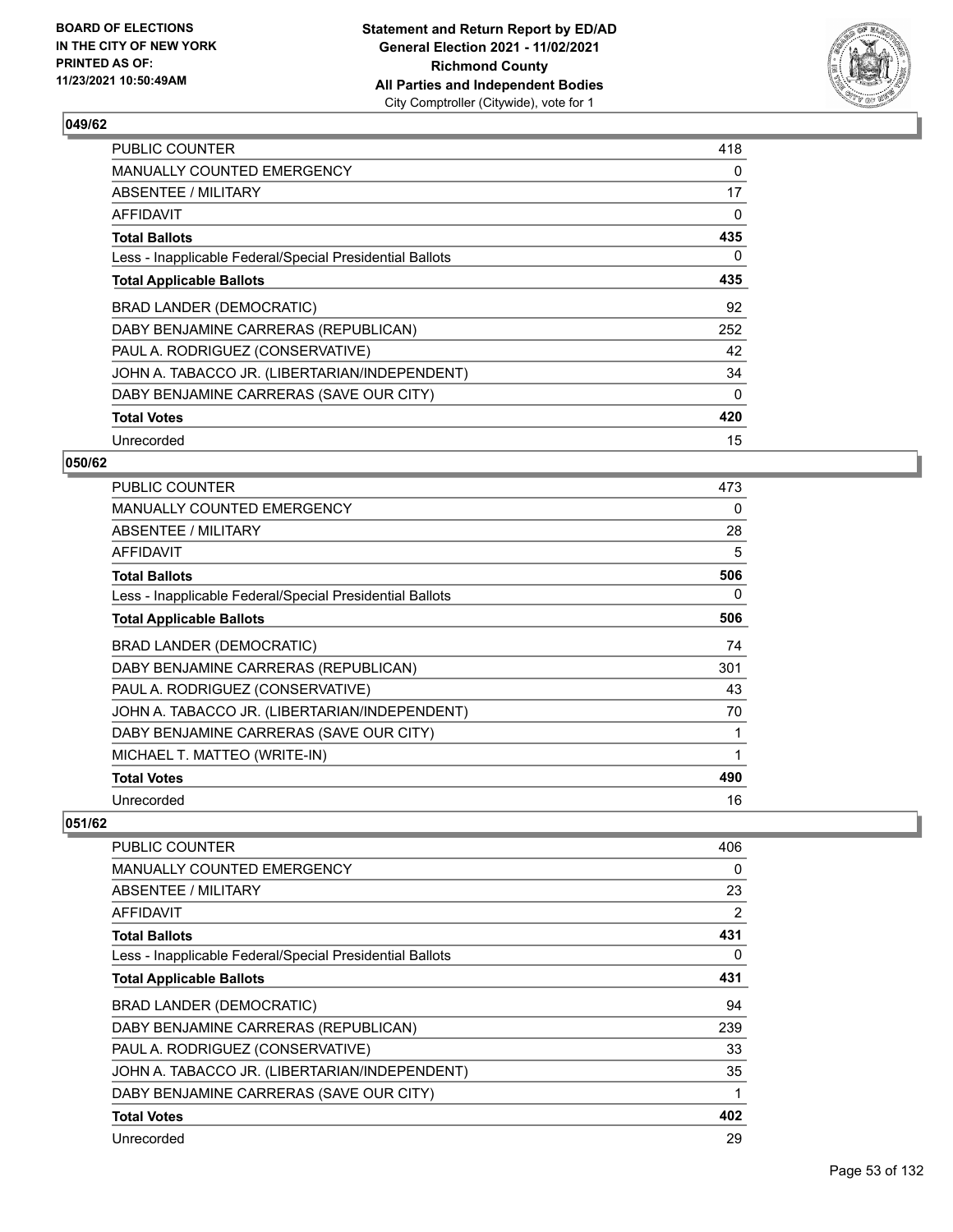

| <b>PUBLIC COUNTER</b>                                    | 418      |
|----------------------------------------------------------|----------|
| MANUALLY COUNTED EMERGENCY                               | 0        |
| ABSENTEE / MILITARY                                      | 17       |
| <b>AFFIDAVIT</b>                                         | 0        |
| <b>Total Ballots</b>                                     | 435      |
| Less - Inapplicable Federal/Special Presidential Ballots | 0        |
| <b>Total Applicable Ballots</b>                          | 435      |
| BRAD LANDER (DEMOCRATIC)                                 | 92       |
| DABY BENJAMINE CARRERAS (REPUBLICAN)                     | 252      |
| PAUL A. RODRIGUEZ (CONSERVATIVE)                         | 42       |
|                                                          |          |
| JOHN A. TABACCO JR. (LIBERTARIAN/INDEPENDENT)            | 34       |
| DABY BENJAMINE CARRERAS (SAVE OUR CITY)                  | $\Omega$ |
| <b>Total Votes</b>                                       | 420      |

## **050/62**

| <b>PUBLIC COUNTER</b>                                    | 473 |
|----------------------------------------------------------|-----|
| <b>MANUALLY COUNTED EMERGENCY</b>                        | 0   |
| ABSENTEE / MILITARY                                      | 28  |
| AFFIDAVIT                                                | 5   |
| <b>Total Ballots</b>                                     | 506 |
| Less - Inapplicable Federal/Special Presidential Ballots | 0   |
| <b>Total Applicable Ballots</b>                          | 506 |
| BRAD LANDER (DEMOCRATIC)                                 | 74  |
| DABY BENJAMINE CARRERAS (REPUBLICAN)                     | 301 |
| PAUL A. RODRIGUEZ (CONSERVATIVE)                         | 43  |
| JOHN A. TABACCO JR. (LIBERTARIAN/INDEPENDENT)            | 70  |
| DABY BENJAMINE CARRERAS (SAVE OUR CITY)                  |     |
| MICHAEL T. MATTEO (WRITE-IN)                             | 1   |
| <b>Total Votes</b>                                       | 490 |
| Unrecorded                                               | 16  |

| PUBLIC COUNTER                                           | 406 |
|----------------------------------------------------------|-----|
| MANUALLY COUNTED EMERGENCY                               | 0   |
| ABSENTEE / MILITARY                                      | 23  |
| <b>AFFIDAVIT</b>                                         | 2   |
| <b>Total Ballots</b>                                     | 431 |
| Less - Inapplicable Federal/Special Presidential Ballots | 0   |
| <b>Total Applicable Ballots</b>                          | 431 |
| BRAD LANDER (DEMOCRATIC)                                 | 94  |
| DABY BENJAMINE CARRERAS (REPUBLICAN)                     | 239 |
| PAUL A. RODRIGUEZ (CONSERVATIVE)                         | 33  |
| JOHN A. TABACCO JR. (LIBERTARIAN/INDEPENDENT)            | 35  |
| DABY BENJAMINE CARRERAS (SAVE OUR CITY)                  | 1   |
| <b>Total Votes</b>                                       | 402 |
| Unrecorded                                               | 29  |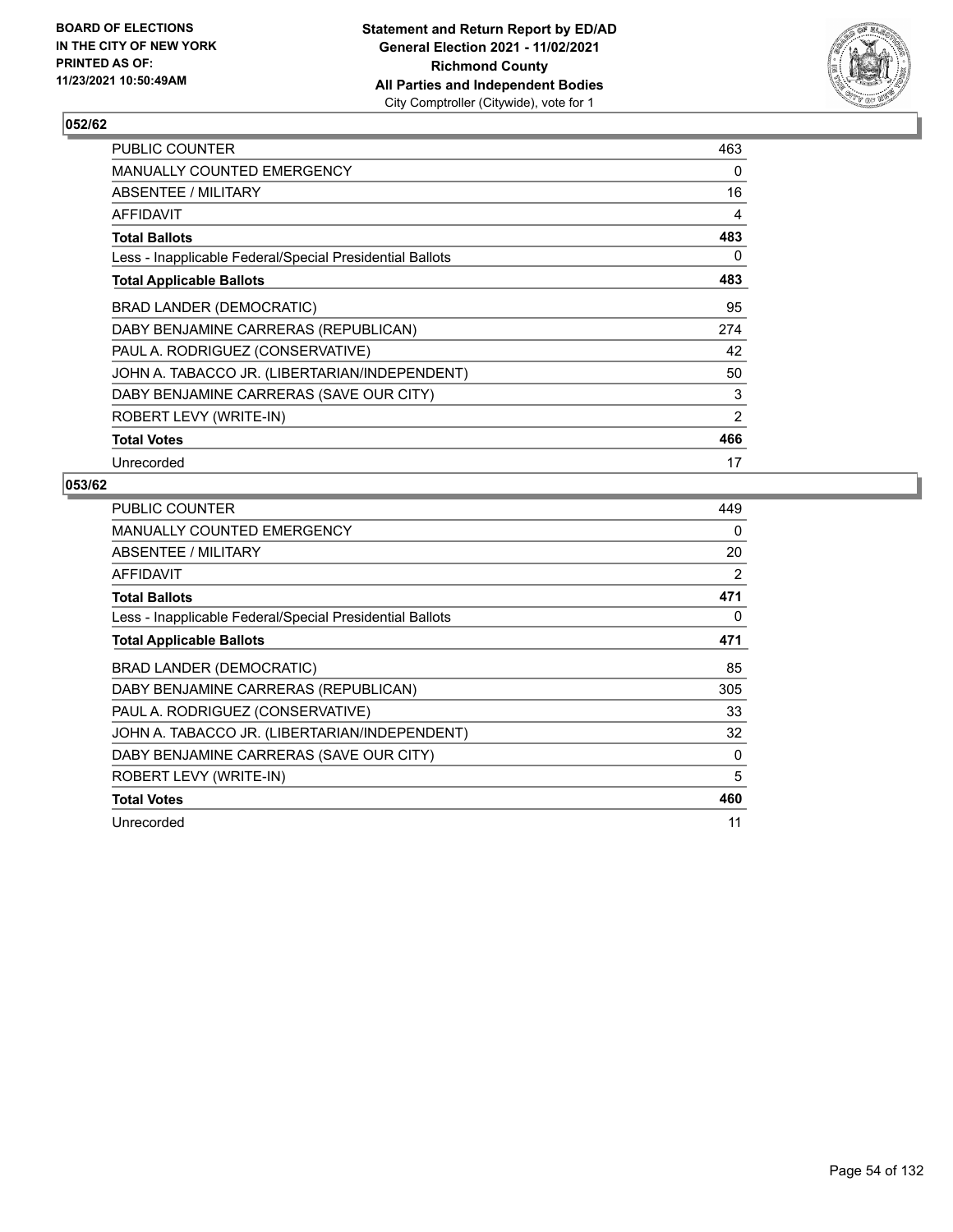

| PUBLIC COUNTER                                           | 463 |
|----------------------------------------------------------|-----|
| <b>MANUALLY COUNTED EMERGENCY</b>                        | 0   |
| ABSENTEE / MILITARY                                      | 16  |
| AFFIDAVIT                                                | 4   |
| <b>Total Ballots</b>                                     | 483 |
| Less - Inapplicable Federal/Special Presidential Ballots | 0   |
| <b>Total Applicable Ballots</b>                          | 483 |
| <b>BRAD LANDER (DEMOCRATIC)</b>                          | 95  |
| DABY BENJAMINE CARRERAS (REPUBLICAN)                     | 274 |
| PAUL A. RODRIGUEZ (CONSERVATIVE)                         | 42  |
| JOHN A. TABACCO JR. (LIBERTARIAN/INDEPENDENT)            | 50  |
| DABY BENJAMINE CARRERAS (SAVE OUR CITY)                  | 3   |
| ROBERT LEVY (WRITE-IN)                                   | 2   |
| <b>Total Votes</b>                                       | 466 |
| Unrecorded                                               | 17  |

| PUBLIC COUNTER                                           | 449 |
|----------------------------------------------------------|-----|
| <b>MANUALLY COUNTED EMERGENCY</b>                        | 0   |
| ABSENTEE / MILITARY                                      | 20  |
| <b>AFFIDAVIT</b>                                         | 2   |
| <b>Total Ballots</b>                                     | 471 |
| Less - Inapplicable Federal/Special Presidential Ballots | 0   |
| <b>Total Applicable Ballots</b>                          | 471 |
| BRAD LANDER (DEMOCRATIC)                                 | 85  |
| DABY BENJAMINE CARRERAS (REPUBLICAN)                     | 305 |
| PAUL A. RODRIGUEZ (CONSERVATIVE)                         | 33  |
| JOHN A. TABACCO JR. (LIBERTARIAN/INDEPENDENT)            | 32  |
| DABY BENJAMINE CARRERAS (SAVE OUR CITY)                  | 0   |
| ROBERT LEVY (WRITE-IN)                                   | 5   |
| <b>Total Votes</b>                                       | 460 |
| Unrecorded                                               | 11  |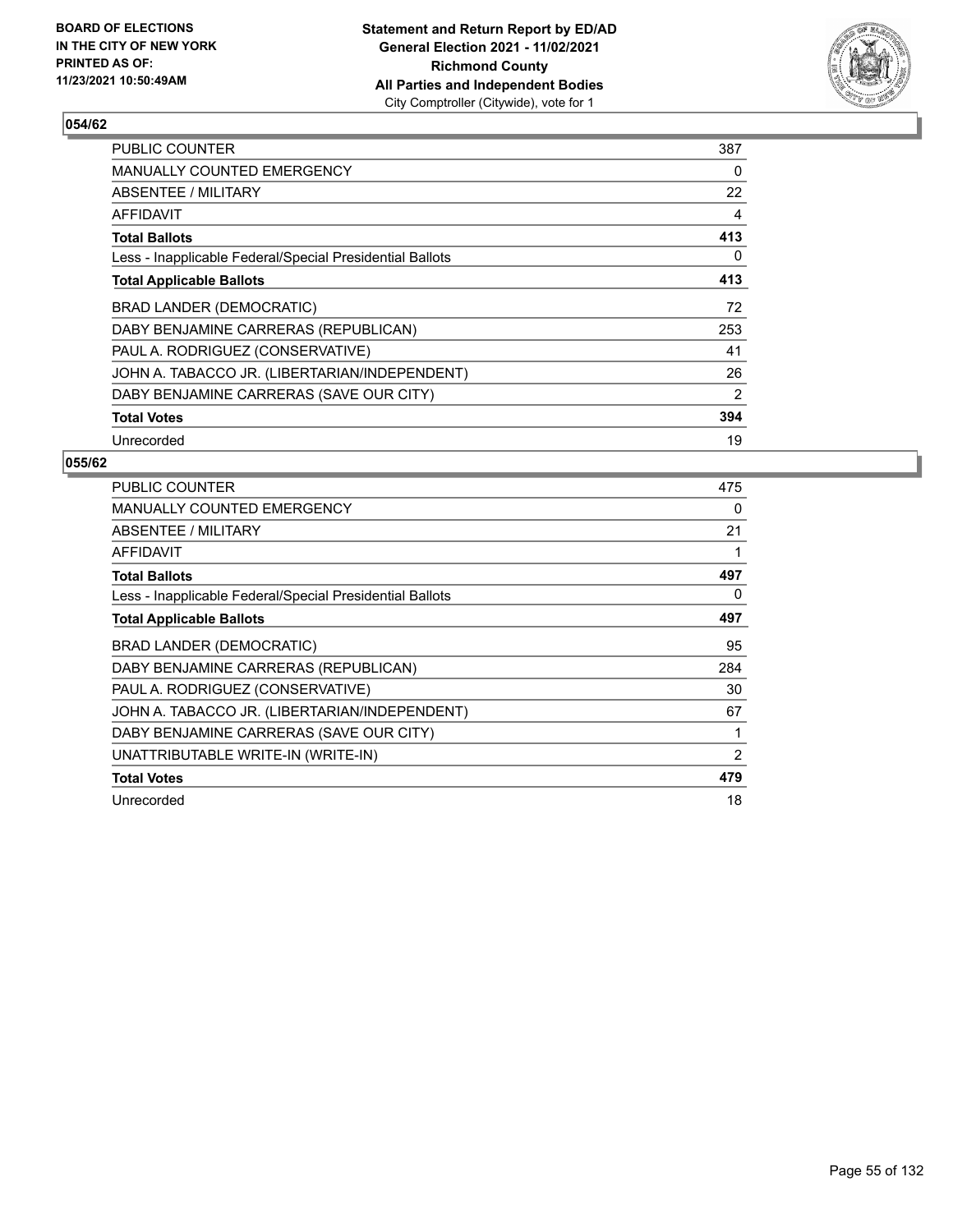

| <b>PUBLIC COUNTER</b>                                    | 387 |
|----------------------------------------------------------|-----|
| <b>MANUALLY COUNTED EMERGENCY</b>                        | 0   |
| ABSENTEE / MILITARY                                      | 22  |
| AFFIDAVIT                                                | 4   |
| <b>Total Ballots</b>                                     | 413 |
| Less - Inapplicable Federal/Special Presidential Ballots | 0   |
| <b>Total Applicable Ballots</b>                          | 413 |
| BRAD LANDER (DEMOCRATIC)                                 | 72  |
| DABY BENJAMINE CARRERAS (REPUBLICAN)                     | 253 |
| PAUL A. RODRIGUEZ (CONSERVATIVE)                         | 41  |
| JOHN A. TABACCO JR. (LIBERTARIAN/INDEPENDENT)            | 26  |
| DABY BENJAMINE CARRERAS (SAVE OUR CITY)                  | 2   |
| <b>Total Votes</b>                                       | 394 |
| Unrecorded                                               | 19  |

| <b>PUBLIC COUNTER</b>                                    | 475            |
|----------------------------------------------------------|----------------|
| <b>MANUALLY COUNTED EMERGENCY</b>                        | 0              |
| <b>ABSENTEE / MILITARY</b>                               | 21             |
| AFFIDAVIT                                                |                |
| <b>Total Ballots</b>                                     | 497            |
| Less - Inapplicable Federal/Special Presidential Ballots | 0              |
| <b>Total Applicable Ballots</b>                          | 497            |
| <b>BRAD LANDER (DEMOCRATIC)</b>                          | 95             |
| DABY BENJAMINE CARRERAS (REPUBLICAN)                     | 284            |
| PAUL A. RODRIGUEZ (CONSERVATIVE)                         | 30             |
| JOHN A. TABACCO JR. (LIBERTARIAN/INDEPENDENT)            | 67             |
| DABY BENJAMINE CARRERAS (SAVE OUR CITY)                  |                |
| UNATTRIBUTABLE WRITE-IN (WRITE-IN)                       | $\overline{2}$ |
| <b>Total Votes</b>                                       | 479            |
| Unrecorded                                               | 18             |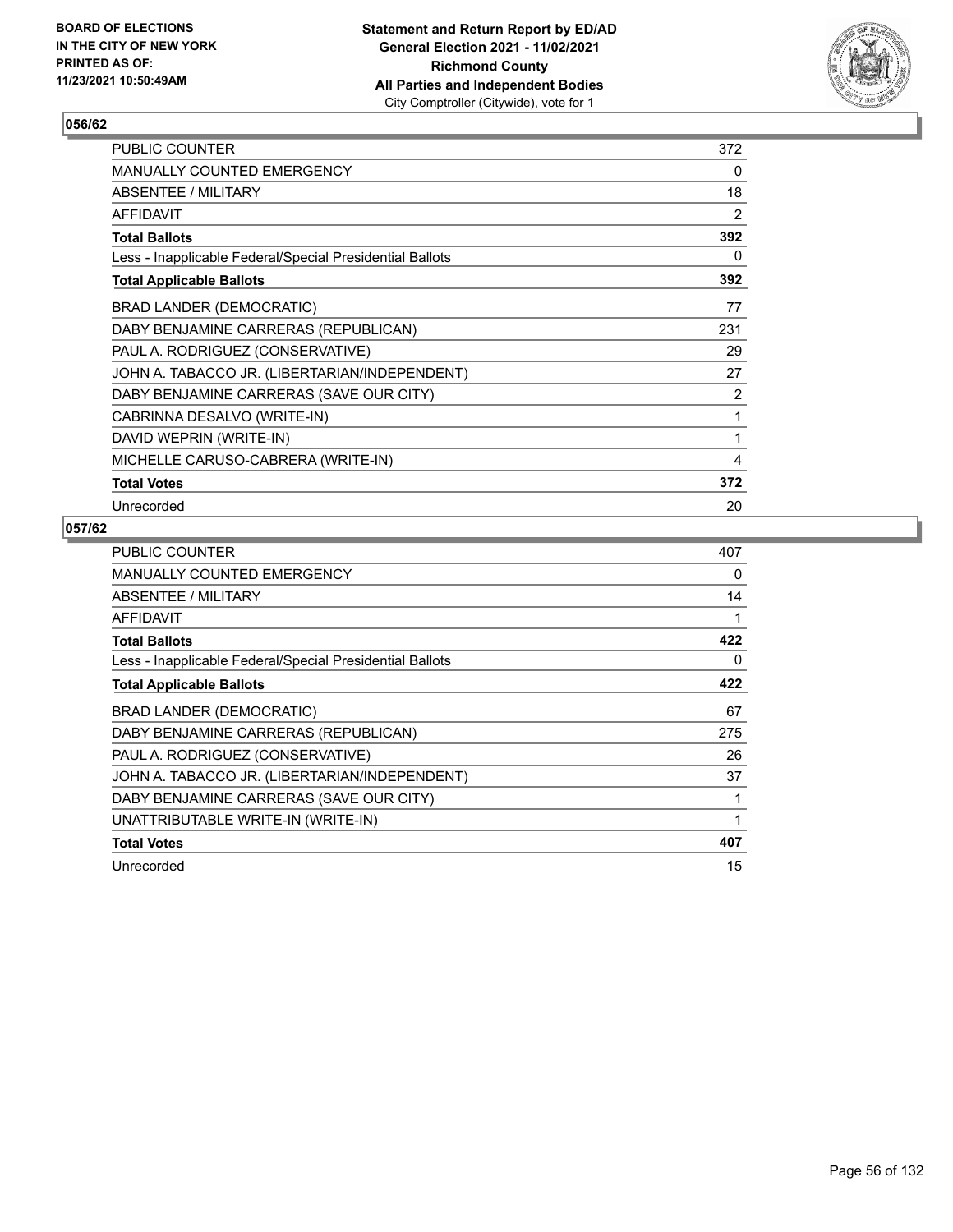

| <b>PUBLIC COUNTER</b>                                    | 372 |
|----------------------------------------------------------|-----|
| MANUALLY COUNTED EMERGENCY                               | 0   |
| ABSENTEE / MILITARY                                      | 18  |
| AFFIDAVIT                                                | 2   |
| <b>Total Ballots</b>                                     | 392 |
| Less - Inapplicable Federal/Special Presidential Ballots | 0   |
| <b>Total Applicable Ballots</b>                          | 392 |
| <b>BRAD LANDER (DEMOCRATIC)</b>                          | 77  |
| DABY BENJAMINE CARRERAS (REPUBLICAN)                     | 231 |
| PAUL A. RODRIGUEZ (CONSERVATIVE)                         | 29  |
| JOHN A. TABACCO JR. (LIBERTARIAN/INDEPENDENT)            | 27  |
| DABY BENJAMINE CARRERAS (SAVE OUR CITY)                  | 2   |
| CABRINNA DESALVO (WRITE-IN)                              | 1   |
| DAVID WEPRIN (WRITE-IN)                                  | 1   |
| MICHELLE CARUSO-CABRERA (WRITE-IN)                       | 4   |
| <b>Total Votes</b>                                       | 372 |
| Unrecorded                                               | 20  |

| PUBLIC COUNTER                                           | 407 |
|----------------------------------------------------------|-----|
| <b>MANUALLY COUNTED EMERGENCY</b>                        | 0   |
| ABSENTEE / MILITARY                                      | 14  |
| <b>AFFIDAVIT</b>                                         | 1   |
| <b>Total Ballots</b>                                     | 422 |
| Less - Inapplicable Federal/Special Presidential Ballots | 0   |
| <b>Total Applicable Ballots</b>                          | 422 |
| <b>BRAD LANDER (DEMOCRATIC)</b>                          | 67  |
| DABY BENJAMINE CARRERAS (REPUBLICAN)                     | 275 |
| PAUL A. RODRIGUEZ (CONSERVATIVE)                         | 26  |
| JOHN A. TABACCO JR. (LIBERTARIAN/INDEPENDENT)            | 37  |
| DABY BENJAMINE CARRERAS (SAVE OUR CITY)                  | 1   |
| UNATTRIBUTABLE WRITE-IN (WRITE-IN)                       | 1   |
| <b>Total Votes</b>                                       | 407 |
| Unrecorded                                               | 15  |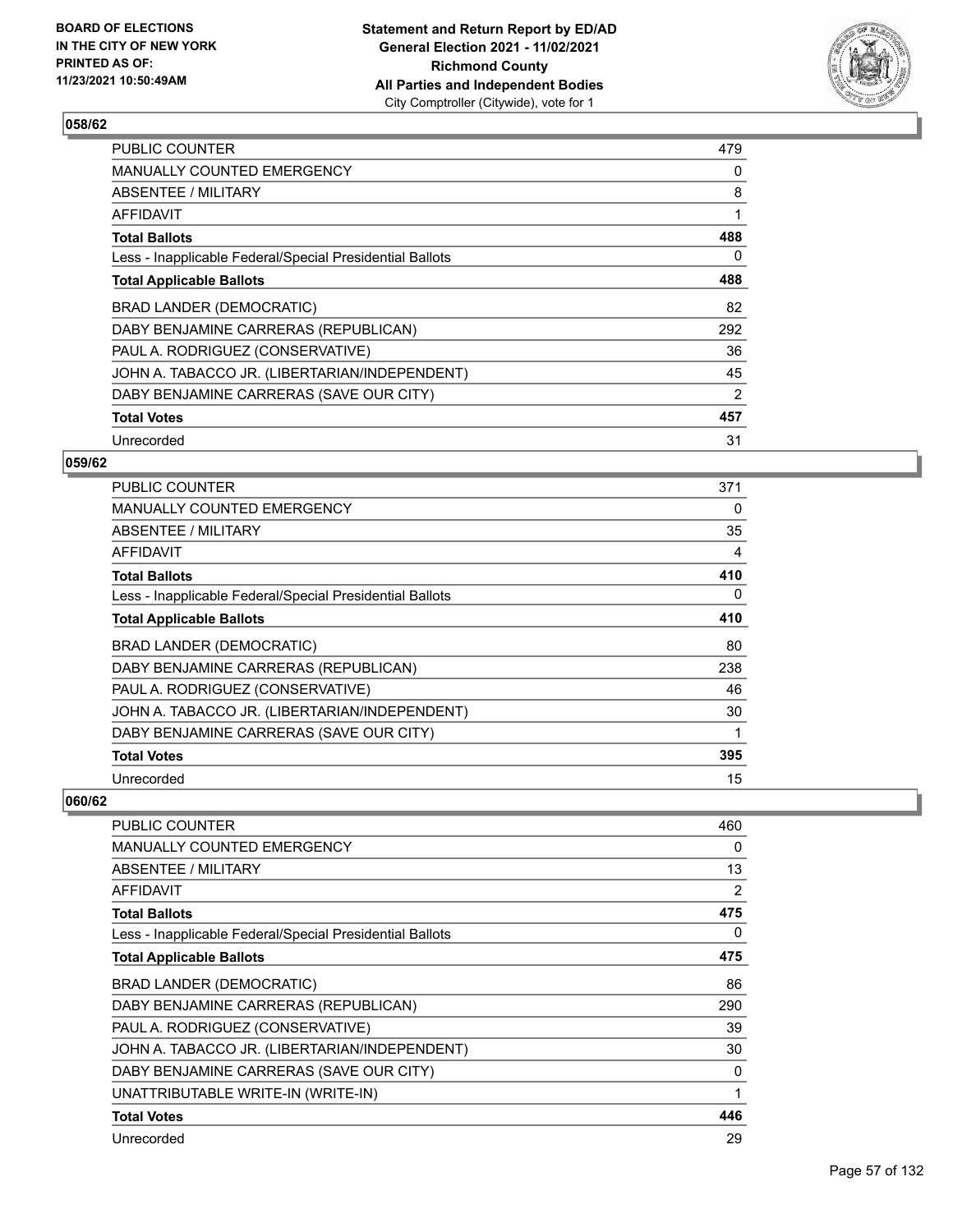

| <b>PUBLIC COUNTER</b>                                    | 479 |
|----------------------------------------------------------|-----|
| MANUALLY COUNTED EMERGENCY                               | 0   |
| ABSENTEE / MILITARY                                      | 8   |
| AFFIDAVIT                                                | 1   |
| <b>Total Ballots</b>                                     | 488 |
| Less - Inapplicable Federal/Special Presidential Ballots | 0   |
| <b>Total Applicable Ballots</b>                          | 488 |
| BRAD LANDER (DEMOCRATIC)                                 | 82  |
| DABY BENJAMINE CARRERAS (REPUBLICAN)                     | 292 |
| PAUL A. RODRIGUEZ (CONSERVATIVE)                         | 36  |
| JOHN A. TABACCO JR. (LIBERTARIAN/INDEPENDENT)            | 45  |
| DABY BENJAMINE CARRERAS (SAVE OUR CITY)                  | 2   |
| <b>Total Votes</b>                                       | 457 |
| Unrecorded                                               | 31  |

## **059/62**

| PUBLIC COUNTER                                           | 371 |
|----------------------------------------------------------|-----|
| <b>MANUALLY COUNTED EMERGENCY</b>                        | 0   |
| ABSENTEE / MILITARY                                      | 35  |
| <b>AFFIDAVIT</b>                                         | 4   |
| <b>Total Ballots</b>                                     | 410 |
| Less - Inapplicable Federal/Special Presidential Ballots | 0   |
| <b>Total Applicable Ballots</b>                          | 410 |
| <b>BRAD LANDER (DEMOCRATIC)</b>                          | 80  |
| DABY BENJAMINE CARRERAS (REPUBLICAN)                     | 238 |
| PAUL A. RODRIGUEZ (CONSERVATIVE)                         | 46  |
| JOHN A. TABACCO JR. (LIBERTARIAN/INDEPENDENT)            | 30  |
| DABY BENJAMINE CARRERAS (SAVE OUR CITY)                  | 1   |
| <b>Total Votes</b>                                       | 395 |
| Unrecorded                                               | 15  |

| PUBLIC COUNTER                                           | 460 |
|----------------------------------------------------------|-----|
| <b>MANUALLY COUNTED EMERGENCY</b>                        | 0   |
| <b>ABSENTEE / MILITARY</b>                               | 13  |
| <b>AFFIDAVIT</b>                                         | 2   |
| <b>Total Ballots</b>                                     | 475 |
| Less - Inapplicable Federal/Special Presidential Ballots | 0   |
| <b>Total Applicable Ballots</b>                          | 475 |
| BRAD LANDER (DEMOCRATIC)                                 | 86  |
| DABY BENJAMINE CARRERAS (REPUBLICAN)                     | 290 |
| PAUL A. RODRIGUEZ (CONSERVATIVE)                         | 39  |
| JOHN A. TABACCO JR. (LIBERTARIAN/INDEPENDENT)            | 30  |
| DABY BENJAMINE CARRERAS (SAVE OUR CITY)                  | 0   |
| UNATTRIBUTABLE WRITE-IN (WRITE-IN)                       | 1   |
| <b>Total Votes</b>                                       | 446 |
| Unrecorded                                               | 29  |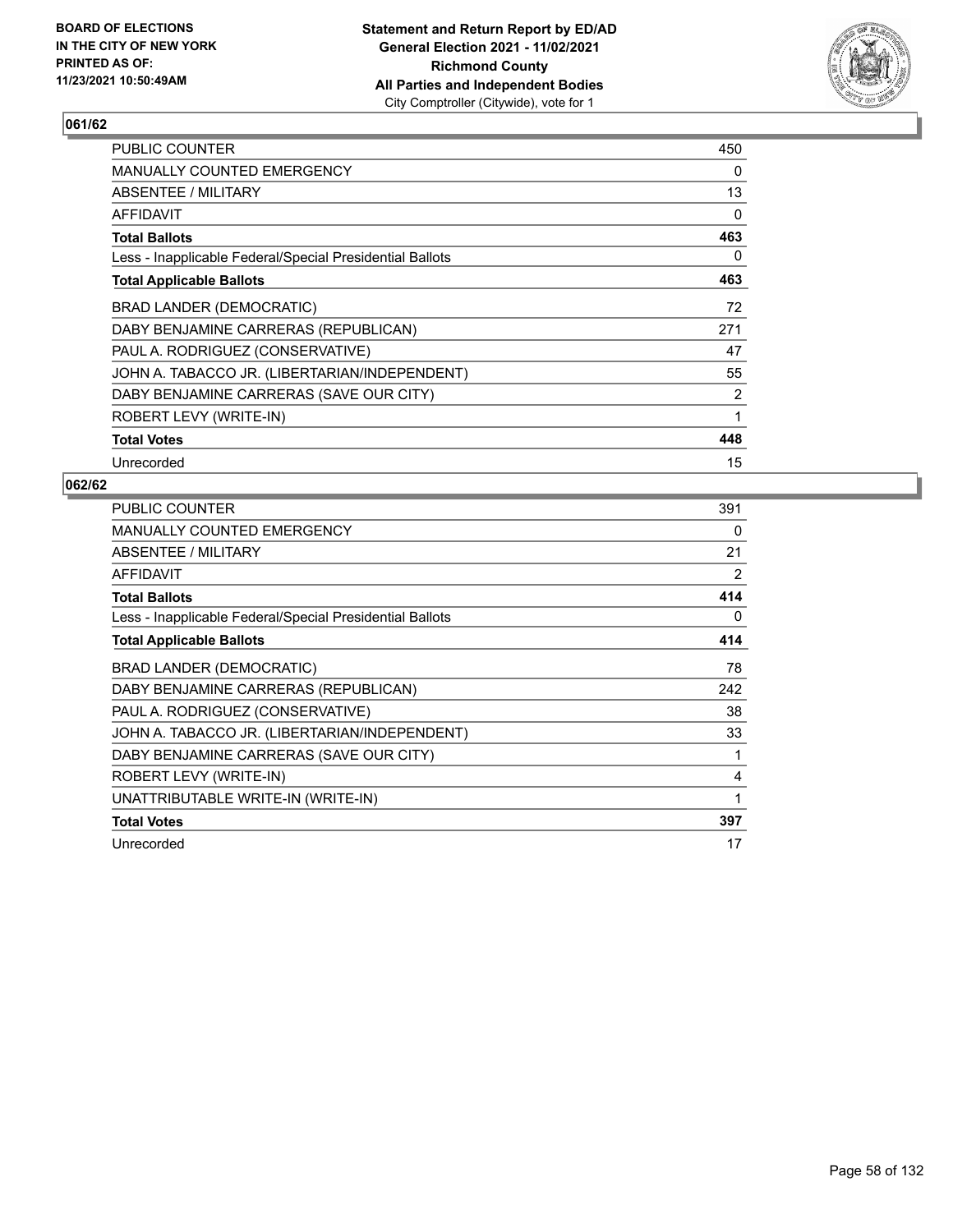

| <b>PUBLIC COUNTER</b>                                    | 450 |
|----------------------------------------------------------|-----|
| <b>MANUALLY COUNTED EMERGENCY</b>                        | 0   |
| ABSENTEE / MILITARY                                      | 13  |
| <b>AFFIDAVIT</b>                                         | 0   |
| <b>Total Ballots</b>                                     | 463 |
| Less - Inapplicable Federal/Special Presidential Ballots | 0   |
| <b>Total Applicable Ballots</b>                          | 463 |
| BRAD LANDER (DEMOCRATIC)                                 | 72  |
| DABY BENJAMINE CARRERAS (REPUBLICAN)                     | 271 |
| PAUL A. RODRIGUEZ (CONSERVATIVE)                         | 47  |
| JOHN A. TABACCO JR. (LIBERTARIAN/INDEPENDENT)            | 55  |
| DABY BENJAMINE CARRERAS (SAVE OUR CITY)                  | 2   |
| ROBERT LEVY (WRITE-IN)                                   | 1   |
| <b>Total Votes</b>                                       | 448 |
| Unrecorded                                               | 15  |

| PUBLIC COUNTER                                           | 391          |
|----------------------------------------------------------|--------------|
| MANUALLY COUNTED EMERGENCY                               | 0            |
| ABSENTEE / MILITARY                                      | 21           |
| AFFIDAVIT                                                | 2            |
| <b>Total Ballots</b>                                     | 414          |
| Less - Inapplicable Federal/Special Presidential Ballots | 0            |
| <b>Total Applicable Ballots</b>                          | 414          |
| <b>BRAD LANDER (DEMOCRATIC)</b>                          | 78           |
| DABY BENJAMINE CARRERAS (REPUBLICAN)                     | 242          |
| PAUL A. RODRIGUEZ (CONSERVATIVE)                         | 38           |
| JOHN A. TABACCO JR. (LIBERTARIAN/INDEPENDENT)            | 33           |
| DABY BENJAMINE CARRERAS (SAVE OUR CITY)                  | 1            |
| ROBERT LEVY (WRITE-IN)                                   | 4            |
| UNATTRIBUTABLE WRITE-IN (WRITE-IN)                       | $\mathbf{1}$ |
| <b>Total Votes</b>                                       | 397          |
| Unrecorded                                               | 17           |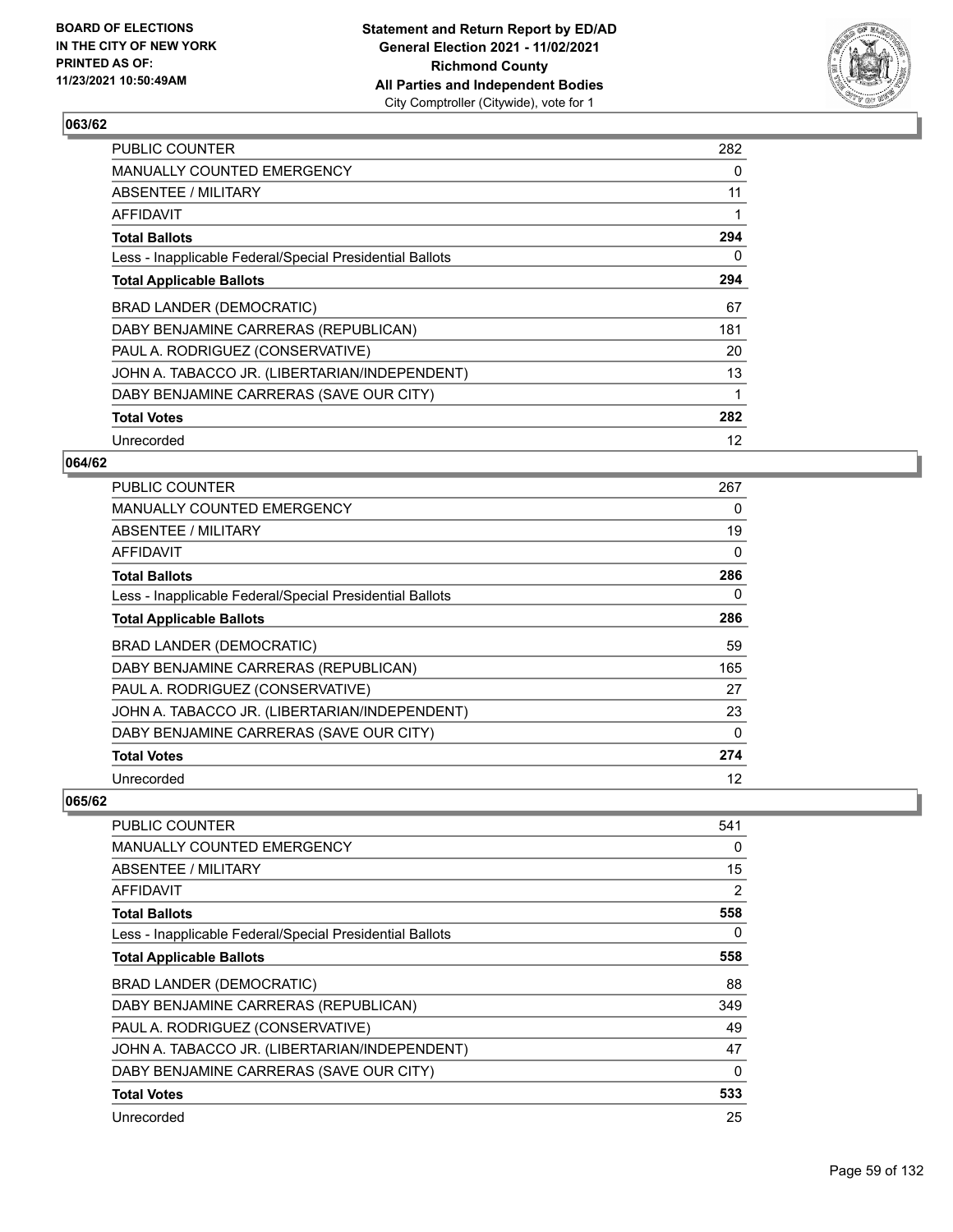

| <b>PUBLIC COUNTER</b>                                    | 282 |
|----------------------------------------------------------|-----|
| MANUALLY COUNTED EMERGENCY                               | 0   |
| ABSENTEE / MILITARY                                      | 11  |
| AFFIDAVIT                                                |     |
| <b>Total Ballots</b>                                     | 294 |
| Less - Inapplicable Federal/Special Presidential Ballots | 0   |
| <b>Total Applicable Ballots</b>                          | 294 |
| BRAD LANDER (DEMOCRATIC)                                 | 67  |
| DABY BENJAMINE CARRERAS (REPUBLICAN)                     | 181 |
| PAUL A. RODRIGUEZ (CONSERVATIVE)                         | 20  |
| JOHN A. TABACCO JR. (LIBERTARIAN/INDEPENDENT)            | 13  |
| DABY BENJAMINE CARRERAS (SAVE OUR CITY)                  |     |
| <b>Total Votes</b>                                       | 282 |
| Unrecorded                                               | 12  |

### **064/62**

| PUBLIC COUNTER                                           | 267 |
|----------------------------------------------------------|-----|
| MANUALLY COUNTED EMERGENCY                               | 0   |
| <b>ABSENTEE / MILITARY</b>                               | 19  |
| <b>AFFIDAVIT</b>                                         | 0   |
| <b>Total Ballots</b>                                     | 286 |
| Less - Inapplicable Federal/Special Presidential Ballots | 0   |
| <b>Total Applicable Ballots</b>                          | 286 |
| <b>BRAD LANDER (DEMOCRATIC)</b>                          | 59  |
| DABY BENJAMINE CARRERAS (REPUBLICAN)                     | 165 |
| PAUL A. RODRIGUEZ (CONSERVATIVE)                         | 27  |
| JOHN A. TABACCO JR. (LIBERTARIAN/INDEPENDENT)            | 23  |
| DABY BENJAMINE CARRERAS (SAVE OUR CITY)                  | 0   |
| <b>Total Votes</b>                                       | 274 |
| Unrecorded                                               | 12  |

| PUBLIC COUNTER                                           | 541 |
|----------------------------------------------------------|-----|
| <b>MANUALLY COUNTED EMERGENCY</b>                        | 0   |
| ABSENTEE / MILITARY                                      | 15  |
| AFFIDAVIT                                                | 2   |
| <b>Total Ballots</b>                                     | 558 |
| Less - Inapplicable Federal/Special Presidential Ballots | 0   |
| <b>Total Applicable Ballots</b>                          | 558 |
| BRAD LANDER (DEMOCRATIC)                                 | 88  |
| DABY BENJAMINE CARRERAS (REPUBLICAN)                     | 349 |
| PAUL A. RODRIGUEZ (CONSERVATIVE)                         | 49  |
| JOHN A. TABACCO JR. (LIBERTARIAN/INDEPENDENT)            | 47  |
| DABY BENJAMINE CARRERAS (SAVE OUR CITY)                  | 0   |
| <b>Total Votes</b>                                       | 533 |
| Unrecorded                                               | 25  |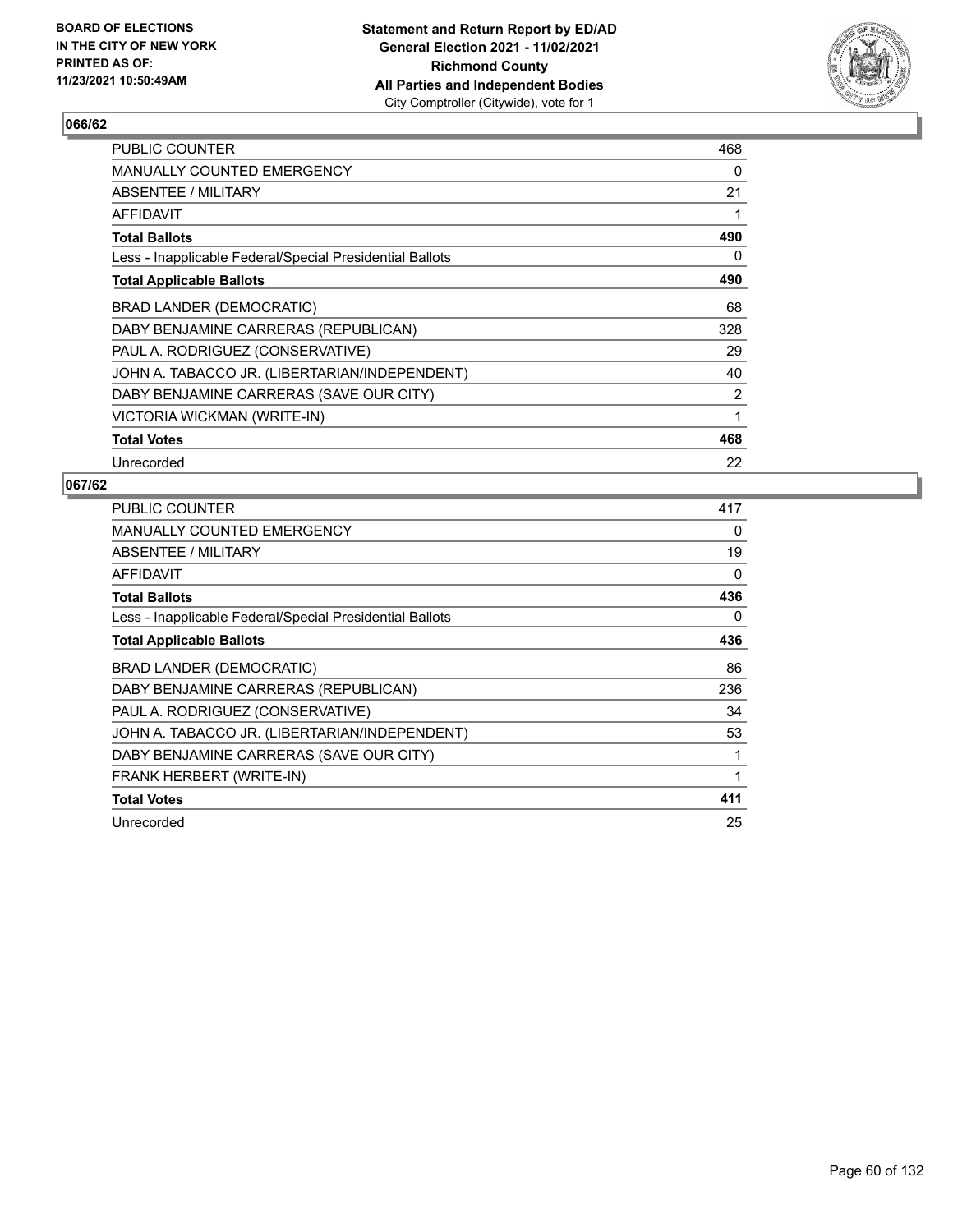

| <b>PUBLIC COUNTER</b>                                    | 468 |
|----------------------------------------------------------|-----|
| <b>MANUALLY COUNTED EMERGENCY</b>                        | 0   |
| ABSENTEE / MILITARY                                      | 21  |
| <b>AFFIDAVIT</b>                                         | 1   |
| <b>Total Ballots</b>                                     | 490 |
| Less - Inapplicable Federal/Special Presidential Ballots | 0   |
| <b>Total Applicable Ballots</b>                          | 490 |
| BRAD LANDER (DEMOCRATIC)                                 | 68  |
| DABY BENJAMINE CARRERAS (REPUBLICAN)                     | 328 |
| PAUL A. RODRIGUEZ (CONSERVATIVE)                         | 29  |
| JOHN A. TABACCO JR. (LIBERTARIAN/INDEPENDENT)            | 40  |
| DABY BENJAMINE CARRERAS (SAVE OUR CITY)                  | 2   |
| <b>VICTORIA WICKMAN (WRITE-IN)</b>                       | 1   |
| <b>Total Votes</b>                                       | 468 |
| Unrecorded                                               | 22  |

| PUBLIC COUNTER                                           | 417 |
|----------------------------------------------------------|-----|
| <b>MANUALLY COUNTED EMERGENCY</b>                        | 0   |
| ABSENTEE / MILITARY                                      | 19  |
| AFFIDAVIT                                                | 0   |
| <b>Total Ballots</b>                                     | 436 |
| Less - Inapplicable Federal/Special Presidential Ballots | 0   |
| <b>Total Applicable Ballots</b>                          | 436 |
| BRAD LANDER (DEMOCRATIC)                                 | 86  |
| DABY BENJAMINE CARRERAS (REPUBLICAN)                     | 236 |
| PAUL A. RODRIGUEZ (CONSERVATIVE)                         | 34  |
| JOHN A. TABACCO JR. (LIBERTARIAN/INDEPENDENT)            | 53  |
| DABY BENJAMINE CARRERAS (SAVE OUR CITY)                  | 1   |
| FRANK HERBERT (WRITE-IN)                                 | 1   |
| <b>Total Votes</b>                                       | 411 |
| Unrecorded                                               | 25  |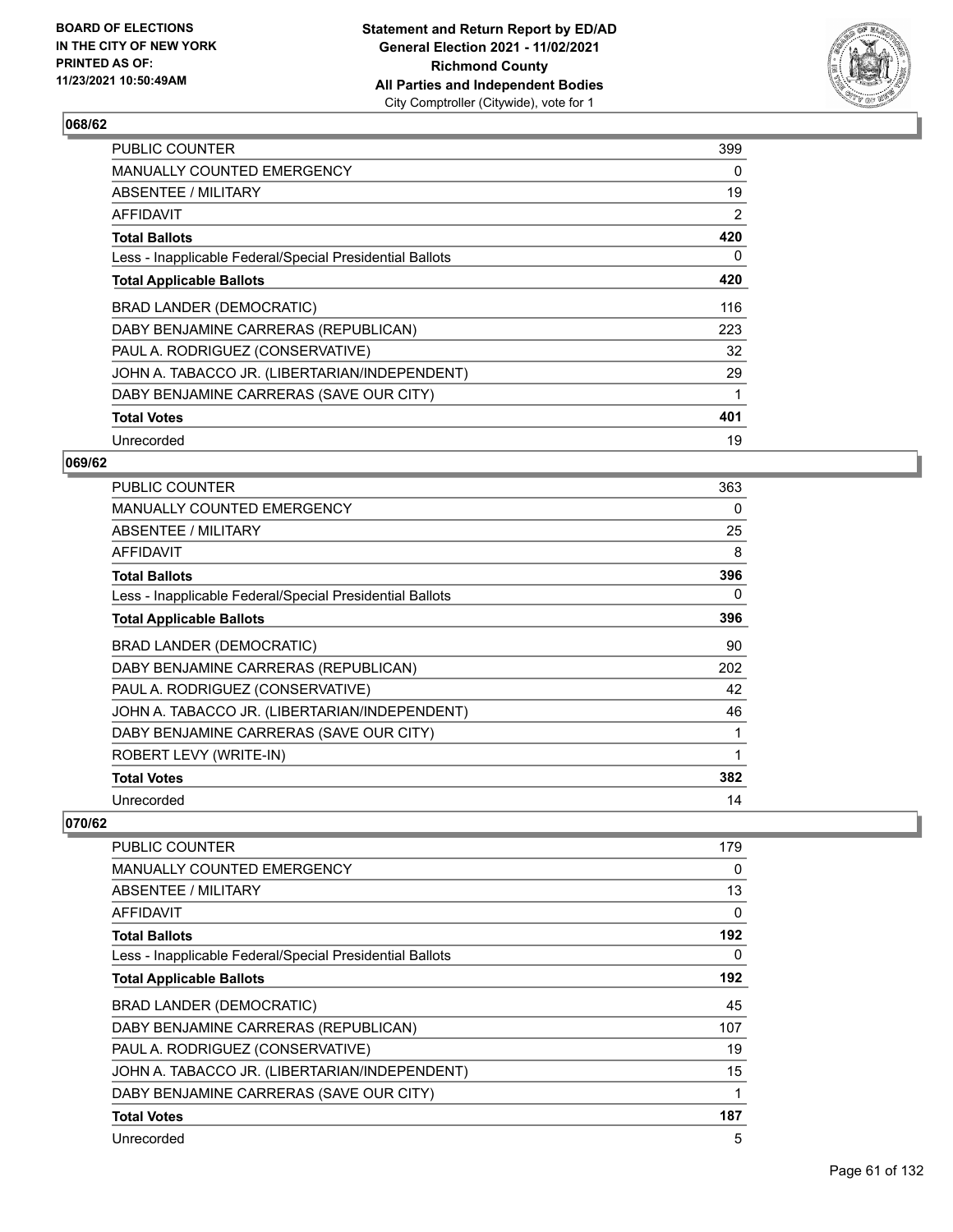

| <b>PUBLIC COUNTER</b>                                    | 399 |
|----------------------------------------------------------|-----|
| <b>MANUALLY COUNTED EMERGENCY</b>                        | 0   |
| ABSENTEE / MILITARY                                      | 19  |
| AFFIDAVIT                                                | 2   |
| <b>Total Ballots</b>                                     | 420 |
| Less - Inapplicable Federal/Special Presidential Ballots | 0   |
| <b>Total Applicable Ballots</b>                          | 420 |
| BRAD LANDER (DEMOCRATIC)                                 | 116 |
| DABY BENJAMINE CARRERAS (REPUBLICAN)                     | 223 |
| PAUL A. RODRIGUEZ (CONSERVATIVE)                         | 32  |
| JOHN A. TABACCO JR. (LIBERTARIAN/INDEPENDENT)            | 29  |
| DABY BENJAMINE CARRERAS (SAVE OUR CITY)                  |     |
| <b>Total Votes</b>                                       | 401 |
| Unrecorded                                               | 19  |

## **069/62**

| <b>PUBLIC COUNTER</b>                                    | 363 |
|----------------------------------------------------------|-----|
| <b>MANUALLY COUNTED EMERGENCY</b>                        | 0   |
| ABSENTEE / MILITARY                                      | 25  |
| AFFIDAVIT                                                | 8   |
| <b>Total Ballots</b>                                     | 396 |
| Less - Inapplicable Federal/Special Presidential Ballots | 0   |
| <b>Total Applicable Ballots</b>                          | 396 |
| BRAD LANDER (DEMOCRATIC)                                 | 90  |
| DABY BENJAMINE CARRERAS (REPUBLICAN)                     | 202 |
| PAUL A. RODRIGUEZ (CONSERVATIVE)                         | 42  |
| JOHN A. TABACCO JR. (LIBERTARIAN/INDEPENDENT)            | 46  |
| DABY BENJAMINE CARRERAS (SAVE OUR CITY)                  |     |
| ROBERT LEVY (WRITE-IN)                                   | 1   |
| <b>Total Votes</b>                                       | 382 |
| Unrecorded                                               | 14  |

| PUBLIC COUNTER                                           | 179 |
|----------------------------------------------------------|-----|
| <b>MANUALLY COUNTED EMERGENCY</b>                        | 0   |
| ABSENTEE / MILITARY                                      | 13  |
| <b>AFFIDAVIT</b>                                         | 0   |
| <b>Total Ballots</b>                                     | 192 |
| Less - Inapplicable Federal/Special Presidential Ballots | 0   |
| <b>Total Applicable Ballots</b>                          | 192 |
| BRAD LANDER (DEMOCRATIC)                                 | 45  |
| DABY BENJAMINE CARRERAS (REPUBLICAN)                     | 107 |
| PAUL A. RODRIGUEZ (CONSERVATIVE)                         | 19  |
| JOHN A. TABACCO JR. (LIBERTARIAN/INDEPENDENT)            | 15  |
| DABY BENJAMINE CARRERAS (SAVE OUR CITY)                  | 1   |
| <b>Total Votes</b>                                       | 187 |
| Unrecorded                                               | 5   |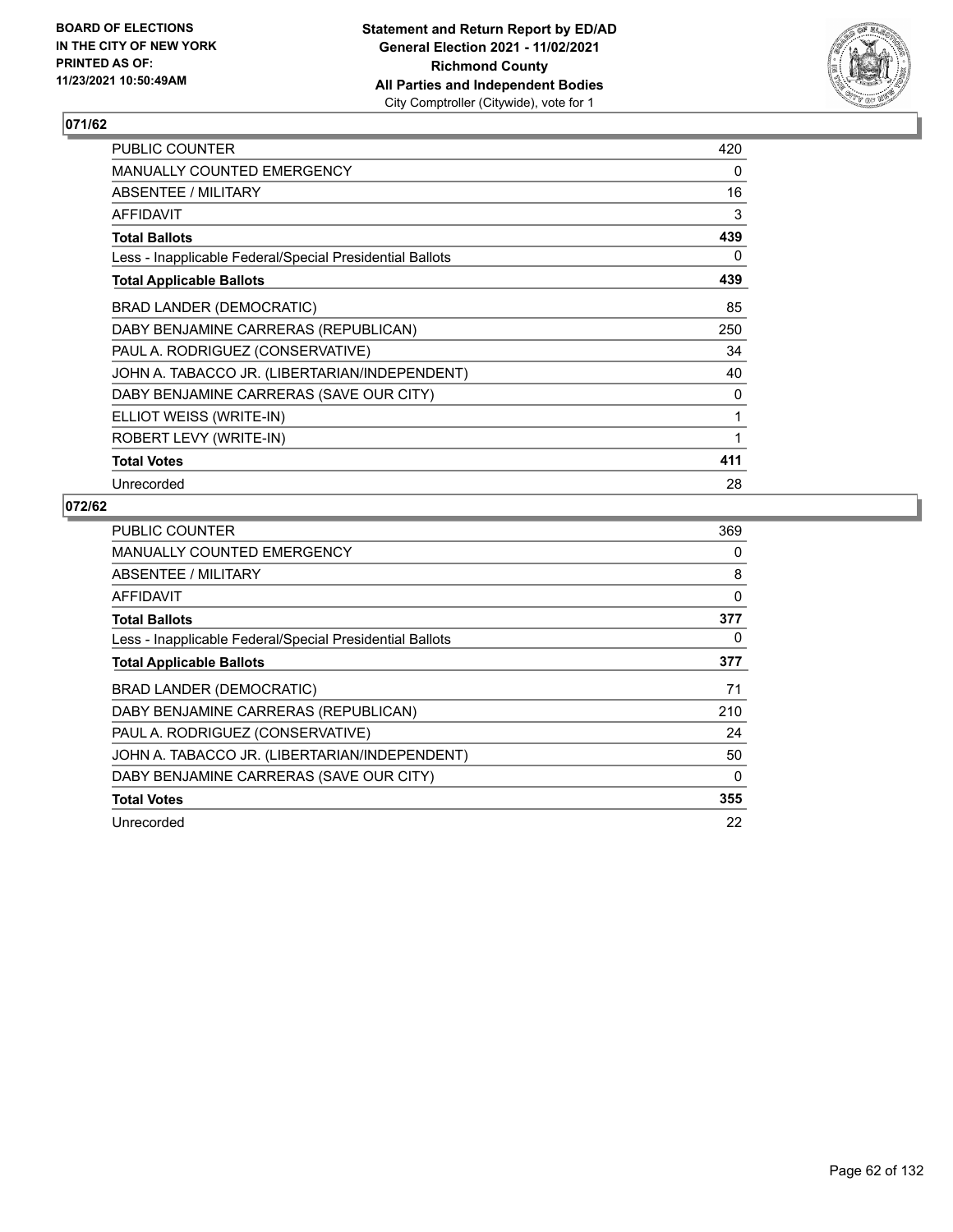

| PUBLIC COUNTER                                           | 420 |
|----------------------------------------------------------|-----|
| MANUALLY COUNTED EMERGENCY                               | 0   |
| ABSENTEE / MILITARY                                      | 16  |
| AFFIDAVIT                                                | 3   |
| <b>Total Ballots</b>                                     | 439 |
| Less - Inapplicable Federal/Special Presidential Ballots | 0   |
| <b>Total Applicable Ballots</b>                          | 439 |
| BRAD LANDER (DEMOCRATIC)                                 | 85  |
| DABY BENJAMINE CARRERAS (REPUBLICAN)                     | 250 |
| PAUL A. RODRIGUEZ (CONSERVATIVE)                         | 34  |
| JOHN A. TABACCO JR. (LIBERTARIAN/INDEPENDENT)            | 40  |
| DABY BENJAMINE CARRERAS (SAVE OUR CITY)                  | 0   |
| ELLIOT WEISS (WRITE-IN)                                  | 1   |
| ROBERT LEVY (WRITE-IN)                                   | 1   |
| <b>Total Votes</b>                                       | 411 |
| Unrecorded                                               | 28  |

| <b>PUBLIC COUNTER</b>                                    | 369 |
|----------------------------------------------------------|-----|
| <b>MANUALLY COUNTED EMERGENCY</b>                        | 0   |
| ABSENTEE / MILITARY                                      | 8   |
| <b>AFFIDAVIT</b>                                         | 0   |
| <b>Total Ballots</b>                                     | 377 |
| Less - Inapplicable Federal/Special Presidential Ballots | 0   |
| <b>Total Applicable Ballots</b>                          | 377 |
| BRAD LANDER (DEMOCRATIC)                                 | 71  |
| DABY BENJAMINE CARRERAS (REPUBLICAN)                     | 210 |
| PAUL A. RODRIGUEZ (CONSERVATIVE)                         | 24  |
| JOHN A. TABACCO JR. (LIBERTARIAN/INDEPENDENT)            | 50  |
| DABY BENJAMINE CARRERAS (SAVE OUR CITY)                  | 0   |
| <b>Total Votes</b>                                       | 355 |
|                                                          |     |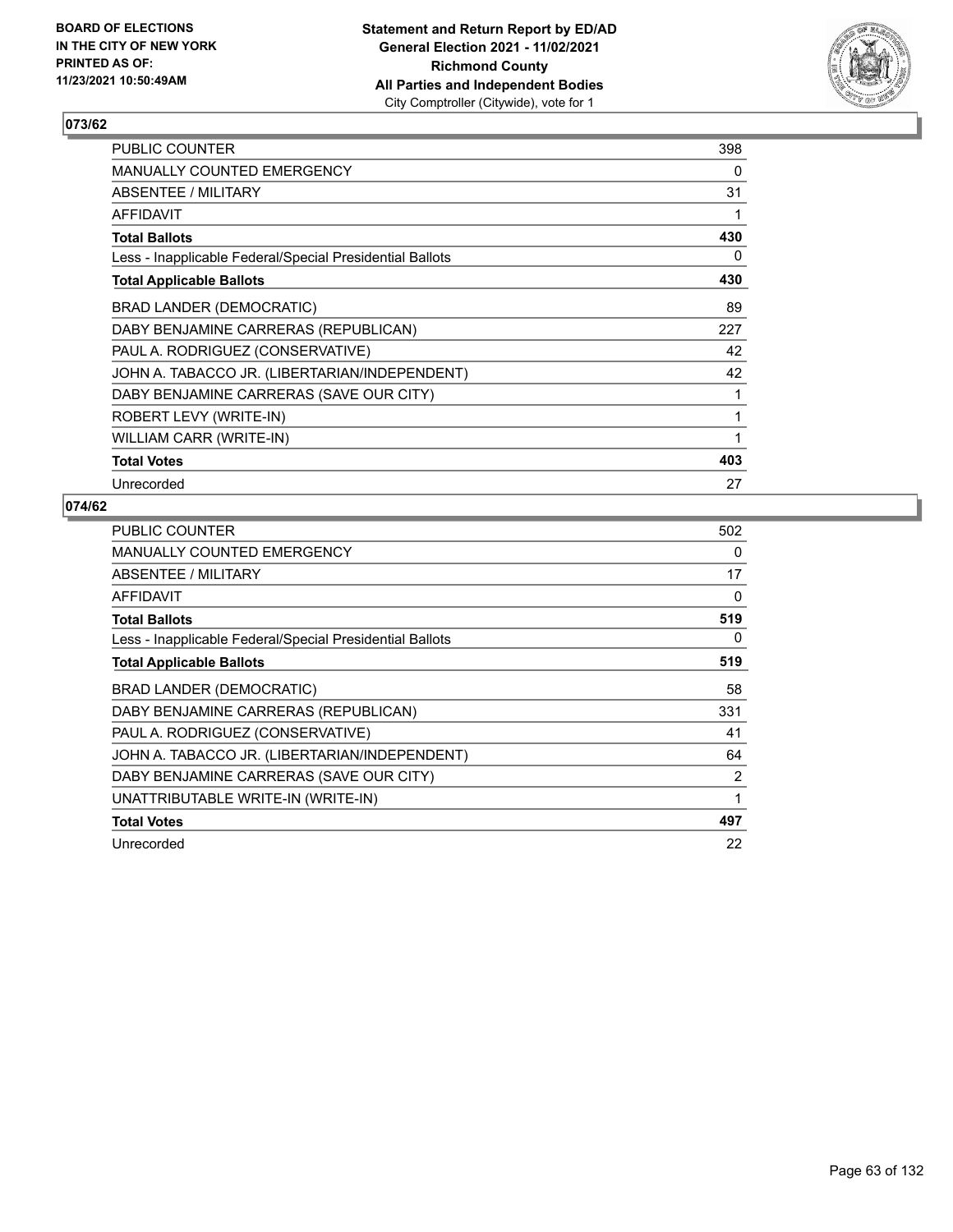

| PUBLIC COUNTER                                           | 398 |
|----------------------------------------------------------|-----|
| MANUALLY COUNTED EMERGENCY                               | 0   |
| ABSENTEE / MILITARY                                      | 31  |
| AFFIDAVIT                                                | 1   |
| <b>Total Ballots</b>                                     | 430 |
| Less - Inapplicable Federal/Special Presidential Ballots | 0   |
| <b>Total Applicable Ballots</b>                          | 430 |
| BRAD LANDER (DEMOCRATIC)                                 | 89  |
| DABY BENJAMINE CARRERAS (REPUBLICAN)                     | 227 |
| PAUL A. RODRIGUEZ (CONSERVATIVE)                         | 42  |
| JOHN A. TABACCO JR. (LIBERTARIAN/INDEPENDENT)            | 42  |
| DABY BENJAMINE CARRERAS (SAVE OUR CITY)                  | 1   |
| ROBERT LEVY (WRITE-IN)                                   | 1   |
| WILLIAM CARR (WRITE-IN)                                  | 1   |
| <b>Total Votes</b>                                       | 403 |
| Unrecorded                                               | 27  |

| <b>PUBLIC COUNTER</b>                                    | 502 |
|----------------------------------------------------------|-----|
| <b>MANUALLY COUNTED EMERGENCY</b>                        | 0   |
| ABSENTEE / MILITARY                                      | 17  |
| <b>AFFIDAVIT</b>                                         | 0   |
| <b>Total Ballots</b>                                     | 519 |
| Less - Inapplicable Federal/Special Presidential Ballots | 0   |
| <b>Total Applicable Ballots</b>                          | 519 |
| BRAD LANDER (DEMOCRATIC)                                 | 58  |
| DABY BENJAMINE CARRERAS (REPUBLICAN)                     | 331 |
| PAUL A. RODRIGUEZ (CONSERVATIVE)                         | 41  |
| JOHN A. TABACCO JR. (LIBERTARIAN/INDEPENDENT)            | 64  |
| DABY BENJAMINE CARRERAS (SAVE OUR CITY)                  | 2   |
| UNATTRIBUTABLE WRITE-IN (WRITE-IN)                       | 1   |
| <b>Total Votes</b>                                       | 497 |
| Unrecorded                                               | 22  |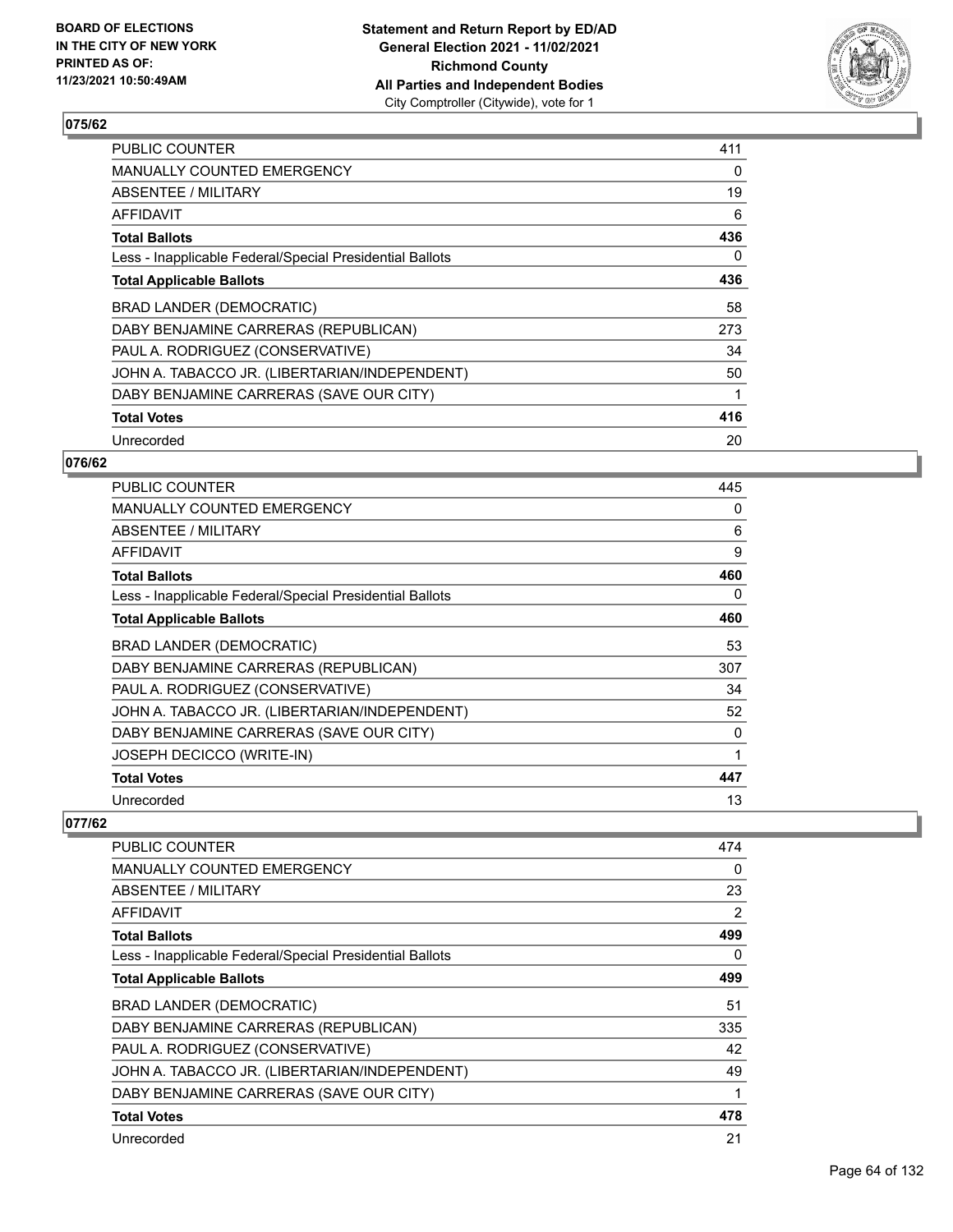

| <b>PUBLIC COUNTER</b>                                    | 411 |
|----------------------------------------------------------|-----|
| MANUALLY COUNTED EMERGENCY                               | 0   |
| ABSENTEE / MILITARY                                      | 19  |
| AFFIDAVIT                                                | 6   |
| <b>Total Ballots</b>                                     | 436 |
| Less - Inapplicable Federal/Special Presidential Ballots | 0   |
| <b>Total Applicable Ballots</b>                          | 436 |
| BRAD LANDER (DEMOCRATIC)                                 | 58  |
| DABY BENJAMINE CARRERAS (REPUBLICAN)                     | 273 |
| PAUL A. RODRIGUEZ (CONSERVATIVE)                         | 34  |
| JOHN A. TABACCO JR. (LIBERTARIAN/INDEPENDENT)            | 50  |
| DABY BENJAMINE CARRERAS (SAVE OUR CITY)                  |     |
| <b>Total Votes</b>                                       | 416 |
| Unrecorded                                               | 20  |

### **076/62**

| <b>PUBLIC COUNTER</b>                                    | 445 |
|----------------------------------------------------------|-----|
| <b>MANUALLY COUNTED EMERGENCY</b>                        | 0   |
| ABSENTEE / MILITARY                                      | 6   |
| AFFIDAVIT                                                | 9   |
| <b>Total Ballots</b>                                     | 460 |
| Less - Inapplicable Federal/Special Presidential Ballots | 0   |
| <b>Total Applicable Ballots</b>                          | 460 |
| BRAD LANDER (DEMOCRATIC)                                 | 53  |
| DABY BENJAMINE CARRERAS (REPUBLICAN)                     | 307 |
| PAUL A. RODRIGUEZ (CONSERVATIVE)                         | 34  |
| JOHN A. TABACCO JR. (LIBERTARIAN/INDEPENDENT)            | 52  |
| DABY BENJAMINE CARRERAS (SAVE OUR CITY)                  | 0   |
| JOSEPH DECICCO (WRITE-IN)                                | 1   |
| <b>Total Votes</b>                                       | 447 |
| Unrecorded                                               | 13  |

| PUBLIC COUNTER                                           | 474 |
|----------------------------------------------------------|-----|
| MANUALLY COUNTED EMERGENCY                               | 0   |
| ABSENTEE / MILITARY                                      | 23  |
| AFFIDAVIT                                                | 2   |
| <b>Total Ballots</b>                                     | 499 |
| Less - Inapplicable Federal/Special Presidential Ballots | 0   |
| <b>Total Applicable Ballots</b>                          | 499 |
| <b>BRAD LANDER (DEMOCRATIC)</b>                          | 51  |
| DABY BENJAMINE CARRERAS (REPUBLICAN)                     | 335 |
| PAUL A. RODRIGUEZ (CONSERVATIVE)                         | 42  |
| JOHN A. TABACCO JR. (LIBERTARIAN/INDEPENDENT)            | 49  |
| DABY BENJAMINE CARRERAS (SAVE OUR CITY)                  | 1   |
| <b>Total Votes</b>                                       | 478 |
| Unrecorded                                               | 21  |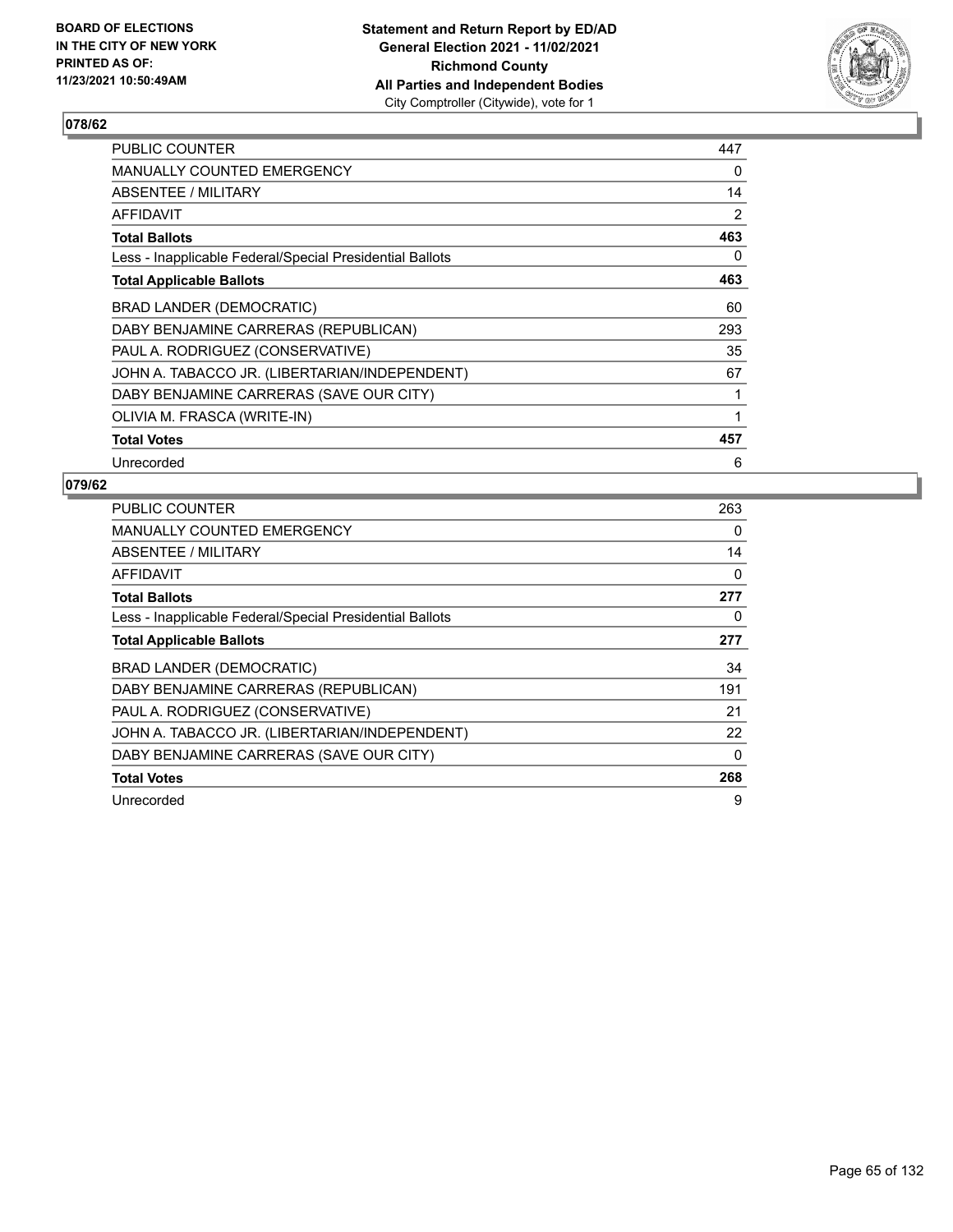

| <b>PUBLIC COUNTER</b>                                    | 447 |
|----------------------------------------------------------|-----|
| <b>MANUALLY COUNTED EMERGENCY</b>                        | 0   |
| ABSENTEE / MILITARY                                      | 14  |
| <b>AFFIDAVIT</b>                                         | 2   |
| <b>Total Ballots</b>                                     | 463 |
| Less - Inapplicable Federal/Special Presidential Ballots | 0   |
| <b>Total Applicable Ballots</b>                          | 463 |
| BRAD LANDER (DEMOCRATIC)                                 | 60  |
| DABY BENJAMINE CARRERAS (REPUBLICAN)                     | 293 |
| PAUL A. RODRIGUEZ (CONSERVATIVE)                         | 35  |
| JOHN A. TABACCO JR. (LIBERTARIAN/INDEPENDENT)            | 67  |
| DABY BENJAMINE CARRERAS (SAVE OUR CITY)                  | 1   |
| OLIVIA M. FRASCA (WRITE-IN)                              | 1   |
| <b>Total Votes</b>                                       | 457 |
| Unrecorded                                               | 6   |

| <b>PUBLIC COUNTER</b>                                    | 263      |
|----------------------------------------------------------|----------|
| <b>MANUALLY COUNTED EMERGENCY</b>                        | 0        |
| <b>ABSENTEE / MILITARY</b>                               | 14       |
| AFFIDAVIT                                                | 0        |
| <b>Total Ballots</b>                                     | 277      |
| Less - Inapplicable Federal/Special Presidential Ballots | 0        |
| <b>Total Applicable Ballots</b>                          | 277      |
| BRAD LANDER (DEMOCRATIC)                                 | 34       |
| DABY BENJAMINE CARRERAS (REPUBLICAN)                     | 191      |
|                                                          |          |
| PAUL A. RODRIGUEZ (CONSERVATIVE)                         | 21       |
| JOHN A. TABACCO JR. (LIBERTARIAN/INDEPENDENT)            | 22       |
| DABY BENJAMINE CARRERAS (SAVE OUR CITY)                  | $\Omega$ |
| <b>Total Votes</b>                                       | 268      |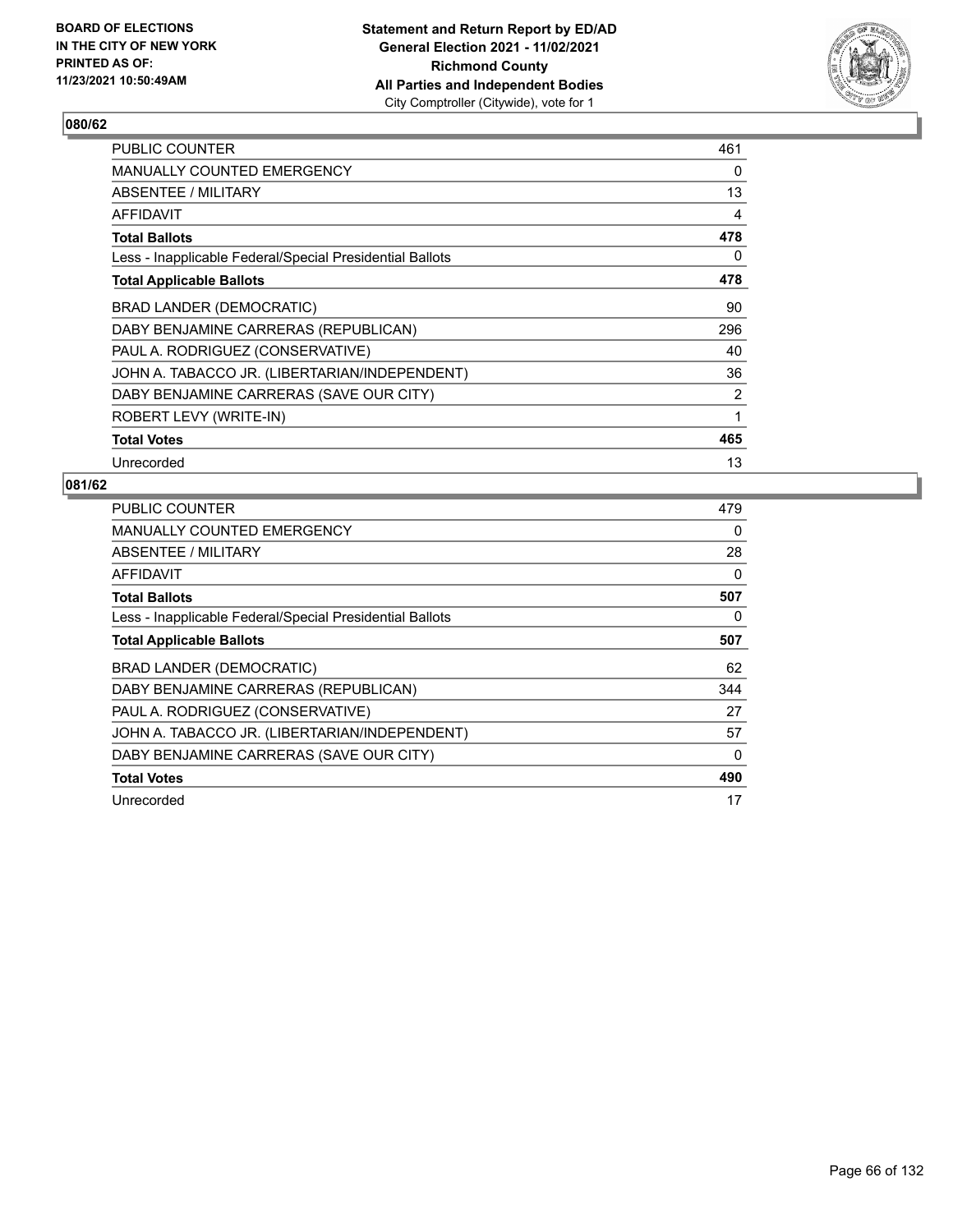

| PUBLIC COUNTER                                           | 461      |
|----------------------------------------------------------|----------|
| MANUALLY COUNTED EMERGENCY                               | $\Omega$ |
| ABSENTEE / MILITARY                                      | 13       |
| AFFIDAVIT                                                | 4        |
| <b>Total Ballots</b>                                     | 478      |
| Less - Inapplicable Federal/Special Presidential Ballots | 0        |
| <b>Total Applicable Ballots</b>                          | 478      |
| BRAD LANDER (DEMOCRATIC)                                 | 90       |
| DABY BENJAMINE CARRERAS (REPUBLICAN)                     | 296      |
| PAUL A. RODRIGUEZ (CONSERVATIVE)                         | 40       |
| JOHN A. TABACCO JR. (LIBERTARIAN/INDEPENDENT)            | 36       |
| DABY BENJAMINE CARRERAS (SAVE OUR CITY)                  | 2        |
| ROBERT LEVY (WRITE-IN)                                   | 1        |
| <b>Total Votes</b>                                       | 465      |
| Unrecorded                                               | 13       |

| PUBLIC COUNTER                                           | 479      |
|----------------------------------------------------------|----------|
| <b>MANUALLY COUNTED EMERGENCY</b>                        | 0        |
| ABSENTEE / MILITARY                                      | 28       |
| AFFIDAVIT                                                | 0        |
| <b>Total Ballots</b>                                     | 507      |
| Less - Inapplicable Federal/Special Presidential Ballots | 0        |
| <b>Total Applicable Ballots</b>                          | 507      |
| <b>BRAD LANDER (DEMOCRATIC)</b>                          | 62       |
| DABY BENJAMINE CARRERAS (REPUBLICAN)                     | 344      |
|                                                          | 27       |
| PAUL A. RODRIGUEZ (CONSERVATIVE)                         |          |
| JOHN A. TABACCO JR. (LIBERTARIAN/INDEPENDENT)            | 57       |
| DABY BENJAMINE CARRERAS (SAVE OUR CITY)                  | $\Omega$ |
| <b>Total Votes</b>                                       | 490      |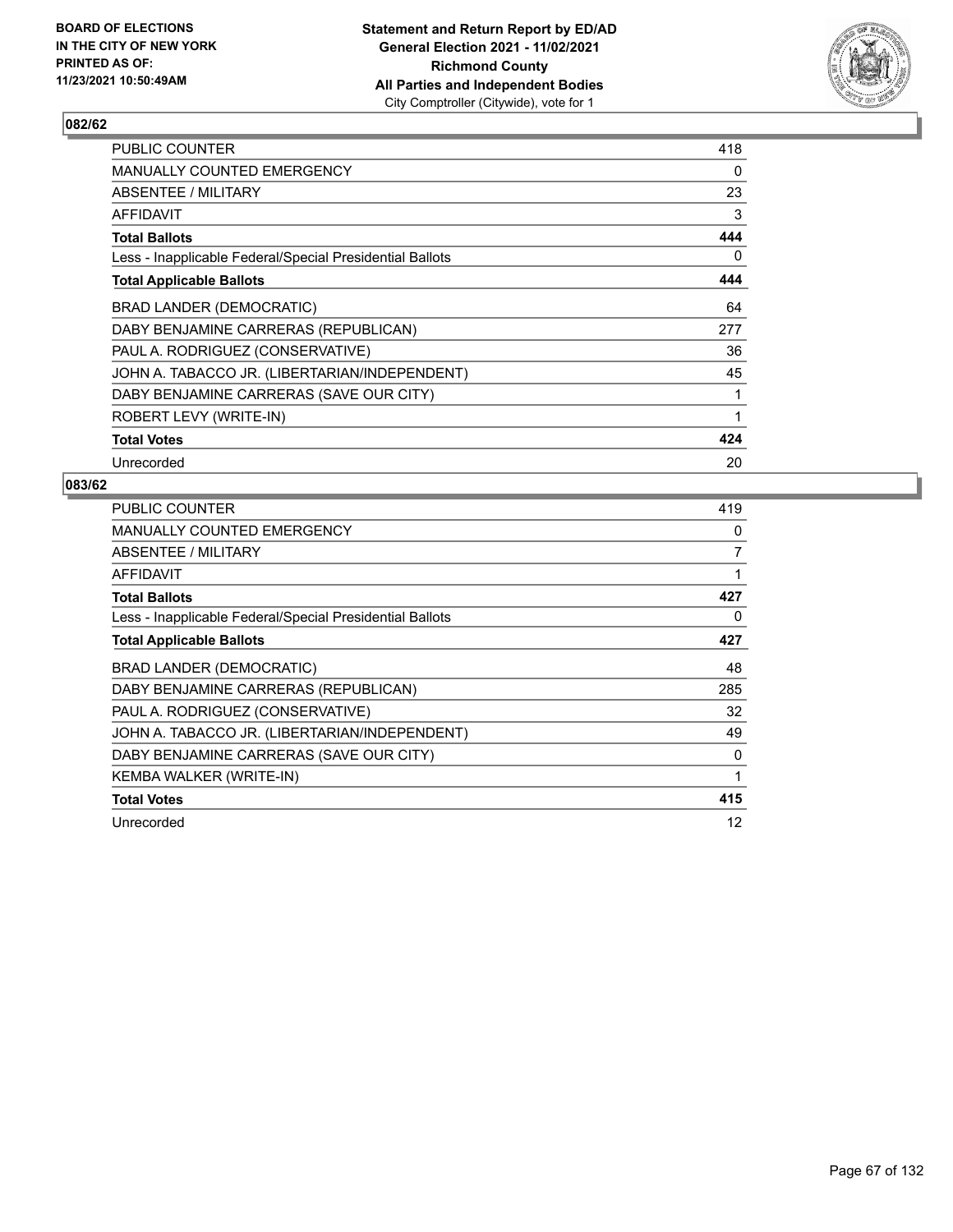

| PUBLIC COUNTER                                           | 418 |
|----------------------------------------------------------|-----|
| <b>MANUALLY COUNTED EMERGENCY</b>                        | 0   |
| ABSENTEE / MILITARY                                      | 23  |
| AFFIDAVIT                                                | 3   |
| <b>Total Ballots</b>                                     | 444 |
| Less - Inapplicable Federal/Special Presidential Ballots | 0   |
| <b>Total Applicable Ballots</b>                          | 444 |
| <b>BRAD LANDER (DEMOCRATIC)</b>                          | 64  |
| DABY BENJAMINE CARRERAS (REPUBLICAN)                     | 277 |
| PAUL A. RODRIGUEZ (CONSERVATIVE)                         | 36  |
| JOHN A. TABACCO JR. (LIBERTARIAN/INDEPENDENT)            | 45  |
| DABY BENJAMINE CARRERAS (SAVE OUR CITY)                  | 1   |
| ROBERT LEVY (WRITE-IN)                                   | 1   |
| <b>Total Votes</b>                                       | 424 |
| Unrecorded                                               | 20  |

| <b>PUBLIC COUNTER</b>                                    | 419            |
|----------------------------------------------------------|----------------|
| <b>MANUALLY COUNTED EMERGENCY</b>                        | 0              |
| ABSENTEE / MILITARY                                      | $\overline{7}$ |
| <b>AFFIDAVIT</b>                                         | $\mathbf 1$    |
| <b>Total Ballots</b>                                     | 427            |
| Less - Inapplicable Federal/Special Presidential Ballots | 0              |
| <b>Total Applicable Ballots</b>                          | 427            |
| BRAD LANDER (DEMOCRATIC)                                 | 48             |
| DABY BENJAMINE CARRERAS (REPUBLICAN)                     | 285            |
| PAUL A. RODRIGUEZ (CONSERVATIVE)                         | 32             |
| JOHN A. TABACCO JR. (LIBERTARIAN/INDEPENDENT)            | 49             |
| DABY BENJAMINE CARRERAS (SAVE OUR CITY)                  | 0              |
| KEMBA WALKER (WRITE-IN)                                  |                |
| <b>Total Votes</b>                                       | 415            |
| Unrecorded                                               | 12             |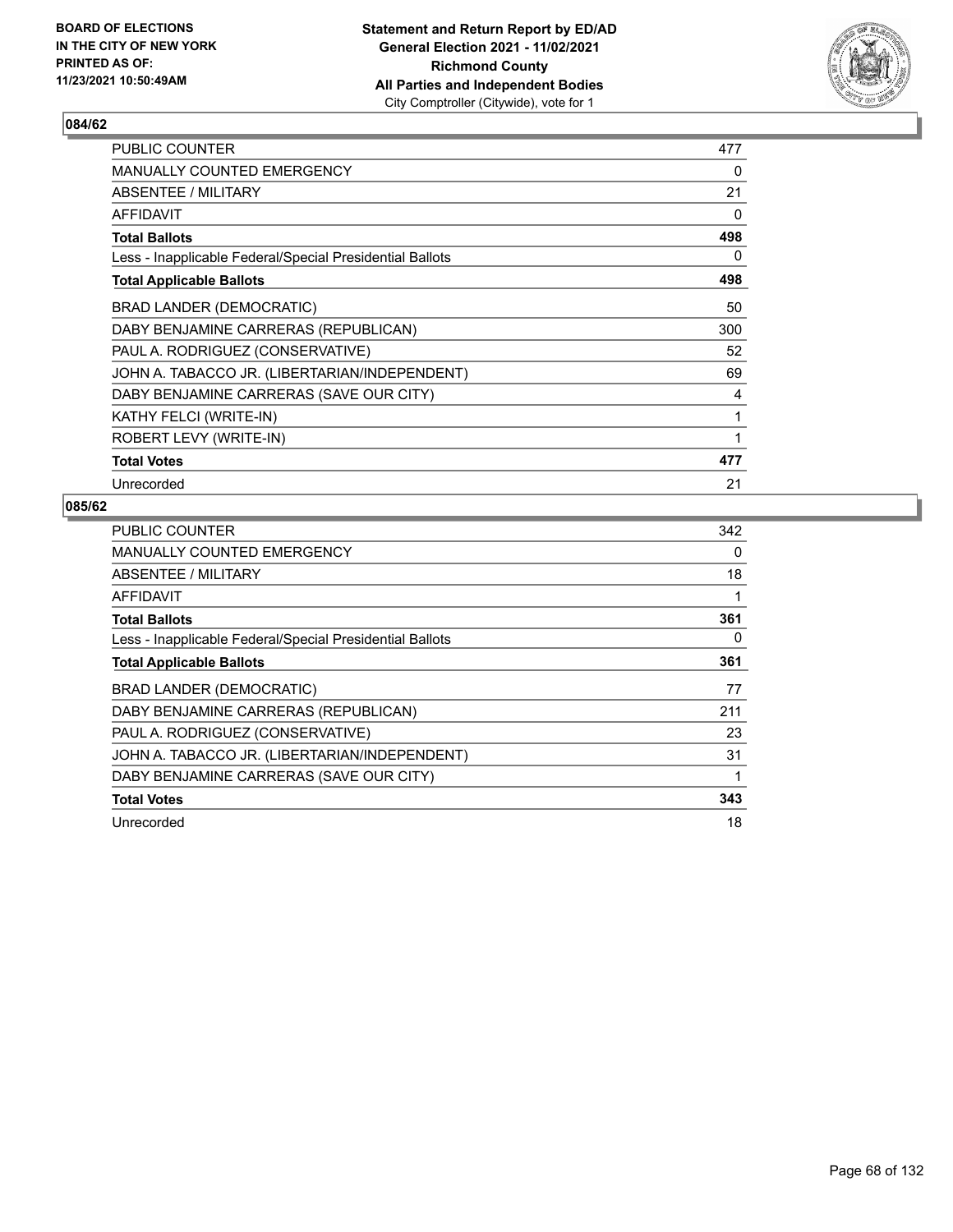

| PUBLIC COUNTER                                           | 477 |
|----------------------------------------------------------|-----|
| MANUALLY COUNTED EMERGENCY                               | 0   |
| ABSENTEE / MILITARY                                      | 21  |
| AFFIDAVIT                                                | 0   |
| <b>Total Ballots</b>                                     | 498 |
| Less - Inapplicable Federal/Special Presidential Ballots | 0   |
| <b>Total Applicable Ballots</b>                          | 498 |
| BRAD LANDER (DEMOCRATIC)                                 | 50  |
| DABY BENJAMINE CARRERAS (REPUBLICAN)                     | 300 |
| PAUL A. RODRIGUEZ (CONSERVATIVE)                         | 52  |
| JOHN A. TABACCO JR. (LIBERTARIAN/INDEPENDENT)            | 69  |
| DABY BENJAMINE CARRERAS (SAVE OUR CITY)                  | 4   |
| KATHY FELCI (WRITE-IN)                                   | 1   |
| ROBERT LEVY (WRITE-IN)                                   | 1   |
| <b>Total Votes</b>                                       | 477 |
| Unrecorded                                               | 21  |

| <b>PUBLIC COUNTER</b>                                    | 342 |
|----------------------------------------------------------|-----|
| MANUALLY COUNTED EMERGENCY                               | 0   |
| ABSENTEE / MILITARY                                      | 18  |
| AFFIDAVIT                                                | 1   |
| <b>Total Ballots</b>                                     | 361 |
| Less - Inapplicable Federal/Special Presidential Ballots | 0   |
| <b>Total Applicable Ballots</b>                          | 361 |
| <b>BRAD LANDER (DEMOCRATIC)</b>                          | 77  |
| DABY BENJAMINE CARRERAS (REPUBLICAN)                     | 211 |
| PAUL A. RODRIGUEZ (CONSERVATIVE)                         | 23  |
| JOHN A. TABACCO JR. (LIBERTARIAN/INDEPENDENT)            | 31  |
| DABY BENJAMINE CARRERAS (SAVE OUR CITY)                  | 1   |
| <b>Total Votes</b>                                       | 343 |
| Unrecorded                                               | 18  |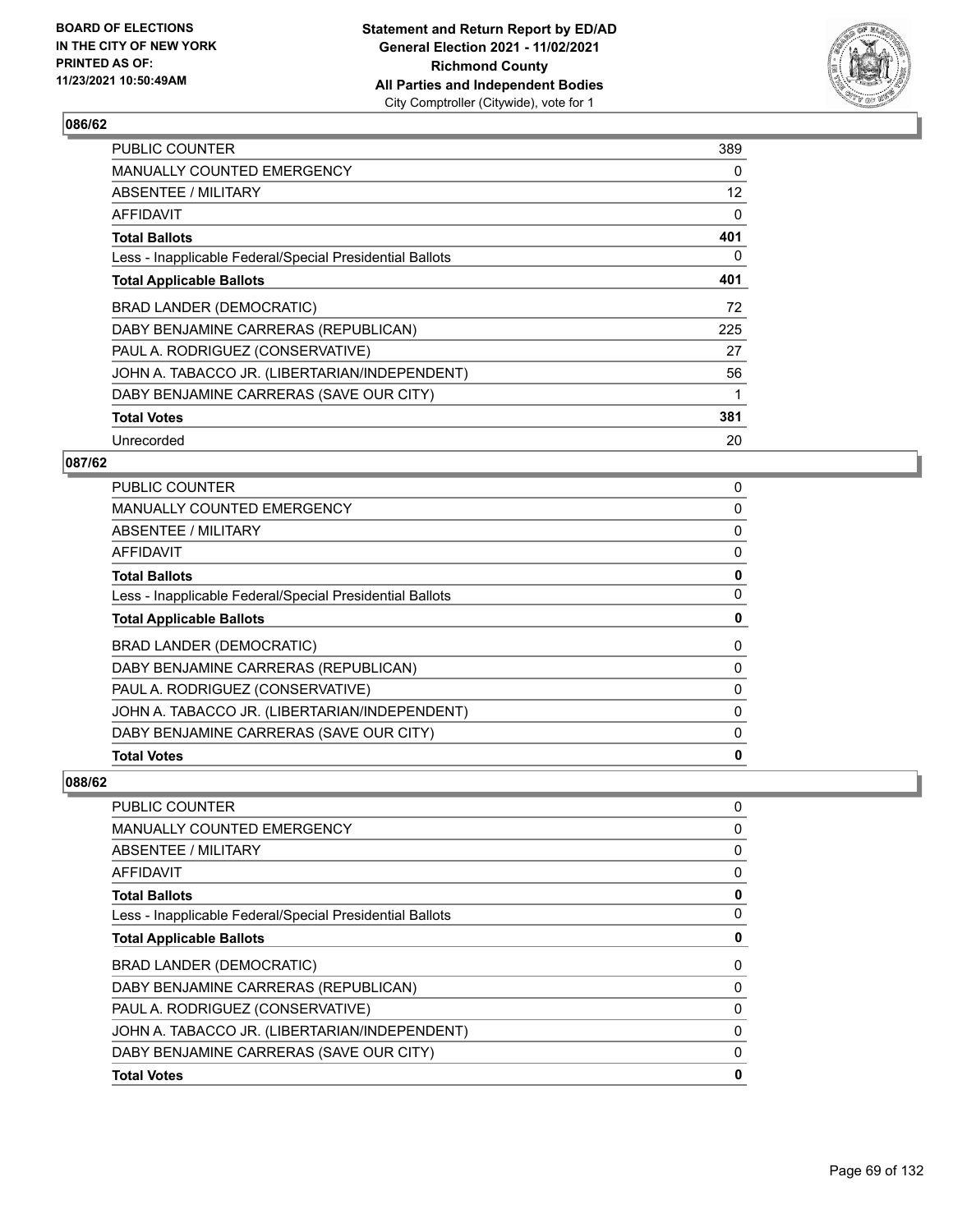

| <b>PUBLIC COUNTER</b>                                    | 389 |
|----------------------------------------------------------|-----|
| <b>MANUALLY COUNTED EMERGENCY</b>                        | 0   |
| ABSENTEE / MILITARY                                      | 12  |
| AFFIDAVIT                                                | 0   |
| <b>Total Ballots</b>                                     | 401 |
| Less - Inapplicable Federal/Special Presidential Ballots | 0   |
| <b>Total Applicable Ballots</b>                          | 401 |
| BRAD LANDER (DEMOCRATIC)                                 | 72  |
| DABY BENJAMINE CARRERAS (REPUBLICAN)                     | 225 |
| PAUL A. RODRIGUEZ (CONSERVATIVE)                         | 27  |
| JOHN A. TABACCO JR. (LIBERTARIAN/INDEPENDENT)            | 56  |
| DABY BENJAMINE CARRERAS (SAVE OUR CITY)                  | 1   |
| <b>Total Votes</b>                                       | 381 |
| Unrecorded                                               | 20  |

## **087/62**

| <b>PUBLIC COUNTER</b>                                    | 0 |
|----------------------------------------------------------|---|
| MANUALLY COUNTED EMERGENCY                               | 0 |
| ABSENTEE / MILITARY                                      | 0 |
| AFFIDAVIT                                                | 0 |
| <b>Total Ballots</b>                                     | 0 |
| Less - Inapplicable Federal/Special Presidential Ballots | 0 |
| <b>Total Applicable Ballots</b>                          | 0 |
| <b>BRAD LANDER (DEMOCRATIC)</b>                          | 0 |
| DABY BENJAMINE CARRERAS (REPUBLICAN)                     | 0 |
| PAUL A. RODRIGUEZ (CONSERVATIVE)                         | 0 |
| JOHN A. TABACCO JR. (LIBERTARIAN/INDEPENDENT)            | 0 |
| DABY BENJAMINE CARRERAS (SAVE OUR CITY)                  | 0 |
| <b>Total Votes</b>                                       | 0 |

| <b>PUBLIC COUNTER</b>                                    | 0 |
|----------------------------------------------------------|---|
| <b>MANUALLY COUNTED EMERGENCY</b>                        | 0 |
| <b>ABSENTEE / MILITARY</b>                               | 0 |
| <b>AFFIDAVIT</b>                                         | 0 |
| <b>Total Ballots</b>                                     | 0 |
| Less - Inapplicable Federal/Special Presidential Ballots | 0 |
| <b>Total Applicable Ballots</b>                          | 0 |
| <b>BRAD LANDER (DEMOCRATIC)</b>                          | 0 |
| DABY BENJAMINE CARRERAS (REPUBLICAN)                     | 0 |
| PAUL A. RODRIGUEZ (CONSERVATIVE)                         | 0 |
| JOHN A. TABACCO JR. (LIBERTARIAN/INDEPENDENT)            | 0 |
| DABY BENJAMINE CARRERAS (SAVE OUR CITY)                  | 0 |
| <b>Total Votes</b>                                       | 0 |
|                                                          |   |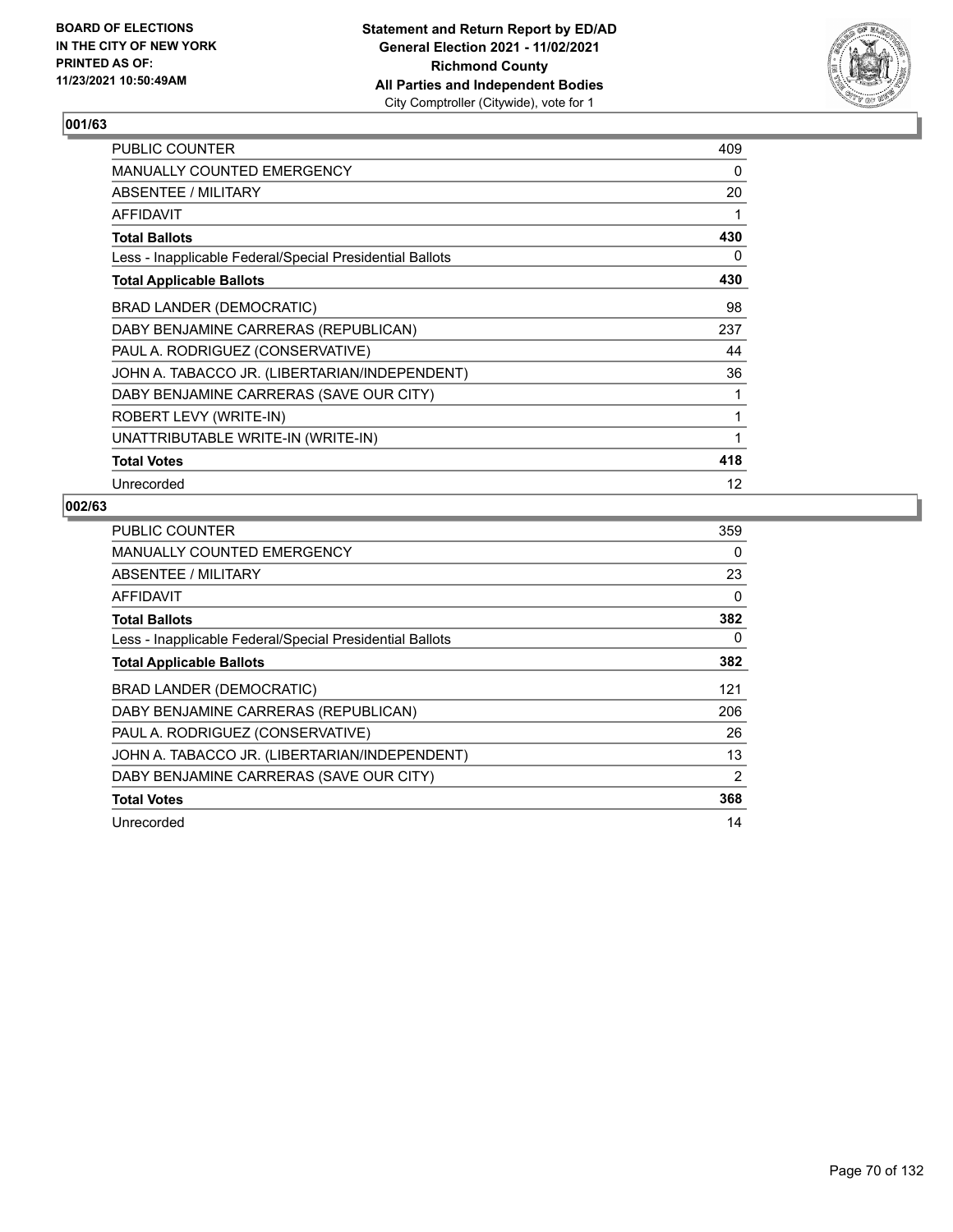

| PUBLIC COUNTER                                           | 409 |
|----------------------------------------------------------|-----|
| <b>MANUALLY COUNTED EMERGENCY</b>                        | 0   |
| ABSENTEE / MILITARY                                      | 20  |
| AFFIDAVIT                                                |     |
| <b>Total Ballots</b>                                     | 430 |
| Less - Inapplicable Federal/Special Presidential Ballots | 0   |
| <b>Total Applicable Ballots</b>                          | 430 |
| <b>BRAD LANDER (DEMOCRATIC)</b>                          | 98  |
| DABY BENJAMINE CARRERAS (REPUBLICAN)                     | 237 |
| PAUL A. RODRIGUEZ (CONSERVATIVE)                         | 44  |
| JOHN A. TABACCO JR. (LIBERTARIAN/INDEPENDENT)            | 36  |
| DABY BENJAMINE CARRERAS (SAVE OUR CITY)                  | 1   |
| ROBERT LEVY (WRITE-IN)                                   | 1   |
| UNATTRIBUTABLE WRITE-IN (WRITE-IN)                       | 1   |
| <b>Total Votes</b>                                       | 418 |
| Unrecorded                                               | 12  |

| <b>PUBLIC COUNTER</b>                                    | 359 |
|----------------------------------------------------------|-----|
| MANUALLY COUNTED EMERGENCY                               | 0   |
| ABSENTEE / MILITARY                                      | 23  |
| AFFIDAVIT                                                | 0   |
| <b>Total Ballots</b>                                     | 382 |
| Less - Inapplicable Federal/Special Presidential Ballots | 0   |
| <b>Total Applicable Ballots</b>                          | 382 |
| <b>BRAD LANDER (DEMOCRATIC)</b>                          | 121 |
| DABY BENJAMINE CARRERAS (REPUBLICAN)                     | 206 |
| PAUL A. RODRIGUEZ (CONSERVATIVE)                         | 26  |
| JOHN A. TABACCO JR. (LIBERTARIAN/INDEPENDENT)            | 13  |
| DABY BENJAMINE CARRERAS (SAVE OUR CITY)                  | 2   |
| <b>Total Votes</b>                                       | 368 |
| Unrecorded                                               | 14  |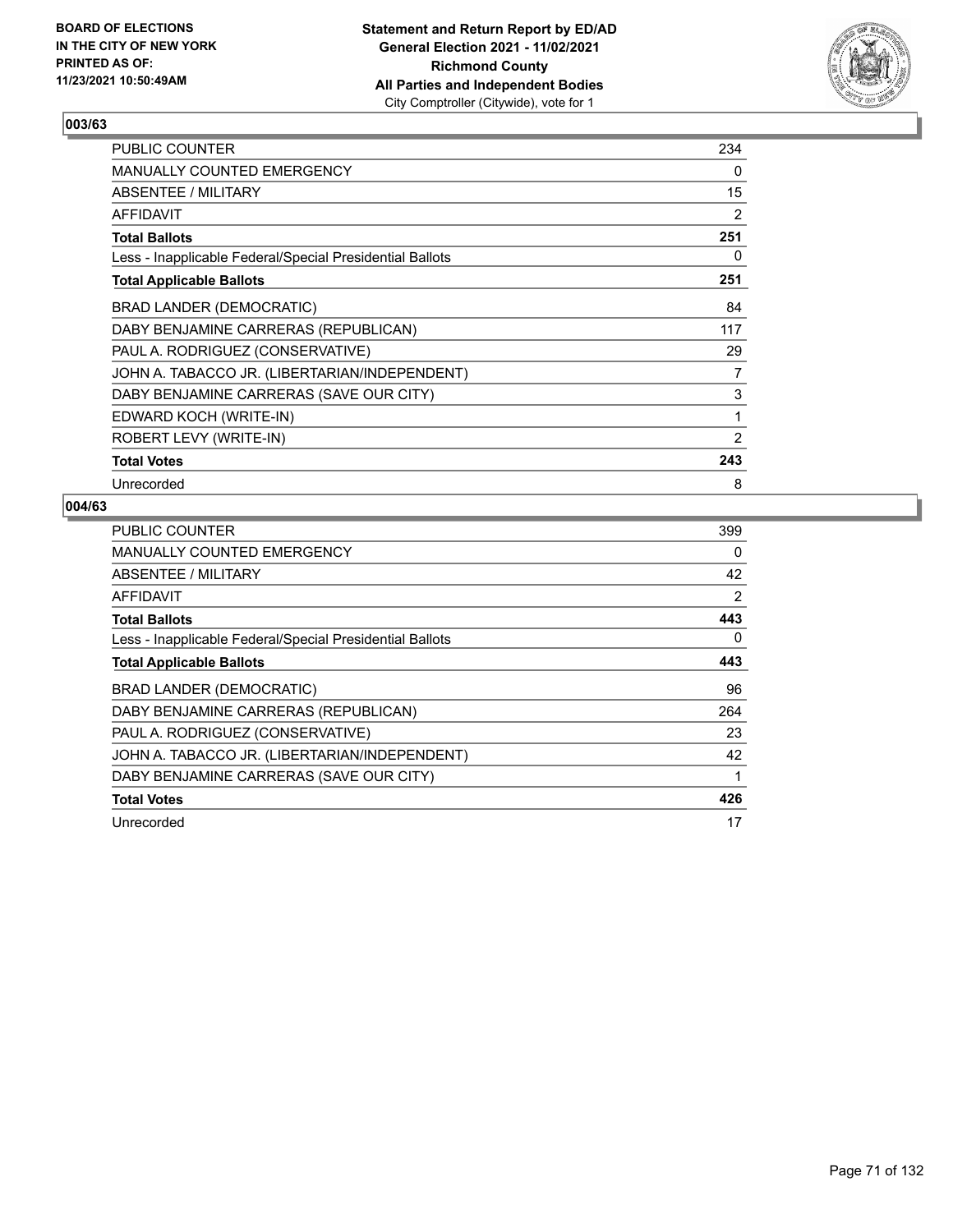

| PUBLIC COUNTER                                           | 234 |
|----------------------------------------------------------|-----|
| MANUALLY COUNTED EMERGENCY                               | 0   |
| ABSENTEE / MILITARY                                      | 15  |
| AFFIDAVIT                                                | 2   |
| <b>Total Ballots</b>                                     | 251 |
| Less - Inapplicable Federal/Special Presidential Ballots | 0   |
| <b>Total Applicable Ballots</b>                          | 251 |
| BRAD LANDER (DEMOCRATIC)                                 | 84  |
| DABY BENJAMINE CARRERAS (REPUBLICAN)                     | 117 |
| PAUL A. RODRIGUEZ (CONSERVATIVE)                         | 29  |
| JOHN A. TABACCO JR. (LIBERTARIAN/INDEPENDENT)            | 7   |
| DABY BENJAMINE CARRERAS (SAVE OUR CITY)                  | 3   |
| EDWARD KOCH (WRITE-IN)                                   | 1   |
| ROBERT LEVY (WRITE-IN)                                   | 2   |
| <b>Total Votes</b>                                       | 243 |
| Unrecorded                                               | 8   |

| <b>PUBLIC COUNTER</b>                                    | 399 |
|----------------------------------------------------------|-----|
| MANUALLY COUNTED EMERGENCY                               | 0   |
| ABSENTEE / MILITARY                                      | 42  |
| AFFIDAVIT                                                | 2   |
| <b>Total Ballots</b>                                     | 443 |
| Less - Inapplicable Federal/Special Presidential Ballots | 0   |
| <b>Total Applicable Ballots</b>                          | 443 |
| <b>BRAD LANDER (DEMOCRATIC)</b>                          | 96  |
| DABY BENJAMINE CARRERAS (REPUBLICAN)                     | 264 |
| PAUL A. RODRIGUEZ (CONSERVATIVE)                         | 23  |
| JOHN A. TABACCO JR. (LIBERTARIAN/INDEPENDENT)            | 42  |
| DABY BENJAMINE CARRERAS (SAVE OUR CITY)                  | 1   |
| <b>Total Votes</b>                                       | 426 |
| Unrecorded                                               | 17  |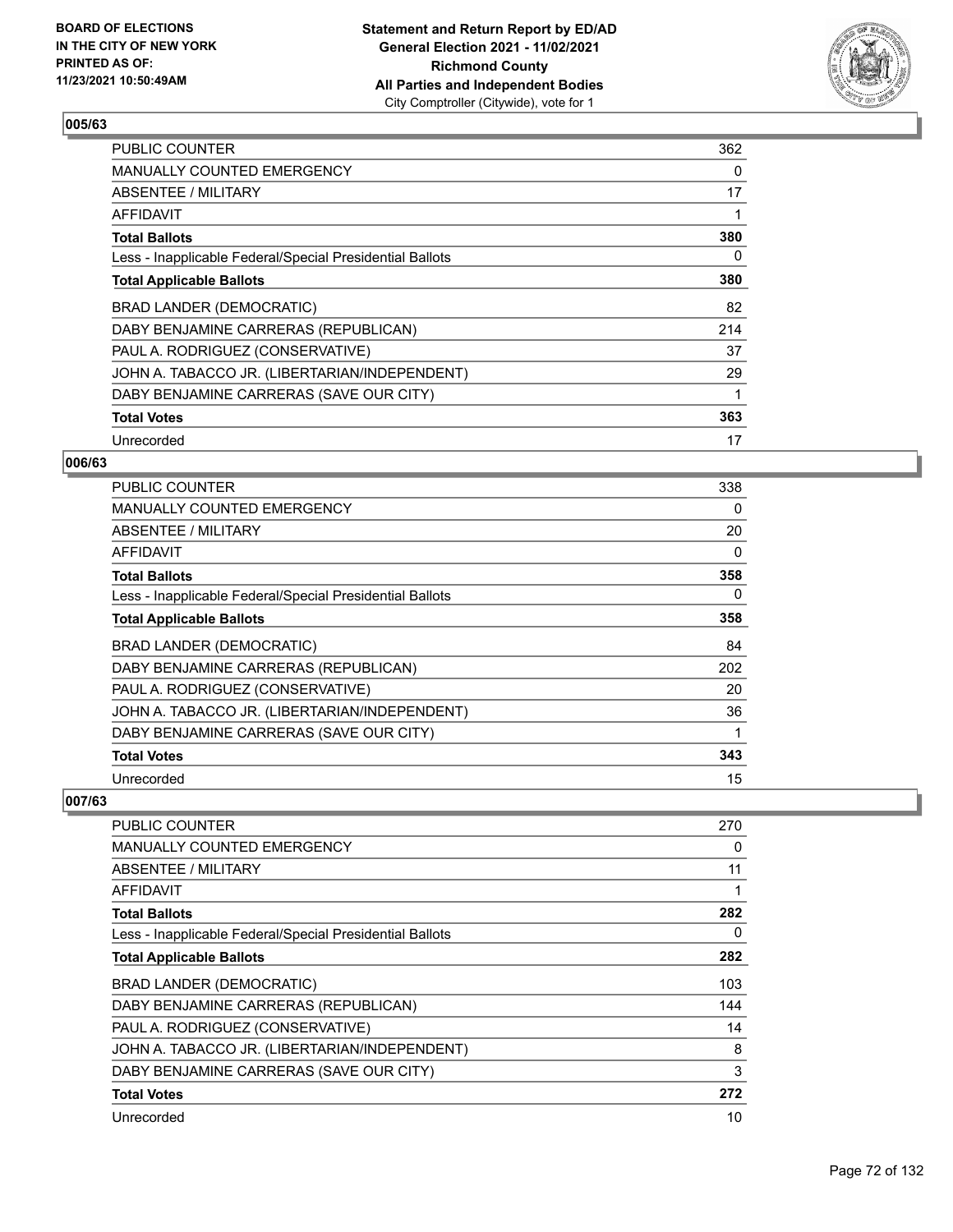

| <b>PUBLIC COUNTER</b>                                    | 362 |
|----------------------------------------------------------|-----|
| MANUALLY COUNTED EMERGENCY                               | 0   |
| ABSENTEE / MILITARY                                      | 17  |
| AFFIDAVIT                                                | 1   |
| <b>Total Ballots</b>                                     | 380 |
| Less - Inapplicable Federal/Special Presidential Ballots | 0   |
| <b>Total Applicable Ballots</b>                          | 380 |
| BRAD LANDER (DEMOCRATIC)                                 | 82  |
| DABY BENJAMINE CARRERAS (REPUBLICAN)                     | 214 |
| PAUL A. RODRIGUEZ (CONSERVATIVE)                         | 37  |
| JOHN A. TABACCO JR. (LIBERTARIAN/INDEPENDENT)            | 29  |
| DABY BENJAMINE CARRERAS (SAVE OUR CITY)                  | 1   |
| <b>Total Votes</b>                                       | 363 |
| Unrecorded                                               | 17  |

### **006/63**

| PUBLIC COUNTER                                           | 338 |
|----------------------------------------------------------|-----|
| <b>MANUALLY COUNTED EMERGENCY</b>                        | 0   |
| <b>ABSENTEE / MILITARY</b>                               | 20  |
| AFFIDAVIT                                                | 0   |
| <b>Total Ballots</b>                                     | 358 |
| Less - Inapplicable Federal/Special Presidential Ballots | 0   |
| <b>Total Applicable Ballots</b>                          | 358 |
| BRAD LANDER (DEMOCRATIC)                                 | 84  |
| DABY BENJAMINE CARRERAS (REPUBLICAN)                     | 202 |
| PAUL A. RODRIGUEZ (CONSERVATIVE)                         | 20  |
| JOHN A. TABACCO JR. (LIBERTARIAN/INDEPENDENT)            | 36  |
| DABY BENJAMINE CARRERAS (SAVE OUR CITY)                  |     |
| <b>Total Votes</b>                                       | 343 |
| Unrecorded                                               | 15  |

| <b>PUBLIC COUNTER</b>                                    | 270 |
|----------------------------------------------------------|-----|
| <b>MANUALLY COUNTED EMERGENCY</b>                        | 0   |
| ABSENTEE / MILITARY                                      | 11  |
| AFFIDAVIT                                                |     |
| <b>Total Ballots</b>                                     | 282 |
| Less - Inapplicable Federal/Special Presidential Ballots | 0   |
| <b>Total Applicable Ballots</b>                          | 282 |
| BRAD LANDER (DEMOCRATIC)                                 | 103 |
| DABY BENJAMINE CARRERAS (REPUBLICAN)                     | 144 |
| PAUL A. RODRIGUEZ (CONSERVATIVE)                         | 14  |
| JOHN A. TABACCO JR. (LIBERTARIAN/INDEPENDENT)            | 8   |
| DABY BENJAMINE CARRERAS (SAVE OUR CITY)                  | 3   |
| <b>Total Votes</b>                                       | 272 |
| Unrecorded                                               | 10  |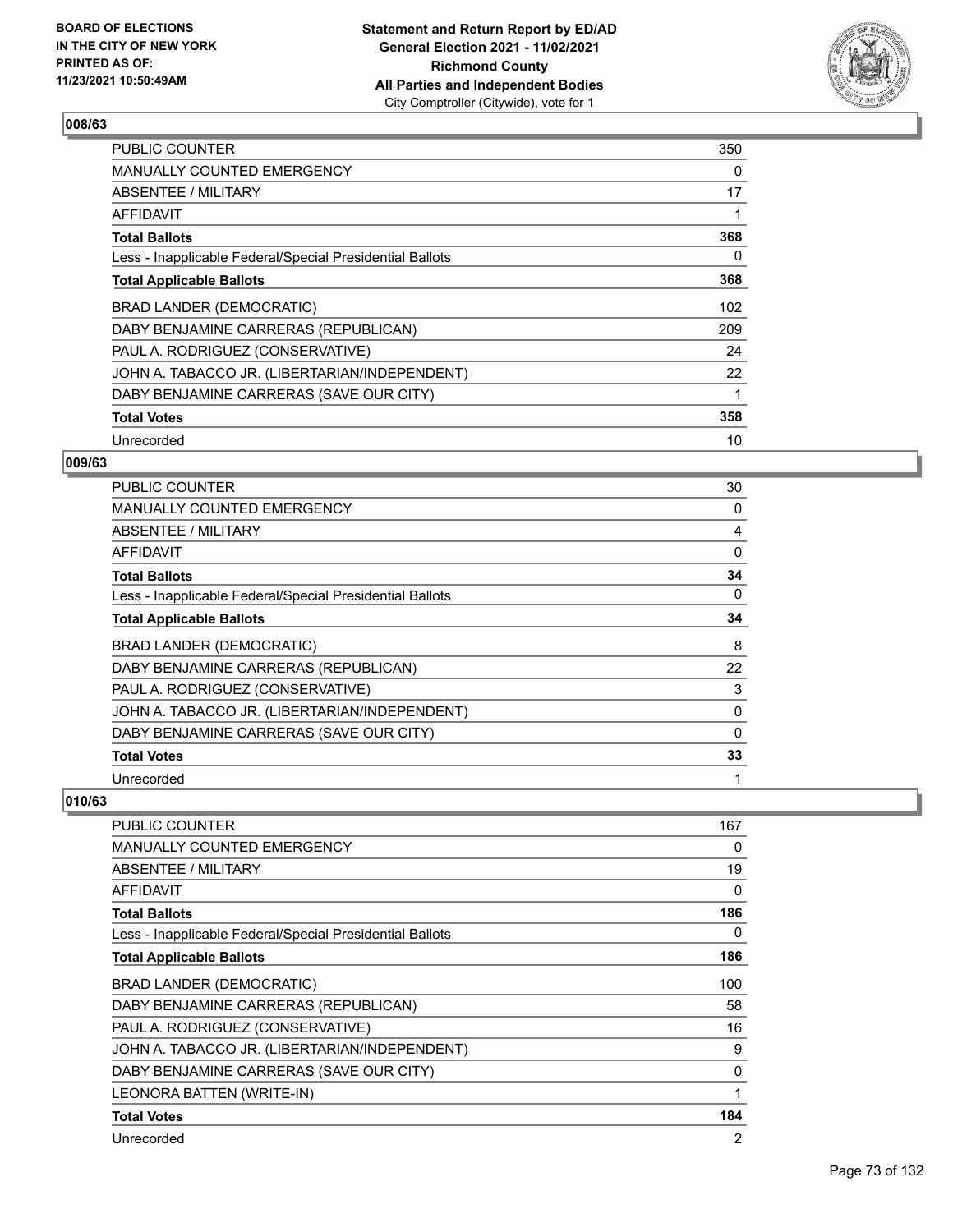

| <b>PUBLIC COUNTER</b>                                    | 350 |
|----------------------------------------------------------|-----|
| <b>MANUALLY COUNTED EMERGENCY</b>                        | 0   |
| ABSENTEE / MILITARY                                      | 17  |
| AFFIDAVIT                                                |     |
| <b>Total Ballots</b>                                     | 368 |
| Less - Inapplicable Federal/Special Presidential Ballots | 0   |
| <b>Total Applicable Ballots</b>                          | 368 |
| BRAD LANDER (DEMOCRATIC)                                 | 102 |
| DABY BENJAMINE CARRERAS (REPUBLICAN)                     | 209 |
| PAUL A. RODRIGUEZ (CONSERVATIVE)                         | 24  |
| JOHN A. TABACCO JR. (LIBERTARIAN/INDEPENDENT)            | 22  |
| DABY BENJAMINE CARRERAS (SAVE OUR CITY)                  |     |
| <b>Total Votes</b>                                       | 358 |
| Unrecorded                                               | 10  |

## **009/63**

| <b>PUBLIC COUNTER</b>                                    | 30 |
|----------------------------------------------------------|----|
| <b>MANUALLY COUNTED EMERGENCY</b>                        | 0  |
| ABSENTEE / MILITARY                                      | 4  |
| AFFIDAVIT                                                | 0  |
| <b>Total Ballots</b>                                     | 34 |
| Less - Inapplicable Federal/Special Presidential Ballots | 0  |
| <b>Total Applicable Ballots</b>                          | 34 |
| BRAD LANDER (DEMOCRATIC)                                 | 8  |
| DABY BENJAMINE CARRERAS (REPUBLICAN)                     | 22 |
| PAUL A. RODRIGUEZ (CONSERVATIVE)                         | 3  |
| JOHN A. TABACCO JR. (LIBERTARIAN/INDEPENDENT)            | 0  |
| DABY BENJAMINE CARRERAS (SAVE OUR CITY)                  | 0  |
| <b>Total Votes</b>                                       | 33 |
| Unrecorded                                               | 1  |

| PUBLIC COUNTER                                           | 167 |
|----------------------------------------------------------|-----|
| <b>MANUALLY COUNTED EMERGENCY</b>                        | 0   |
| ABSENTEE / MILITARY                                      | 19  |
| AFFIDAVIT                                                | 0   |
| <b>Total Ballots</b>                                     | 186 |
| Less - Inapplicable Federal/Special Presidential Ballots | 0   |
| <b>Total Applicable Ballots</b>                          | 186 |
| BRAD LANDER (DEMOCRATIC)                                 | 100 |
| DABY BENJAMINE CARRERAS (REPUBLICAN)                     | 58  |
| PAUL A. RODRIGUEZ (CONSERVATIVE)                         | 16  |
| JOHN A. TABACCO JR. (LIBERTARIAN/INDEPENDENT)            | 9   |
| DABY BENJAMINE CARRERAS (SAVE OUR CITY)                  | 0   |
| LEONORA BATTEN (WRITE-IN)                                | 1   |
| <b>Total Votes</b>                                       | 184 |
| Unrecorded                                               | 2   |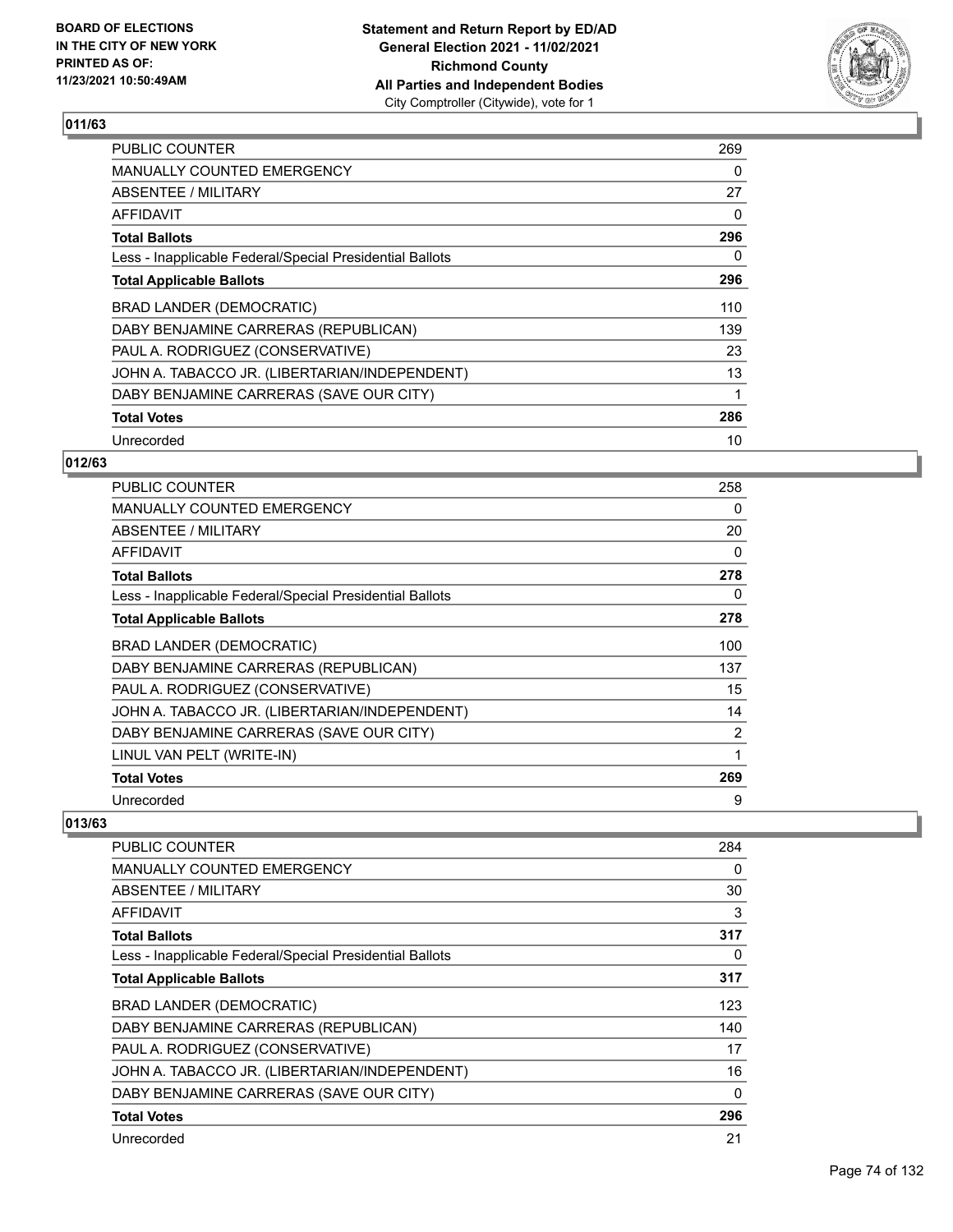

| <b>PUBLIC COUNTER</b>                                    | 269 |
|----------------------------------------------------------|-----|
| <b>MANUALLY COUNTED EMERGENCY</b>                        | 0   |
| ABSENTEE / MILITARY                                      | 27  |
| <b>AFFIDAVIT</b>                                         | 0   |
| <b>Total Ballots</b>                                     | 296 |
| Less - Inapplicable Federal/Special Presidential Ballots | 0   |
| <b>Total Applicable Ballots</b>                          | 296 |
| BRAD LANDER (DEMOCRATIC)                                 | 110 |
| DABY BENJAMINE CARRERAS (REPUBLICAN)                     | 139 |
| PAUL A. RODRIGUEZ (CONSERVATIVE)                         | 23  |
| JOHN A. TABACCO JR. (LIBERTARIAN/INDEPENDENT)            | 13  |
| DABY BENJAMINE CARRERAS (SAVE OUR CITY)                  |     |
| <b>Total Votes</b>                                       | 286 |
| Unrecorded                                               | 10  |

## **012/63**

| <b>PUBLIC COUNTER</b>                                    | 258 |
|----------------------------------------------------------|-----|
| <b>MANUALLY COUNTED EMERGENCY</b>                        | 0   |
| ABSENTEE / MILITARY                                      | 20  |
| AFFIDAVIT                                                | 0   |
| <b>Total Ballots</b>                                     | 278 |
| Less - Inapplicable Federal/Special Presidential Ballots | 0   |
| <b>Total Applicable Ballots</b>                          | 278 |
| BRAD LANDER (DEMOCRATIC)                                 | 100 |
| DABY BENJAMINE CARRERAS (REPUBLICAN)                     | 137 |
| PAUL A. RODRIGUEZ (CONSERVATIVE)                         | 15  |
| JOHN A. TABACCO JR. (LIBERTARIAN/INDEPENDENT)            | 14  |
| DABY BENJAMINE CARRERAS (SAVE OUR CITY)                  | 2   |
| LINUL VAN PELT (WRITE-IN)                                | 1   |
| <b>Total Votes</b>                                       | 269 |
| Unrecorded                                               | 9   |

| PUBLIC COUNTER                                           | 284 |
|----------------------------------------------------------|-----|
| MANUALLY COUNTED EMERGENCY                               | 0   |
| ABSENTEE / MILITARY                                      | 30  |
| <b>AFFIDAVIT</b>                                         | 3   |
| <b>Total Ballots</b>                                     | 317 |
| Less - Inapplicable Federal/Special Presidential Ballots | 0   |
| <b>Total Applicable Ballots</b>                          | 317 |
| <b>BRAD LANDER (DEMOCRATIC)</b>                          | 123 |
| DABY BENJAMINE CARRERAS (REPUBLICAN)                     | 140 |
| PAUL A. RODRIGUEZ (CONSERVATIVE)                         | 17  |
| JOHN A. TABACCO JR. (LIBERTARIAN/INDEPENDENT)            | 16  |
| DABY BENJAMINE CARRERAS (SAVE OUR CITY)                  | 0   |
| <b>Total Votes</b>                                       | 296 |
| Unrecorded                                               | 21  |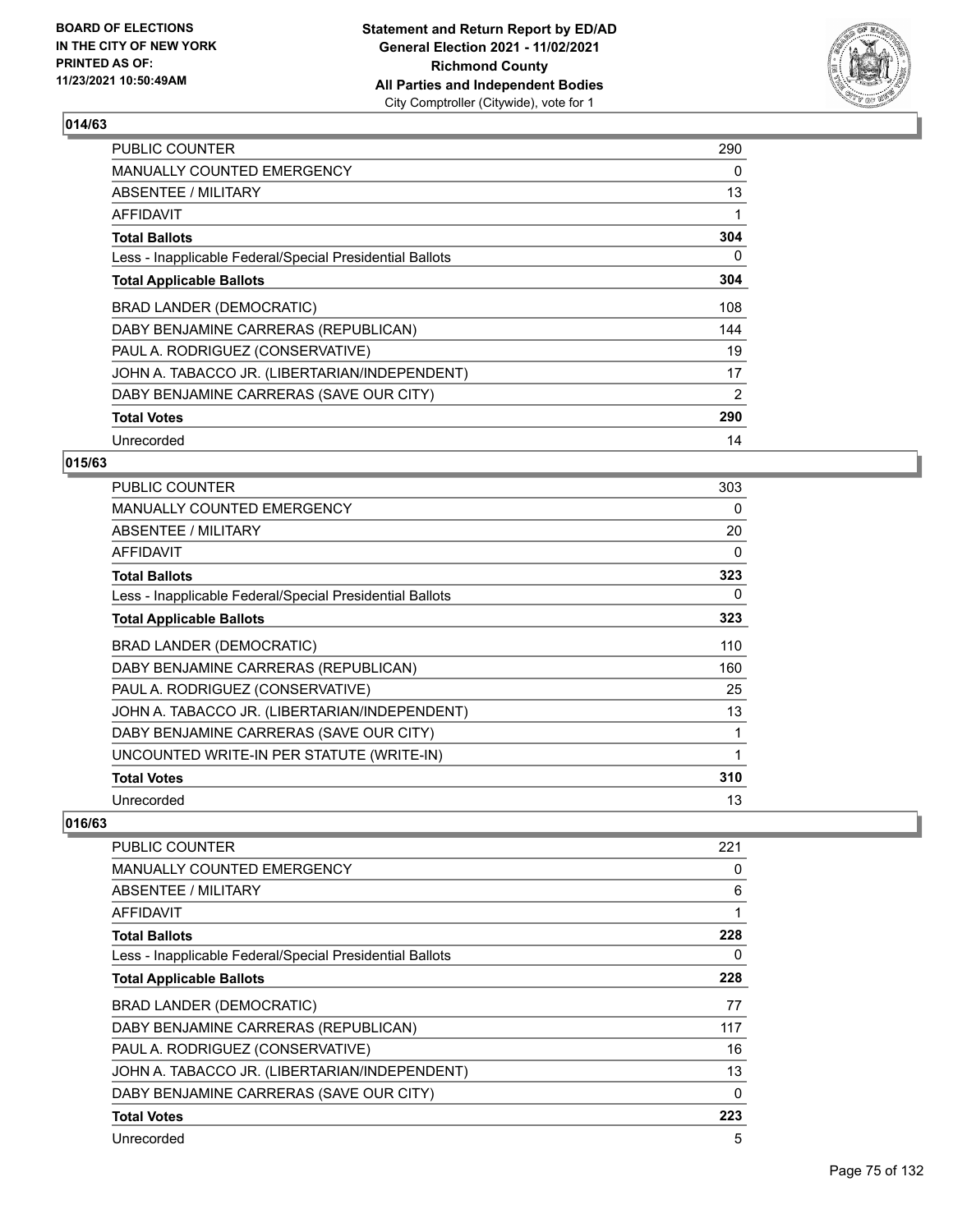

| <b>PUBLIC COUNTER</b>                                    | 290 |
|----------------------------------------------------------|-----|
| MANUALLY COUNTED EMERGENCY                               | 0   |
| ABSENTEE / MILITARY                                      | 13  |
| AFFIDAVIT                                                |     |
| <b>Total Ballots</b>                                     | 304 |
| Less - Inapplicable Federal/Special Presidential Ballots | 0   |
| <b>Total Applicable Ballots</b>                          | 304 |
| BRAD LANDER (DEMOCRATIC)                                 | 108 |
| DABY BENJAMINE CARRERAS (REPUBLICAN)                     | 144 |
| PAUL A. RODRIGUEZ (CONSERVATIVE)                         | 19  |
| JOHN A. TABACCO JR. (LIBERTARIAN/INDEPENDENT)            | 17  |
| DABY BENJAMINE CARRERAS (SAVE OUR CITY)                  | 2   |
| <b>Total Votes</b>                                       | 290 |
| Unrecorded                                               | 14  |

## **015/63**

| <b>PUBLIC COUNTER</b>                                    | 303 |
|----------------------------------------------------------|-----|
| <b>MANUALLY COUNTED EMERGENCY</b>                        | 0   |
| ABSENTEE / MILITARY                                      | 20  |
| AFFIDAVIT                                                | 0   |
| <b>Total Ballots</b>                                     | 323 |
| Less - Inapplicable Federal/Special Presidential Ballots | 0   |
| <b>Total Applicable Ballots</b>                          | 323 |
| <b>BRAD LANDER (DEMOCRATIC)</b>                          | 110 |
| DABY BENJAMINE CARRERAS (REPUBLICAN)                     | 160 |
| PAUL A. RODRIGUEZ (CONSERVATIVE)                         | 25  |
| JOHN A. TABACCO JR. (LIBERTARIAN/INDEPENDENT)            | 13  |
| DABY BENJAMINE CARRERAS (SAVE OUR CITY)                  | 1   |
| UNCOUNTED WRITE-IN PER STATUTE (WRITE-IN)                | 1   |
| <b>Total Votes</b>                                       | 310 |
| Unrecorded                                               | 13  |

| <b>PUBLIC COUNTER</b>                                    | 221 |
|----------------------------------------------------------|-----|
| MANUALLY COUNTED EMERGENCY                               | 0   |
| ABSENTEE / MILITARY                                      | 6   |
| AFFIDAVIT                                                | 1   |
| <b>Total Ballots</b>                                     | 228 |
| Less - Inapplicable Federal/Special Presidential Ballots | 0   |
| <b>Total Applicable Ballots</b>                          | 228 |
| BRAD LANDER (DEMOCRATIC)                                 | 77  |
| DABY BENJAMINE CARRERAS (REPUBLICAN)                     | 117 |
| PAUL A. RODRIGUEZ (CONSERVATIVE)                         | 16  |
| JOHN A. TABACCO JR. (LIBERTARIAN/INDEPENDENT)            | 13  |
| DABY BENJAMINE CARRERAS (SAVE OUR CITY)                  | 0   |
| <b>Total Votes</b>                                       | 223 |
| Unrecorded                                               | 5   |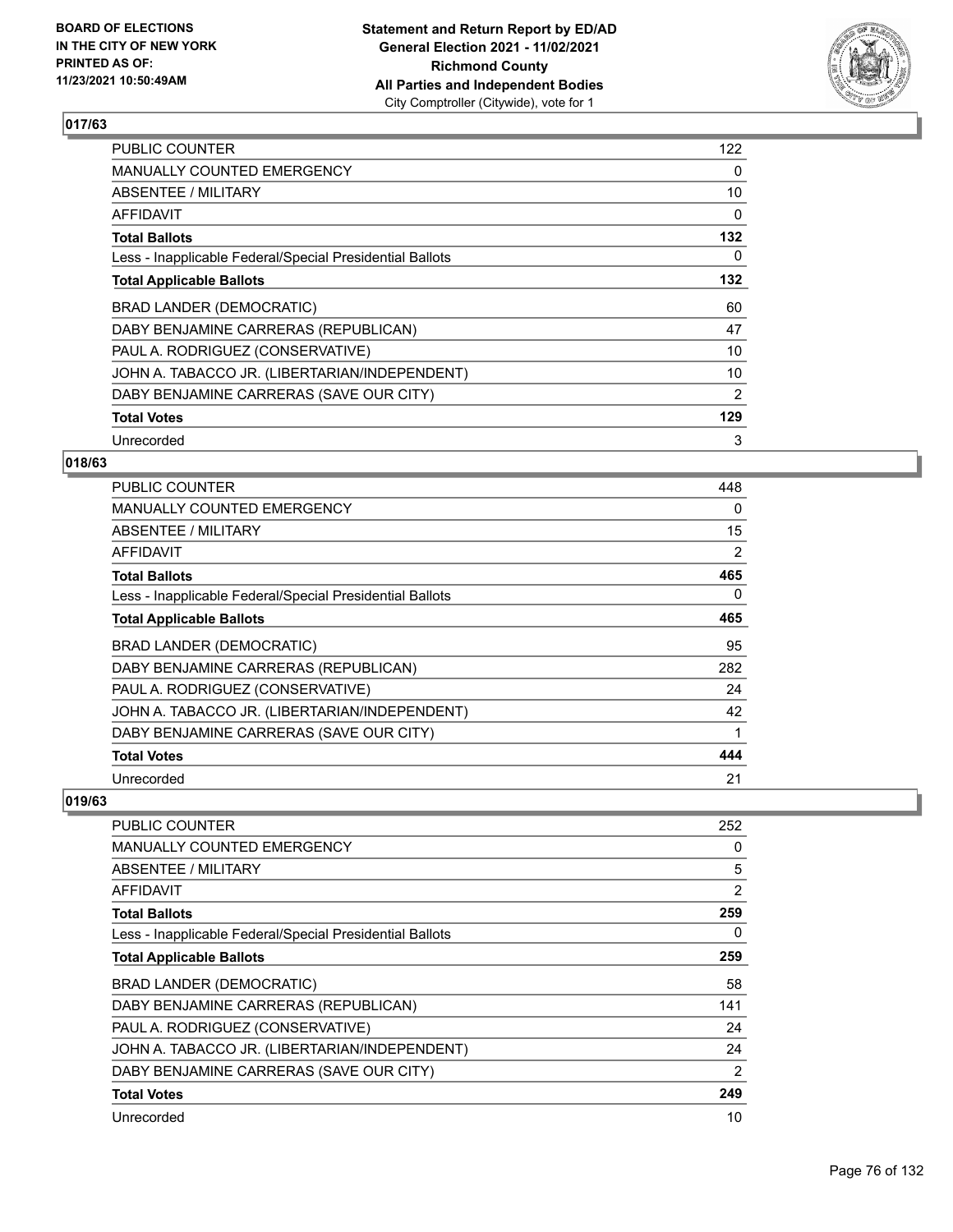

| <b>PUBLIC COUNTER</b>                                    | 122            |
|----------------------------------------------------------|----------------|
| <b>MANUALLY COUNTED EMERGENCY</b>                        | 0              |
| ABSENTEE / MILITARY                                      | 10             |
| AFFIDAVIT                                                | 0              |
| <b>Total Ballots</b>                                     | 132            |
| Less - Inapplicable Federal/Special Presidential Ballots | 0              |
| <b>Total Applicable Ballots</b>                          | 132            |
| BRAD LANDER (DEMOCRATIC)                                 | 60             |
| DABY BENJAMINE CARRERAS (REPUBLICAN)                     | 47             |
| PAUL A. RODRIGUEZ (CONSERVATIVE)                         | 10             |
| JOHN A. TABACCO JR. (LIBERTARIAN/INDEPENDENT)            | 10             |
| DABY BENJAMINE CARRERAS (SAVE OUR CITY)                  | $\overline{2}$ |
| <b>Total Votes</b>                                       | 129            |
| Unrecorded                                               | 3              |

## **018/63**

| <b>PUBLIC COUNTER</b>                                    | 448 |
|----------------------------------------------------------|-----|
| <b>MANUALLY COUNTED EMERGENCY</b>                        | 0   |
| ABSENTEE / MILITARY                                      | 15  |
| <b>AFFIDAVIT</b>                                         | 2   |
| <b>Total Ballots</b>                                     | 465 |
| Less - Inapplicable Federal/Special Presidential Ballots | 0   |
| <b>Total Applicable Ballots</b>                          | 465 |
| <b>BRAD LANDER (DEMOCRATIC)</b>                          | 95  |
| DABY BENJAMINE CARRERAS (REPUBLICAN)                     | 282 |
| PAUL A. RODRIGUEZ (CONSERVATIVE)                         | 24  |
| JOHN A. TABACCO JR. (LIBERTARIAN/INDEPENDENT)            | 42  |
| DABY BENJAMINE CARRERAS (SAVE OUR CITY)                  | 1   |
| <b>Total Votes</b>                                       | 444 |
| Unrecorded                                               | 21  |

| <b>PUBLIC COUNTER</b>                                    | 252            |
|----------------------------------------------------------|----------------|
| <b>MANUALLY COUNTED EMERGENCY</b>                        | 0              |
| <b>ABSENTEE / MILITARY</b>                               | 5              |
| <b>AFFIDAVIT</b>                                         | $\overline{2}$ |
| <b>Total Ballots</b>                                     | 259            |
| Less - Inapplicable Federal/Special Presidential Ballots | 0              |
| <b>Total Applicable Ballots</b>                          | 259            |
| BRAD LANDER (DEMOCRATIC)                                 | 58             |
| DABY BENJAMINE CARRERAS (REPUBLICAN)                     | 141            |
| PAUL A. RODRIGUEZ (CONSERVATIVE)                         | 24             |
| JOHN A. TABACCO JR. (LIBERTARIAN/INDEPENDENT)            | 24             |
| DABY BENJAMINE CARRERAS (SAVE OUR CITY)                  | $\overline{2}$ |
| <b>Total Votes</b>                                       | 249            |
| Unrecorded                                               | 10             |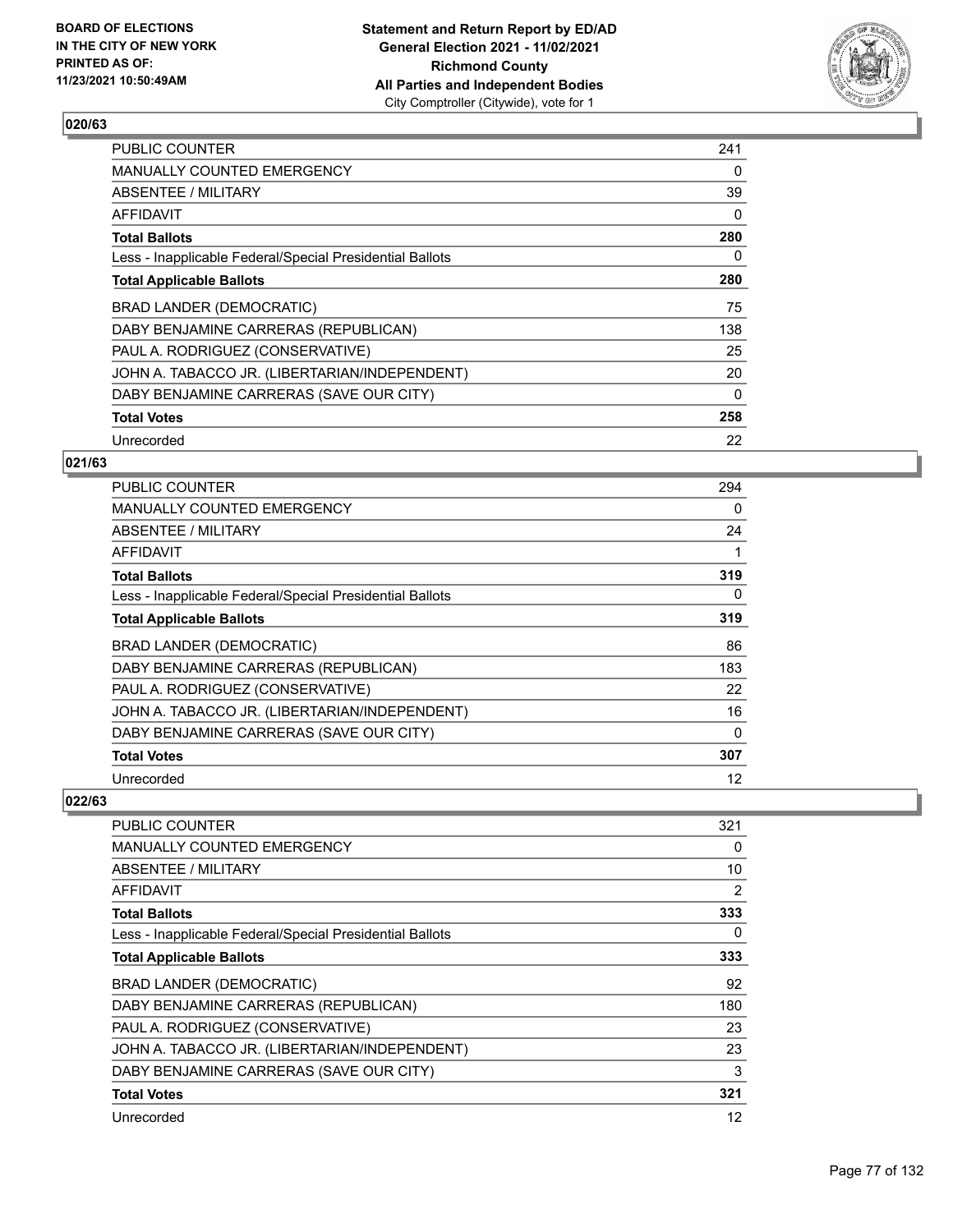

| <b>PUBLIC COUNTER</b>                                    | 241      |
|----------------------------------------------------------|----------|
| MANUALLY COUNTED EMERGENCY                               | 0        |
| ABSENTEE / MILITARY                                      | 39       |
| AFFIDAVIT                                                | $\Omega$ |
| <b>Total Ballots</b>                                     | 280      |
| Less - Inapplicable Federal/Special Presidential Ballots | 0        |
| <b>Total Applicable Ballots</b>                          | 280      |
| BRAD LANDER (DEMOCRATIC)                                 | 75       |
| DABY BENJAMINE CARRERAS (REPUBLICAN)                     | 138      |
| PAUL A. RODRIGUEZ (CONSERVATIVE)                         | 25       |
| JOHN A. TABACCO JR. (LIBERTARIAN/INDEPENDENT)            | 20       |
| DABY BENJAMINE CARRERAS (SAVE OUR CITY)                  | $\Omega$ |
| <b>Total Votes</b>                                       | 258      |
| Unrecorded                                               | 22       |

## **021/63**

| <b>PUBLIC COUNTER</b>                                    | 294 |
|----------------------------------------------------------|-----|
| <b>MANUALLY COUNTED EMERGENCY</b>                        | 0   |
| ABSENTEE / MILITARY                                      | 24  |
| AFFIDAVIT                                                |     |
| <b>Total Ballots</b>                                     | 319 |
| Less - Inapplicable Federal/Special Presidential Ballots | 0   |
| <b>Total Applicable Ballots</b>                          | 319 |
| BRAD LANDER (DEMOCRATIC)                                 | 86  |
| DABY BENJAMINE CARRERAS (REPUBLICAN)                     | 183 |
| PAUL A. RODRIGUEZ (CONSERVATIVE)                         | 22  |
| JOHN A. TABACCO JR. (LIBERTARIAN/INDEPENDENT)            | 16  |
| DABY BENJAMINE CARRERAS (SAVE OUR CITY)                  | 0   |
| <b>Total Votes</b>                                       | 307 |
| Unrecorded                                               | 12  |

| <b>PUBLIC COUNTER</b>                                    | 321            |
|----------------------------------------------------------|----------------|
| <b>MANUALLY COUNTED EMERGENCY</b>                        | 0              |
| <b>ABSENTEE / MILITARY</b>                               | 10             |
| AFFIDAVIT                                                | $\overline{2}$ |
| <b>Total Ballots</b>                                     | 333            |
| Less - Inapplicable Federal/Special Presidential Ballots | 0              |
| <b>Total Applicable Ballots</b>                          | 333            |
| BRAD LANDER (DEMOCRATIC)                                 | 92             |
| DABY BENJAMINE CARRERAS (REPUBLICAN)                     | 180            |
| PAUL A. RODRIGUEZ (CONSERVATIVE)                         | 23             |
| JOHN A. TABACCO JR. (LIBERTARIAN/INDEPENDENT)            | 23             |
| DABY BENJAMINE CARRERAS (SAVE OUR CITY)                  | 3              |
| <b>Total Votes</b>                                       | 321            |
| Unrecorded                                               | 12             |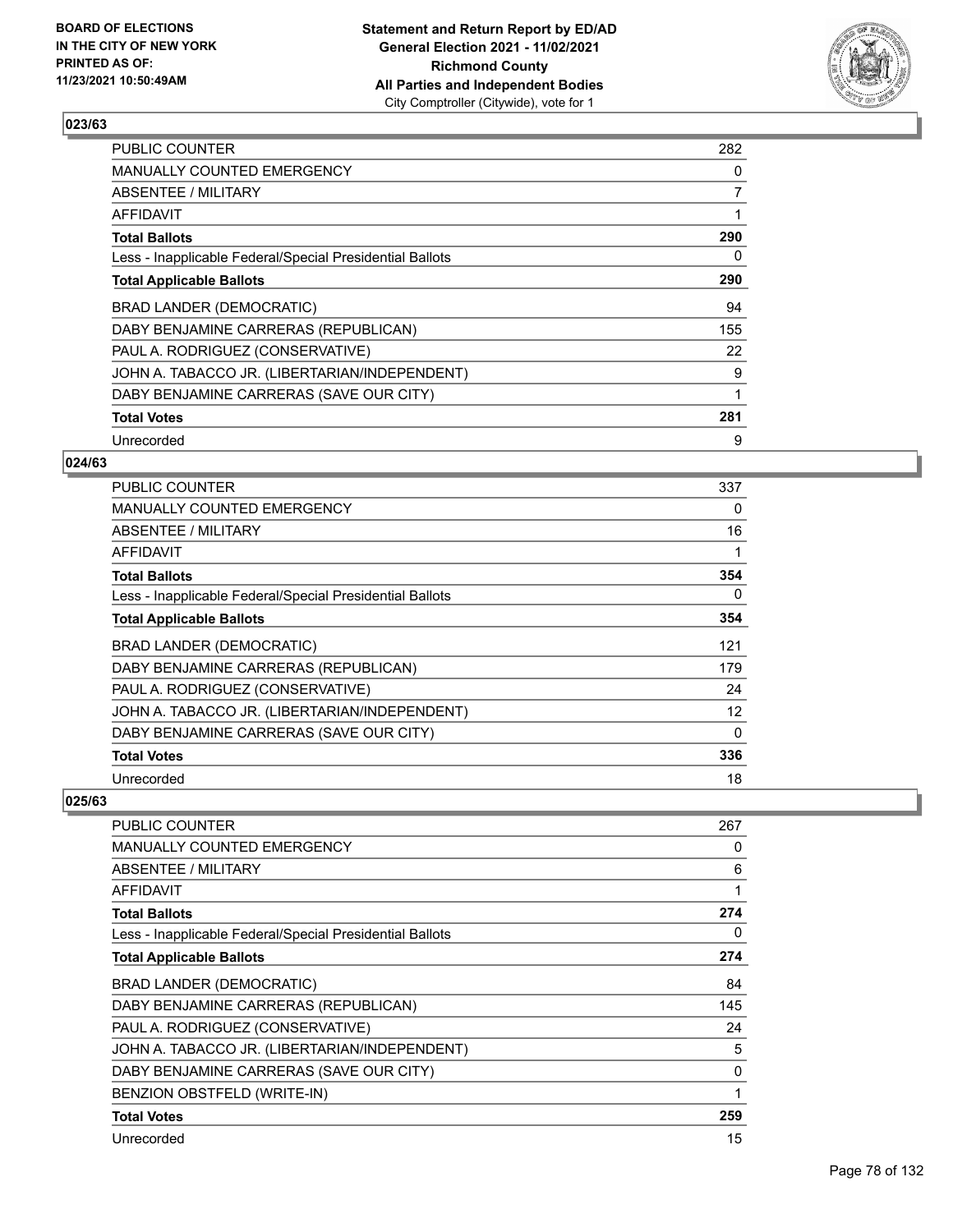

| <b>PUBLIC COUNTER</b>                                    | 282 |
|----------------------------------------------------------|-----|
| <b>MANUALLY COUNTED EMERGENCY</b>                        | 0   |
| ABSENTEE / MILITARY                                      | 7   |
| AFFIDAVIT                                                | 1   |
| <b>Total Ballots</b>                                     | 290 |
| Less - Inapplicable Federal/Special Presidential Ballots | 0   |
| <b>Total Applicable Ballots</b>                          | 290 |
| BRAD LANDER (DEMOCRATIC)                                 | 94  |
| DABY BENJAMINE CARRERAS (REPUBLICAN)                     | 155 |
| PAUL A. RODRIGUEZ (CONSERVATIVE)                         | 22  |
| JOHN A. TABACCO JR. (LIBERTARIAN/INDEPENDENT)            | 9   |
| DABY BENJAMINE CARRERAS (SAVE OUR CITY)                  | 1   |
| <b>Total Votes</b>                                       | 281 |
| Unrecorded                                               | 9   |

## **024/63**

| <b>PUBLIC COUNTER</b>                                    | 337 |
|----------------------------------------------------------|-----|
| <b>MANUALLY COUNTED EMERGENCY</b>                        | 0   |
| ABSENTEE / MILITARY                                      | 16  |
| AFFIDAVIT                                                | 1   |
| <b>Total Ballots</b>                                     | 354 |
| Less - Inapplicable Federal/Special Presidential Ballots | 0   |
| <b>Total Applicable Ballots</b>                          | 354 |
| BRAD LANDER (DEMOCRATIC)                                 | 121 |
| DABY BENJAMINE CARRERAS (REPUBLICAN)                     | 179 |
| PAUL A. RODRIGUEZ (CONSERVATIVE)                         | 24  |
| JOHN A. TABACCO JR. (LIBERTARIAN/INDEPENDENT)            | 12  |
| DABY BENJAMINE CARRERAS (SAVE OUR CITY)                  | 0   |
| <b>Total Votes</b>                                       | 336 |
| Unrecorded                                               | 18  |

| PUBLIC COUNTER                                           | 267 |
|----------------------------------------------------------|-----|
| <b>MANUALLY COUNTED EMERGENCY</b>                        | 0   |
| <b>ABSENTEE / MILITARY</b>                               | 6   |
| <b>AFFIDAVIT</b>                                         | 1   |
| <b>Total Ballots</b>                                     | 274 |
| Less - Inapplicable Federal/Special Presidential Ballots | 0   |
| <b>Total Applicable Ballots</b>                          | 274 |
| BRAD LANDER (DEMOCRATIC)                                 | 84  |
| DABY BENJAMINE CARRERAS (REPUBLICAN)                     | 145 |
| PAUL A. RODRIGUEZ (CONSERVATIVE)                         | 24  |
| JOHN A. TABACCO JR. (LIBERTARIAN/INDEPENDENT)            | 5   |
| DABY BENJAMINE CARRERAS (SAVE OUR CITY)                  | 0   |
| BENZION OBSTFELD (WRITE-IN)                              | 1   |
| <b>Total Votes</b>                                       | 259 |
| Unrecorded                                               | 15  |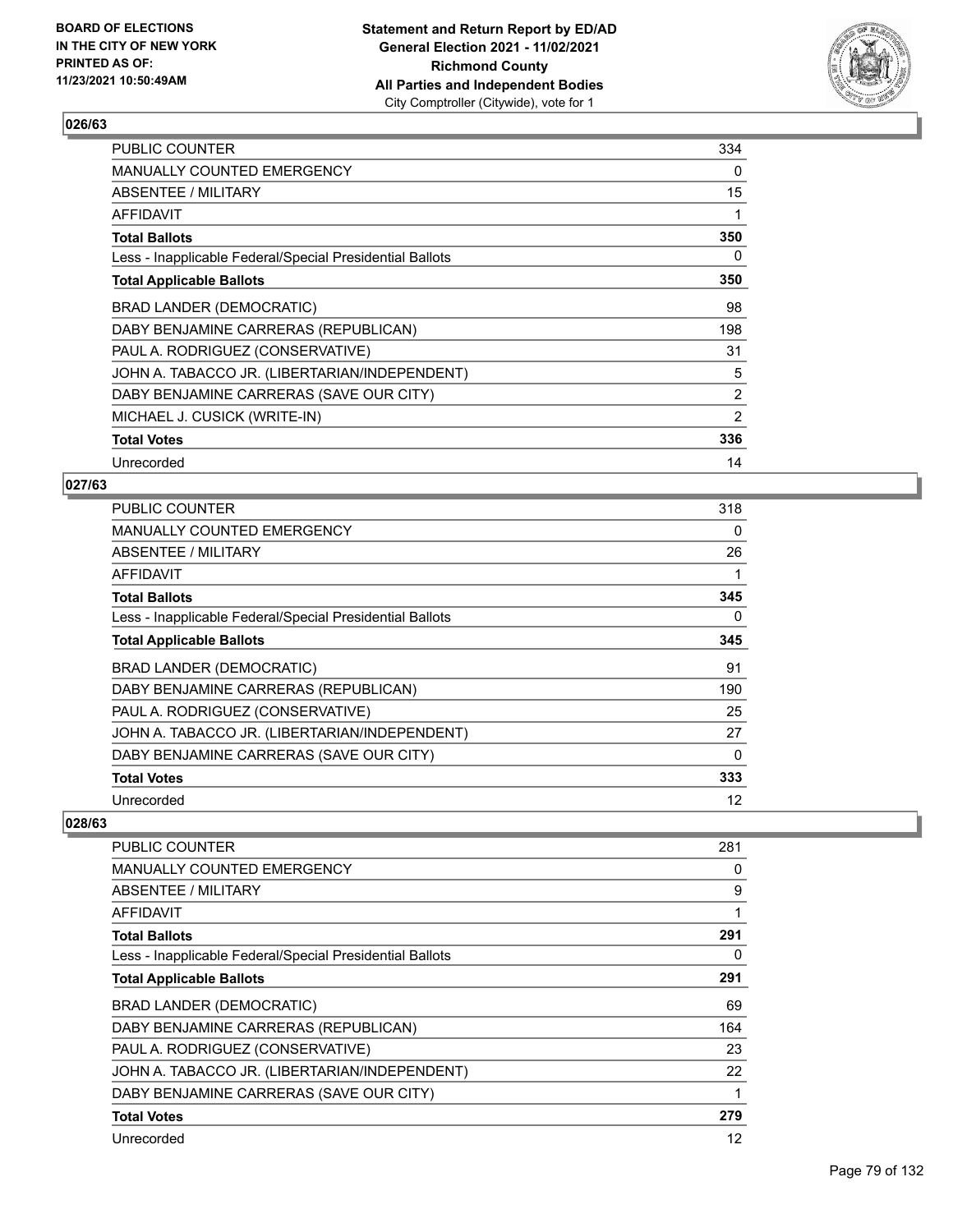

| <b>PUBLIC COUNTER</b>                                    | 334            |
|----------------------------------------------------------|----------------|
| <b>MANUALLY COUNTED EMERGENCY</b>                        | 0              |
| ABSENTEE / MILITARY                                      | 15             |
| <b>AFFIDAVIT</b>                                         | 1              |
| <b>Total Ballots</b>                                     | 350            |
| Less - Inapplicable Federal/Special Presidential Ballots | 0              |
| <b>Total Applicable Ballots</b>                          | 350            |
| BRAD LANDER (DEMOCRATIC)                                 | 98             |
| DABY BENJAMINE CARRERAS (REPUBLICAN)                     | 198            |
| PAUL A. RODRIGUEZ (CONSERVATIVE)                         | 31             |
| JOHN A. TABACCO JR. (LIBERTARIAN/INDEPENDENT)            | 5              |
| DABY BENJAMINE CARRERAS (SAVE OUR CITY)                  | $\overline{2}$ |
| MICHAEL J. CUSICK (WRITE-IN)                             | 2              |
| <b>Total Votes</b>                                       | 336            |
| Unrecorded                                               | 14             |

### **027/63**

| <b>PUBLIC COUNTER</b>                                    | 318      |
|----------------------------------------------------------|----------|
| <b>MANUALLY COUNTED EMERGENCY</b>                        | $\Omega$ |
| ABSENTEE / MILITARY                                      | 26       |
| AFFIDAVIT                                                |          |
| <b>Total Ballots</b>                                     | 345      |
| Less - Inapplicable Federal/Special Presidential Ballots | $\Omega$ |
| <b>Total Applicable Ballots</b>                          | 345      |
| BRAD LANDER (DEMOCRATIC)                                 | 91       |
| DABY BENJAMINE CARRERAS (REPUBLICAN)                     | 190      |
| PAUL A. RODRIGUEZ (CONSERVATIVE)                         | 25       |
| JOHN A. TABACCO JR. (LIBERTARIAN/INDEPENDENT)            | 27       |
| DABY BENJAMINE CARRERAS (SAVE OUR CITY)                  | $\Omega$ |
| <b>Total Votes</b>                                       | 333      |
| Unrecorded                                               | 12       |

| PUBLIC COUNTER                                           | 281 |
|----------------------------------------------------------|-----|
| MANUALLY COUNTED EMERGENCY                               | 0   |
| ABSENTEE / MILITARY                                      | 9   |
| <b>AFFIDAVIT</b>                                         | 1   |
| <b>Total Ballots</b>                                     | 291 |
| Less - Inapplicable Federal/Special Presidential Ballots | 0   |
| <b>Total Applicable Ballots</b>                          | 291 |
| <b>BRAD LANDER (DEMOCRATIC)</b>                          | 69  |
| DABY BENJAMINE CARRERAS (REPUBLICAN)                     | 164 |
| PAUL A. RODRIGUEZ (CONSERVATIVE)                         | 23  |
| JOHN A. TABACCO JR. (LIBERTARIAN/INDEPENDENT)            | 22  |
| DABY BENJAMINE CARRERAS (SAVE OUR CITY)                  | 1   |
| <b>Total Votes</b>                                       | 279 |
| Unrecorded                                               | 12  |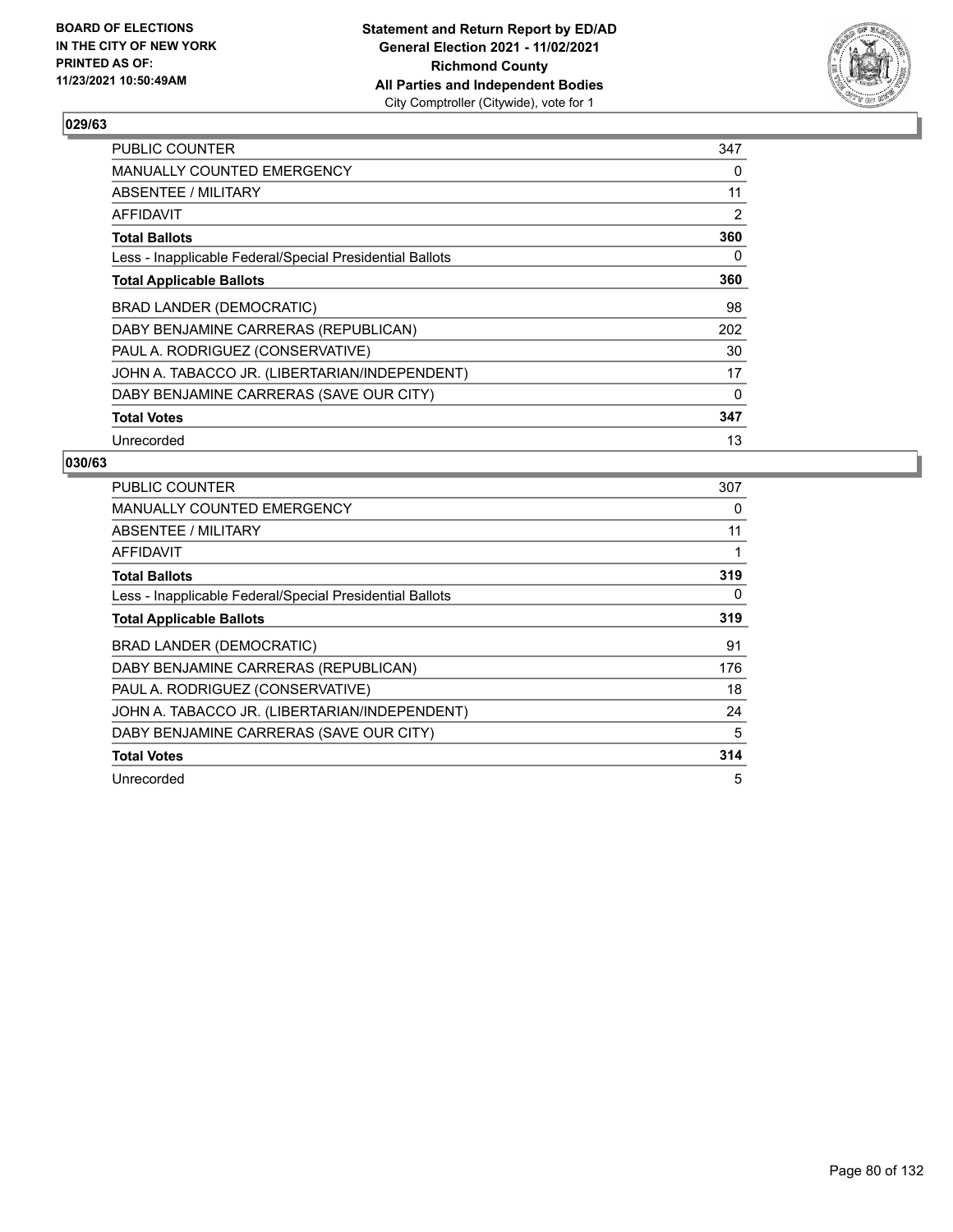

| <b>PUBLIC COUNTER</b>                                    | 347      |
|----------------------------------------------------------|----------|
| <b>MANUALLY COUNTED EMERGENCY</b>                        | 0        |
| ABSENTEE / MILITARY                                      | 11       |
| AFFIDAVIT                                                | 2        |
| <b>Total Ballots</b>                                     | 360      |
| Less - Inapplicable Federal/Special Presidential Ballots | 0        |
| <b>Total Applicable Ballots</b>                          | 360      |
| BRAD LANDER (DEMOCRATIC)                                 | 98       |
| DABY BENJAMINE CARRERAS (REPUBLICAN)                     | 202      |
| PAUL A. RODRIGUEZ (CONSERVATIVE)                         | 30       |
| JOHN A. TABACCO JR. (LIBERTARIAN/INDEPENDENT)            | 17       |
| DABY BENJAMINE CARRERAS (SAVE OUR CITY)                  | $\Omega$ |
| <b>Total Votes</b>                                       | 347      |
| Unrecorded                                               | 13       |

| PUBLIC COUNTER                                           | 307 |
|----------------------------------------------------------|-----|
| <b>MANUALLY COUNTED EMERGENCY</b>                        | 0   |
| <b>ABSENTEE / MILITARY</b>                               | 11  |
| AFFIDAVIT                                                |     |
| <b>Total Ballots</b>                                     | 319 |
| Less - Inapplicable Federal/Special Presidential Ballots | 0   |
| <b>Total Applicable Ballots</b>                          | 319 |
| BRAD LANDER (DEMOCRATIC)                                 | 91  |
| DABY BENJAMINE CARRERAS (REPUBLICAN)                     | 176 |
| PAUL A. RODRIGUEZ (CONSERVATIVE)                         | 18  |
| JOHN A. TABACCO JR. (LIBERTARIAN/INDEPENDENT)            | 24  |
| DABY BENJAMINE CARRERAS (SAVE OUR CITY)                  | 5   |
| <b>Total Votes</b>                                       | 314 |
| Unrecorded                                               | 5   |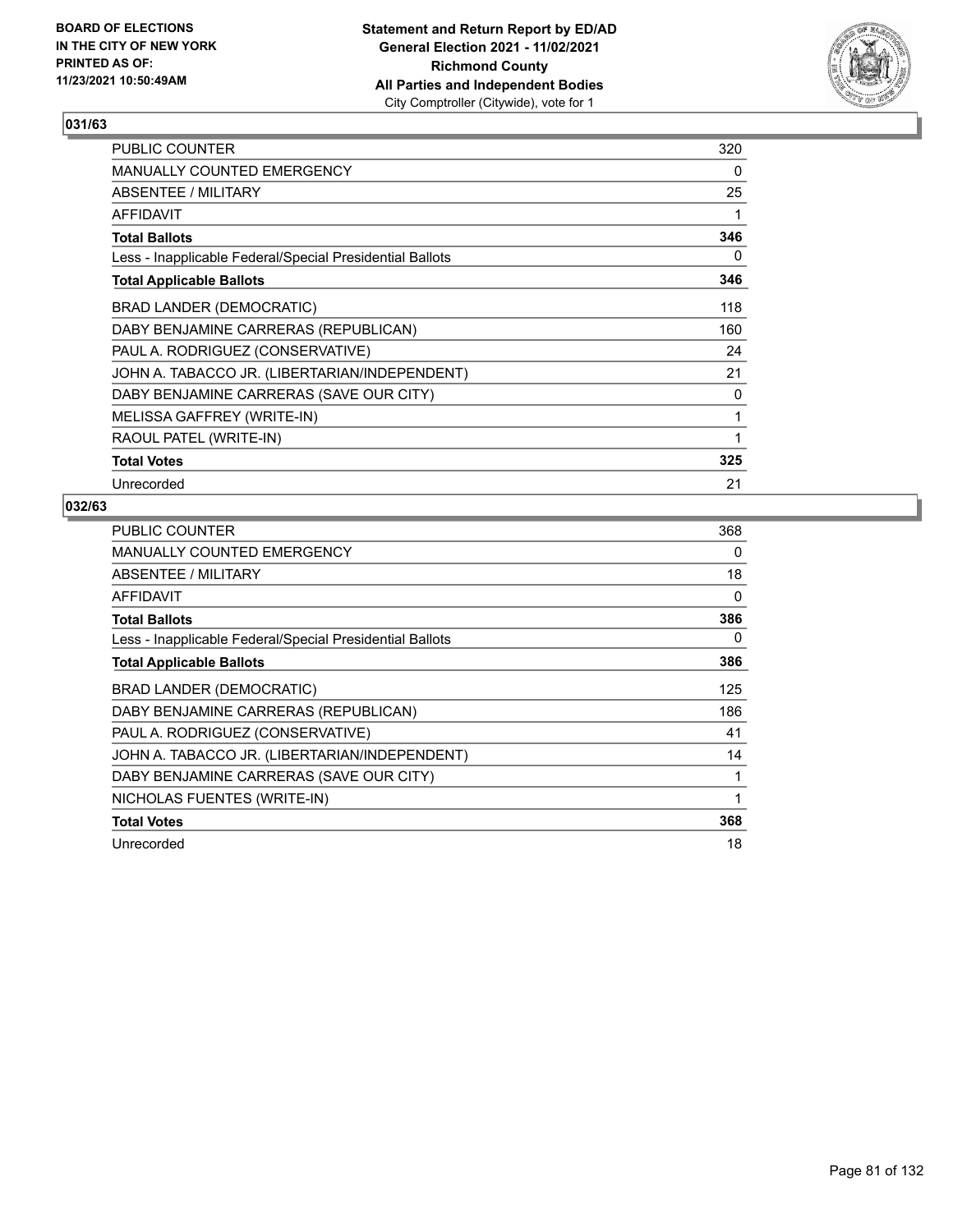

| <b>PUBLIC COUNTER</b>                                    | 320 |
|----------------------------------------------------------|-----|
| MANUALLY COUNTED EMERGENCY                               | 0   |
| <b>ABSENTEE / MILITARY</b>                               | 25  |
| AFFIDAVIT                                                | 1   |
| <b>Total Ballots</b>                                     | 346 |
| Less - Inapplicable Federal/Special Presidential Ballots | 0   |
| <b>Total Applicable Ballots</b>                          | 346 |
| <b>BRAD LANDER (DEMOCRATIC)</b>                          | 118 |
| DABY BENJAMINE CARRERAS (REPUBLICAN)                     | 160 |
| PAUL A. RODRIGUEZ (CONSERVATIVE)                         | 24  |
| JOHN A. TABACCO JR. (LIBERTARIAN/INDEPENDENT)            | 21  |
| DABY BENJAMINE CARRERAS (SAVE OUR CITY)                  | 0   |
| MELISSA GAFFREY (WRITE-IN)                               | 1   |
| RAOUL PATEL (WRITE-IN)                                   | 1   |
| <b>Total Votes</b>                                       | 325 |
| Unrecorded                                               | 21  |

| <b>PUBLIC COUNTER</b>                                    | 368      |
|----------------------------------------------------------|----------|
| <b>MANUALLY COUNTED EMERGENCY</b>                        | 0        |
| <b>ABSENTEE / MILITARY</b>                               | 18       |
| AFFIDAVIT                                                | $\Omega$ |
| <b>Total Ballots</b>                                     | 386      |
| Less - Inapplicable Federal/Special Presidential Ballots | 0        |
| <b>Total Applicable Ballots</b>                          | 386      |
| <b>BRAD LANDER (DEMOCRATIC)</b>                          | 125      |
| DABY BENJAMINE CARRERAS (REPUBLICAN)                     | 186      |
| PAUL A. RODRIGUEZ (CONSERVATIVE)                         | 41       |
| JOHN A. TABACCO JR. (LIBERTARIAN/INDEPENDENT)            | 14       |
| DABY BENJAMINE CARRERAS (SAVE OUR CITY)                  | 1        |
| NICHOLAS FUENTES (WRITE-IN)                              | 1        |
| <b>Total Votes</b>                                       | 368      |
| Unrecorded                                               | 18       |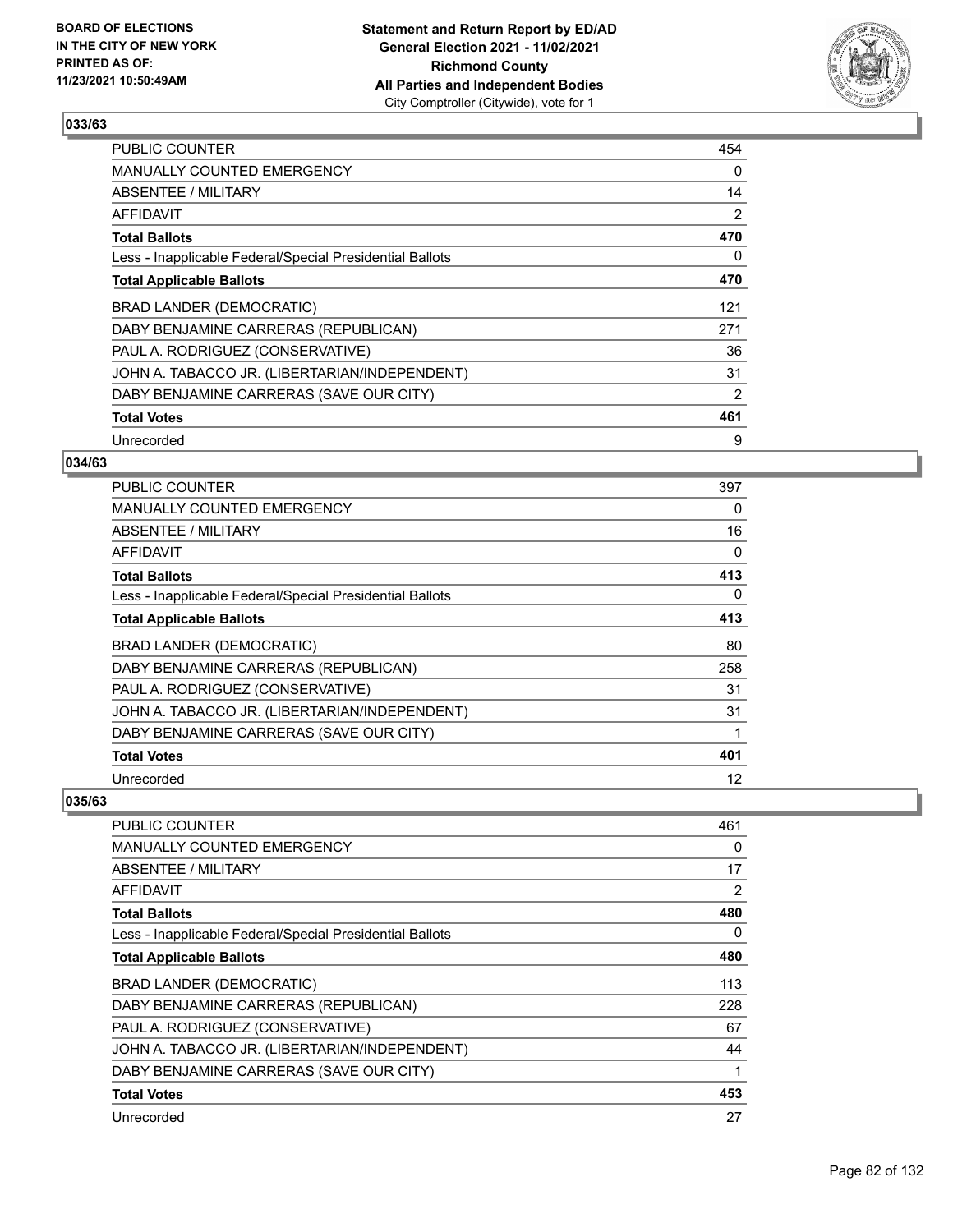

| <b>PUBLIC COUNTER</b>                                    | 454 |
|----------------------------------------------------------|-----|
| <b>MANUALLY COUNTED EMERGENCY</b>                        | 0   |
| ABSENTEE / MILITARY                                      | 14  |
| AFFIDAVIT                                                | 2   |
| <b>Total Ballots</b>                                     | 470 |
| Less - Inapplicable Federal/Special Presidential Ballots | 0   |
| <b>Total Applicable Ballots</b>                          | 470 |
| BRAD LANDER (DEMOCRATIC)                                 | 121 |
| DABY BENJAMINE CARRERAS (REPUBLICAN)                     | 271 |
| PAUL A. RODRIGUEZ (CONSERVATIVE)                         | 36  |
| JOHN A. TABACCO JR. (LIBERTARIAN/INDEPENDENT)            | 31  |
| DABY BENJAMINE CARRERAS (SAVE OUR CITY)                  | 2   |
| <b>Total Votes</b>                                       | 461 |
| Unrecorded                                               | 9   |

## **034/63**

| <b>PUBLIC COUNTER</b>                                    | 397      |
|----------------------------------------------------------|----------|
| <b>MANUALLY COUNTED EMERGENCY</b>                        | 0        |
| ABSENTEE / MILITARY                                      | 16       |
| AFFIDAVIT                                                | $\Omega$ |
| <b>Total Ballots</b>                                     | 413      |
| Less - Inapplicable Federal/Special Presidential Ballots | 0        |
| <b>Total Applicable Ballots</b>                          | 413      |
| BRAD LANDER (DEMOCRATIC)                                 | 80       |
| DABY BENJAMINE CARRERAS (REPUBLICAN)                     | 258      |
| PAUL A. RODRIGUEZ (CONSERVATIVE)                         | 31       |
| JOHN A. TABACCO JR. (LIBERTARIAN/INDEPENDENT)            | 31       |
| DABY BENJAMINE CARRERAS (SAVE OUR CITY)                  |          |
| <b>Total Votes</b>                                       | 401      |
| Unrecorded                                               | 12       |

| PUBLIC COUNTER                                           | 461            |
|----------------------------------------------------------|----------------|
| <b>MANUALLY COUNTED EMERGENCY</b>                        | 0              |
| <b>ABSENTEE / MILITARY</b>                               | 17             |
| <b>AFFIDAVIT</b>                                         | $\overline{2}$ |
| <b>Total Ballots</b>                                     | 480            |
| Less - Inapplicable Federal/Special Presidential Ballots | 0              |
| <b>Total Applicable Ballots</b>                          | 480            |
| BRAD LANDER (DEMOCRATIC)                                 | 113            |
| DABY BENJAMINE CARRERAS (REPUBLICAN)                     | 228            |
| PAUL A. RODRIGUEZ (CONSERVATIVE)                         | 67             |
| JOHN A. TABACCO JR. (LIBERTARIAN/INDEPENDENT)            | 44             |
| DABY BENJAMINE CARRERAS (SAVE OUR CITY)                  |                |
| <b>Total Votes</b>                                       | 453            |
| Unrecorded                                               | 27             |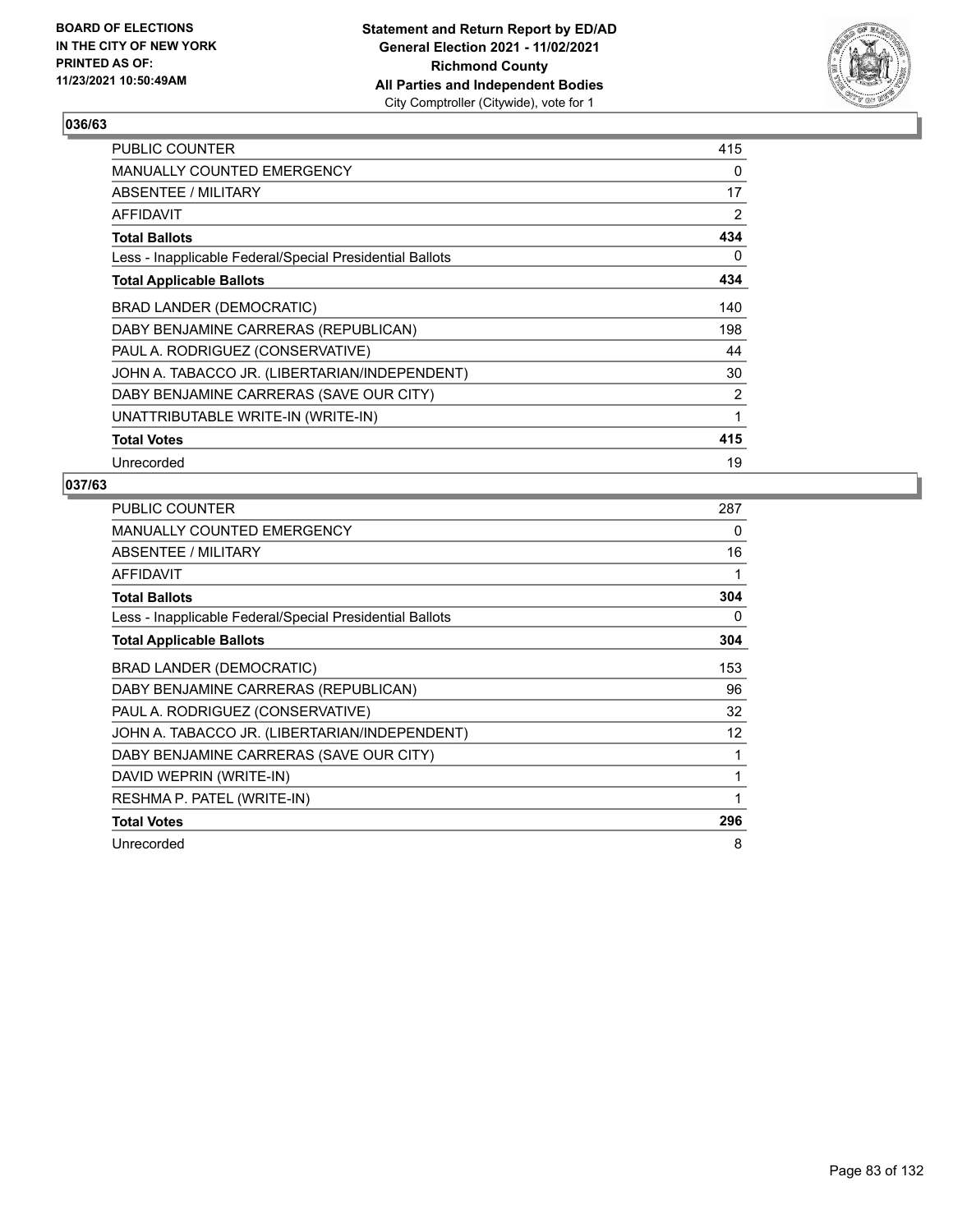

| PUBLIC COUNTER                                           | 415      |
|----------------------------------------------------------|----------|
| MANUALLY COUNTED EMERGENCY                               | $\Omega$ |
| ABSENTEE / MILITARY                                      | 17       |
| AFFIDAVIT                                                | 2        |
| <b>Total Ballots</b>                                     | 434      |
| Less - Inapplicable Federal/Special Presidential Ballots | 0        |
| <b>Total Applicable Ballots</b>                          | 434      |
| BRAD LANDER (DEMOCRATIC)                                 | 140      |
| DABY BENJAMINE CARRERAS (REPUBLICAN)                     | 198      |
| PAUL A. RODRIGUEZ (CONSERVATIVE)                         | 44       |
| JOHN A. TABACCO JR. (LIBERTARIAN/INDEPENDENT)            | 30       |
| DABY BENJAMINE CARRERAS (SAVE OUR CITY)                  | 2        |
| UNATTRIBUTABLE WRITE-IN (WRITE-IN)                       | 1        |
| <b>Total Votes</b>                                       | 415      |
| Unrecorded                                               | 19       |

| PUBLIC COUNTER                                           | 287               |
|----------------------------------------------------------|-------------------|
| <b>MANUALLY COUNTED EMERGENCY</b>                        | 0                 |
| ABSENTEE / MILITARY                                      | 16                |
| AFFIDAVIT                                                | 1                 |
| <b>Total Ballots</b>                                     | 304               |
| Less - Inapplicable Federal/Special Presidential Ballots | 0                 |
| <b>Total Applicable Ballots</b>                          | 304               |
| <b>BRAD LANDER (DEMOCRATIC)</b>                          | 153               |
| DABY BENJAMINE CARRERAS (REPUBLICAN)                     | 96                |
| PAUL A. RODRIGUEZ (CONSERVATIVE)                         | 32                |
| JOHN A. TABACCO JR. (LIBERTARIAN/INDEPENDENT)            | $12 \overline{ }$ |
| DABY BENJAMINE CARRERAS (SAVE OUR CITY)                  | 1                 |
| DAVID WEPRIN (WRITE-IN)                                  | 1                 |
| RESHMA P. PATEL (WRITE-IN)                               | 1                 |
| <b>Total Votes</b>                                       | 296               |
| Unrecorded                                               | 8                 |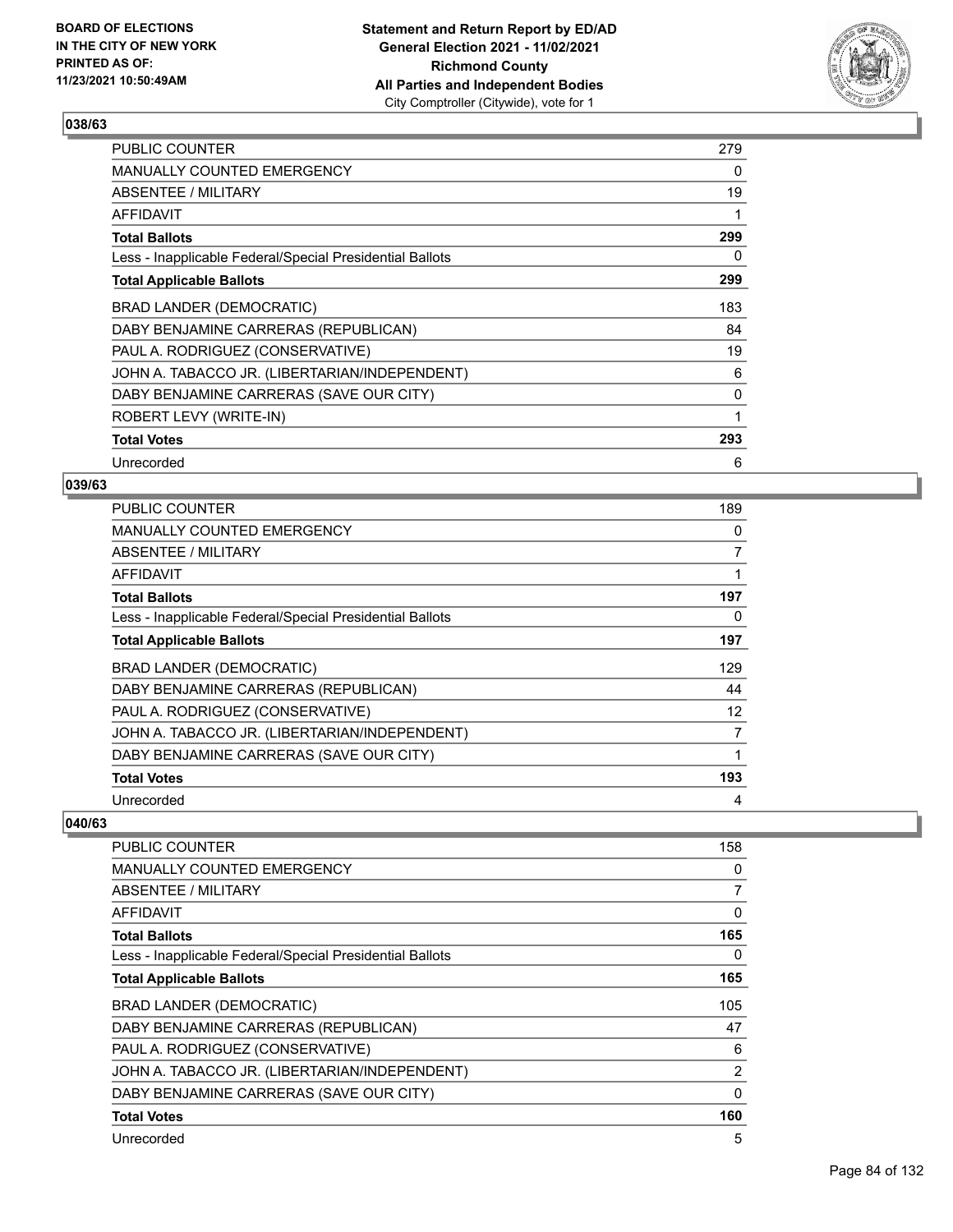

| <b>PUBLIC COUNTER</b>                                    | 279      |
|----------------------------------------------------------|----------|
| <b>MANUALLY COUNTED EMERGENCY</b>                        | $\Omega$ |
| ABSENTEE / MILITARY                                      | 19       |
| AFFIDAVIT                                                | 1        |
| <b>Total Ballots</b>                                     | 299      |
| Less - Inapplicable Federal/Special Presidential Ballots | 0        |
| <b>Total Applicable Ballots</b>                          | 299      |
| BRAD LANDER (DEMOCRATIC)                                 | 183      |
| DABY BENJAMINE CARRERAS (REPUBLICAN)                     | 84       |
| PAUL A. RODRIGUEZ (CONSERVATIVE)                         | 19       |
| JOHN A. TABACCO JR. (LIBERTARIAN/INDEPENDENT)            | 6        |
| DABY BENJAMINE CARRERAS (SAVE OUR CITY)                  | 0        |
| ROBERT LEVY (WRITE-IN)                                   | 1        |
| <b>Total Votes</b>                                       | 293      |
| Unrecorded                                               | 6        |

## **039/63**

| <b>PUBLIC COUNTER</b>                                    | 189 |
|----------------------------------------------------------|-----|
| <b>MANUALLY COUNTED EMERGENCY</b>                        | 0   |
| ABSENTEE / MILITARY                                      | 7   |
| AFFIDAVIT                                                | 1   |
| <b>Total Ballots</b>                                     | 197 |
| Less - Inapplicable Federal/Special Presidential Ballots | 0   |
| <b>Total Applicable Ballots</b>                          | 197 |
| <b>BRAD LANDER (DEMOCRATIC)</b>                          | 129 |
| DABY BENJAMINE CARRERAS (REPUBLICAN)                     | 44  |
| PAUL A. RODRIGUEZ (CONSERVATIVE)                         | 12  |
| JOHN A. TABACCO JR. (LIBERTARIAN/INDEPENDENT)            | 7   |
| DABY BENJAMINE CARRERAS (SAVE OUR CITY)                  | 1   |
| <b>Total Votes</b>                                       | 193 |
| Unrecorded                                               | 4   |

| PUBLIC COUNTER                                           | 158            |
|----------------------------------------------------------|----------------|
| MANUALLY COUNTED EMERGENCY                               | 0              |
| ABSENTEE / MILITARY                                      | 7              |
| <b>AFFIDAVIT</b>                                         | $\mathbf{0}$   |
| <b>Total Ballots</b>                                     | 165            |
| Less - Inapplicable Federal/Special Presidential Ballots | 0              |
| <b>Total Applicable Ballots</b>                          | 165            |
| <b>BRAD LANDER (DEMOCRATIC)</b>                          | 105            |
| DABY BENJAMINE CARRERAS (REPUBLICAN)                     | 47             |
| PAUL A. RODRIGUEZ (CONSERVATIVE)                         | 6              |
| JOHN A. TABACCO JR. (LIBERTARIAN/INDEPENDENT)            | $\overline{2}$ |
| DABY BENJAMINE CARRERAS (SAVE OUR CITY)                  | $\mathbf{0}$   |
| <b>Total Votes</b>                                       | 160            |
| Unrecorded                                               | 5              |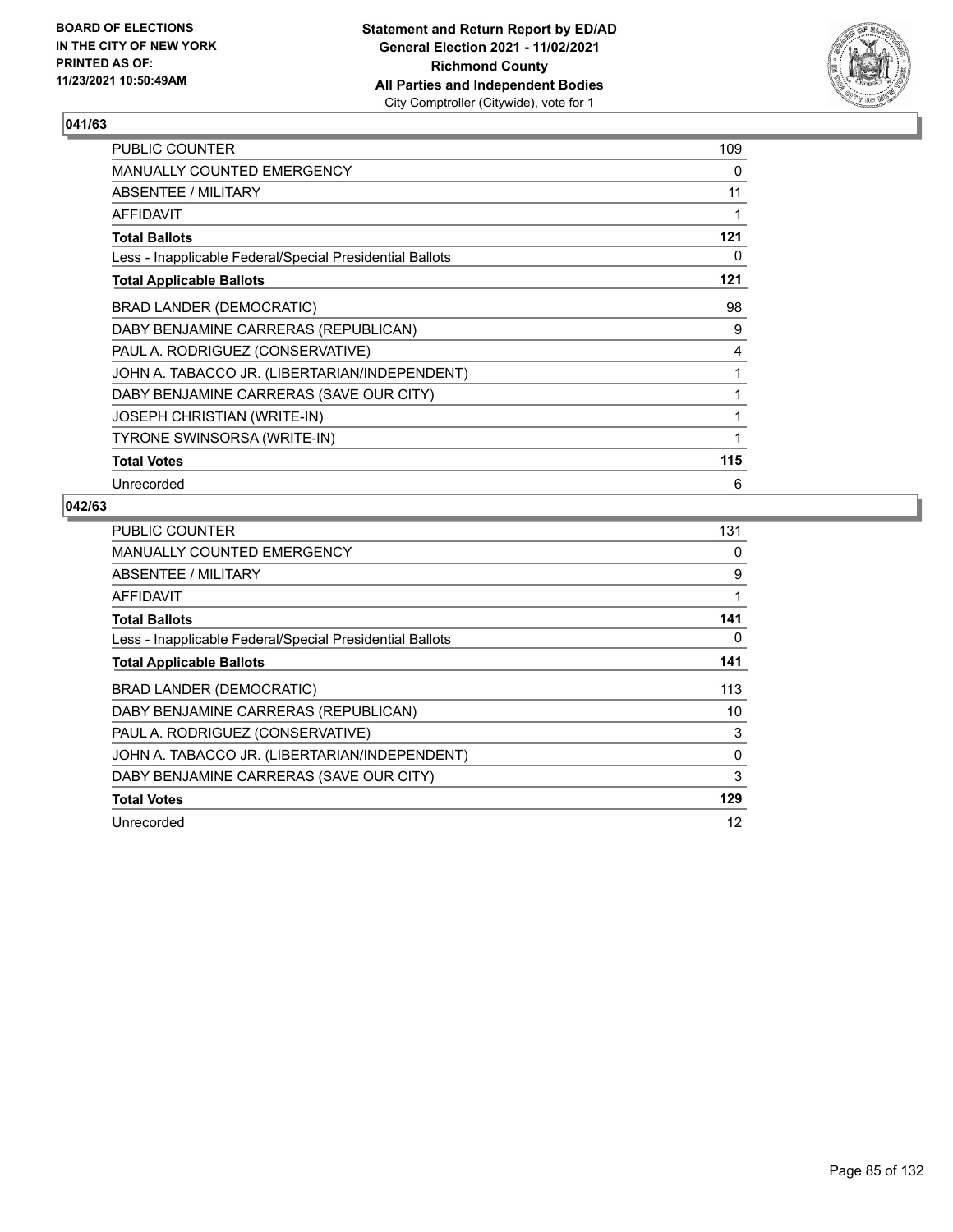

| <b>PUBLIC COUNTER</b>                                    | 109 |
|----------------------------------------------------------|-----|
| MANUALLY COUNTED EMERGENCY                               | 0   |
| ABSENTEE / MILITARY                                      | 11  |
| AFFIDAVIT                                                |     |
| <b>Total Ballots</b>                                     | 121 |
| Less - Inapplicable Federal/Special Presidential Ballots | 0   |
| <b>Total Applicable Ballots</b>                          | 121 |
| <b>BRAD LANDER (DEMOCRATIC)</b>                          | 98  |
| DABY BENJAMINE CARRERAS (REPUBLICAN)                     | 9   |
| PAUL A. RODRIGUEZ (CONSERVATIVE)                         | 4   |
| JOHN A. TABACCO JR. (LIBERTARIAN/INDEPENDENT)            |     |
| DABY BENJAMINE CARRERAS (SAVE OUR CITY)                  |     |
| <b>JOSEPH CHRISTIAN (WRITE-IN)</b>                       | 1   |
| TYRONE SWINSORSA (WRITE-IN)                              |     |
| <b>Total Votes</b>                                       | 115 |
| Unrecorded                                               | 6   |

| <b>PUBLIC COUNTER</b>                                    | 131 |
|----------------------------------------------------------|-----|
| <b>MANUALLY COUNTED EMERGENCY</b>                        | 0   |
| ABSENTEE / MILITARY                                      | 9   |
| AFFIDAVIT                                                | 1   |
| <b>Total Ballots</b>                                     | 141 |
| Less - Inapplicable Federal/Special Presidential Ballots | 0   |
| <b>Total Applicable Ballots</b>                          | 141 |
| BRAD LANDER (DEMOCRATIC)                                 | 113 |
| DABY BENJAMINE CARRERAS (REPUBLICAN)                     | 10  |
| PAUL A. RODRIGUEZ (CONSERVATIVE)                         | 3   |
| JOHN A. TABACCO JR. (LIBERTARIAN/INDEPENDENT)            | 0   |
| DABY BENJAMINE CARRERAS (SAVE OUR CITY)                  | 3   |
| <b>Total Votes</b>                                       | 129 |
| Unrecorded                                               | 12  |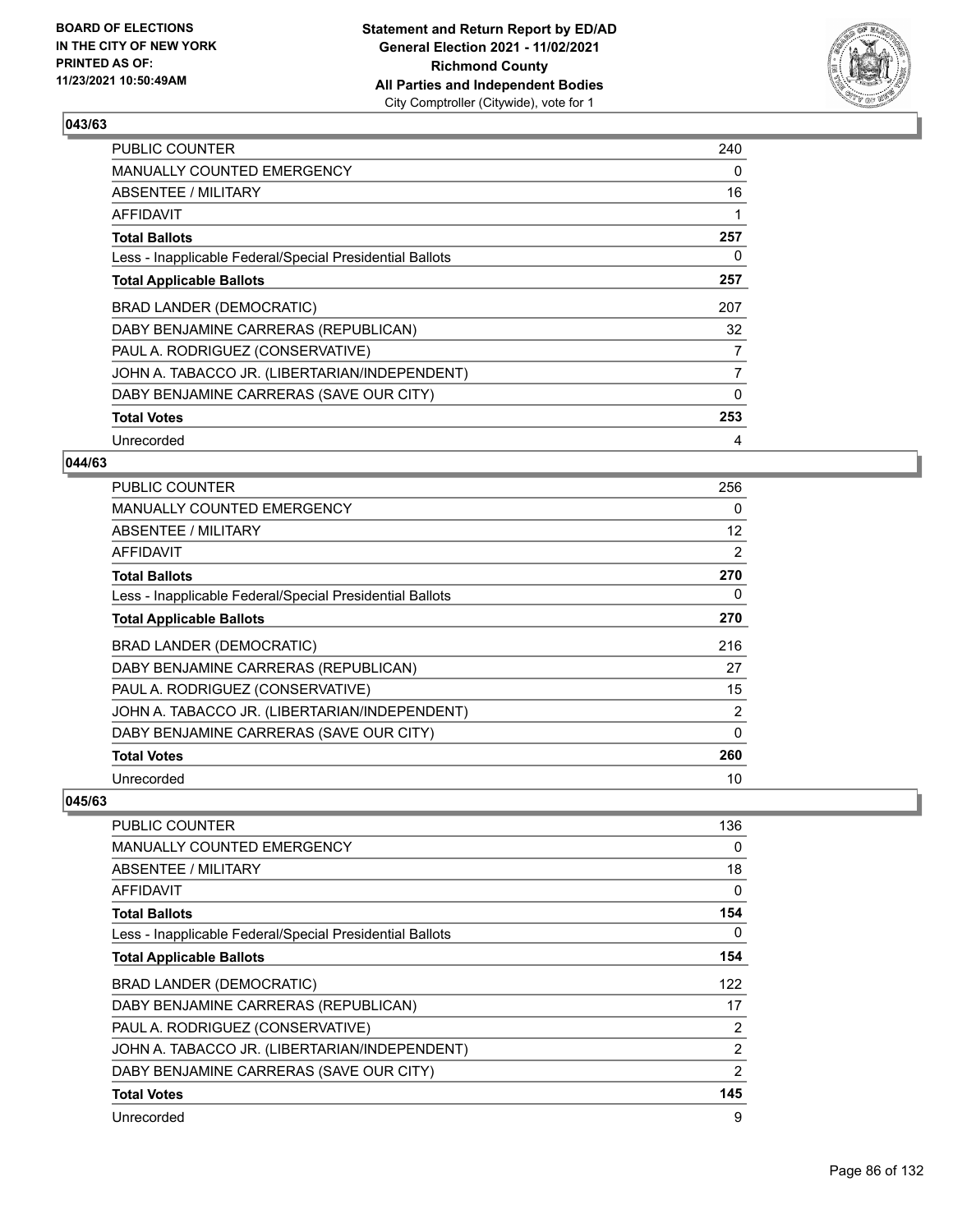

| <b>PUBLIC COUNTER</b>                                    | 240 |
|----------------------------------------------------------|-----|
| <b>MANUALLY COUNTED EMERGENCY</b>                        | 0   |
| ABSENTEE / MILITARY                                      | 16  |
| AFFIDAVIT                                                | 1   |
| <b>Total Ballots</b>                                     | 257 |
| Less - Inapplicable Federal/Special Presidential Ballots | 0   |
| <b>Total Applicable Ballots</b>                          | 257 |
| BRAD LANDER (DEMOCRATIC)                                 | 207 |
| DABY BENJAMINE CARRERAS (REPUBLICAN)                     | 32  |
| PAUL A. RODRIGUEZ (CONSERVATIVE)                         | 7   |
| JOHN A. TABACCO JR. (LIBERTARIAN/INDEPENDENT)            | 7   |
| DABY BENJAMINE CARRERAS (SAVE OUR CITY)                  | 0   |
| <b>Total Votes</b>                                       | 253 |
| Unrecorded                                               | 4   |

## **044/63**

| PUBLIC COUNTER                                           | 256               |
|----------------------------------------------------------|-------------------|
| MANUALLY COUNTED EMERGENCY                               | 0                 |
| <b>ABSENTEE / MILITARY</b>                               | $12 \overline{ }$ |
| AFFIDAVIT                                                | 2                 |
| <b>Total Ballots</b>                                     | 270               |
| Less - Inapplicable Federal/Special Presidential Ballots | 0                 |
| <b>Total Applicable Ballots</b>                          | 270               |
| BRAD LANDER (DEMOCRATIC)                                 | 216               |
| DABY BENJAMINE CARRERAS (REPUBLICAN)                     | 27                |
| PAUL A. RODRIGUEZ (CONSERVATIVE)                         | 15                |
| JOHN A. TABACCO JR. (LIBERTARIAN/INDEPENDENT)            | 2                 |
| DABY BENJAMINE CARRERAS (SAVE OUR CITY)                  | 0                 |
| <b>Total Votes</b>                                       | 260               |
| Unrecorded                                               | 10                |

| <b>PUBLIC COUNTER</b>                                    | 136      |
|----------------------------------------------------------|----------|
| <b>MANUALLY COUNTED EMERGENCY</b>                        | 0        |
| ABSENTEE / MILITARY                                      | 18       |
| AFFIDAVIT                                                | $\Omega$ |
| <b>Total Ballots</b>                                     | 154      |
| Less - Inapplicable Federal/Special Presidential Ballots | 0        |
| <b>Total Applicable Ballots</b>                          | 154      |
| BRAD LANDER (DEMOCRATIC)                                 | 122      |
| DABY BENJAMINE CARRERAS (REPUBLICAN)                     | 17       |
| PAUL A. RODRIGUEZ (CONSERVATIVE)                         | 2        |
| JOHN A. TABACCO JR. (LIBERTARIAN/INDEPENDENT)            | 2        |
| DABY BENJAMINE CARRERAS (SAVE OUR CITY)                  | 2        |
| <b>Total Votes</b>                                       | 145      |
| Unrecorded                                               | 9        |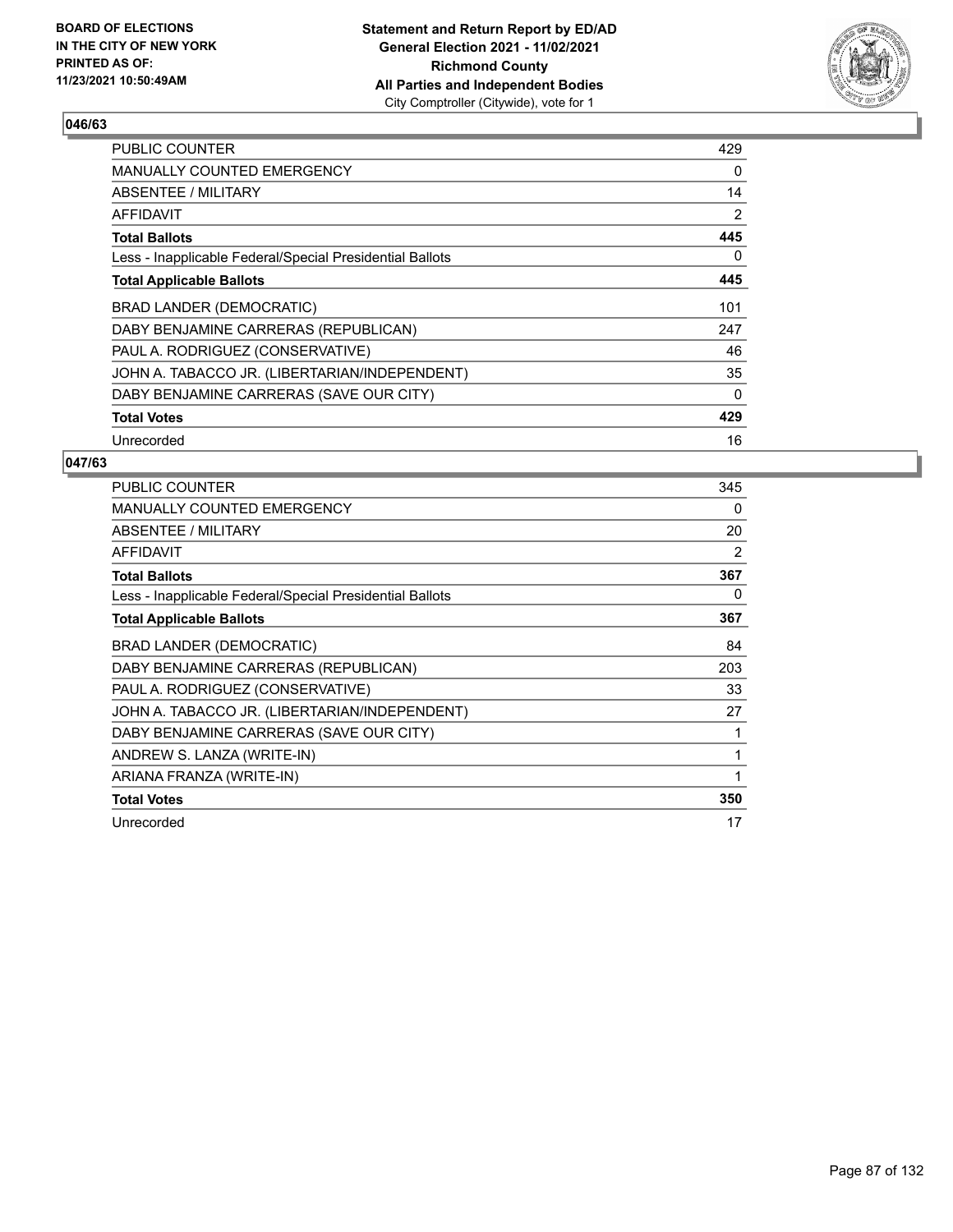

| <b>PUBLIC COUNTER</b>                                    | 429      |
|----------------------------------------------------------|----------|
| MANUALLY COUNTED EMERGENCY                               | 0        |
| ABSENTEE / MILITARY                                      | 14       |
| <b>AFFIDAVIT</b>                                         | 2        |
| <b>Total Ballots</b>                                     | 445      |
| Less - Inapplicable Federal/Special Presidential Ballots | 0        |
| <b>Total Applicable Ballots</b>                          | 445      |
| BRAD LANDER (DEMOCRATIC)                                 | 101      |
| DABY BENJAMINE CARRERAS (REPUBLICAN)                     | 247      |
| PAUL A. RODRIGUEZ (CONSERVATIVE)                         | 46       |
| JOHN A. TABACCO JR. (LIBERTARIAN/INDEPENDENT)            | 35       |
| DABY BENJAMINE CARRERAS (SAVE OUR CITY)                  | $\Omega$ |
| <b>Total Votes</b>                                       | 429      |
| Unrecorded                                               | 16       |

| <b>PUBLIC COUNTER</b>                                    | 345 |
|----------------------------------------------------------|-----|
| MANUALLY COUNTED EMERGENCY                               | 0   |
| ABSENTEE / MILITARY                                      | 20  |
| <b>AFFIDAVIT</b>                                         | 2   |
| <b>Total Ballots</b>                                     | 367 |
| Less - Inapplicable Federal/Special Presidential Ballots | 0   |
| <b>Total Applicable Ballots</b>                          | 367 |
| BRAD LANDER (DEMOCRATIC)                                 | 84  |
| DABY BENJAMINE CARRERAS (REPUBLICAN)                     | 203 |
| PAUL A. RODRIGUEZ (CONSERVATIVE)                         | 33  |
| JOHN A. TABACCO JR. (LIBERTARIAN/INDEPENDENT)            | 27  |
| DABY BENJAMINE CARRERAS (SAVE OUR CITY)                  |     |
| ANDREW S. LANZA (WRITE-IN)                               | 1   |
| ARIANA FRANZA (WRITE-IN)                                 |     |
| <b>Total Votes</b>                                       | 350 |
| Unrecorded                                               | 17  |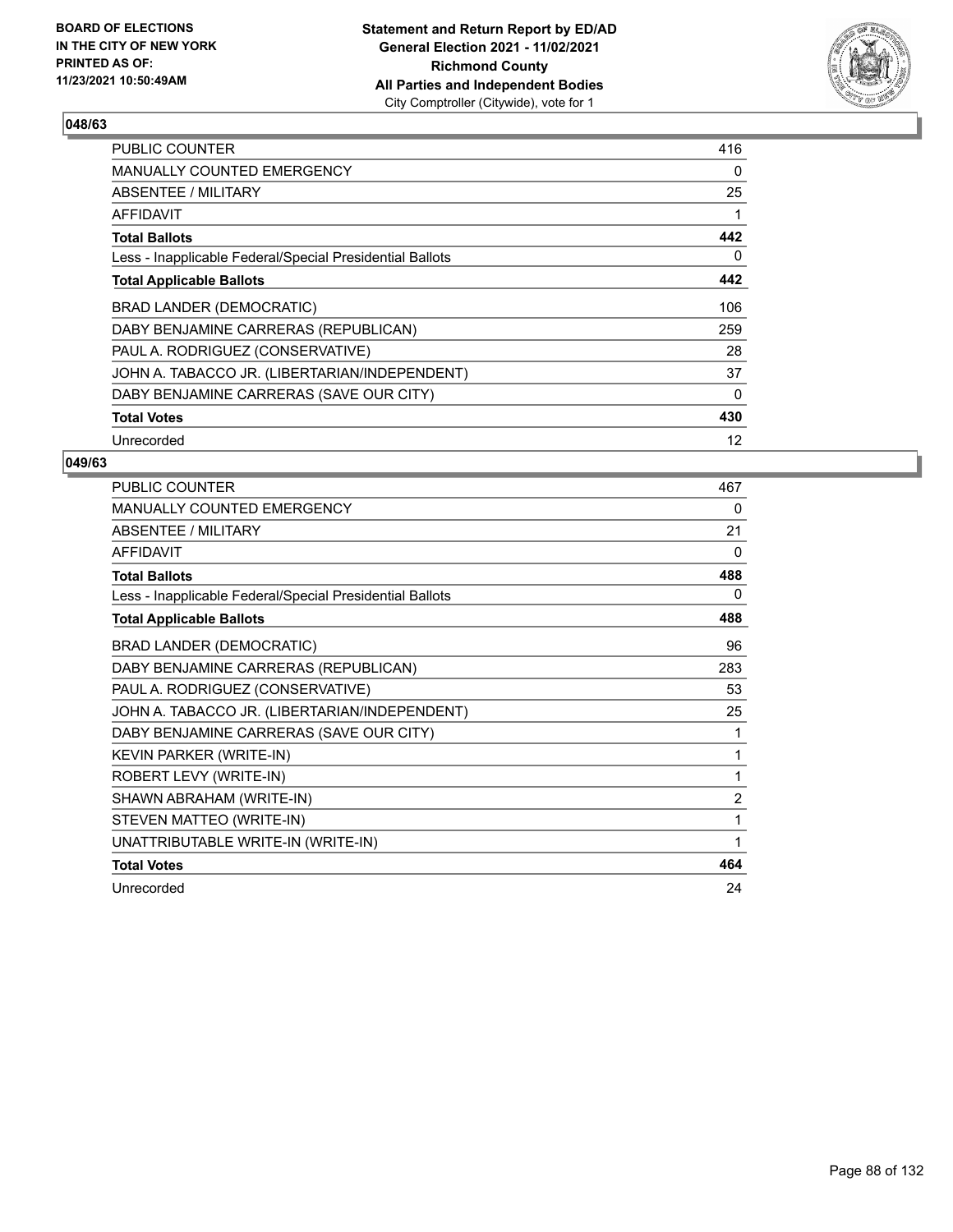

| <b>PUBLIC COUNTER</b>                                    | 416      |
|----------------------------------------------------------|----------|
| MANUALLY COUNTED EMERGENCY                               | 0        |
| ABSENTEE / MILITARY                                      | 25       |
| <b>AFFIDAVIT</b>                                         | 1        |
| <b>Total Ballots</b>                                     | 442      |
| Less - Inapplicable Federal/Special Presidential Ballots | 0        |
| <b>Total Applicable Ballots</b>                          | 442      |
| BRAD LANDER (DEMOCRATIC)                                 | 106      |
| DABY BENJAMINE CARRERAS (REPUBLICAN)                     | 259      |
| PAUL A. RODRIGUEZ (CONSERVATIVE)                         | 28       |
| JOHN A. TABACCO JR. (LIBERTARIAN/INDEPENDENT)            | 37       |
| DABY BENJAMINE CARRERAS (SAVE OUR CITY)                  | $\Omega$ |
| <b>Total Votes</b>                                       | 430      |
| Unrecorded                                               | 12       |

| <b>PUBLIC COUNTER</b>                                    | 467            |
|----------------------------------------------------------|----------------|
| <b>MANUALLY COUNTED EMERGENCY</b>                        | 0              |
| ABSENTEE / MILITARY                                      | 21             |
| <b>AFFIDAVIT</b>                                         | 0              |
| <b>Total Ballots</b>                                     | 488            |
| Less - Inapplicable Federal/Special Presidential Ballots | 0              |
| <b>Total Applicable Ballots</b>                          | 488            |
| <b>BRAD LANDER (DEMOCRATIC)</b>                          | 96             |
| DABY BENJAMINE CARRERAS (REPUBLICAN)                     | 283            |
| PAUL A. RODRIGUEZ (CONSERVATIVE)                         | 53             |
| JOHN A. TABACCO JR. (LIBERTARIAN/INDEPENDENT)            | 25             |
| DABY BENJAMINE CARRERAS (SAVE OUR CITY)                  | 1              |
| KEVIN PARKER (WRITE-IN)                                  | 1              |
| ROBERT LEVY (WRITE-IN)                                   | 1              |
| SHAWN ABRAHAM (WRITE-IN)                                 | $\overline{c}$ |
| STEVEN MATTEO (WRITE-IN)                                 | 1              |
| UNATTRIBUTABLE WRITE-IN (WRITE-IN)                       | 1              |
| <b>Total Votes</b>                                       | 464            |
| Unrecorded                                               | 24             |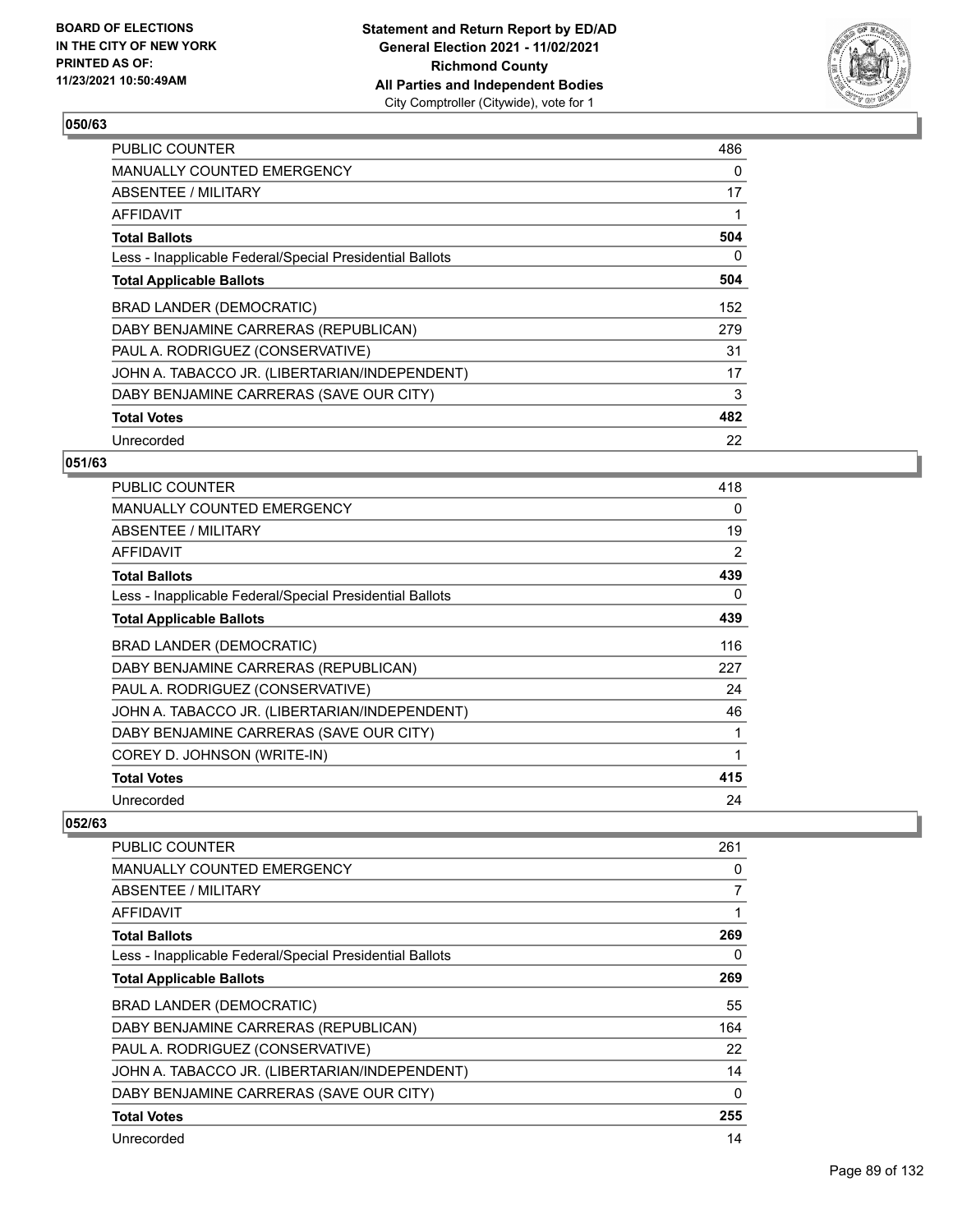

| <b>PUBLIC COUNTER</b>                                    | 486 |
|----------------------------------------------------------|-----|
| MANUALLY COUNTED EMERGENCY                               | 0   |
| ABSENTEE / MILITARY                                      | 17  |
| AFFIDAVIT                                                |     |
| <b>Total Ballots</b>                                     | 504 |
| Less - Inapplicable Federal/Special Presidential Ballots | 0   |
| <b>Total Applicable Ballots</b>                          | 504 |
| BRAD LANDER (DEMOCRATIC)                                 | 152 |
| DABY BENJAMINE CARRERAS (REPUBLICAN)                     | 279 |
| PAUL A. RODRIGUEZ (CONSERVATIVE)                         | 31  |
| JOHN A. TABACCO JR. (LIBERTARIAN/INDEPENDENT)            | 17  |
| DABY BENJAMINE CARRERAS (SAVE OUR CITY)                  | 3   |
| <b>Total Votes</b>                                       | 482 |
| Unrecorded                                               | 22  |

## **051/63**

| <b>PUBLIC COUNTER</b>                                    | 418 |
|----------------------------------------------------------|-----|
| <b>MANUALLY COUNTED EMERGENCY</b>                        | 0   |
| ABSENTEE / MILITARY                                      | 19  |
| AFFIDAVIT                                                | 2   |
| <b>Total Ballots</b>                                     | 439 |
| Less - Inapplicable Federal/Special Presidential Ballots | 0   |
| <b>Total Applicable Ballots</b>                          | 439 |
| BRAD LANDER (DEMOCRATIC)                                 | 116 |
| DABY BENJAMINE CARRERAS (REPUBLICAN)                     | 227 |
| PAUL A. RODRIGUEZ (CONSERVATIVE)                         | 24  |
| JOHN A. TABACCO JR. (LIBERTARIAN/INDEPENDENT)            | 46  |
| DABY BENJAMINE CARRERAS (SAVE OUR CITY)                  |     |
| COREY D. JOHNSON (WRITE-IN)                              | 1   |
| <b>Total Votes</b>                                       | 415 |
| Unrecorded                                               | 24  |

| <b>PUBLIC COUNTER</b>                                    | 261 |
|----------------------------------------------------------|-----|
| MANUALLY COUNTED EMERGENCY                               | 0   |
| ABSENTEE / MILITARY                                      | 7   |
| <b>AFFIDAVIT</b>                                         | 1   |
| <b>Total Ballots</b>                                     | 269 |
| Less - Inapplicable Federal/Special Presidential Ballots | 0   |
| <b>Total Applicable Ballots</b>                          | 269 |
| BRAD LANDER (DEMOCRATIC)                                 | 55  |
| DABY BENJAMINE CARRERAS (REPUBLICAN)                     | 164 |
| PAUL A. RODRIGUEZ (CONSERVATIVE)                         | 22  |
| JOHN A. TABACCO JR. (LIBERTARIAN/INDEPENDENT)            | 14  |
| DABY BENJAMINE CARRERAS (SAVE OUR CITY)                  | 0   |
| <b>Total Votes</b>                                       | 255 |
| Unrecorded                                               | 14  |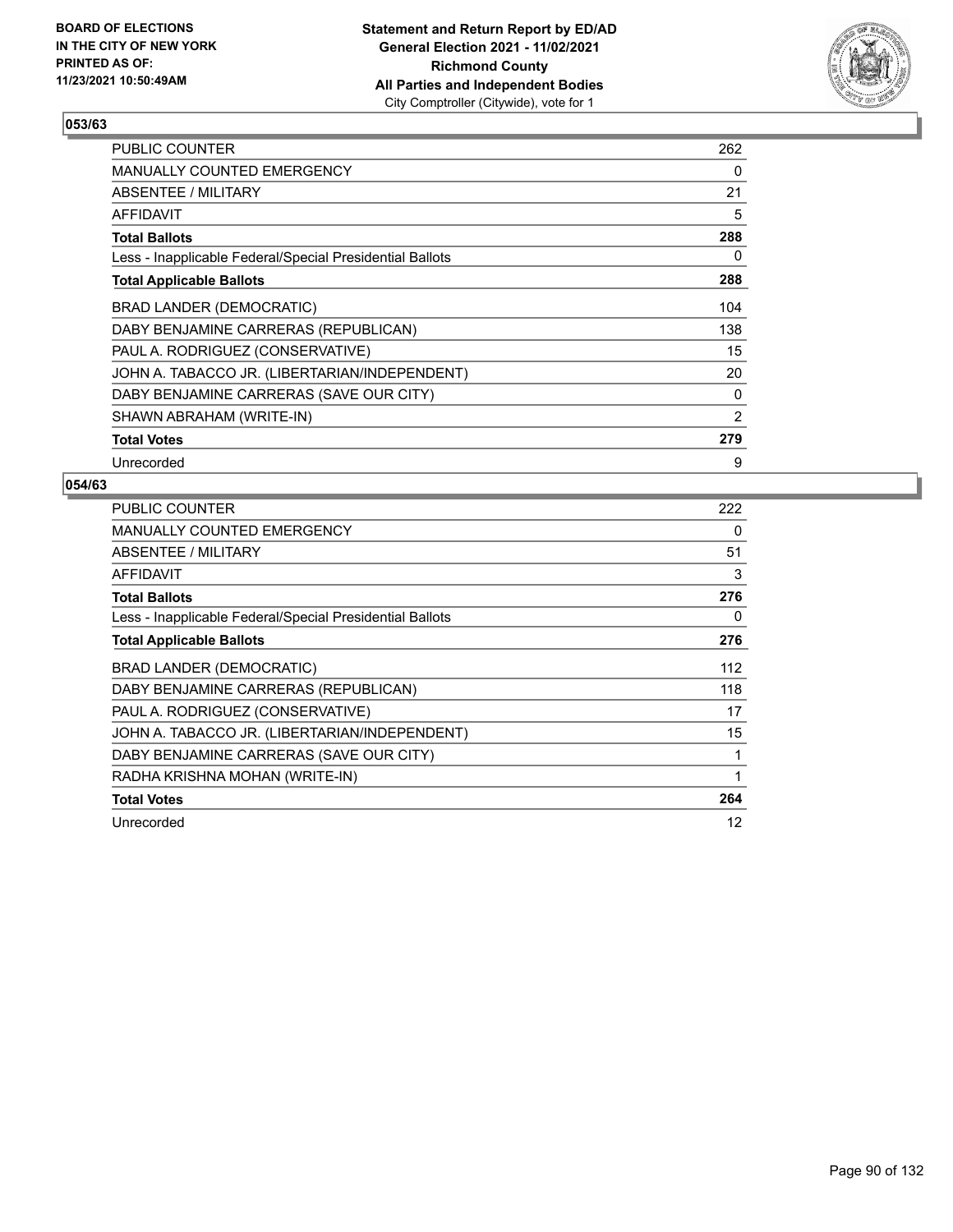

| PUBLIC COUNTER                                           | 262 |
|----------------------------------------------------------|-----|
| MANUALLY COUNTED EMERGENCY                               | 0   |
| ABSENTEE / MILITARY                                      | 21  |
| AFFIDAVIT                                                | 5   |
| <b>Total Ballots</b>                                     | 288 |
| Less - Inapplicable Federal/Special Presidential Ballots | 0   |
| <b>Total Applicable Ballots</b>                          | 288 |
| BRAD LANDER (DEMOCRATIC)                                 | 104 |
| DABY BENJAMINE CARRERAS (REPUBLICAN)                     | 138 |
| PAUL A. RODRIGUEZ (CONSERVATIVE)                         | 15  |
| JOHN A. TABACCO JR. (LIBERTARIAN/INDEPENDENT)            | 20  |
| DABY BENJAMINE CARRERAS (SAVE OUR CITY)                  | 0   |
| SHAWN ABRAHAM (WRITE-IN)                                 | 2   |
| <b>Total Votes</b>                                       | 279 |
| Unrecorded                                               | 9   |

| <b>PUBLIC COUNTER</b>                                    | 222 |
|----------------------------------------------------------|-----|
| MANUALLY COUNTED EMERGENCY                               | 0   |
| ABSENTEE / MILITARY                                      | 51  |
| AFFIDAVIT                                                | 3   |
| <b>Total Ballots</b>                                     | 276 |
| Less - Inapplicable Federal/Special Presidential Ballots | 0   |
| <b>Total Applicable Ballots</b>                          | 276 |
| BRAD LANDER (DEMOCRATIC)                                 | 112 |
| DABY BENJAMINE CARRERAS (REPUBLICAN)                     | 118 |
| PAUL A. RODRIGUEZ (CONSERVATIVE)                         | 17  |
| JOHN A. TABACCO JR. (LIBERTARIAN/INDEPENDENT)            | 15  |
| DABY BENJAMINE CARRERAS (SAVE OUR CITY)                  | 1   |
| RADHA KRISHNA MOHAN (WRITE-IN)                           | 1   |
| <b>Total Votes</b>                                       | 264 |
| Unrecorded                                               | 12  |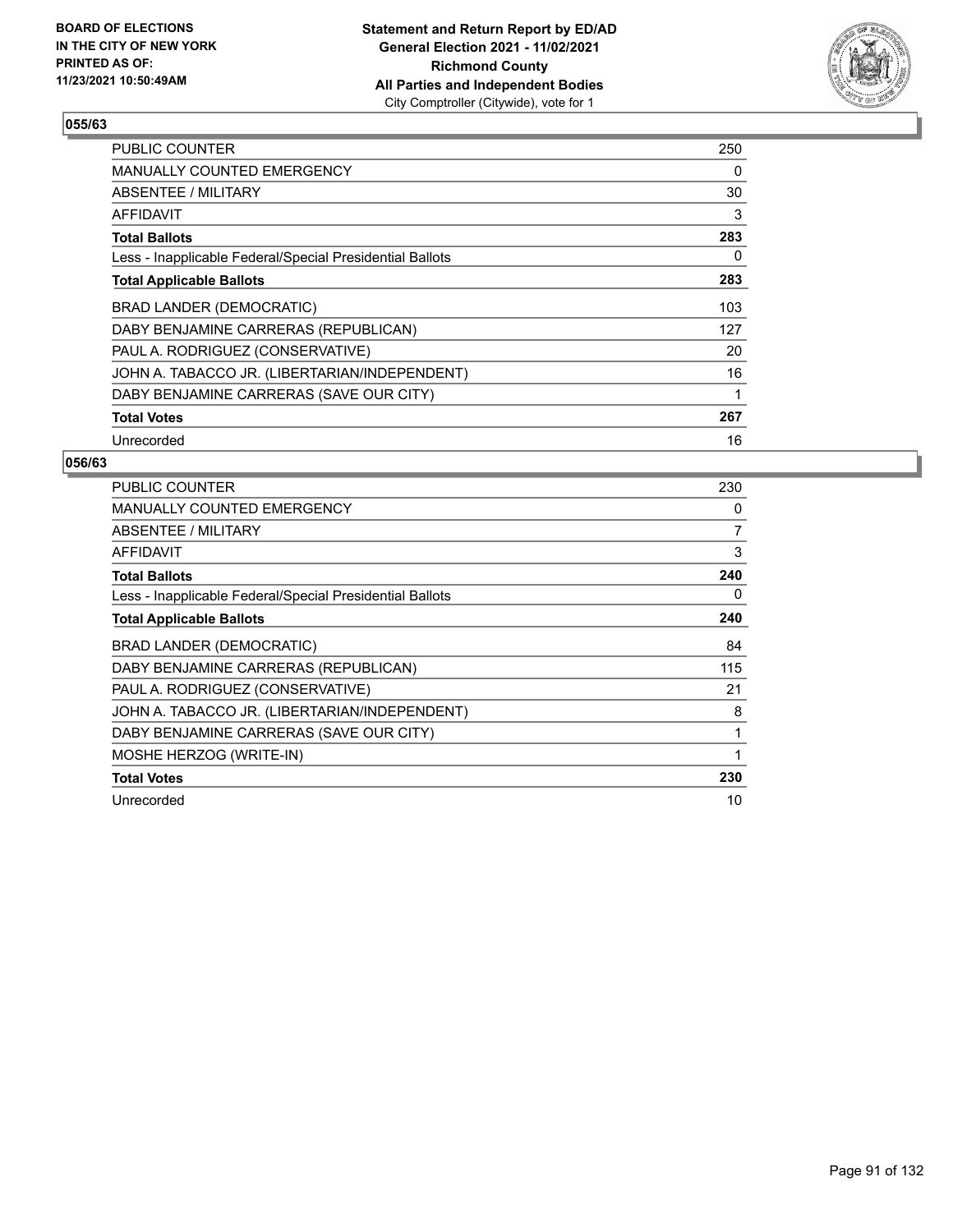

| <b>PUBLIC COUNTER</b>                                    | 250 |
|----------------------------------------------------------|-----|
| MANUALLY COUNTED EMERGENCY                               | 0   |
| ABSENTEE / MILITARY                                      | 30  |
| AFFIDAVIT                                                | 3   |
| <b>Total Ballots</b>                                     | 283 |
| Less - Inapplicable Federal/Special Presidential Ballots | 0   |
| <b>Total Applicable Ballots</b>                          | 283 |
| BRAD LANDER (DEMOCRATIC)                                 | 103 |
| DABY BENJAMINE CARRERAS (REPUBLICAN)                     | 127 |
| PAUL A. RODRIGUEZ (CONSERVATIVE)                         | 20  |
| JOHN A. TABACCO JR. (LIBERTARIAN/INDEPENDENT)            | 16  |
| DABY BENJAMINE CARRERAS (SAVE OUR CITY)                  | 1   |
| <b>Total Votes</b>                                       | 267 |
| Unrecorded                                               | 16  |

| PUBLIC COUNTER                                           | 230            |
|----------------------------------------------------------|----------------|
| <b>MANUALLY COUNTED EMERGENCY</b>                        | 0              |
| <b>ABSENTEE / MILITARY</b>                               | $\overline{7}$ |
| AFFIDAVIT                                                | 3              |
| <b>Total Ballots</b>                                     | 240            |
| Less - Inapplicable Federal/Special Presidential Ballots | 0              |
| <b>Total Applicable Ballots</b>                          | 240            |
| BRAD LANDER (DEMOCRATIC)                                 | 84             |
| DABY BENJAMINE CARRERAS (REPUBLICAN)                     | 115            |
| PAUL A. RODRIGUEZ (CONSERVATIVE)                         | 21             |
| JOHN A. TABACCO JR. (LIBERTARIAN/INDEPENDENT)            | 8              |
| DABY BENJAMINE CARRERAS (SAVE OUR CITY)                  |                |
| MOSHE HERZOG (WRITE-IN)                                  | 1              |
| <b>Total Votes</b>                                       | 230            |
| Unrecorded                                               | 10             |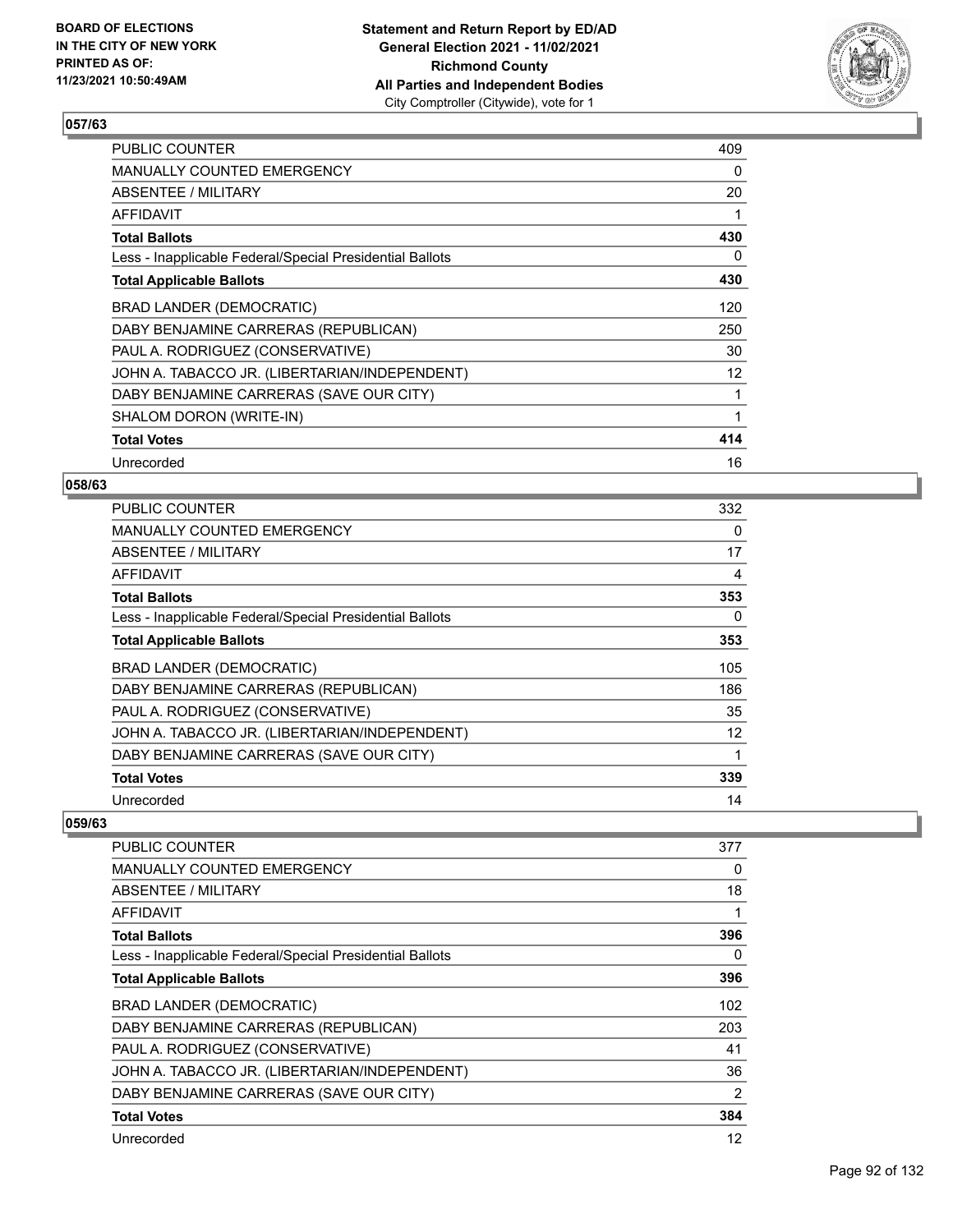

| <b>PUBLIC COUNTER</b>                                    | 409      |
|----------------------------------------------------------|----------|
| <b>MANUALLY COUNTED EMERGENCY</b>                        | $\Omega$ |
| ABSENTEE / MILITARY                                      | 20       |
| AFFIDAVIT                                                | 1        |
| <b>Total Ballots</b>                                     | 430      |
| Less - Inapplicable Federal/Special Presidential Ballots | 0        |
| <b>Total Applicable Ballots</b>                          | 430      |
| <b>BRAD LANDER (DEMOCRATIC)</b>                          | 120      |
| DABY BENJAMINE CARRERAS (REPUBLICAN)                     | 250      |
| PAUL A. RODRIGUEZ (CONSERVATIVE)                         | 30       |
| JOHN A. TABACCO JR. (LIBERTARIAN/INDEPENDENT)            | 12       |
| DABY BENJAMINE CARRERAS (SAVE OUR CITY)                  | 1        |
| SHALOM DORON (WRITE-IN)                                  | 1        |
| <b>Total Votes</b>                                       | 414      |
| Unrecorded                                               | 16       |

### **058/63**

| <b>PUBLIC COUNTER</b>                                    | 332      |
|----------------------------------------------------------|----------|
| <b>MANUALLY COUNTED EMERGENCY</b>                        | $\Omega$ |
| ABSENTEE / MILITARY                                      | 17       |
| AFFIDAVIT                                                | 4        |
| <b>Total Ballots</b>                                     | 353      |
| Less - Inapplicable Federal/Special Presidential Ballots | $\Omega$ |
| <b>Total Applicable Ballots</b>                          | 353      |
| BRAD LANDER (DEMOCRATIC)                                 | 105      |
| DABY BENJAMINE CARRERAS (REPUBLICAN)                     | 186      |
| PAUL A. RODRIGUEZ (CONSERVATIVE)                         | 35       |
| JOHN A. TABACCO JR. (LIBERTARIAN/INDEPENDENT)            | 12       |
| DABY BENJAMINE CARRERAS (SAVE OUR CITY)                  | 1        |
| <b>Total Votes</b>                                       | 339      |
| Unrecorded                                               | 14       |

| <b>PUBLIC COUNTER</b>                                    | 377            |
|----------------------------------------------------------|----------------|
| MANUALLY COUNTED EMERGENCY                               | 0              |
| ABSENTEE / MILITARY                                      | 18             |
| AFFIDAVIT                                                | 1              |
| <b>Total Ballots</b>                                     | 396            |
| Less - Inapplicable Federal/Special Presidential Ballots | 0              |
| <b>Total Applicable Ballots</b>                          | 396            |
| BRAD LANDER (DEMOCRATIC)                                 | 102            |
| DABY BENJAMINE CARRERAS (REPUBLICAN)                     | 203            |
| PAUL A. RODRIGUEZ (CONSERVATIVE)                         | 41             |
| JOHN A. TABACCO JR. (LIBERTARIAN/INDEPENDENT)            | 36             |
| DABY BENJAMINE CARRERAS (SAVE OUR CITY)                  | $\overline{2}$ |
| <b>Total Votes</b>                                       | 384            |
| Unrecorded                                               | 12             |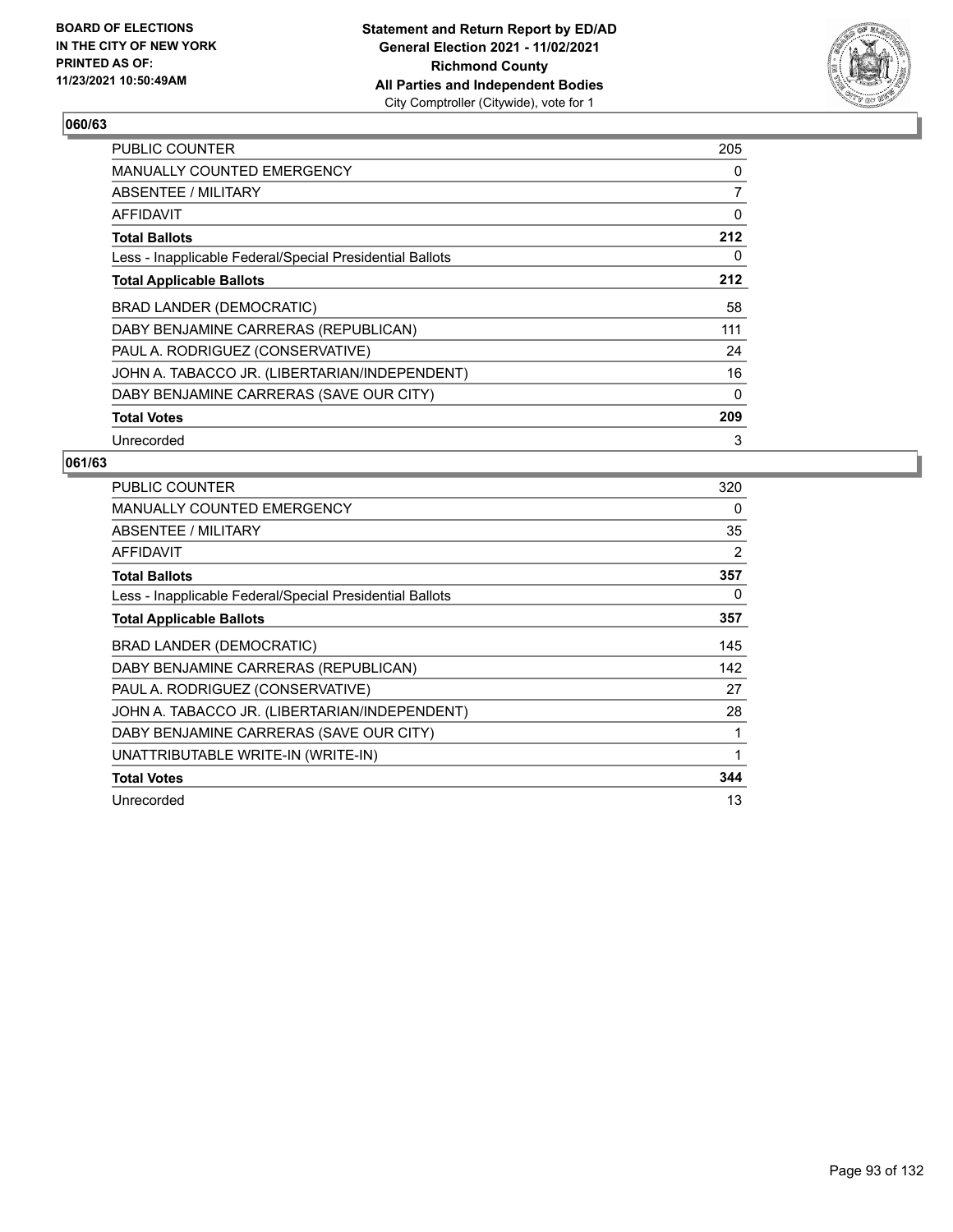

| <b>PUBLIC COUNTER</b>                                    | 205 |
|----------------------------------------------------------|-----|
| MANUALLY COUNTED EMERGENCY                               | 0   |
| ABSENTEE / MILITARY                                      | 7   |
| AFFIDAVIT                                                | 0   |
| <b>Total Ballots</b>                                     | 212 |
| Less - Inapplicable Federal/Special Presidential Ballots | 0   |
| <b>Total Applicable Ballots</b>                          | 212 |
| <b>BRAD LANDER (DEMOCRATIC)</b>                          | 58  |
| DABY BENJAMINE CARRERAS (REPUBLICAN)                     | 111 |
| PAUL A. RODRIGUEZ (CONSERVATIVE)                         | 24  |
| JOHN A. TABACCO JR. (LIBERTARIAN/INDEPENDENT)            | 16  |
| DABY BENJAMINE CARRERAS (SAVE OUR CITY)                  | 0   |
| <b>Total Votes</b>                                       | 209 |
| Unrecorded                                               | 3   |

| <b>PUBLIC COUNTER</b>                                    | 320 |
|----------------------------------------------------------|-----|
| <b>MANUALLY COUNTED EMERGENCY</b>                        | 0   |
| <b>ABSENTEE / MILITARY</b>                               | 35  |
| AFFIDAVIT                                                | 2   |
| <b>Total Ballots</b>                                     | 357 |
| Less - Inapplicable Federal/Special Presidential Ballots | 0   |
| <b>Total Applicable Ballots</b>                          | 357 |
| <b>BRAD LANDER (DEMOCRATIC)</b>                          | 145 |
| DABY BENJAMINE CARRERAS (REPUBLICAN)                     | 142 |
| PAUL A. RODRIGUEZ (CONSERVATIVE)                         | 27  |
| JOHN A. TABACCO JR. (LIBERTARIAN/INDEPENDENT)            | 28  |
| DABY BENJAMINE CARRERAS (SAVE OUR CITY)                  |     |
| UNATTRIBUTABLE WRITE-IN (WRITE-IN)                       | 1   |
| <b>Total Votes</b>                                       | 344 |
| Unrecorded                                               | 13  |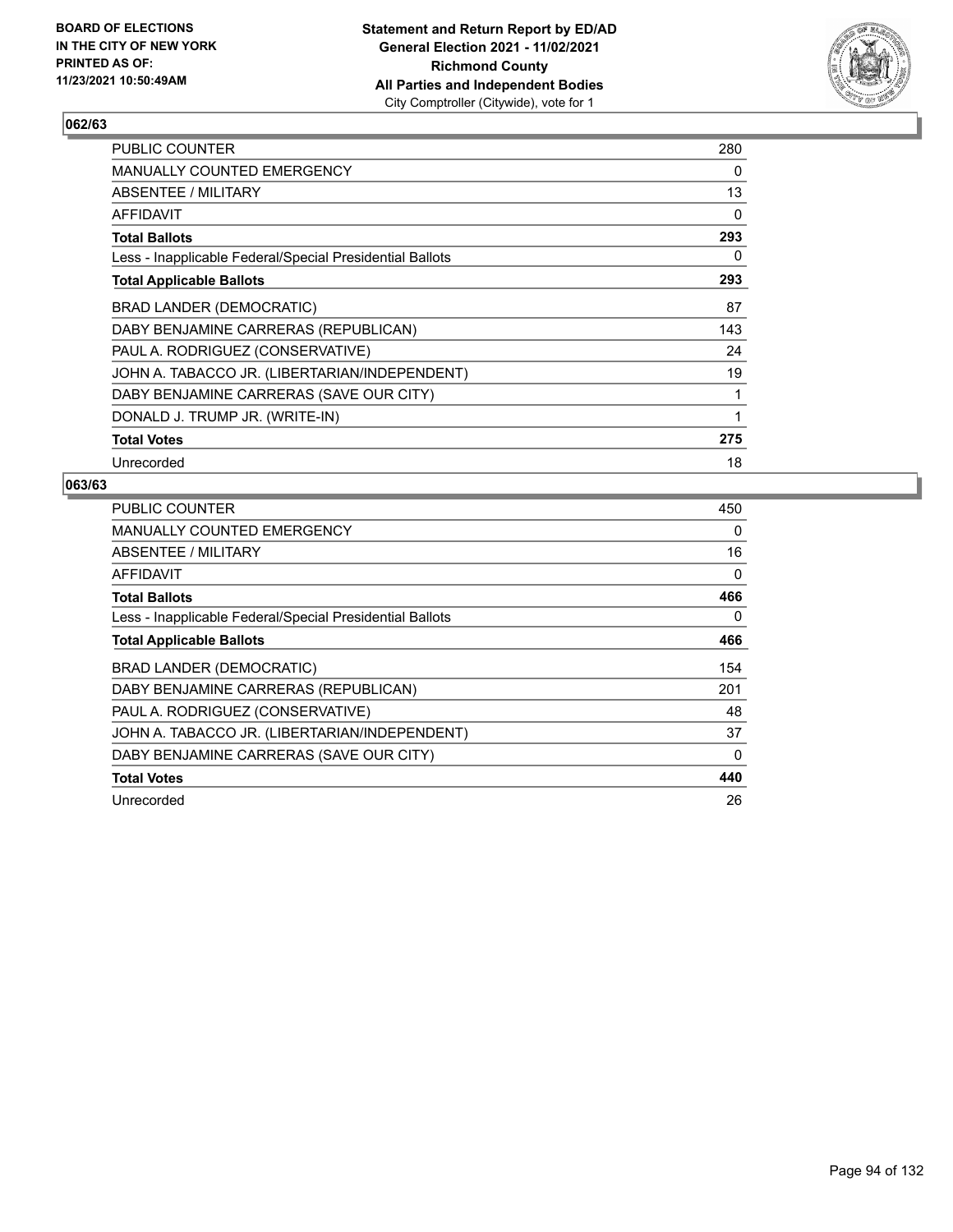

| PUBLIC COUNTER                                           | 280      |
|----------------------------------------------------------|----------|
| MANUALLY COUNTED EMERGENCY                               | 0        |
| ABSENTEE / MILITARY                                      | 13       |
| AFFIDAVIT                                                | $\Omega$ |
| <b>Total Ballots</b>                                     | 293      |
| Less - Inapplicable Federal/Special Presidential Ballots | 0        |
| <b>Total Applicable Ballots</b>                          | 293      |
| BRAD LANDER (DEMOCRATIC)                                 | 87       |
| DABY BENJAMINE CARRERAS (REPUBLICAN)                     | 143      |
| PAUL A. RODRIGUEZ (CONSERVATIVE)                         | 24       |
| JOHN A. TABACCO JR. (LIBERTARIAN/INDEPENDENT)            | 19       |
| DABY BENJAMINE CARRERAS (SAVE OUR CITY)                  | 1        |
| DONALD J. TRUMP JR. (WRITE-IN)                           | 1        |
| <b>Total Votes</b>                                       | 275      |
| Unrecorded                                               | 18       |

| <b>PUBLIC COUNTER</b>                                    | 450      |
|----------------------------------------------------------|----------|
| <b>MANUALLY COUNTED EMERGENCY</b>                        | 0        |
| ABSENTEE / MILITARY                                      | 16       |
| AFFIDAVIT                                                | 0        |
| <b>Total Ballots</b>                                     | 466      |
| Less - Inapplicable Federal/Special Presidential Ballots | 0        |
| <b>Total Applicable Ballots</b>                          | 466      |
| BRAD LANDER (DEMOCRATIC)                                 | 154      |
| DABY BENJAMINE CARRERAS (REPUBLICAN)                     | 201      |
| PAUL A. RODRIGUEZ (CONSERVATIVE)                         | 48       |
| JOHN A. TABACCO JR. (LIBERTARIAN/INDEPENDENT)            | 37       |
| DABY BENJAMINE CARRERAS (SAVE OUR CITY)                  | $\Omega$ |
|                                                          |          |
| <b>Total Votes</b>                                       | 440      |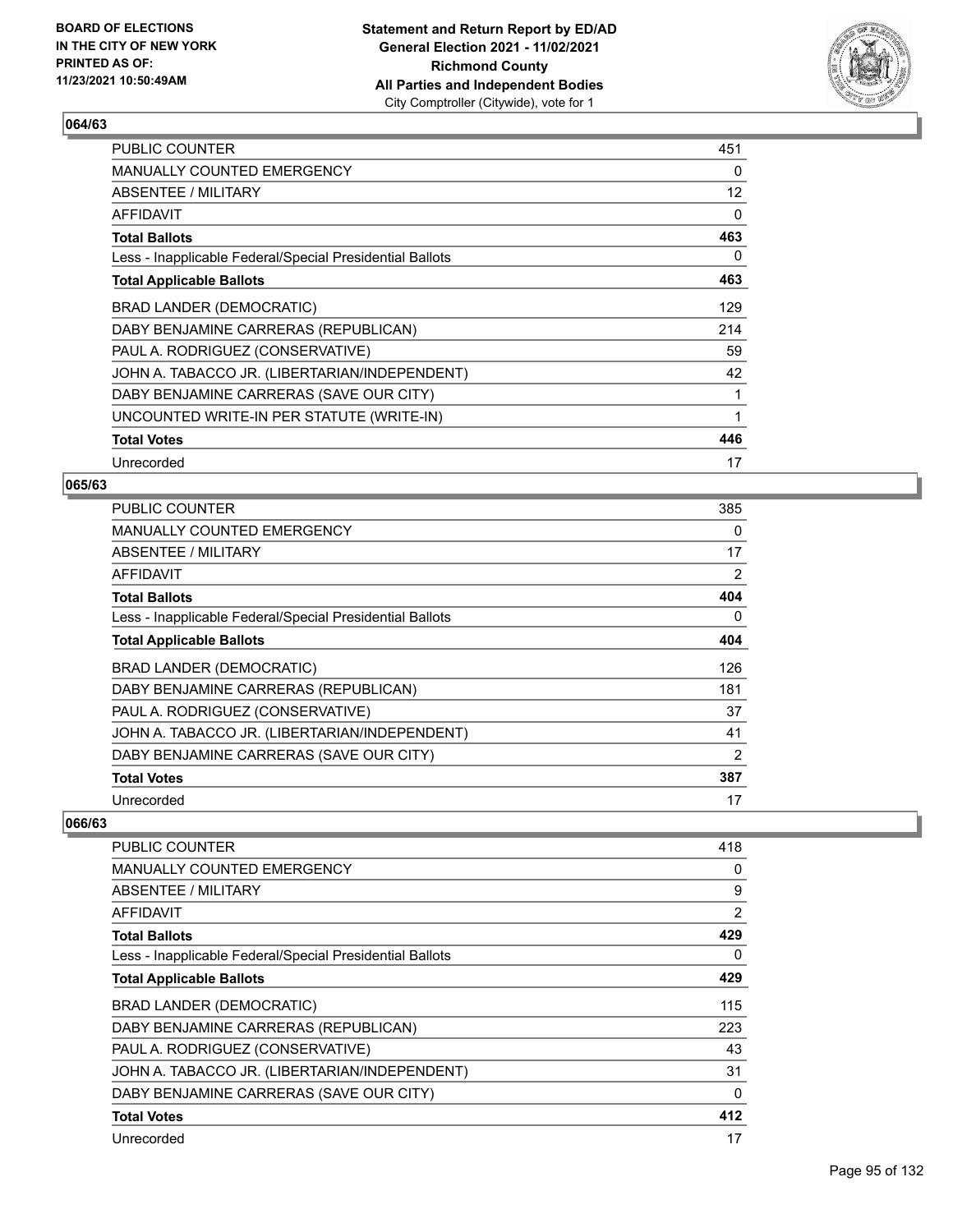

| PUBLIC COUNTER                                           | 451 |
|----------------------------------------------------------|-----|
| <b>MANUALLY COUNTED EMERGENCY</b>                        | 0   |
| ABSENTEE / MILITARY                                      | 12  |
| AFFIDAVIT                                                | 0   |
| <b>Total Ballots</b>                                     | 463 |
| Less - Inapplicable Federal/Special Presidential Ballots | 0   |
| <b>Total Applicable Ballots</b>                          | 463 |
| BRAD LANDER (DEMOCRATIC)                                 | 129 |
| DABY BENJAMINE CARRERAS (REPUBLICAN)                     | 214 |
| PAUL A. RODRIGUEZ (CONSERVATIVE)                         | 59  |
| JOHN A. TABACCO JR. (LIBERTARIAN/INDEPENDENT)            | 42  |
| DABY BENJAMINE CARRERAS (SAVE OUR CITY)                  | 1   |
| UNCOUNTED WRITE-IN PER STATUTE (WRITE-IN)                | 1   |
| <b>Total Votes</b>                                       | 446 |
| Unrecorded                                               | 17  |

### **065/63**

| <b>PUBLIC COUNTER</b>                                    | 385      |
|----------------------------------------------------------|----------|
| <b>MANUALLY COUNTED EMERGENCY</b>                        | $\Omega$ |
| ABSENTEE / MILITARY                                      | 17       |
| AFFIDAVIT                                                | 2        |
| <b>Total Ballots</b>                                     | 404      |
| Less - Inapplicable Federal/Special Presidential Ballots | $\Omega$ |
| <b>Total Applicable Ballots</b>                          | 404      |
| BRAD LANDER (DEMOCRATIC)                                 | 126      |
| DABY BENJAMINE CARRERAS (REPUBLICAN)                     | 181      |
| PAUL A. RODRIGUEZ (CONSERVATIVE)                         | 37       |
| JOHN A. TABACCO JR. (LIBERTARIAN/INDEPENDENT)            | 41       |
| DABY BENJAMINE CARRERAS (SAVE OUR CITY)                  | 2        |
| <b>Total Votes</b>                                       | 387      |
| Unrecorded                                               | 17       |

| <b>PUBLIC COUNTER</b>                                    | 418            |
|----------------------------------------------------------|----------------|
| MANUALLY COUNTED EMERGENCY                               | 0              |
| ABSENTEE / MILITARY                                      | 9              |
| <b>AFFIDAVIT</b>                                         | $\overline{2}$ |
| <b>Total Ballots</b>                                     | 429            |
| Less - Inapplicable Federal/Special Presidential Ballots | 0              |
| <b>Total Applicable Ballots</b>                          | 429            |
| BRAD LANDER (DEMOCRATIC)                                 | 115            |
| DABY BENJAMINE CARRERAS (REPUBLICAN)                     | 223            |
| PAUL A. RODRIGUEZ (CONSERVATIVE)                         | 43             |
| JOHN A. TABACCO JR. (LIBERTARIAN/INDEPENDENT)            | 31             |
| DABY BENJAMINE CARRERAS (SAVE OUR CITY)                  | 0              |
| <b>Total Votes</b>                                       | 412            |
| Unrecorded                                               | 17             |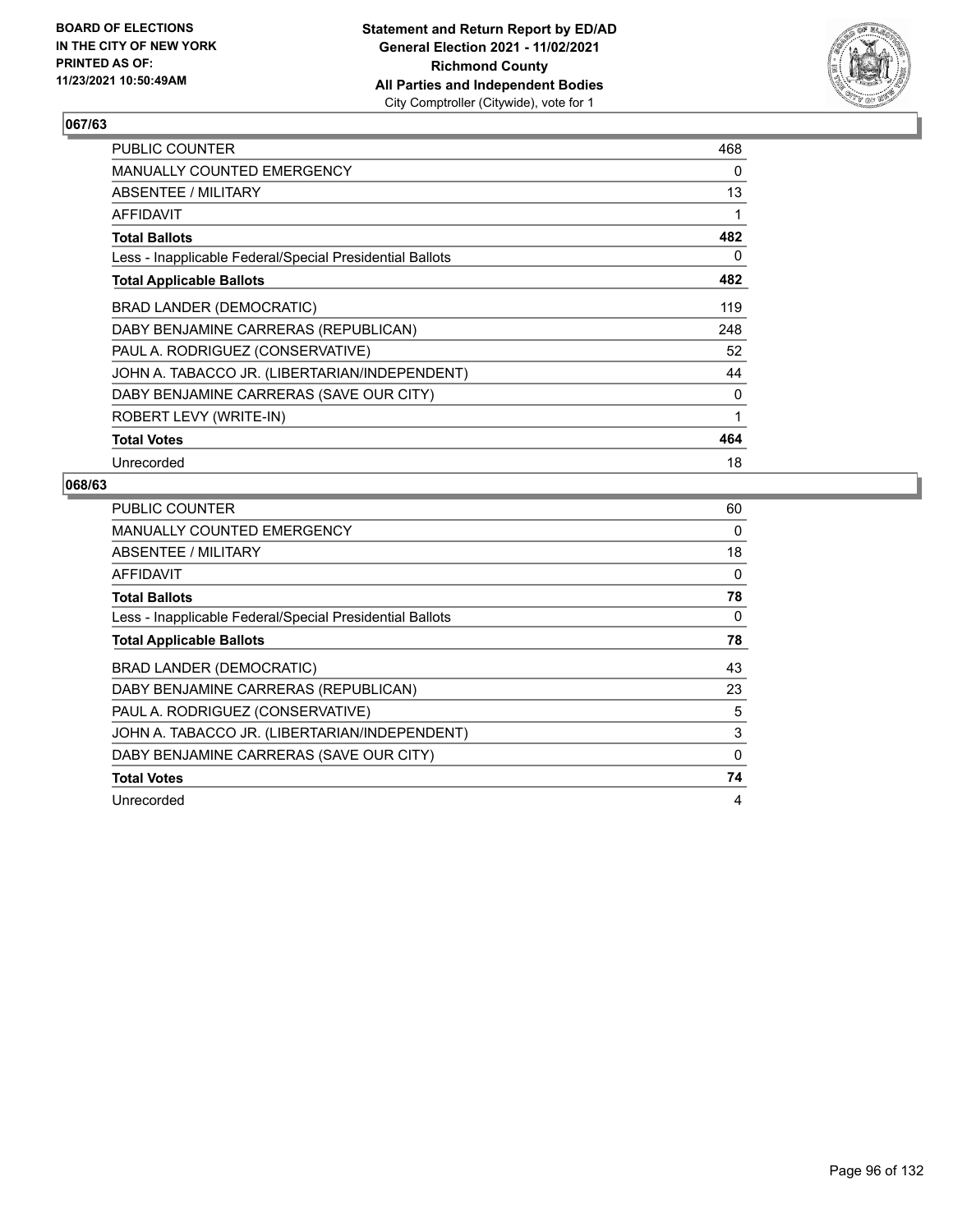

| PUBLIC COUNTER                                           | 468      |
|----------------------------------------------------------|----------|
| MANUALLY COUNTED EMERGENCY                               | $\Omega$ |
| ABSENTEE / MILITARY                                      | 13       |
| AFFIDAVIT                                                | 1        |
| <b>Total Ballots</b>                                     | 482      |
| Less - Inapplicable Federal/Special Presidential Ballots | 0        |
| <b>Total Applicable Ballots</b>                          | 482      |
| BRAD LANDER (DEMOCRATIC)                                 | 119      |
| DABY BENJAMINE CARRERAS (REPUBLICAN)                     | 248      |
| PAUL A. RODRIGUEZ (CONSERVATIVE)                         | 52       |
| JOHN A. TABACCO JR. (LIBERTARIAN/INDEPENDENT)            | 44       |
| DABY BENJAMINE CARRERAS (SAVE OUR CITY)                  | 0        |
| ROBERT LEVY (WRITE-IN)                                   | 1        |
| <b>Total Votes</b>                                       | 464      |
| Unrecorded                                               | 18       |

| <b>PUBLIC COUNTER</b>                                    | 60       |
|----------------------------------------------------------|----------|
| <b>MANUALLY COUNTED EMERGENCY</b>                        | 0        |
| ABSENTEE / MILITARY                                      | 18       |
| AFFIDAVIT                                                | 0        |
| <b>Total Ballots</b>                                     | 78       |
| Less - Inapplicable Federal/Special Presidential Ballots | 0        |
| <b>Total Applicable Ballots</b>                          | 78       |
| BRAD LANDER (DEMOCRATIC)                                 | 43       |
| DABY BENJAMINE CARRERAS (REPUBLICAN)                     | 23       |
| PAUL A. RODRIGUEZ (CONSERVATIVE)                         | 5        |
| JOHN A. TABACCO JR. (LIBERTARIAN/INDEPENDENT)            | 3        |
| DABY BENJAMINE CARRERAS (SAVE OUR CITY)                  | $\Omega$ |
| <b>Total Votes</b>                                       | 74       |
| Unrecorded                                               | 4        |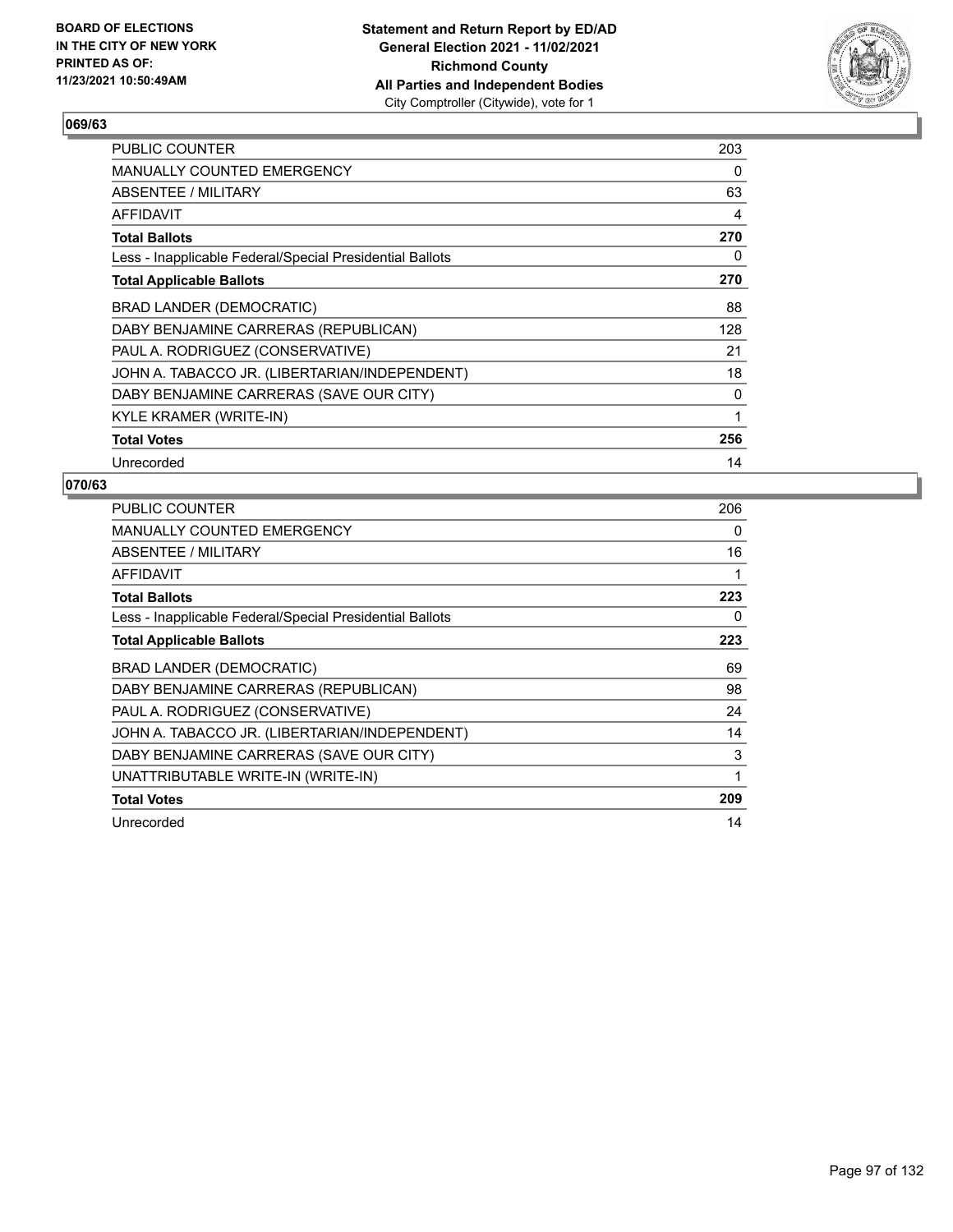

| PUBLIC COUNTER                                           | 203 |
|----------------------------------------------------------|-----|
| MANUALLY COUNTED EMERGENCY                               | 0   |
| ABSENTEE / MILITARY                                      | 63  |
| AFFIDAVIT                                                | 4   |
| <b>Total Ballots</b>                                     | 270 |
| Less - Inapplicable Federal/Special Presidential Ballots | 0   |
| <b>Total Applicable Ballots</b>                          | 270 |
| BRAD LANDER (DEMOCRATIC)                                 | 88  |
| DABY BENJAMINE CARRERAS (REPUBLICAN)                     | 128 |
| PAUL A. RODRIGUEZ (CONSERVATIVE)                         | 21  |
| JOHN A. TABACCO JR. (LIBERTARIAN/INDEPENDENT)            | 18  |
| DABY BENJAMINE CARRERAS (SAVE OUR CITY)                  | 0   |
| KYLE KRAMER (WRITE-IN)                                   | 1   |
| <b>Total Votes</b>                                       | 256 |
| Unrecorded                                               | 14  |

| PUBLIC COUNTER                                           | 206 |
|----------------------------------------------------------|-----|
| MANUALLY COUNTED EMERGENCY                               | 0   |
| ABSENTEE / MILITARY                                      | 16  |
| AFFIDAVIT                                                |     |
| <b>Total Ballots</b>                                     | 223 |
| Less - Inapplicable Federal/Special Presidential Ballots | 0   |
| <b>Total Applicable Ballots</b>                          | 223 |
| BRAD LANDER (DEMOCRATIC)                                 | 69  |
| DABY BENJAMINE CARRERAS (REPUBLICAN)                     | 98  |
| PAUL A. RODRIGUEZ (CONSERVATIVE)                         | 24  |
| JOHN A. TABACCO JR. (LIBERTARIAN/INDEPENDENT)            | 14  |
| DABY BENJAMINE CARRERAS (SAVE OUR CITY)                  | 3   |
| UNATTRIBUTABLE WRITE-IN (WRITE-IN)                       | 1   |
| <b>Total Votes</b>                                       | 209 |
| Unrecorded                                               | 14  |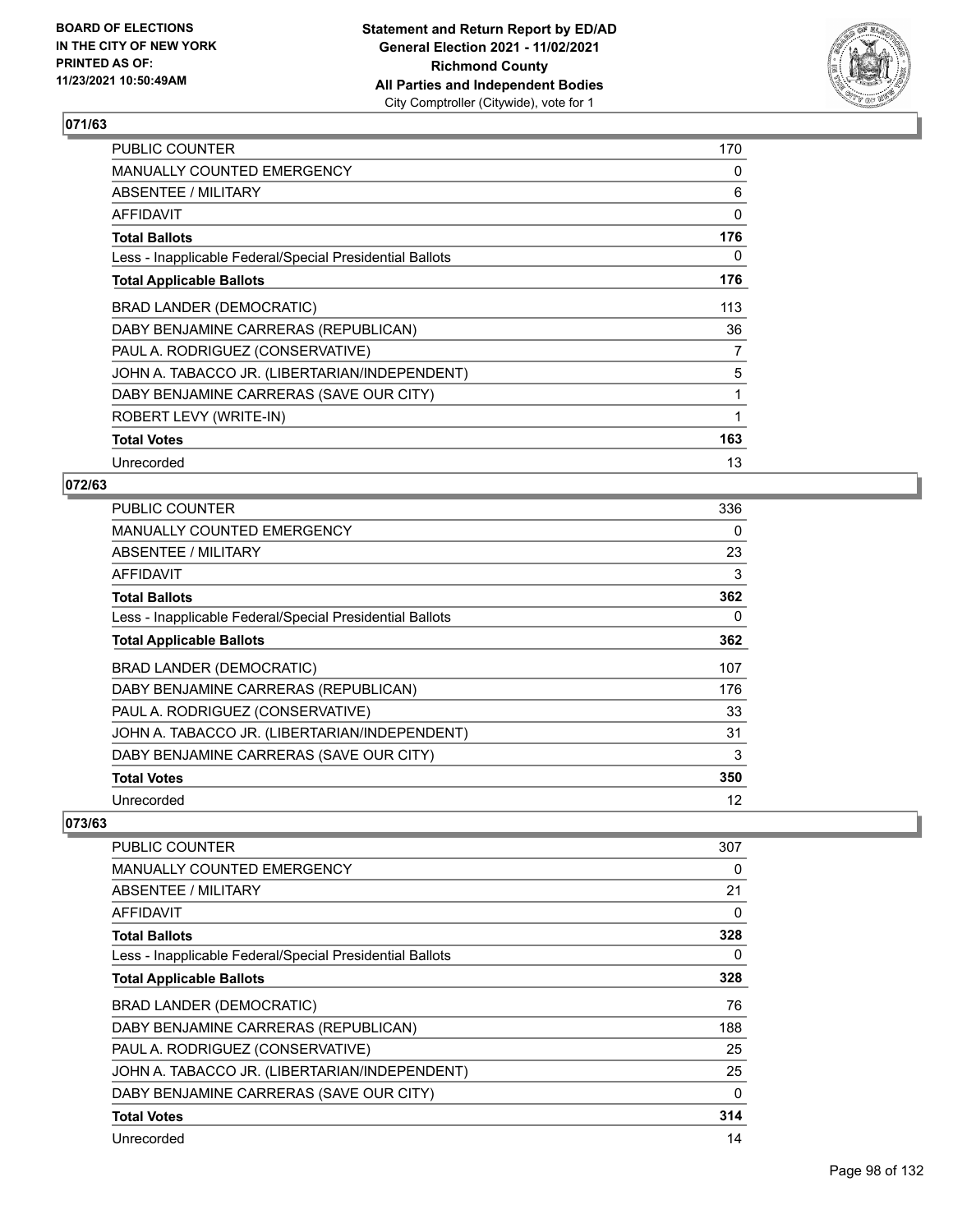

| <b>PUBLIC COUNTER</b>                                    | 170 |
|----------------------------------------------------------|-----|
| <b>MANUALLY COUNTED EMERGENCY</b>                        | 0   |
| ABSENTEE / MILITARY                                      | 6   |
| AFFIDAVIT                                                | 0   |
| <b>Total Ballots</b>                                     | 176 |
| Less - Inapplicable Federal/Special Presidential Ballots | 0   |
| <b>Total Applicable Ballots</b>                          | 176 |
| <b>BRAD LANDER (DEMOCRATIC)</b>                          | 113 |
| DABY BENJAMINE CARRERAS (REPUBLICAN)                     | 36  |
| PAUL A. RODRIGUEZ (CONSERVATIVE)                         | 7   |
| JOHN A. TABACCO JR. (LIBERTARIAN/INDEPENDENT)            | 5   |
| DABY BENJAMINE CARRERAS (SAVE OUR CITY)                  | 1   |
| ROBERT LEVY (WRITE-IN)                                   | 1   |
| <b>Total Votes</b>                                       | 163 |
| Unrecorded                                               | 13  |

## **072/63**

| <b>PUBLIC COUNTER</b>                                    | 336      |
|----------------------------------------------------------|----------|
| <b>MANUALLY COUNTED EMERGENCY</b>                        | $\Omega$ |
| ABSENTEE / MILITARY                                      | 23       |
| AFFIDAVIT                                                | 3        |
| <b>Total Ballots</b>                                     | 362      |
| Less - Inapplicable Federal/Special Presidential Ballots | $\Omega$ |
| <b>Total Applicable Ballots</b>                          | 362      |
| BRAD LANDER (DEMOCRATIC)                                 | 107      |
| DABY BENJAMINE CARRERAS (REPUBLICAN)                     | 176      |
| PAUL A. RODRIGUEZ (CONSERVATIVE)                         | 33       |
| JOHN A. TABACCO JR. (LIBERTARIAN/INDEPENDENT)            | 31       |
| DABY BENJAMINE CARRERAS (SAVE OUR CITY)                  | 3        |
| <b>Total Votes</b>                                       | 350      |
| Unrecorded                                               | 12       |

| PUBLIC COUNTER                                           | 307      |
|----------------------------------------------------------|----------|
| MANUALLY COUNTED EMERGENCY                               | 0        |
| ABSENTEE / MILITARY                                      | 21       |
| <b>AFFIDAVIT</b>                                         | $\Omega$ |
| <b>Total Ballots</b>                                     | 328      |
| Less - Inapplicable Federal/Special Presidential Ballots | 0        |
| <b>Total Applicable Ballots</b>                          | 328      |
| BRAD LANDER (DEMOCRATIC)                                 | 76       |
| DABY BENJAMINE CARRERAS (REPUBLICAN)                     | 188      |
| PAUL A. RODRIGUEZ (CONSERVATIVE)                         | 25       |
| JOHN A. TABACCO JR. (LIBERTARIAN/INDEPENDENT)            | 25       |
| DABY BENJAMINE CARRERAS (SAVE OUR CITY)                  | 0        |
| <b>Total Votes</b>                                       | 314      |
| Unrecorded                                               | 14       |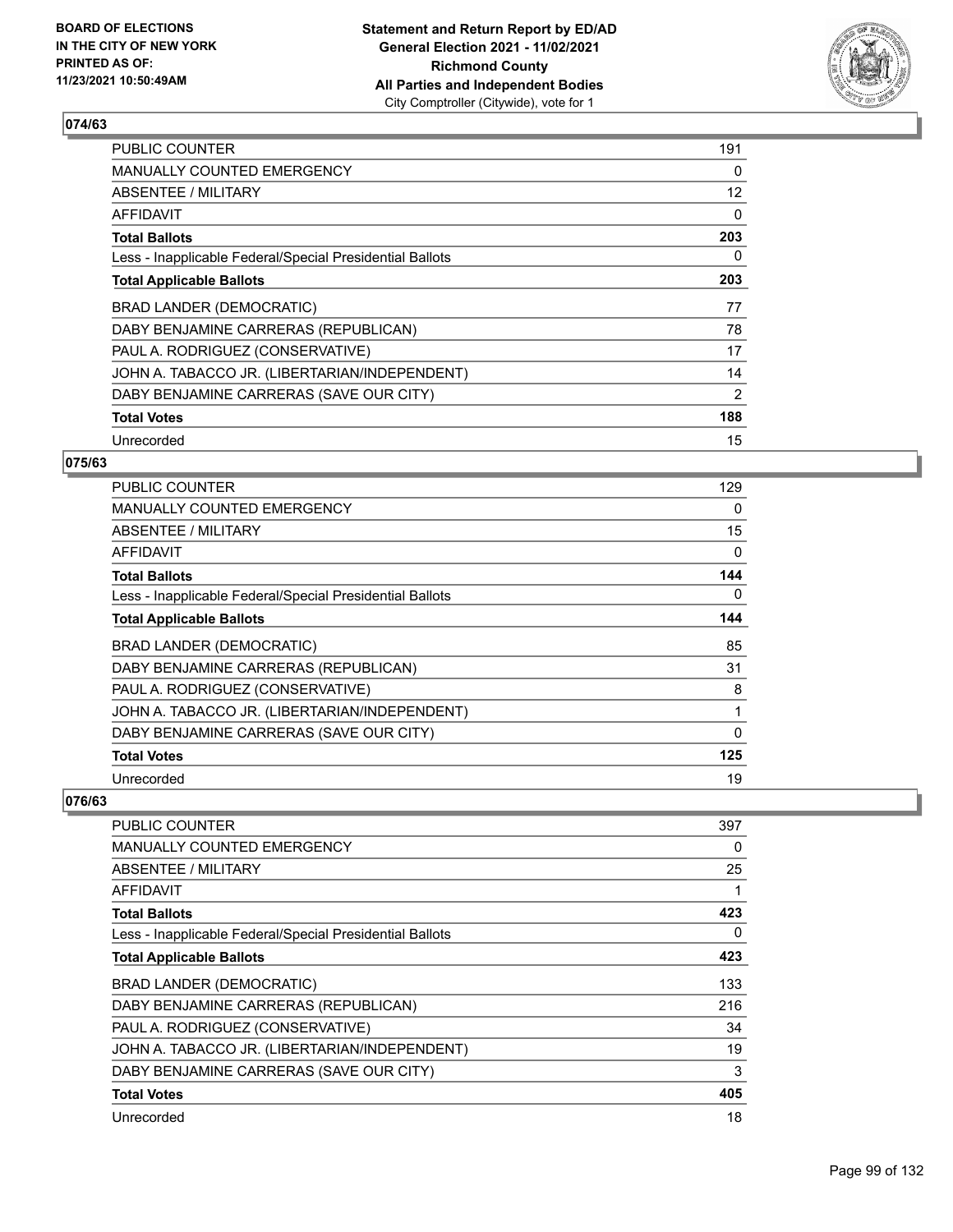

| <b>PUBLIC COUNTER</b>                                    | 191 |
|----------------------------------------------------------|-----|
| <b>MANUALLY COUNTED EMERGENCY</b>                        | 0   |
| ABSENTEE / MILITARY                                      | 12  |
| AFFIDAVIT                                                | 0   |
| <b>Total Ballots</b>                                     | 203 |
| Less - Inapplicable Federal/Special Presidential Ballots | 0   |
| <b>Total Applicable Ballots</b>                          | 203 |
| BRAD LANDER (DEMOCRATIC)                                 | 77  |
| DABY BENJAMINE CARRERAS (REPUBLICAN)                     | 78  |
| PAUL A. RODRIGUEZ (CONSERVATIVE)                         | 17  |
| JOHN A. TABACCO JR. (LIBERTARIAN/INDEPENDENT)            | 14  |
| DABY BENJAMINE CARRERAS (SAVE OUR CITY)                  | 2   |
| <b>Total Votes</b>                                       | 188 |
| Unrecorded                                               | 15  |

## **075/63**

| PUBLIC COUNTER                                           | 129 |
|----------------------------------------------------------|-----|
| <b>MANUALLY COUNTED EMERGENCY</b>                        | 0   |
| ABSENTEE / MILITARY                                      | 15  |
| AFFIDAVIT                                                | 0   |
| <b>Total Ballots</b>                                     | 144 |
| Less - Inapplicable Federal/Special Presidential Ballots | 0   |
| <b>Total Applicable Ballots</b>                          | 144 |
| <b>BRAD LANDER (DEMOCRATIC)</b>                          | 85  |
| DABY BENJAMINE CARRERAS (REPUBLICAN)                     | 31  |
| PAUL A. RODRIGUEZ (CONSERVATIVE)                         | 8   |
| JOHN A. TABACCO JR. (LIBERTARIAN/INDEPENDENT)            | 1   |
| DABY BENJAMINE CARRERAS (SAVE OUR CITY)                  | 0   |
| <b>Total Votes</b>                                       | 125 |
| Unrecorded                                               | 19  |

| <b>PUBLIC COUNTER</b>                                    | 397 |
|----------------------------------------------------------|-----|
| <b>MANUALLY COUNTED EMERGENCY</b>                        | 0   |
| <b>ABSENTEE / MILITARY</b>                               | 25  |
| <b>AFFIDAVIT</b>                                         |     |
| <b>Total Ballots</b>                                     | 423 |
| Less - Inapplicable Federal/Special Presidential Ballots | 0   |
| <b>Total Applicable Ballots</b>                          | 423 |
| BRAD LANDER (DEMOCRATIC)                                 | 133 |
| DABY BENJAMINE CARRERAS (REPUBLICAN)                     | 216 |
| PAUL A. RODRIGUEZ (CONSERVATIVE)                         | 34  |
| JOHN A. TABACCO JR. (LIBERTARIAN/INDEPENDENT)            | 19  |
| DABY BENJAMINE CARRERAS (SAVE OUR CITY)                  | 3   |
| <b>Total Votes</b>                                       | 405 |
| Unrecorded                                               | 18  |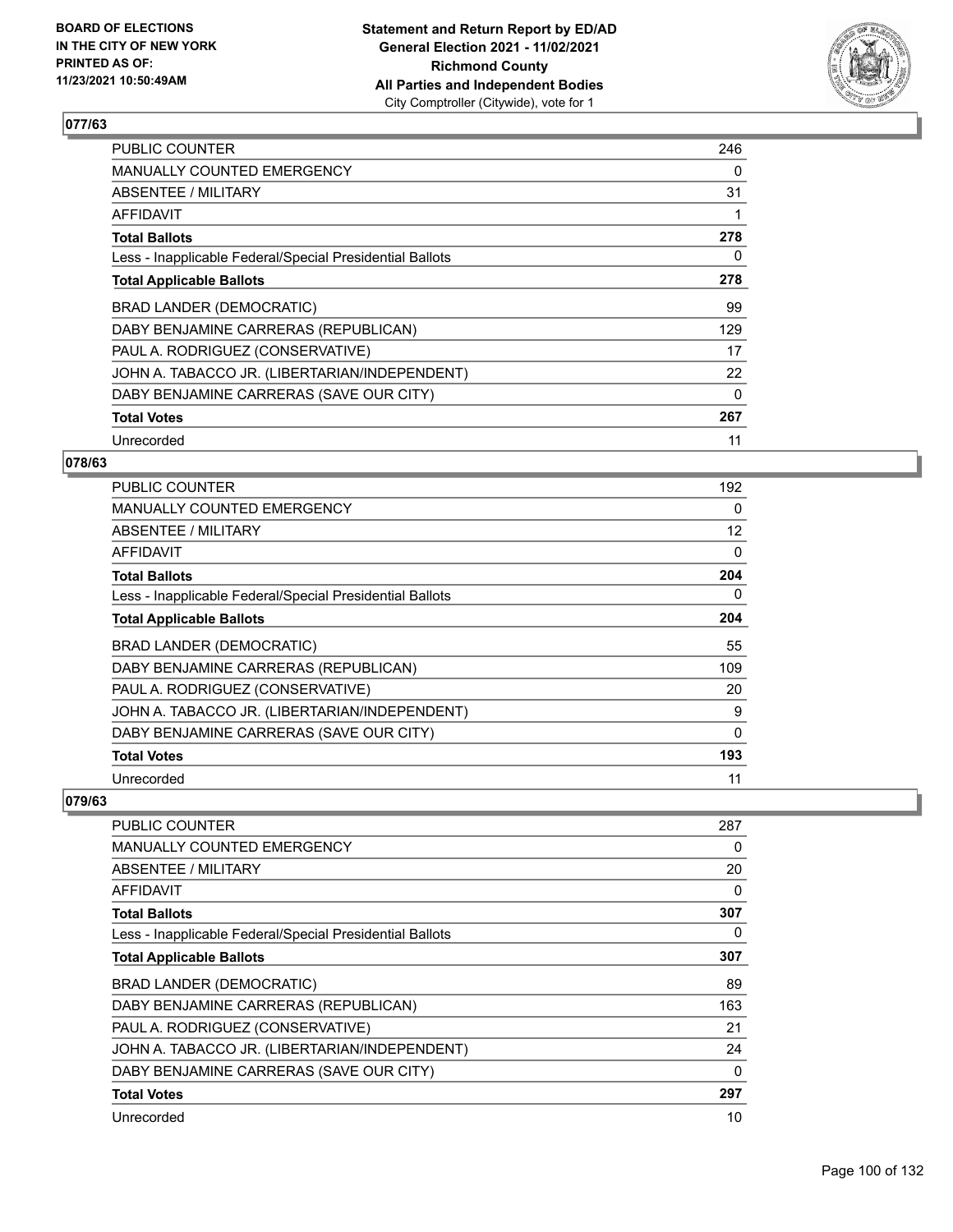

| <b>PUBLIC COUNTER</b>                                    | 246      |
|----------------------------------------------------------|----------|
| MANUALLY COUNTED EMERGENCY                               | 0        |
| ABSENTEE / MILITARY                                      | 31       |
| AFFIDAVIT                                                | 1        |
| <b>Total Ballots</b>                                     | 278      |
| Less - Inapplicable Federal/Special Presidential Ballots | 0        |
| <b>Total Applicable Ballots</b>                          | 278      |
| BRAD LANDER (DEMOCRATIC)                                 | 99       |
| DABY BENJAMINE CARRERAS (REPUBLICAN)                     | 129      |
| PAUL A. RODRIGUEZ (CONSERVATIVE)                         | 17       |
| JOHN A. TABACCO JR. (LIBERTARIAN/INDEPENDENT)            | 22       |
| DABY BENJAMINE CARRERAS (SAVE OUR CITY)                  | $\Omega$ |
| <b>Total Votes</b>                                       | 267      |
| Unrecorded                                               | 11       |

## **078/63**

| <b>PUBLIC COUNTER</b>                                    | 192 |
|----------------------------------------------------------|-----|
| <b>MANUALLY COUNTED EMERGENCY</b>                        | 0   |
| ABSENTEE / MILITARY                                      | 12  |
| AFFIDAVIT                                                | 0   |
| <b>Total Ballots</b>                                     | 204 |
| Less - Inapplicable Federal/Special Presidential Ballots | 0   |
| <b>Total Applicable Ballots</b>                          | 204 |
| <b>BRAD LANDER (DEMOCRATIC)</b>                          | 55  |
| DABY BENJAMINE CARRERAS (REPUBLICAN)                     | 109 |
| PAUL A. RODRIGUEZ (CONSERVATIVE)                         | 20  |
| JOHN A. TABACCO JR. (LIBERTARIAN/INDEPENDENT)            | 9   |
| DABY BENJAMINE CARRERAS (SAVE OUR CITY)                  | 0   |
| <b>Total Votes</b>                                       | 193 |
| Unrecorded                                               | 11  |

| <b>PUBLIC COUNTER</b>                                    | 287 |
|----------------------------------------------------------|-----|
| <b>MANUALLY COUNTED EMERGENCY</b>                        | 0   |
| ABSENTEE / MILITARY                                      | 20  |
| AFFIDAVIT                                                | 0   |
| <b>Total Ballots</b>                                     | 307 |
| Less - Inapplicable Federal/Special Presidential Ballots | 0   |
| <b>Total Applicable Ballots</b>                          | 307 |
| <b>BRAD LANDER (DEMOCRATIC)</b>                          | 89  |
| DABY BENJAMINE CARRERAS (REPUBLICAN)                     | 163 |
| PAUL A. RODRIGUEZ (CONSERVATIVE)                         | 21  |
| JOHN A. TABACCO JR. (LIBERTARIAN/INDEPENDENT)            | 24  |
| DABY BENJAMINE CARRERAS (SAVE OUR CITY)                  | 0   |
| <b>Total Votes</b>                                       | 297 |
| Unrecorded                                               | 10  |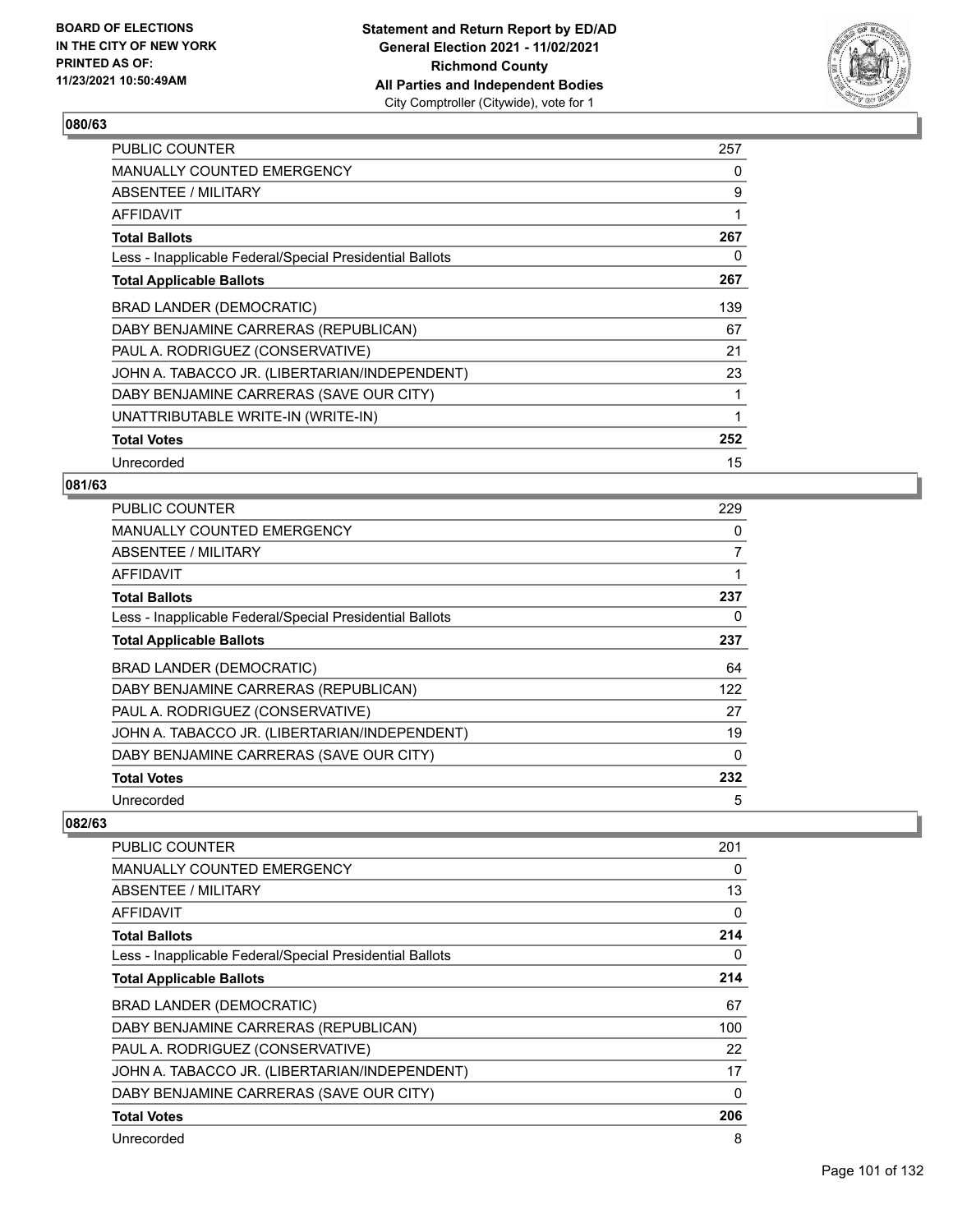

| <b>PUBLIC COUNTER</b>                                    | 257 |
|----------------------------------------------------------|-----|
| <b>MANUALLY COUNTED EMERGENCY</b>                        | 0   |
| ABSENTEE / MILITARY                                      | 9   |
| <b>AFFIDAVIT</b>                                         | 1   |
| <b>Total Ballots</b>                                     | 267 |
| Less - Inapplicable Federal/Special Presidential Ballots | 0   |
| <b>Total Applicable Ballots</b>                          | 267 |
| <b>BRAD LANDER (DEMOCRATIC)</b>                          | 139 |
| DABY BENJAMINE CARRERAS (REPUBLICAN)                     | 67  |
| PAUL A. RODRIGUEZ (CONSERVATIVE)                         | 21  |
| JOHN A. TABACCO JR. (LIBERTARIAN/INDEPENDENT)            | 23  |
| DABY BENJAMINE CARRERAS (SAVE OUR CITY)                  | 1   |
| UNATTRIBUTABLE WRITE-IN (WRITE-IN)                       | 1   |
| <b>Total Votes</b>                                       | 252 |
| Unrecorded                                               | 15  |

## **081/63**

| <b>PUBLIC COUNTER</b>                                    | 229      |
|----------------------------------------------------------|----------|
| <b>MANUALLY COUNTED EMERGENCY</b>                        | 0        |
| ABSENTEE / MILITARY                                      | 7        |
| AFFIDAVIT                                                | 1        |
| <b>Total Ballots</b>                                     | 237      |
| Less - Inapplicable Federal/Special Presidential Ballots | 0        |
| <b>Total Applicable Ballots</b>                          | 237      |
| BRAD LANDER (DEMOCRATIC)                                 | 64       |
| DABY BENJAMINE CARRERAS (REPUBLICAN)                     | 122      |
| PAUL A. RODRIGUEZ (CONSERVATIVE)                         | 27       |
| JOHN A. TABACCO JR. (LIBERTARIAN/INDEPENDENT)            | 19       |
| DABY BENJAMINE CARRERAS (SAVE OUR CITY)                  | $\Omega$ |
| <b>Total Votes</b>                                       | 232      |
| Unrecorded                                               | 5        |

| <b>PUBLIC COUNTER</b>                                    | 201      |
|----------------------------------------------------------|----------|
| <b>MANUALLY COUNTED EMERGENCY</b>                        | 0        |
| ABSENTEE / MILITARY                                      | 13       |
| AFFIDAVIT                                                | $\Omega$ |
| <b>Total Ballots</b>                                     | 214      |
| Less - Inapplicable Federal/Special Presidential Ballots | 0        |
| <b>Total Applicable Ballots</b>                          | 214      |
| BRAD LANDER (DEMOCRATIC)                                 | 67       |
| DABY BENJAMINE CARRERAS (REPUBLICAN)                     | 100      |
| PAUL A. RODRIGUEZ (CONSERVATIVE)                         | 22       |
| JOHN A. TABACCO JR. (LIBERTARIAN/INDEPENDENT)            | 17       |
| DABY BENJAMINE CARRERAS (SAVE OUR CITY)                  | 0        |
| <b>Total Votes</b>                                       | 206      |
| Unrecorded                                               | 8        |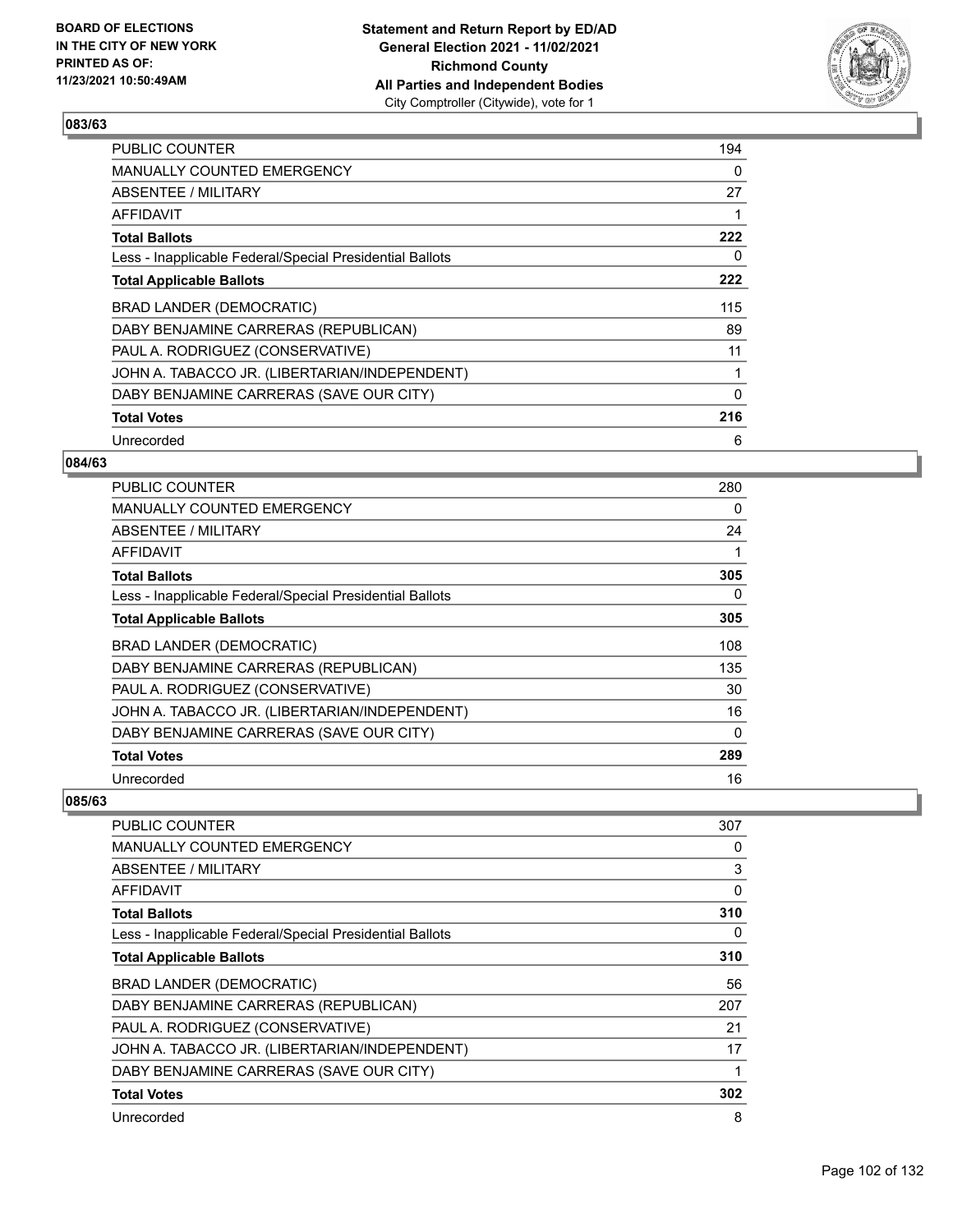

| <b>PUBLIC COUNTER</b>                                    | 194 |
|----------------------------------------------------------|-----|
| <b>MANUALLY COUNTED EMERGENCY</b>                        | 0   |
| ABSENTEE / MILITARY                                      | 27  |
| AFFIDAVIT                                                |     |
| <b>Total Ballots</b>                                     | 222 |
| Less - Inapplicable Federal/Special Presidential Ballots | 0   |
| <b>Total Applicable Ballots</b>                          | 222 |
| BRAD LANDER (DEMOCRATIC)                                 | 115 |
| DABY BENJAMINE CARRERAS (REPUBLICAN)                     | 89  |
| PAUL A. RODRIGUEZ (CONSERVATIVE)                         | 11  |
| JOHN A. TABACCO JR. (LIBERTARIAN/INDEPENDENT)            | 1   |
| DABY BENJAMINE CARRERAS (SAVE OUR CITY)                  | 0   |
| <b>Total Votes</b>                                       | 216 |
| Unrecorded                                               | 6   |

## **084/63**

| <b>PUBLIC COUNTER</b>                                    | 280 |
|----------------------------------------------------------|-----|
| <b>MANUALLY COUNTED EMERGENCY</b>                        | 0   |
| ABSENTEE / MILITARY                                      | 24  |
| <b>AFFIDAVIT</b>                                         |     |
| <b>Total Ballots</b>                                     | 305 |
| Less - Inapplicable Federal/Special Presidential Ballots | 0   |
| <b>Total Applicable Ballots</b>                          | 305 |
| <b>BRAD LANDER (DEMOCRATIC)</b>                          | 108 |
| DABY BENJAMINE CARRERAS (REPUBLICAN)                     | 135 |
| PAUL A. RODRIGUEZ (CONSERVATIVE)                         | 30  |
| JOHN A. TABACCO JR. (LIBERTARIAN/INDEPENDENT)            | 16  |
| DABY BENJAMINE CARRERAS (SAVE OUR CITY)                  | 0   |
| <b>Total Votes</b>                                       | 289 |
| Unrecorded                                               | 16  |

| <b>PUBLIC COUNTER</b>                                    | 307 |
|----------------------------------------------------------|-----|
| <b>MANUALLY COUNTED EMERGENCY</b>                        | 0   |
| <b>ABSENTEE / MILITARY</b>                               | 3   |
| AFFIDAVIT                                                | 0   |
| <b>Total Ballots</b>                                     | 310 |
| Less - Inapplicable Federal/Special Presidential Ballots | 0   |
| <b>Total Applicable Ballots</b>                          | 310 |
| BRAD LANDER (DEMOCRATIC)                                 | 56  |
| DABY BENJAMINE CARRERAS (REPUBLICAN)                     | 207 |
| PAUL A. RODRIGUEZ (CONSERVATIVE)                         | 21  |
| JOHN A. TABACCO JR. (LIBERTARIAN/INDEPENDENT)            | 17  |
| DABY BENJAMINE CARRERAS (SAVE OUR CITY)                  |     |
| <b>Total Votes</b>                                       | 302 |
| Unrecorded                                               | 8   |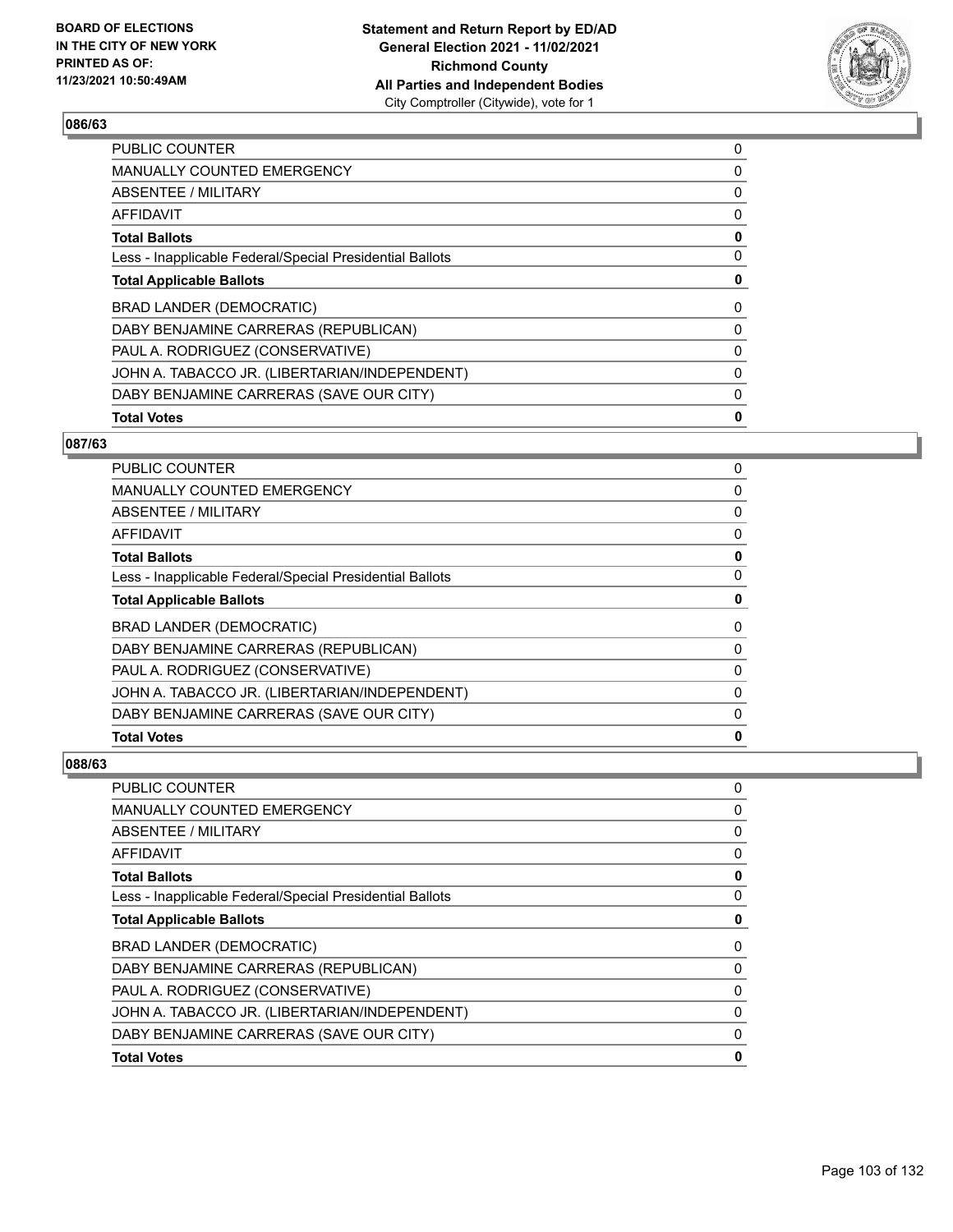

| <b>PUBLIC COUNTER</b>                                    | 0 |
|----------------------------------------------------------|---|
| <b>MANUALLY COUNTED EMERGENCY</b>                        | 0 |
| ABSENTEE / MILITARY                                      | 0 |
| <b>AFFIDAVIT</b>                                         | 0 |
| <b>Total Ballots</b>                                     | 0 |
| Less - Inapplicable Federal/Special Presidential Ballots | 0 |
| <b>Total Applicable Ballots</b>                          | 0 |
| BRAD LANDER (DEMOCRATIC)                                 | 0 |
| DABY BENJAMINE CARRERAS (REPUBLICAN)                     | 0 |
| PAUL A. RODRIGUEZ (CONSERVATIVE)                         | 0 |
| JOHN A. TABACCO JR. (LIBERTARIAN/INDEPENDENT)            | 0 |
| DABY BENJAMINE CARRERAS (SAVE OUR CITY)                  | 0 |
| <b>Total Votes</b>                                       | 0 |
|                                                          |   |

## **087/63**

| <b>PUBLIC COUNTER</b>                                    | 0        |
|----------------------------------------------------------|----------|
| <b>MANUALLY COUNTED EMERGENCY</b>                        | 0        |
| ABSENTEE / MILITARY                                      | 0        |
| AFFIDAVIT                                                | $\Omega$ |
| <b>Total Ballots</b>                                     | 0        |
| Less - Inapplicable Federal/Special Presidential Ballots | 0        |
| <b>Total Applicable Ballots</b>                          | 0        |
| <b>BRAD LANDER (DEMOCRATIC)</b>                          | 0        |
| DABY BENJAMINE CARRERAS (REPUBLICAN)                     | 0        |
| PAUL A. RODRIGUEZ (CONSERVATIVE)                         | 0        |
| JOHN A. TABACCO JR. (LIBERTARIAN/INDEPENDENT)            | 0        |
| DABY BENJAMINE CARRERAS (SAVE OUR CITY)                  | 0        |
| <b>Total Votes</b>                                       | 0        |

| DABY BENJAMINE CARRERAS (SAVE OUR CITY)<br><b>Total Votes</b> | 0<br>0 |
|---------------------------------------------------------------|--------|
| JOHN A. TABACCO JR. (LIBERTARIAN/INDEPENDENT)                 | 0      |
| PAUL A. RODRIGUEZ (CONSERVATIVE)                              | 0      |
| DABY BENJAMINE CARRERAS (REPUBLICAN)                          | 0      |
| <b>BRAD LANDER (DEMOCRATIC)</b>                               | 0      |
| <b>Total Applicable Ballots</b>                               | 0      |
| Less - Inapplicable Federal/Special Presidential Ballots      | 0      |
| <b>Total Ballots</b>                                          | 0      |
| <b>AFFIDAVIT</b>                                              | 0      |
| <b>ABSENTEE / MILITARY</b>                                    | 0      |
| <b>MANUALLY COUNTED EMERGENCY</b>                             | 0      |
| PUBLIC COUNTER                                                | 0      |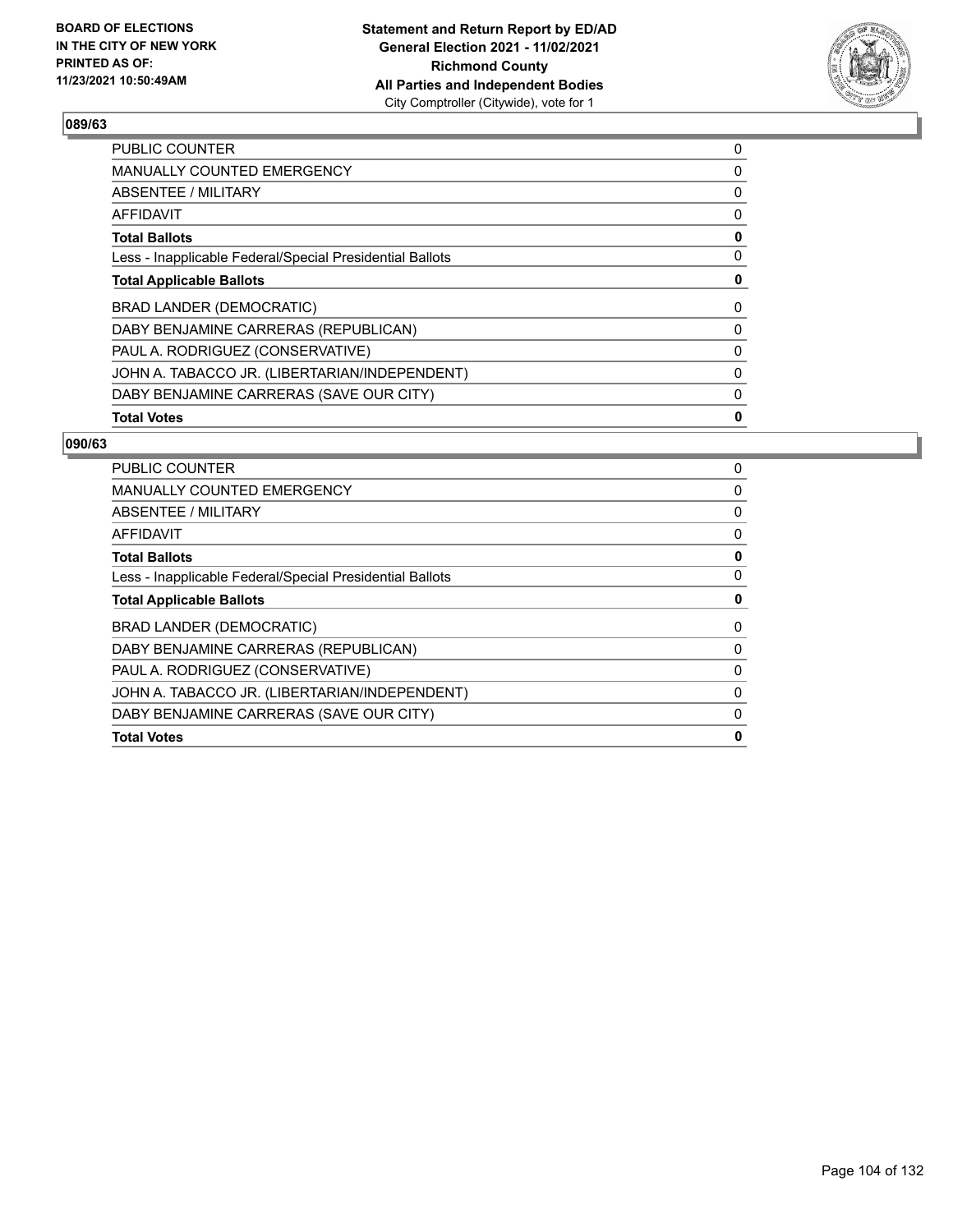

| <b>PUBLIC COUNTER</b>                                    | 0 |
|----------------------------------------------------------|---|
| <b>MANUALLY COUNTED EMERGENCY</b>                        | 0 |
| ABSENTEE / MILITARY                                      | 0 |
| <b>AFFIDAVIT</b>                                         | 0 |
| <b>Total Ballots</b>                                     | 0 |
| Less - Inapplicable Federal/Special Presidential Ballots | 0 |
| <b>Total Applicable Ballots</b>                          | 0 |
| BRAD LANDER (DEMOCRATIC)                                 | 0 |
| DABY BENJAMINE CARRERAS (REPUBLICAN)                     | 0 |
| PAUL A. RODRIGUEZ (CONSERVATIVE)                         | 0 |
| JOHN A. TABACCO JR. (LIBERTARIAN/INDEPENDENT)            | 0 |
| DABY BENJAMINE CARRERAS (SAVE OUR CITY)                  | 0 |
| <b>Total Votes</b>                                       | 0 |

| <b>PUBLIC COUNTER</b>                                    | 0        |
|----------------------------------------------------------|----------|
| <b>MANUALLY COUNTED EMERGENCY</b>                        | 0        |
| ABSENTEE / MILITARY                                      | 0        |
| AFFIDAVIT                                                | O        |
| <b>Total Ballots</b>                                     | o        |
| Less - Inapplicable Federal/Special Presidential Ballots | 0        |
| <b>Total Applicable Ballots</b>                          | 0        |
| BRAD LANDER (DEMOCRATIC)                                 | 0        |
| DABY BENJAMINE CARRERAS (REPUBLICAN)                     | O        |
| PAUL A. RODRIGUEZ (CONSERVATIVE)                         | $\Omega$ |
| JOHN A. TABACCO JR. (LIBERTARIAN/INDEPENDENT)            | $\Omega$ |
| DABY BENJAMINE CARRERAS (SAVE OUR CITY)                  |          |
| <b>Total Votes</b>                                       | Ω        |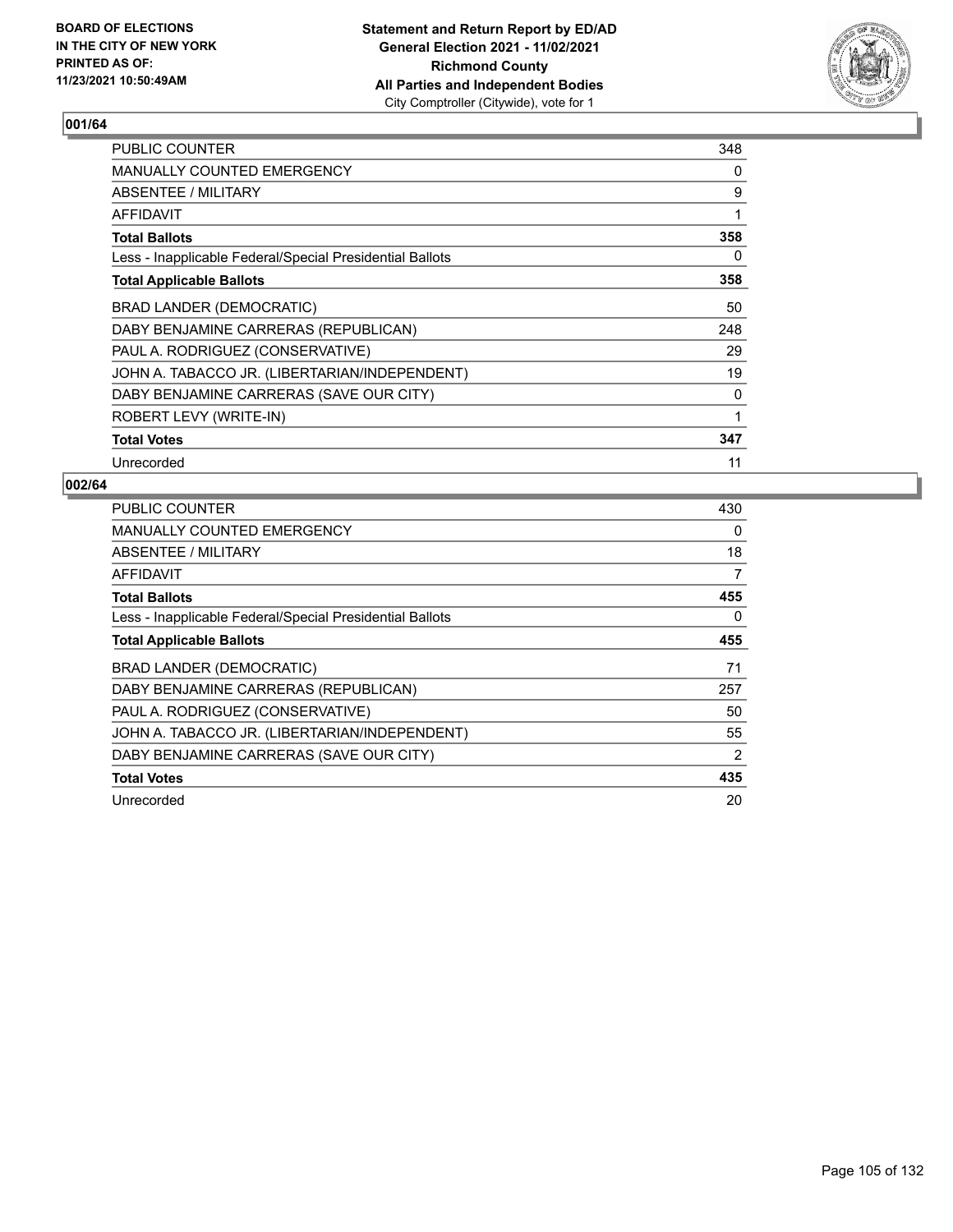

| <b>PUBLIC COUNTER</b>                                    | 348 |
|----------------------------------------------------------|-----|
| <b>MANUALLY COUNTED EMERGENCY</b>                        | 0   |
| ABSENTEE / MILITARY                                      | 9   |
| <b>AFFIDAVIT</b>                                         | 1   |
| <b>Total Ballots</b>                                     | 358 |
| Less - Inapplicable Federal/Special Presidential Ballots | 0   |
| <b>Total Applicable Ballots</b>                          | 358 |
| BRAD LANDER (DEMOCRATIC)                                 | 50  |
| DABY BENJAMINE CARRERAS (REPUBLICAN)                     | 248 |
| PAUL A. RODRIGUEZ (CONSERVATIVE)                         | 29  |
| JOHN A. TABACCO JR. (LIBERTARIAN/INDEPENDENT)            | 19  |
| DABY BENJAMINE CARRERAS (SAVE OUR CITY)                  | 0   |
| ROBERT LEVY (WRITE-IN)                                   | 1   |
| <b>Total Votes</b>                                       | 347 |
| Unrecorded                                               | 11  |

| <b>PUBLIC COUNTER</b>                                    | 430            |
|----------------------------------------------------------|----------------|
| <b>MANUALLY COUNTED EMERGENCY</b>                        | 0              |
| ABSENTEE / MILITARY                                      | 18             |
| AFFIDAVIT                                                | $\overline{7}$ |
| <b>Total Ballots</b>                                     | 455            |
| Less - Inapplicable Federal/Special Presidential Ballots | 0              |
| <b>Total Applicable Ballots</b>                          | 455            |
| <b>BRAD LANDER (DEMOCRATIC)</b>                          | 71             |
| DABY BENJAMINE CARRERAS (REPUBLICAN)                     | 257            |
| PAUL A. RODRIGUEZ (CONSERVATIVE)                         | 50             |
| JOHN A. TABACCO JR. (LIBERTARIAN/INDEPENDENT)            | 55             |
| DABY BENJAMINE CARRERAS (SAVE OUR CITY)                  | 2              |
| <b>Total Votes</b>                                       | 435            |
| Unrecorded                                               | 20             |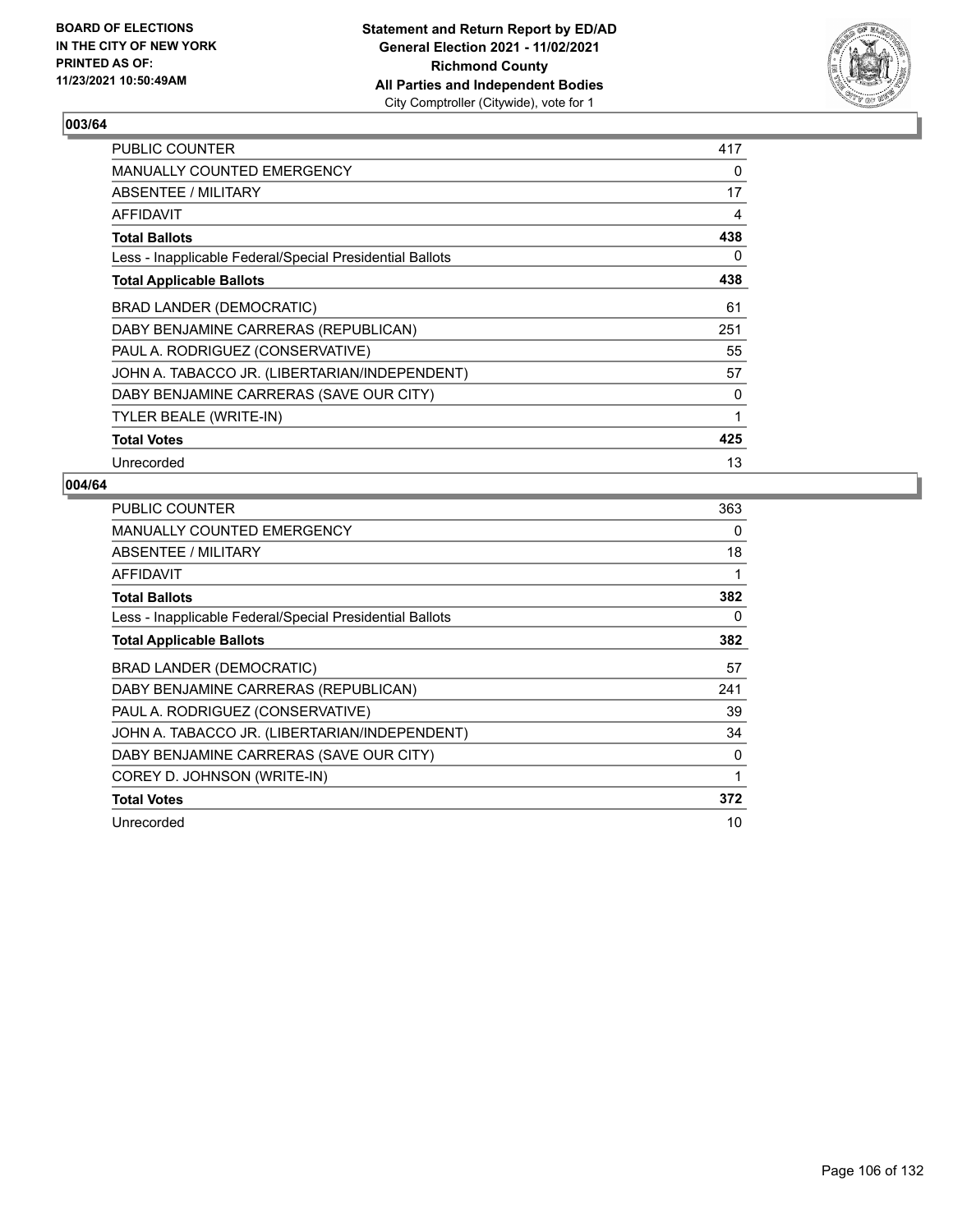

| PUBLIC COUNTER                                           | 417 |
|----------------------------------------------------------|-----|
| <b>MANUALLY COUNTED EMERGENCY</b>                        | 0   |
| ABSENTEE / MILITARY                                      | 17  |
| AFFIDAVIT                                                | 4   |
| <b>Total Ballots</b>                                     | 438 |
| Less - Inapplicable Federal/Special Presidential Ballots | 0   |
| <b>Total Applicable Ballots</b>                          | 438 |
| BRAD LANDER (DEMOCRATIC)                                 | 61  |
| DABY BENJAMINE CARRERAS (REPUBLICAN)                     | 251 |
| PAUL A. RODRIGUEZ (CONSERVATIVE)                         | 55  |
| JOHN A. TABACCO JR. (LIBERTARIAN/INDEPENDENT)            | 57  |
| DABY BENJAMINE CARRERAS (SAVE OUR CITY)                  | 0   |
| TYLER BEALE (WRITE-IN)                                   | 1   |
| <b>Total Votes</b>                                       | 425 |
| Unrecorded                                               | 13  |

| <b>PUBLIC COUNTER</b>                                    | 363 |
|----------------------------------------------------------|-----|
| MANUALLY COUNTED EMERGENCY                               | 0   |
| ABSENTEE / MILITARY                                      | 18  |
| AFFIDAVIT                                                | 1   |
| <b>Total Ballots</b>                                     | 382 |
| Less - Inapplicable Federal/Special Presidential Ballots | 0   |
| <b>Total Applicable Ballots</b>                          | 382 |
| BRAD LANDER (DEMOCRATIC)                                 | 57  |
| DABY BENJAMINE CARRERAS (REPUBLICAN)                     | 241 |
| PAUL A. RODRIGUEZ (CONSERVATIVE)                         | 39  |
| JOHN A. TABACCO JR. (LIBERTARIAN/INDEPENDENT)            | 34  |
| DABY BENJAMINE CARRERAS (SAVE OUR CITY)                  | 0   |
| COREY D. JOHNSON (WRITE-IN)                              | 1   |
| <b>Total Votes</b>                                       | 372 |
| Unrecorded                                               | 10  |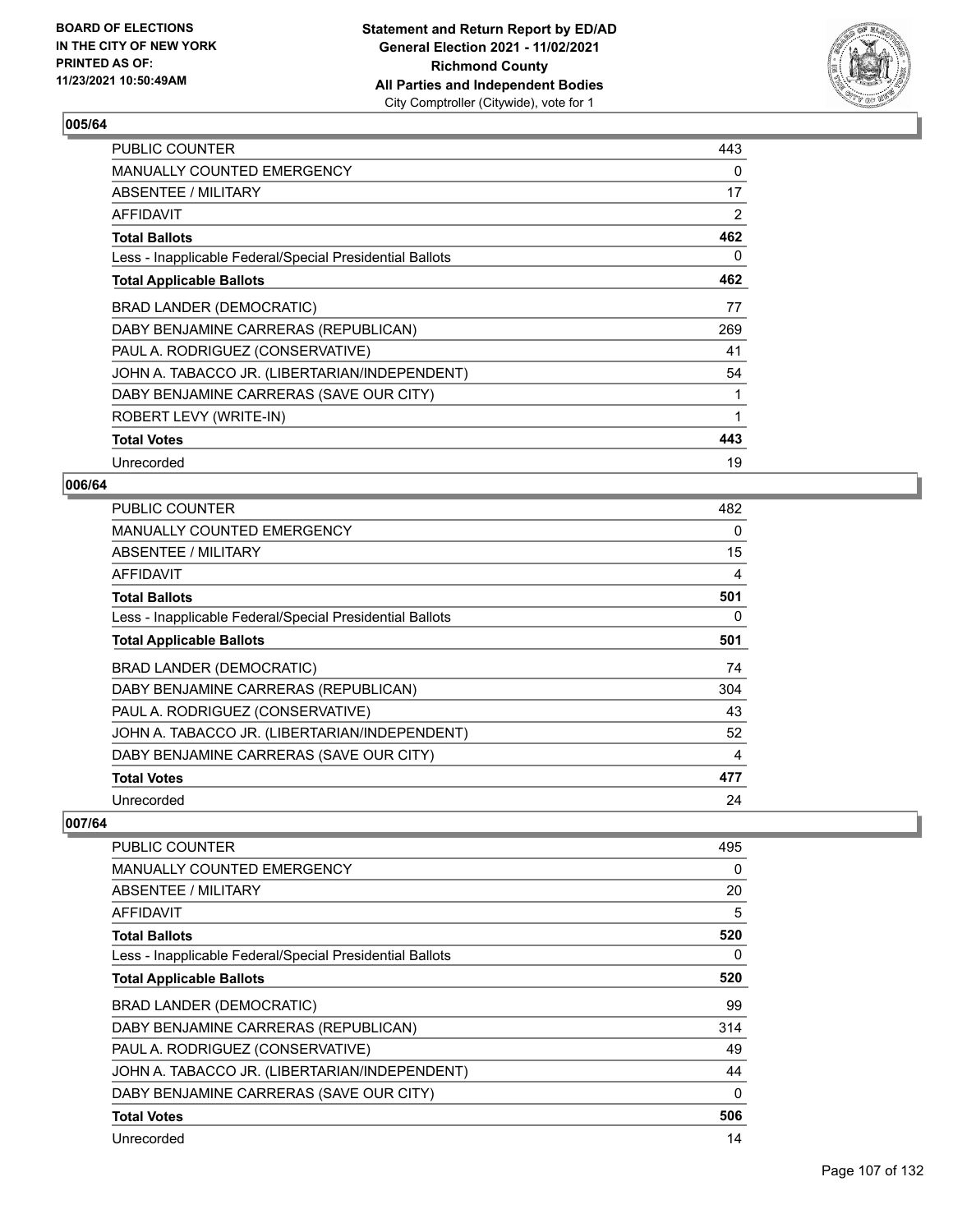

| <b>PUBLIC COUNTER</b>                                    | 443 |
|----------------------------------------------------------|-----|
| <b>MANUALLY COUNTED EMERGENCY</b>                        | 0   |
| ABSENTEE / MILITARY                                      | 17  |
| AFFIDAVIT                                                | 2   |
| <b>Total Ballots</b>                                     | 462 |
| Less - Inapplicable Federal/Special Presidential Ballots | 0   |
| <b>Total Applicable Ballots</b>                          | 462 |
| BRAD LANDER (DEMOCRATIC)                                 | 77  |
| DABY BENJAMINE CARRERAS (REPUBLICAN)                     | 269 |
| PAUL A. RODRIGUEZ (CONSERVATIVE)                         | 41  |
| JOHN A. TABACCO JR. (LIBERTARIAN/INDEPENDENT)            | 54  |
| DABY BENJAMINE CARRERAS (SAVE OUR CITY)                  | 1   |
| ROBERT LEVY (WRITE-IN)                                   | 1   |
| <b>Total Votes</b>                                       | 443 |
| Unrecorded                                               | 19  |

### **006/64**

| <b>PUBLIC COUNTER</b>                                    | 482      |
|----------------------------------------------------------|----------|
| MANUALLY COUNTED EMERGENCY                               | $\Omega$ |
| ABSENTEE / MILITARY                                      | 15       |
| AFFIDAVIT                                                | 4        |
| <b>Total Ballots</b>                                     | 501      |
| Less - Inapplicable Federal/Special Presidential Ballots | 0        |
| <b>Total Applicable Ballots</b>                          | 501      |
| BRAD LANDER (DEMOCRATIC)                                 | 74       |
| DABY BENJAMINE CARRERAS (REPUBLICAN)                     | 304      |
| PAUL A. RODRIGUEZ (CONSERVATIVE)                         | 43       |
| JOHN A. TABACCO JR. (LIBERTARIAN/INDEPENDENT)            | 52       |
| DABY BENJAMINE CARRERAS (SAVE OUR CITY)                  | 4        |
| <b>Total Votes</b>                                       | 477      |
| Unrecorded                                               | 24       |

| <b>PUBLIC COUNTER</b>                                    | 495 |
|----------------------------------------------------------|-----|
| <b>MANUALLY COUNTED EMERGENCY</b>                        | 0   |
| ABSENTEE / MILITARY                                      | 20  |
| AFFIDAVIT                                                | 5   |
| <b>Total Ballots</b>                                     | 520 |
| Less - Inapplicable Federal/Special Presidential Ballots | 0   |
| <b>Total Applicable Ballots</b>                          | 520 |
| BRAD LANDER (DEMOCRATIC)                                 | 99  |
| DABY BENJAMINE CARRERAS (REPUBLICAN)                     | 314 |
| PAUL A. RODRIGUEZ (CONSERVATIVE)                         | 49  |
| JOHN A. TABACCO JR. (LIBERTARIAN/INDEPENDENT)            | 44  |
| DABY BENJAMINE CARRERAS (SAVE OUR CITY)                  | 0   |
| <b>Total Votes</b>                                       | 506 |
| Unrecorded                                               | 14  |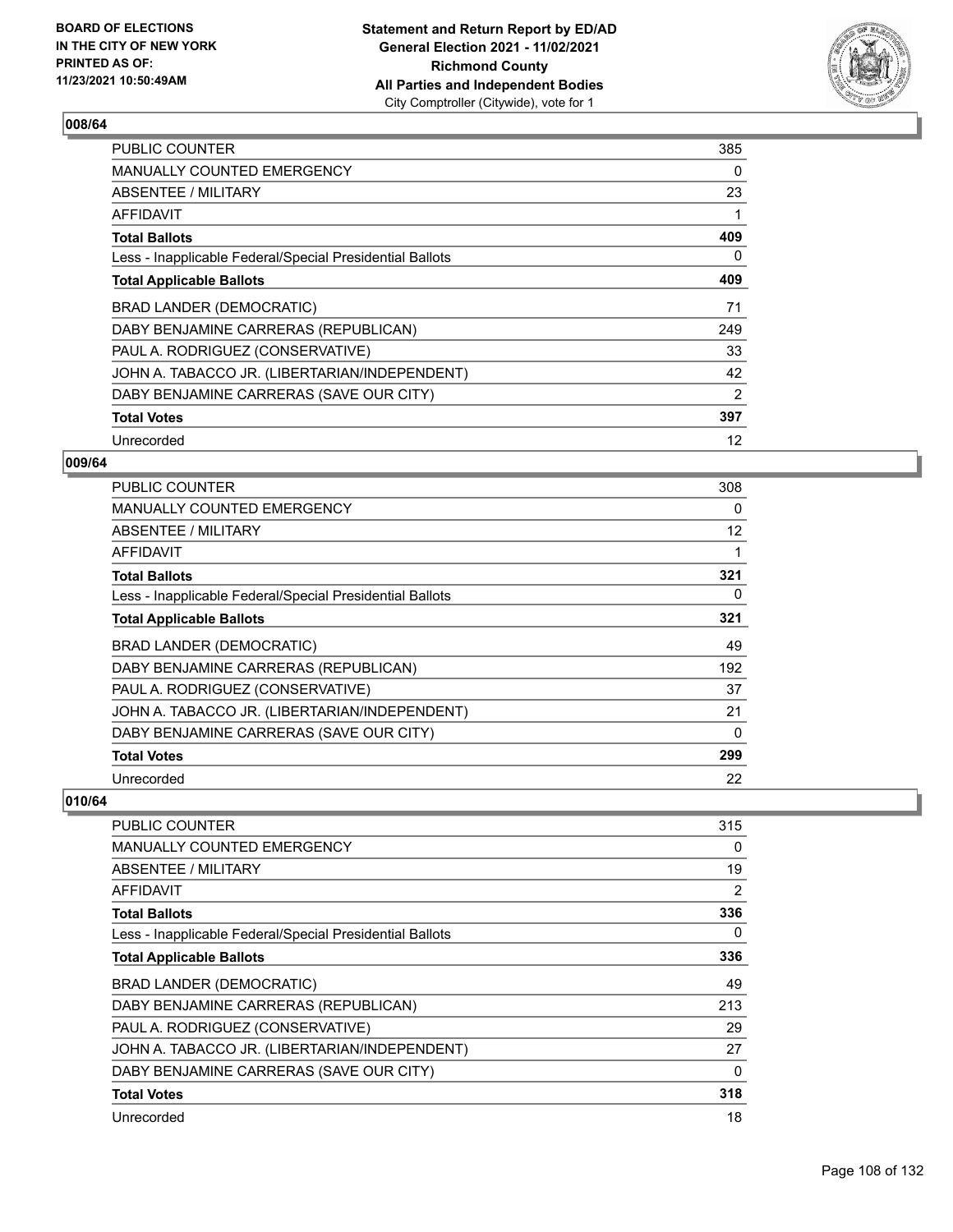

| <b>PUBLIC COUNTER</b>                                    | 385 |
|----------------------------------------------------------|-----|
| MANUALLY COUNTED EMERGENCY                               | 0   |
| ABSENTEE / MILITARY                                      | 23  |
| AFFIDAVIT                                                | 1   |
| <b>Total Ballots</b>                                     | 409 |
| Less - Inapplicable Federal/Special Presidential Ballots | 0   |
| <b>Total Applicable Ballots</b>                          | 409 |
| BRAD LANDER (DEMOCRATIC)                                 | 71  |
| DABY BENJAMINE CARRERAS (REPUBLICAN)                     | 249 |
| PAUL A. RODRIGUEZ (CONSERVATIVE)                         | 33  |
| JOHN A. TABACCO JR. (LIBERTARIAN/INDEPENDENT)            | 42  |
| DABY BENJAMINE CARRERAS (SAVE OUR CITY)                  | 2   |
| <b>Total Votes</b>                                       | 397 |
| Unrecorded                                               | 12  |

## **009/64**

| PUBLIC COUNTER                                           | 308 |
|----------------------------------------------------------|-----|
| <b>MANUALLY COUNTED EMERGENCY</b>                        | 0   |
| ABSENTEE / MILITARY                                      | 12  |
| <b>AFFIDAVIT</b>                                         |     |
| <b>Total Ballots</b>                                     | 321 |
| Less - Inapplicable Federal/Special Presidential Ballots | 0   |
| <b>Total Applicable Ballots</b>                          | 321 |
| <b>BRAD LANDER (DEMOCRATIC)</b>                          | 49  |
| DABY BENJAMINE CARRERAS (REPUBLICAN)                     | 192 |
| PAUL A. RODRIGUEZ (CONSERVATIVE)                         | 37  |
| JOHN A. TABACCO JR. (LIBERTARIAN/INDEPENDENT)            | 21  |
| DABY BENJAMINE CARRERAS (SAVE OUR CITY)                  | 0   |
| <b>Total Votes</b>                                       | 299 |
| Unrecorded                                               | 22  |

| <b>PUBLIC COUNTER</b>                                    | 315            |
|----------------------------------------------------------|----------------|
| <b>MANUALLY COUNTED EMERGENCY</b>                        | 0              |
| <b>ABSENTEE / MILITARY</b>                               | 19             |
| <b>AFFIDAVIT</b>                                         | $\overline{2}$ |
| <b>Total Ballots</b>                                     | 336            |
| Less - Inapplicable Federal/Special Presidential Ballots | 0              |
| <b>Total Applicable Ballots</b>                          | 336            |
| BRAD LANDER (DEMOCRATIC)                                 | 49             |
| DABY BENJAMINE CARRERAS (REPUBLICAN)                     | 213            |
| PAUL A. RODRIGUEZ (CONSERVATIVE)                         | 29             |
| JOHN A. TABACCO JR. (LIBERTARIAN/INDEPENDENT)            | 27             |
| DABY BENJAMINE CARRERAS (SAVE OUR CITY)                  | 0              |
| <b>Total Votes</b>                                       | 318            |
| Unrecorded                                               | 18             |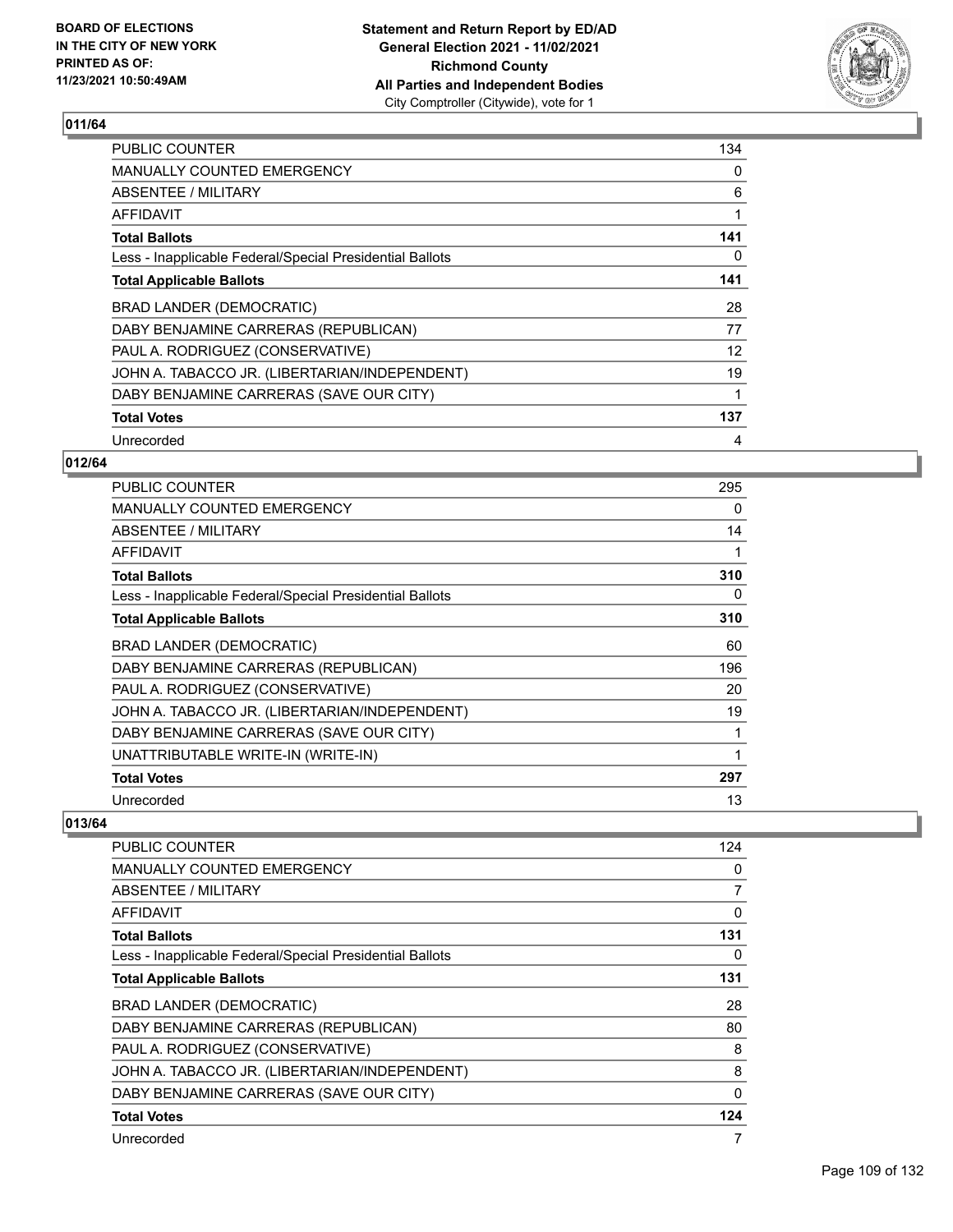

| <b>PUBLIC COUNTER</b>                                    | 134 |
|----------------------------------------------------------|-----|
| <b>MANUALLY COUNTED EMERGENCY</b>                        | 0   |
| ABSENTEE / MILITARY                                      | 6   |
| AFFIDAVIT                                                |     |
| <b>Total Ballots</b>                                     | 141 |
| Less - Inapplicable Federal/Special Presidential Ballots | 0   |
| <b>Total Applicable Ballots</b>                          | 141 |
| <b>BRAD LANDER (DEMOCRATIC)</b>                          | 28  |
| DABY BENJAMINE CARRERAS (REPUBLICAN)                     | 77  |
| PAUL A. RODRIGUEZ (CONSERVATIVE)                         | 12  |
| JOHN A. TABACCO JR. (LIBERTARIAN/INDEPENDENT)            | 19  |
| DABY BENJAMINE CARRERAS (SAVE OUR CITY)                  | 1   |
| <b>Total Votes</b>                                       | 137 |
| Unrecorded                                               | 4   |

## **012/64**

| <b>PUBLIC COUNTER</b>                                    | 295 |
|----------------------------------------------------------|-----|
| <b>MANUALLY COUNTED EMERGENCY</b>                        | 0   |
| ABSENTEE / MILITARY                                      | 14  |
| AFFIDAVIT                                                |     |
| <b>Total Ballots</b>                                     | 310 |
| Less - Inapplicable Federal/Special Presidential Ballots | 0   |
| <b>Total Applicable Ballots</b>                          | 310 |
| BRAD LANDER (DEMOCRATIC)                                 | 60  |
| DABY BENJAMINE CARRERAS (REPUBLICAN)                     | 196 |
| PAUL A. RODRIGUEZ (CONSERVATIVE)                         | 20  |
| JOHN A. TABACCO JR. (LIBERTARIAN/INDEPENDENT)            | 19  |
| DABY BENJAMINE CARRERAS (SAVE OUR CITY)                  |     |
| UNATTRIBUTABLE WRITE-IN (WRITE-IN)                       |     |
| <b>Total Votes</b>                                       | 297 |
| Unrecorded                                               | 13  |

| PUBLIC COUNTER                                           | 124 |
|----------------------------------------------------------|-----|
| <b>MANUALLY COUNTED EMERGENCY</b>                        | 0   |
| ABSENTEE / MILITARY                                      | 7   |
| AFFIDAVIT                                                | 0   |
| <b>Total Ballots</b>                                     | 131 |
| Less - Inapplicable Federal/Special Presidential Ballots | 0   |
| <b>Total Applicable Ballots</b>                          | 131 |
| <b>BRAD LANDER (DEMOCRATIC)</b>                          | 28  |
| DABY BENJAMINE CARRERAS (REPUBLICAN)                     | 80  |
| PAUL A. RODRIGUEZ (CONSERVATIVE)                         | 8   |
| JOHN A. TABACCO JR. (LIBERTARIAN/INDEPENDENT)            | 8   |
| DABY BENJAMINE CARRERAS (SAVE OUR CITY)                  | 0   |
| <b>Total Votes</b>                                       | 124 |
| Unrecorded                                               | 7   |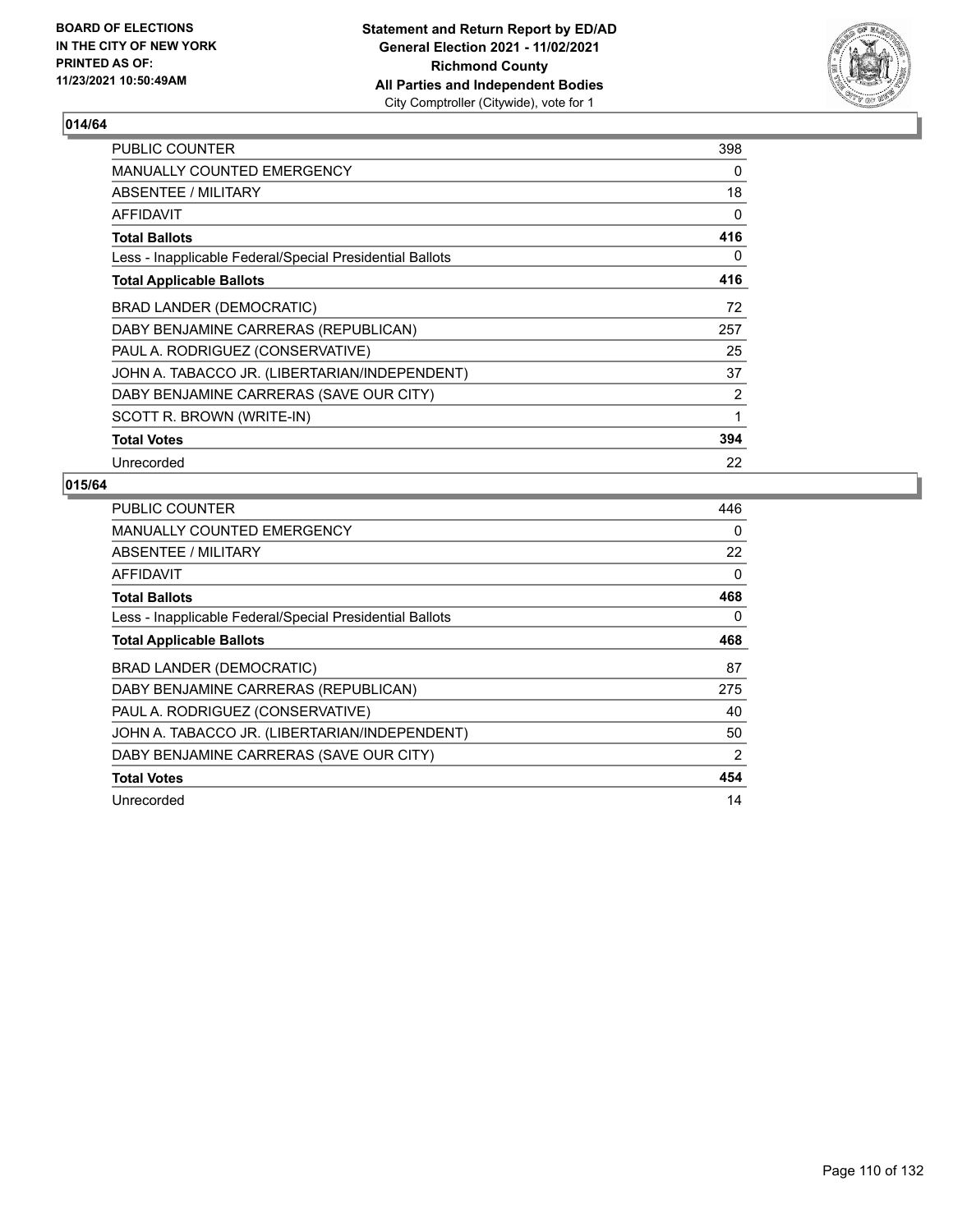

| <b>PUBLIC COUNTER</b>                                    | 398 |
|----------------------------------------------------------|-----|
| <b>MANUALLY COUNTED EMERGENCY</b>                        | 0   |
| ABSENTEE / MILITARY                                      | 18  |
| AFFIDAVIT                                                | 0   |
| <b>Total Ballots</b>                                     | 416 |
| Less - Inapplicable Federal/Special Presidential Ballots | 0   |
| <b>Total Applicable Ballots</b>                          | 416 |
| BRAD LANDER (DEMOCRATIC)                                 | 72  |
| DABY BENJAMINE CARRERAS (REPUBLICAN)                     | 257 |
| PAUL A. RODRIGUEZ (CONSERVATIVE)                         | 25  |
| JOHN A. TABACCO JR. (LIBERTARIAN/INDEPENDENT)            | 37  |
| DABY BENJAMINE CARRERAS (SAVE OUR CITY)                  | 2   |
| SCOTT R. BROWN (WRITE-IN)                                | 1   |
| <b>Total Votes</b>                                       | 394 |
| Unrecorded                                               | 22  |

| PUBLIC COUNTER                                           | 446      |
|----------------------------------------------------------|----------|
| <b>MANUALLY COUNTED EMERGENCY</b>                        | $\Omega$ |
| <b>ABSENTEE / MILITARY</b>                               | 22       |
| AFFIDAVIT                                                | 0        |
| <b>Total Ballots</b>                                     | 468      |
| Less - Inapplicable Federal/Special Presidential Ballots | 0        |
| <b>Total Applicable Ballots</b>                          | 468      |
| <b>BRAD LANDER (DEMOCRATIC)</b>                          | 87       |
|                                                          |          |
| DABY BENJAMINE CARRERAS (REPUBLICAN)                     | 275      |
| PAUL A. RODRIGUEZ (CONSERVATIVE)                         | 40       |
| JOHN A. TABACCO JR. (LIBERTARIAN/INDEPENDENT)            | 50       |
| DABY BENJAMINE CARRERAS (SAVE OUR CITY)                  | 2        |
| <b>Total Votes</b>                                       | 454      |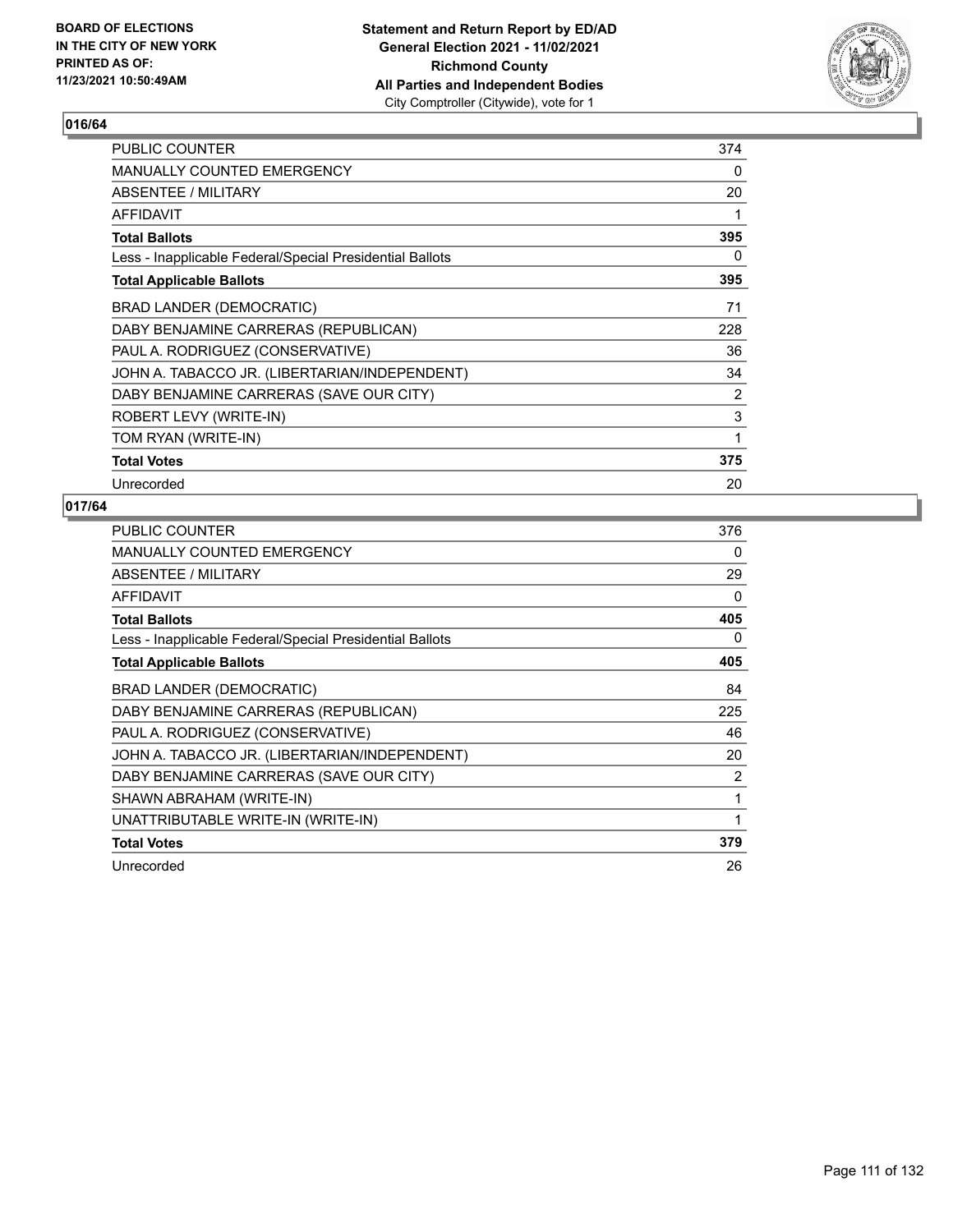

| PUBLIC COUNTER                                           | 374 |
|----------------------------------------------------------|-----|
| <b>MANUALLY COUNTED EMERGENCY</b>                        | 0   |
| ABSENTEE / MILITARY                                      | 20  |
| AFFIDAVIT                                                | 1   |
| <b>Total Ballots</b>                                     | 395 |
| Less - Inapplicable Federal/Special Presidential Ballots | 0   |
| <b>Total Applicable Ballots</b>                          | 395 |
| <b>BRAD LANDER (DEMOCRATIC)</b>                          | 71  |
| DABY BENJAMINE CARRERAS (REPUBLICAN)                     | 228 |
| PAUL A. RODRIGUEZ (CONSERVATIVE)                         | 36  |
| JOHN A. TABACCO JR. (LIBERTARIAN/INDEPENDENT)            | 34  |
| DABY BENJAMINE CARRERAS (SAVE OUR CITY)                  | 2   |
| ROBERT LEVY (WRITE-IN)                                   | 3   |
| TOM RYAN (WRITE-IN)                                      | 1   |
| <b>Total Votes</b>                                       | 375 |
| Unrecorded                                               | 20  |

| <b>PUBLIC COUNTER</b>                                    | 376 |
|----------------------------------------------------------|-----|
| <b>MANUALLY COUNTED EMERGENCY</b>                        | 0   |
| ABSENTEE / MILITARY                                      | 29  |
| AFFIDAVIT                                                | 0   |
| <b>Total Ballots</b>                                     | 405 |
| Less - Inapplicable Federal/Special Presidential Ballots | 0   |
| <b>Total Applicable Ballots</b>                          | 405 |
| BRAD LANDER (DEMOCRATIC)                                 | 84  |
| DABY BENJAMINE CARRERAS (REPUBLICAN)                     | 225 |
| PAUL A. RODRIGUEZ (CONSERVATIVE)                         | 46  |
| JOHN A. TABACCO JR. (LIBERTARIAN/INDEPENDENT)            | 20  |
| DABY BENJAMINE CARRERAS (SAVE OUR CITY)                  | 2   |
| SHAWN ABRAHAM (WRITE-IN)                                 | 1   |
| UNATTRIBUTABLE WRITE-IN (WRITE-IN)                       | 1   |
| <b>Total Votes</b>                                       | 379 |
| Unrecorded                                               | 26  |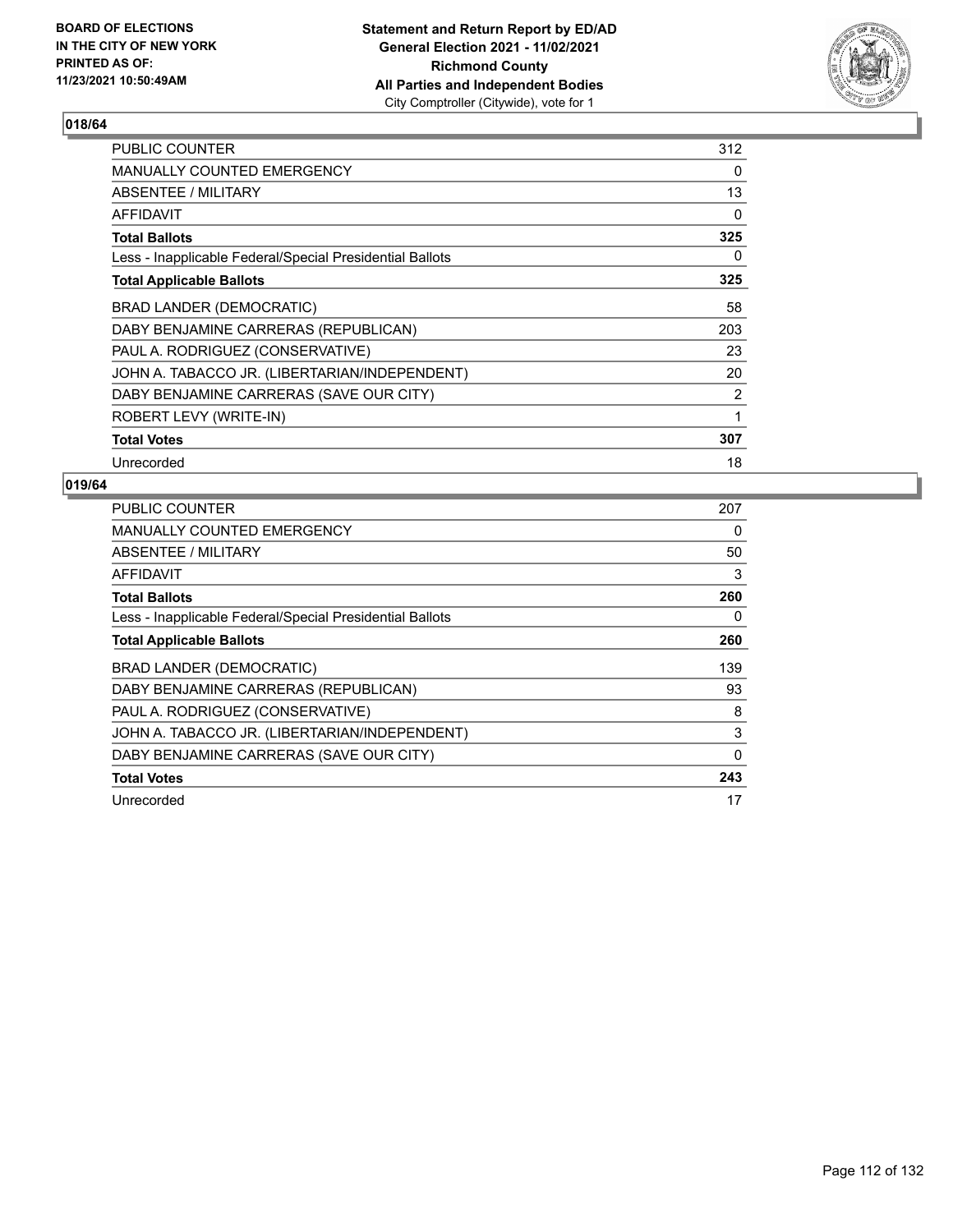

| <b>PUBLIC COUNTER</b>                                    | 312 |
|----------------------------------------------------------|-----|
| <b>MANUALLY COUNTED EMERGENCY</b>                        | 0   |
| ABSENTEE / MILITARY                                      | 13  |
| <b>AFFIDAVIT</b>                                         | 0   |
| <b>Total Ballots</b>                                     | 325 |
| Less - Inapplicable Federal/Special Presidential Ballots | 0   |
| <b>Total Applicable Ballots</b>                          | 325 |
| BRAD LANDER (DEMOCRATIC)                                 | 58  |
| DABY BENJAMINE CARRERAS (REPUBLICAN)                     | 203 |
| PAUL A. RODRIGUEZ (CONSERVATIVE)                         | 23  |
| JOHN A. TABACCO JR. (LIBERTARIAN/INDEPENDENT)            | 20  |
| DABY BENJAMINE CARRERAS (SAVE OUR CITY)                  | 2   |
| ROBERT LEVY (WRITE-IN)                                   | 1   |
| <b>Total Votes</b>                                       | 307 |
| Unrecorded                                               | 18  |

| PUBLIC COUNTER                                           | 207 |
|----------------------------------------------------------|-----|
| <b>MANUALLY COUNTED EMERGENCY</b>                        | 0   |
| <b>ABSENTEE / MILITARY</b>                               | 50  |
| AFFIDAVIT                                                | 3   |
| <b>Total Ballots</b>                                     | 260 |
| Less - Inapplicable Federal/Special Presidential Ballots | 0   |
| <b>Total Applicable Ballots</b>                          | 260 |
| <b>BRAD LANDER (DEMOCRATIC)</b>                          | 139 |
| DABY BENJAMINE CARRERAS (REPUBLICAN)                     | 93  |
| PAUL A. RODRIGUEZ (CONSERVATIVE)                         | 8   |
| JOHN A. TABACCO JR. (LIBERTARIAN/INDEPENDENT)            | 3   |
| DABY BENJAMINE CARRERAS (SAVE OUR CITY)                  | 0   |
| <b>Total Votes</b>                                       | 243 |
| Unrecorded                                               | 17  |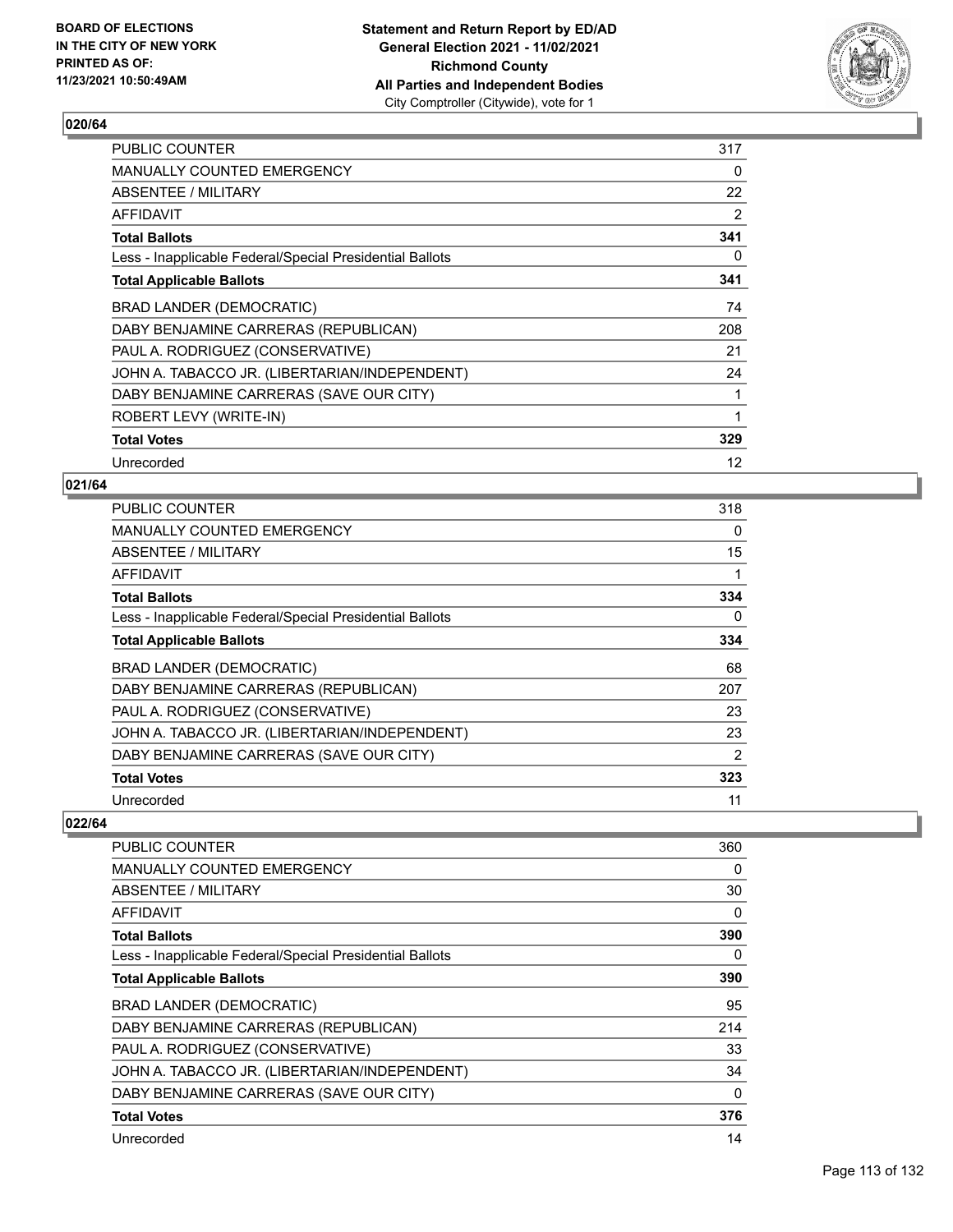

| <b>PUBLIC COUNTER</b>                                    | 317 |
|----------------------------------------------------------|-----|
| <b>MANUALLY COUNTED EMERGENCY</b>                        | 0   |
| ABSENTEE / MILITARY                                      | 22  |
| <b>AFFIDAVIT</b>                                         | 2   |
| <b>Total Ballots</b>                                     | 341 |
| Less - Inapplicable Federal/Special Presidential Ballots | 0   |
| <b>Total Applicable Ballots</b>                          | 341 |
| <b>BRAD LANDER (DEMOCRATIC)</b>                          | 74  |
| DABY BENJAMINE CARRERAS (REPUBLICAN)                     | 208 |
| PAUL A. RODRIGUEZ (CONSERVATIVE)                         | 21  |
| JOHN A. TABACCO JR. (LIBERTARIAN/INDEPENDENT)            | 24  |
| DABY BENJAMINE CARRERAS (SAVE OUR CITY)                  | 1   |
| ROBERT LEVY (WRITE-IN)                                   | 1   |
| <b>Total Votes</b>                                       | 329 |
| Unrecorded                                               | 12  |

### **021/64**

| <b>PUBLIC COUNTER</b>                                    | 318            |
|----------------------------------------------------------|----------------|
| MANUALLY COUNTED EMERGENCY                               | $\Omega$       |
| ABSENTEE / MILITARY                                      | 15             |
| AFFIDAVIT                                                |                |
| <b>Total Ballots</b>                                     | 334            |
| Less - Inapplicable Federal/Special Presidential Ballots | 0              |
| <b>Total Applicable Ballots</b>                          | 334            |
| BRAD LANDER (DEMOCRATIC)                                 | 68             |
| DABY BENJAMINE CARRERAS (REPUBLICAN)                     | 207            |
| PAUL A. RODRIGUEZ (CONSERVATIVE)                         | 23             |
| JOHN A. TABACCO JR. (LIBERTARIAN/INDEPENDENT)            | 23             |
| DABY BENJAMINE CARRERAS (SAVE OUR CITY)                  | $\overline{2}$ |
| <b>Total Votes</b>                                       | 323            |
| Unrecorded                                               | 11             |

| PUBLIC COUNTER                                           | 360 |
|----------------------------------------------------------|-----|
| MANUALLY COUNTED EMERGENCY                               | 0   |
| ABSENTEE / MILITARY                                      | 30  |
| <b>AFFIDAVIT</b>                                         | 0   |
| <b>Total Ballots</b>                                     | 390 |
| Less - Inapplicable Federal/Special Presidential Ballots | 0   |
| <b>Total Applicable Ballots</b>                          | 390 |
| <b>BRAD LANDER (DEMOCRATIC)</b>                          | 95  |
| DABY BENJAMINE CARRERAS (REPUBLICAN)                     | 214 |
| PAUL A. RODRIGUEZ (CONSERVATIVE)                         | 33  |
| JOHN A. TABACCO JR. (LIBERTARIAN/INDEPENDENT)            | 34  |
| DABY BENJAMINE CARRERAS (SAVE OUR CITY)                  | 0   |
| <b>Total Votes</b>                                       | 376 |
| Unrecorded                                               | 14  |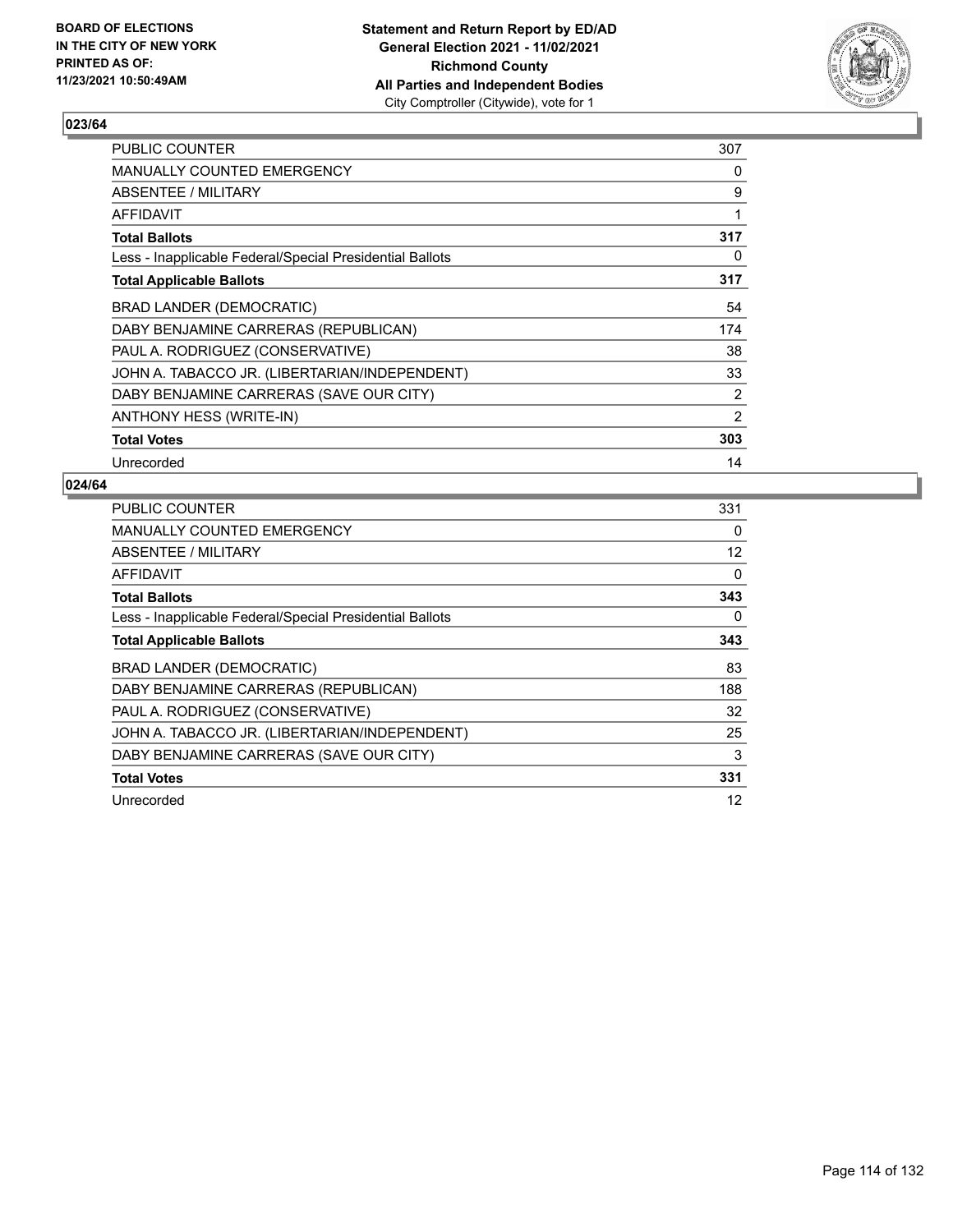

| PUBLIC COUNTER                                           | 307 |
|----------------------------------------------------------|-----|
| MANUALLY COUNTED EMERGENCY                               | 0   |
| ABSENTEE / MILITARY                                      | 9   |
| AFFIDAVIT                                                | 1   |
| <b>Total Ballots</b>                                     | 317 |
| Less - Inapplicable Federal/Special Presidential Ballots | 0   |
| <b>Total Applicable Ballots</b>                          | 317 |
| BRAD LANDER (DEMOCRATIC)                                 | 54  |
| DABY BENJAMINE CARRERAS (REPUBLICAN)                     | 174 |
| PAUL A. RODRIGUEZ (CONSERVATIVE)                         | 38  |
| JOHN A. TABACCO JR. (LIBERTARIAN/INDEPENDENT)            | 33  |
| DABY BENJAMINE CARRERAS (SAVE OUR CITY)                  | 2   |
| ANTHONY HESS (WRITE-IN)                                  | 2   |
| <b>Total Votes</b>                                       | 303 |
| Unrecorded                                               | 14  |

| PUBLIC COUNTER                                           | 331 |
|----------------------------------------------------------|-----|
| <b>MANUALLY COUNTED EMERGENCY</b>                        | 0   |
| ABSENTEE / MILITARY                                      | 12  |
| AFFIDAVIT                                                | 0   |
| <b>Total Ballots</b>                                     | 343 |
| Less - Inapplicable Federal/Special Presidential Ballots | 0   |
| <b>Total Applicable Ballots</b>                          | 343 |
| <b>BRAD LANDER (DEMOCRATIC)</b>                          | 83  |
|                                                          |     |
| DABY BENJAMINE CARRERAS (REPUBLICAN)                     | 188 |
| PAUL A. RODRIGUEZ (CONSERVATIVE)                         | 32  |
| JOHN A. TABACCO JR. (LIBERTARIAN/INDEPENDENT)            | 25  |
| DABY BENJAMINE CARRERAS (SAVE OUR CITY)                  | 3   |
| <b>Total Votes</b>                                       | 331 |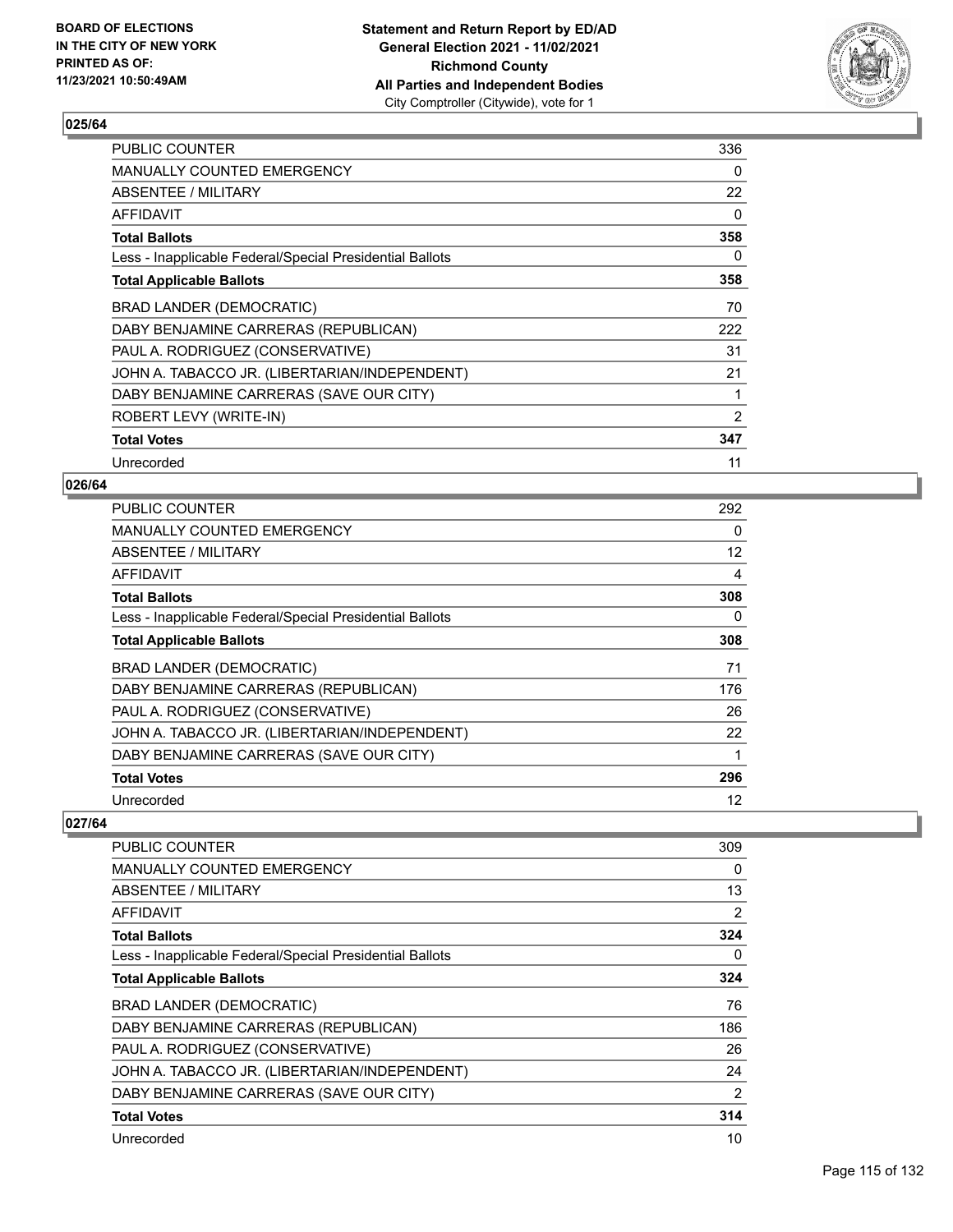

| <b>PUBLIC COUNTER</b>                                    | 336 |
|----------------------------------------------------------|-----|
| <b>MANUALLY COUNTED EMERGENCY</b>                        | 0   |
| ABSENTEE / MILITARY                                      | 22  |
| AFFIDAVIT                                                | 0   |
| <b>Total Ballots</b>                                     | 358 |
| Less - Inapplicable Federal/Special Presidential Ballots | 0   |
| <b>Total Applicable Ballots</b>                          | 358 |
| BRAD LANDER (DEMOCRATIC)                                 | 70  |
| DABY BENJAMINE CARRERAS (REPUBLICAN)                     | 222 |
| PAUL A. RODRIGUEZ (CONSERVATIVE)                         | 31  |
| JOHN A. TABACCO JR. (LIBERTARIAN/INDEPENDENT)            | 21  |
| DABY BENJAMINE CARRERAS (SAVE OUR CITY)                  | 1   |
| ROBERT LEVY (WRITE-IN)                                   | 2   |
| <b>Total Votes</b>                                       | 347 |
| Unrecorded                                               | 11  |

### **026/64**

| <b>PUBLIC COUNTER</b>                                    | 292               |
|----------------------------------------------------------|-------------------|
| <b>MANUALLY COUNTED EMERGENCY</b>                        | $\Omega$          |
| ABSENTEE / MILITARY                                      | $12 \overline{ }$ |
| AFFIDAVIT                                                | 4                 |
| <b>Total Ballots</b>                                     | 308               |
| Less - Inapplicable Federal/Special Presidential Ballots | $\Omega$          |
| <b>Total Applicable Ballots</b>                          | 308               |
| <b>BRAD LANDER (DEMOCRATIC)</b>                          | 71                |
| DABY BENJAMINE CARRERAS (REPUBLICAN)                     | 176               |
| PAUL A. RODRIGUEZ (CONSERVATIVE)                         | 26                |
| JOHN A. TABACCO JR. (LIBERTARIAN/INDEPENDENT)            | 22                |
| DABY BENJAMINE CARRERAS (SAVE OUR CITY)                  |                   |
| <b>Total Votes</b>                                       | 296               |
| Unrecorded                                               | 12                |

| <b>PUBLIC COUNTER</b>                                    | 309 |
|----------------------------------------------------------|-----|
| <b>MANUALLY COUNTED EMERGENCY</b>                        | 0   |
| ABSENTEE / MILITARY                                      | 13  |
| AFFIDAVIT                                                | 2   |
| <b>Total Ballots</b>                                     | 324 |
| Less - Inapplicable Federal/Special Presidential Ballots | 0   |
| <b>Total Applicable Ballots</b>                          | 324 |
| BRAD LANDER (DEMOCRATIC)                                 | 76  |
| DABY BENJAMINE CARRERAS (REPUBLICAN)                     | 186 |
| PAUL A. RODRIGUEZ (CONSERVATIVE)                         | 26  |
| JOHN A. TABACCO JR. (LIBERTARIAN/INDEPENDENT)            | 24  |
| DABY BENJAMINE CARRERAS (SAVE OUR CITY)                  | 2   |
| <b>Total Votes</b>                                       | 314 |
| Unrecorded                                               | 10  |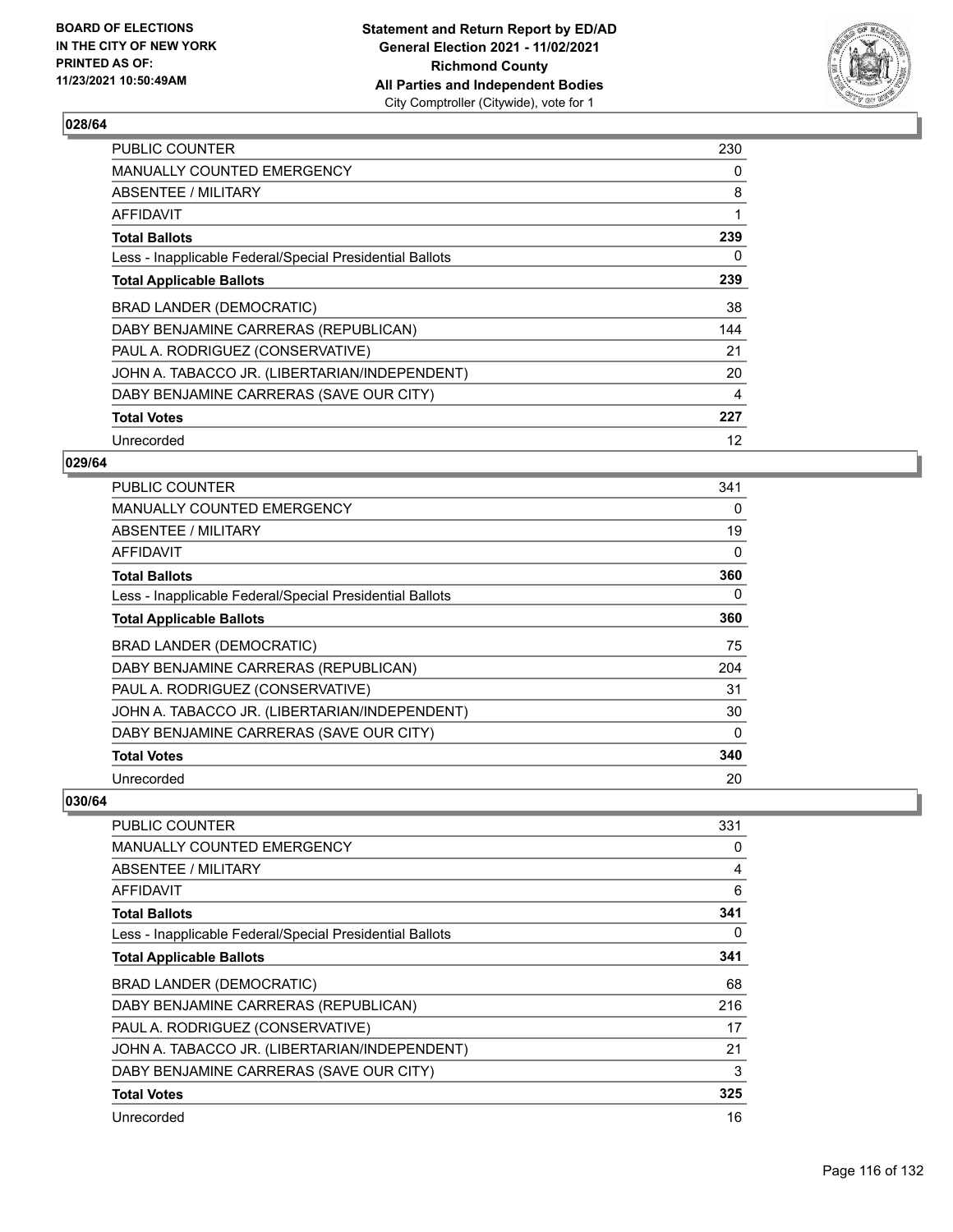

| <b>PUBLIC COUNTER</b>                                    | 230 |
|----------------------------------------------------------|-----|
| MANUALLY COUNTED EMERGENCY                               | 0   |
| ABSENTEE / MILITARY                                      | 8   |
| AFFIDAVIT                                                | 1   |
| <b>Total Ballots</b>                                     | 239 |
| Less - Inapplicable Federal/Special Presidential Ballots | 0   |
| <b>Total Applicable Ballots</b>                          | 239 |
| BRAD LANDER (DEMOCRATIC)                                 | 38  |
| DABY BENJAMINE CARRERAS (REPUBLICAN)                     | 144 |
| PAUL A. RODRIGUEZ (CONSERVATIVE)                         | 21  |
| JOHN A. TABACCO JR. (LIBERTARIAN/INDEPENDENT)            | 20  |
| DABY BENJAMINE CARRERAS (SAVE OUR CITY)                  | 4   |
| <b>Total Votes</b>                                       | 227 |
| Unrecorded                                               | 12  |

## **029/64**

| <b>PUBLIC COUNTER</b>                                    | 341 |
|----------------------------------------------------------|-----|
| <b>MANUALLY COUNTED EMERGENCY</b>                        | 0   |
| ABSENTEE / MILITARY                                      | 19  |
| <b>AFFIDAVIT</b>                                         | 0   |
| <b>Total Ballots</b>                                     | 360 |
| Less - Inapplicable Federal/Special Presidential Ballots | 0   |
| <b>Total Applicable Ballots</b>                          | 360 |
| <b>BRAD LANDER (DEMOCRATIC)</b>                          | 75  |
| DABY BENJAMINE CARRERAS (REPUBLICAN)                     | 204 |
| PAUL A. RODRIGUEZ (CONSERVATIVE)                         | 31  |
| JOHN A. TABACCO JR. (LIBERTARIAN/INDEPENDENT)            | 30  |
| DABY BENJAMINE CARRERAS (SAVE OUR CITY)                  | 0   |
| <b>Total Votes</b>                                       | 340 |
| Unrecorded                                               | 20  |

| PUBLIC COUNTER                                           | 331 |
|----------------------------------------------------------|-----|
| <b>MANUALLY COUNTED EMERGENCY</b>                        | 0   |
| ABSENTEE / MILITARY                                      | 4   |
| AFFIDAVIT                                                | 6   |
| <b>Total Ballots</b>                                     | 341 |
| Less - Inapplicable Federal/Special Presidential Ballots | 0   |
| <b>Total Applicable Ballots</b>                          | 341 |
| <b>BRAD LANDER (DEMOCRATIC)</b>                          | 68  |
| DABY BENJAMINE CARRERAS (REPUBLICAN)                     | 216 |
| PAUL A. RODRIGUEZ (CONSERVATIVE)                         | 17  |
| JOHN A. TABACCO JR. (LIBERTARIAN/INDEPENDENT)            | 21  |
| DABY BENJAMINE CARRERAS (SAVE OUR CITY)                  | 3   |
| <b>Total Votes</b>                                       | 325 |
| Unrecorded                                               | 16  |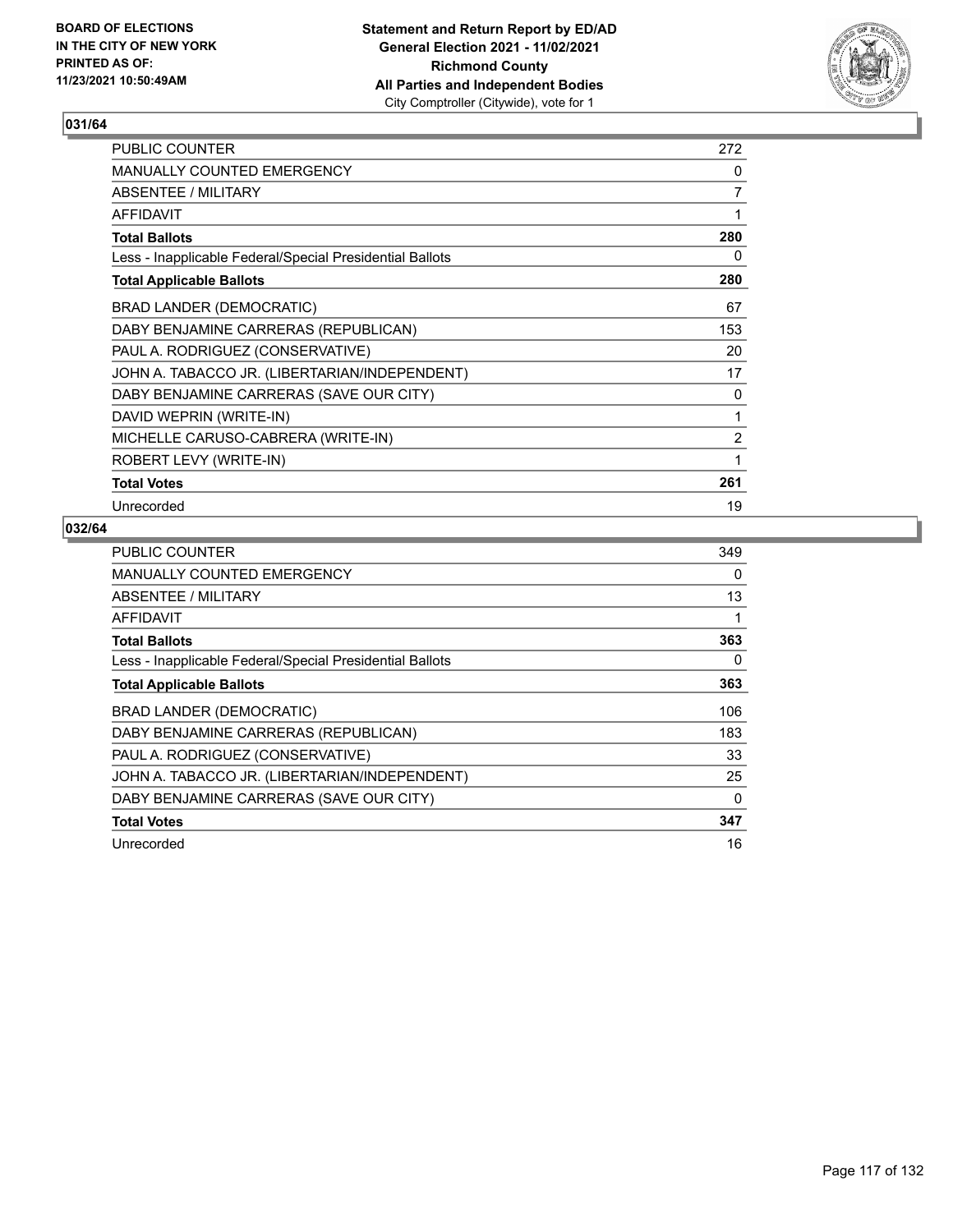

| <b>PUBLIC COUNTER</b>                                    | 272            |
|----------------------------------------------------------|----------------|
| MANUALLY COUNTED EMERGENCY                               | 0              |
| ABSENTEE / MILITARY                                      | 7              |
| <b>AFFIDAVIT</b>                                         | 1              |
| <b>Total Ballots</b>                                     | 280            |
| Less - Inapplicable Federal/Special Presidential Ballots | 0              |
| <b>Total Applicable Ballots</b>                          | 280            |
| BRAD LANDER (DEMOCRATIC)                                 | 67             |
| DABY BENJAMINE CARRERAS (REPUBLICAN)                     | 153            |
| PAUL A. RODRIGUEZ (CONSERVATIVE)                         | 20             |
| JOHN A. TABACCO JR. (LIBERTARIAN/INDEPENDENT)            | 17             |
| DABY BENJAMINE CARRERAS (SAVE OUR CITY)                  | 0              |
| DAVID WEPRIN (WRITE-IN)                                  | 1              |
| MICHELLE CARUSO-CABRERA (WRITE-IN)                       | $\overline{2}$ |
| ROBERT LEVY (WRITE-IN)                                   | 1              |
| <b>Total Votes</b>                                       | 261            |
| Unrecorded                                               | 19             |

| PUBLIC COUNTER                                           | 349 |
|----------------------------------------------------------|-----|
| <b>MANUALLY COUNTED EMERGENCY</b>                        | 0   |
| ABSENTEE / MILITARY                                      | 13  |
| AFFIDAVIT                                                | 1   |
| <b>Total Ballots</b>                                     | 363 |
| Less - Inapplicable Federal/Special Presidential Ballots | 0   |
| <b>Total Applicable Ballots</b>                          | 363 |
| <b>BRAD LANDER (DEMOCRATIC)</b>                          | 106 |
| DABY BENJAMINE CARRERAS (REPUBLICAN)                     | 183 |
| PAUL A. RODRIGUEZ (CONSERVATIVE)                         | 33  |
| JOHN A. TABACCO JR. (LIBERTARIAN/INDEPENDENT)            | 25  |
| DABY BENJAMINE CARRERAS (SAVE OUR CITY)                  | 0   |
| <b>Total Votes</b>                                       | 347 |
| Unrecorded                                               | 16  |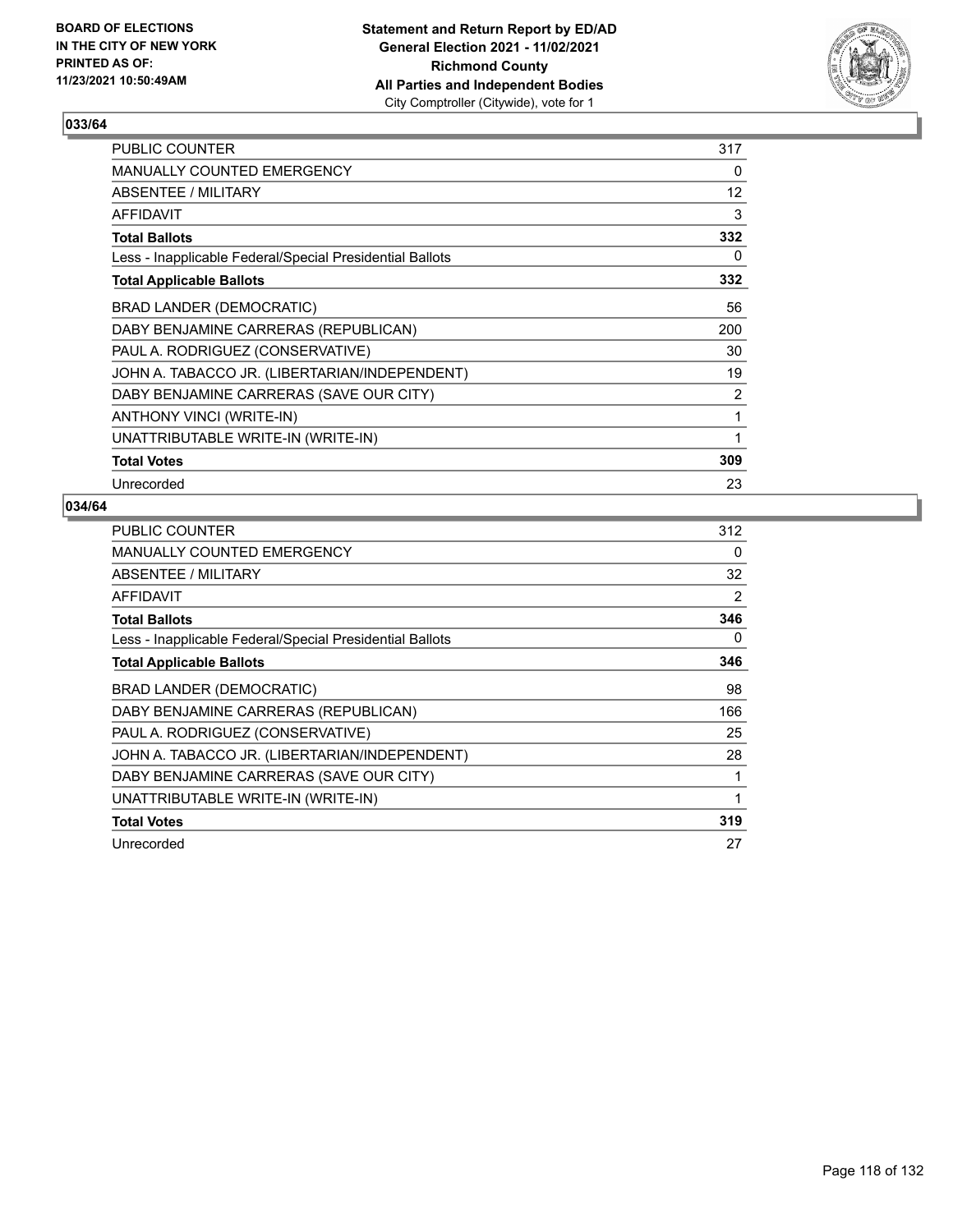

| PUBLIC COUNTER                                           | 317               |
|----------------------------------------------------------|-------------------|
| <b>MANUALLY COUNTED EMERGENCY</b>                        | 0                 |
| ABSENTEE / MILITARY                                      | $12 \overline{ }$ |
| AFFIDAVIT                                                | 3                 |
| <b>Total Ballots</b>                                     | 332               |
| Less - Inapplicable Federal/Special Presidential Ballots | 0                 |
| <b>Total Applicable Ballots</b>                          | 332               |
| <b>BRAD LANDER (DEMOCRATIC)</b>                          | 56                |
| DABY BENJAMINE CARRERAS (REPUBLICAN)                     | 200               |
| PAUL A. RODRIGUEZ (CONSERVATIVE)                         | 30                |
| JOHN A. TABACCO JR. (LIBERTARIAN/INDEPENDENT)            | 19                |
| DABY BENJAMINE CARRERAS (SAVE OUR CITY)                  | 2                 |
| ANTHONY VINCI (WRITE-IN)                                 | 1                 |
| UNATTRIBUTABLE WRITE-IN (WRITE-IN)                       | 1                 |
| <b>Total Votes</b>                                       | 309               |
| Unrecorded                                               | 23                |

| <b>PUBLIC COUNTER</b>                                    | 312 |
|----------------------------------------------------------|-----|
| <b>MANUALLY COUNTED EMERGENCY</b>                        | 0   |
| ABSENTEE / MILITARY                                      | 32  |
| <b>AFFIDAVIT</b>                                         | 2   |
| <b>Total Ballots</b>                                     | 346 |
| Less - Inapplicable Federal/Special Presidential Ballots | 0   |
| <b>Total Applicable Ballots</b>                          | 346 |
| BRAD LANDER (DEMOCRATIC)                                 | 98  |
| DABY BENJAMINE CARRERAS (REPUBLICAN)                     | 166 |
| PAUL A. RODRIGUEZ (CONSERVATIVE)                         | 25  |
| JOHN A. TABACCO JR. (LIBERTARIAN/INDEPENDENT)            | 28  |
| DABY BENJAMINE CARRERAS (SAVE OUR CITY)                  | 1   |
| UNATTRIBUTABLE WRITE-IN (WRITE-IN)                       | 1   |
| <b>Total Votes</b>                                       | 319 |
| Unrecorded                                               | 27  |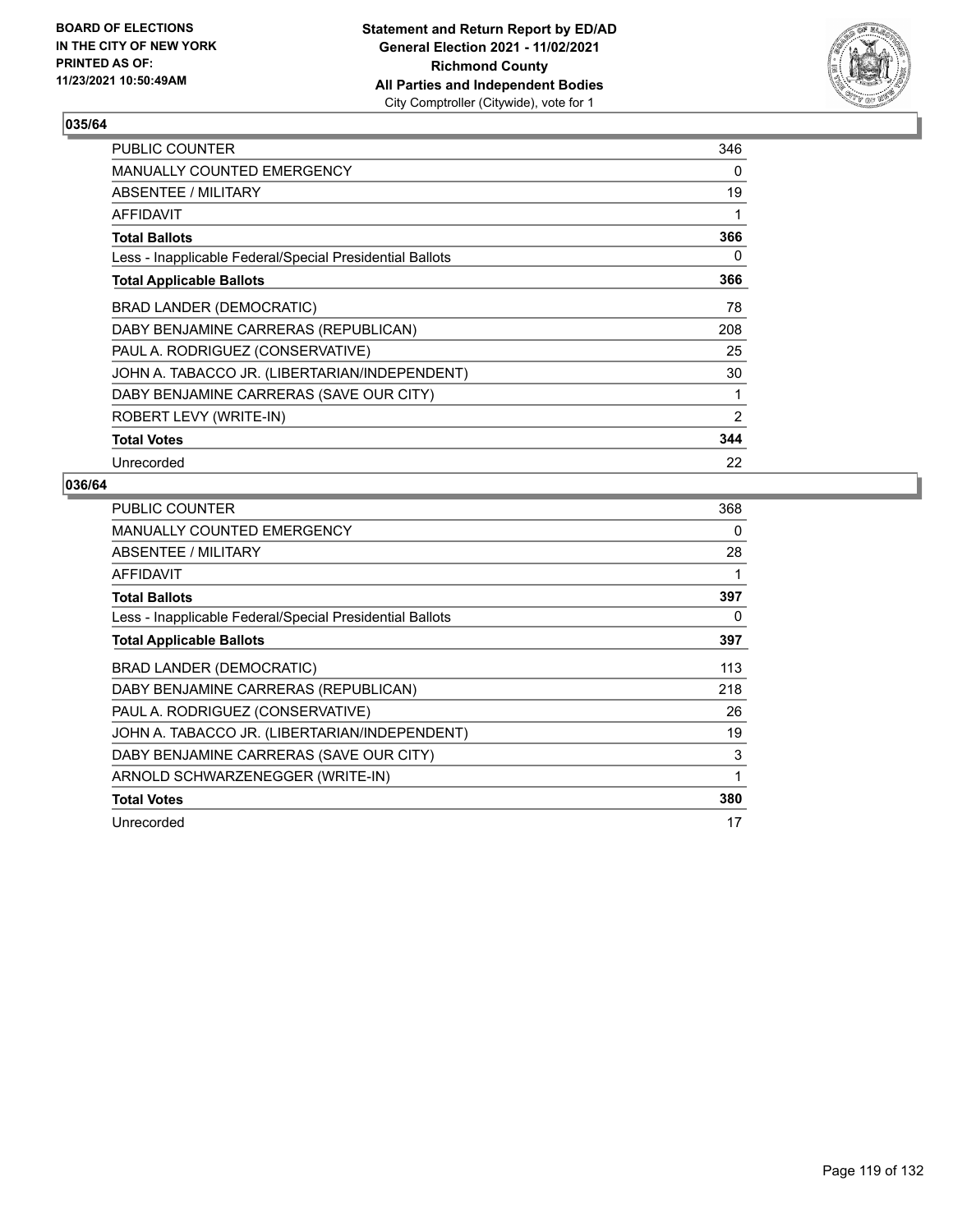

| <b>PUBLIC COUNTER</b>                                    | 346            |
|----------------------------------------------------------|----------------|
| <b>MANUALLY COUNTED EMERGENCY</b>                        | 0              |
| ABSENTEE / MILITARY                                      | 19             |
| <b>AFFIDAVIT</b>                                         | 1              |
| <b>Total Ballots</b>                                     | 366            |
| Less - Inapplicable Federal/Special Presidential Ballots | 0              |
| <b>Total Applicable Ballots</b>                          | 366            |
| <b>BRAD LANDER (DEMOCRATIC)</b>                          | 78             |
| DABY BENJAMINE CARRERAS (REPUBLICAN)                     | 208            |
| PAUL A. RODRIGUEZ (CONSERVATIVE)                         | 25             |
| JOHN A. TABACCO JR. (LIBERTARIAN/INDEPENDENT)            | 30             |
| DABY BENJAMINE CARRERAS (SAVE OUR CITY)                  | 1              |
| ROBERT LEVY (WRITE-IN)                                   | $\overline{2}$ |
| <b>Total Votes</b>                                       | 344            |
| Unrecorded                                               | 22             |

| PUBLIC COUNTER                                           | 368 |
|----------------------------------------------------------|-----|
| <b>MANUALLY COUNTED EMERGENCY</b>                        | 0   |
| ABSENTEE / MILITARY                                      | 28  |
| AFFIDAVIT                                                | 1   |
| <b>Total Ballots</b>                                     | 397 |
| Less - Inapplicable Federal/Special Presidential Ballots | 0   |
| <b>Total Applicable Ballots</b>                          | 397 |
| BRAD LANDER (DEMOCRATIC)                                 | 113 |
| DABY BENJAMINE CARRERAS (REPUBLICAN)                     | 218 |
| PAUL A. RODRIGUEZ (CONSERVATIVE)                         | 26  |
| JOHN A. TABACCO JR. (LIBERTARIAN/INDEPENDENT)            | 19  |
| DABY BENJAMINE CARRERAS (SAVE OUR CITY)                  | 3   |
| ARNOLD SCHWARZENEGGER (WRITE-IN)                         | 1   |
| <b>Total Votes</b>                                       | 380 |
| Unrecorded                                               | 17  |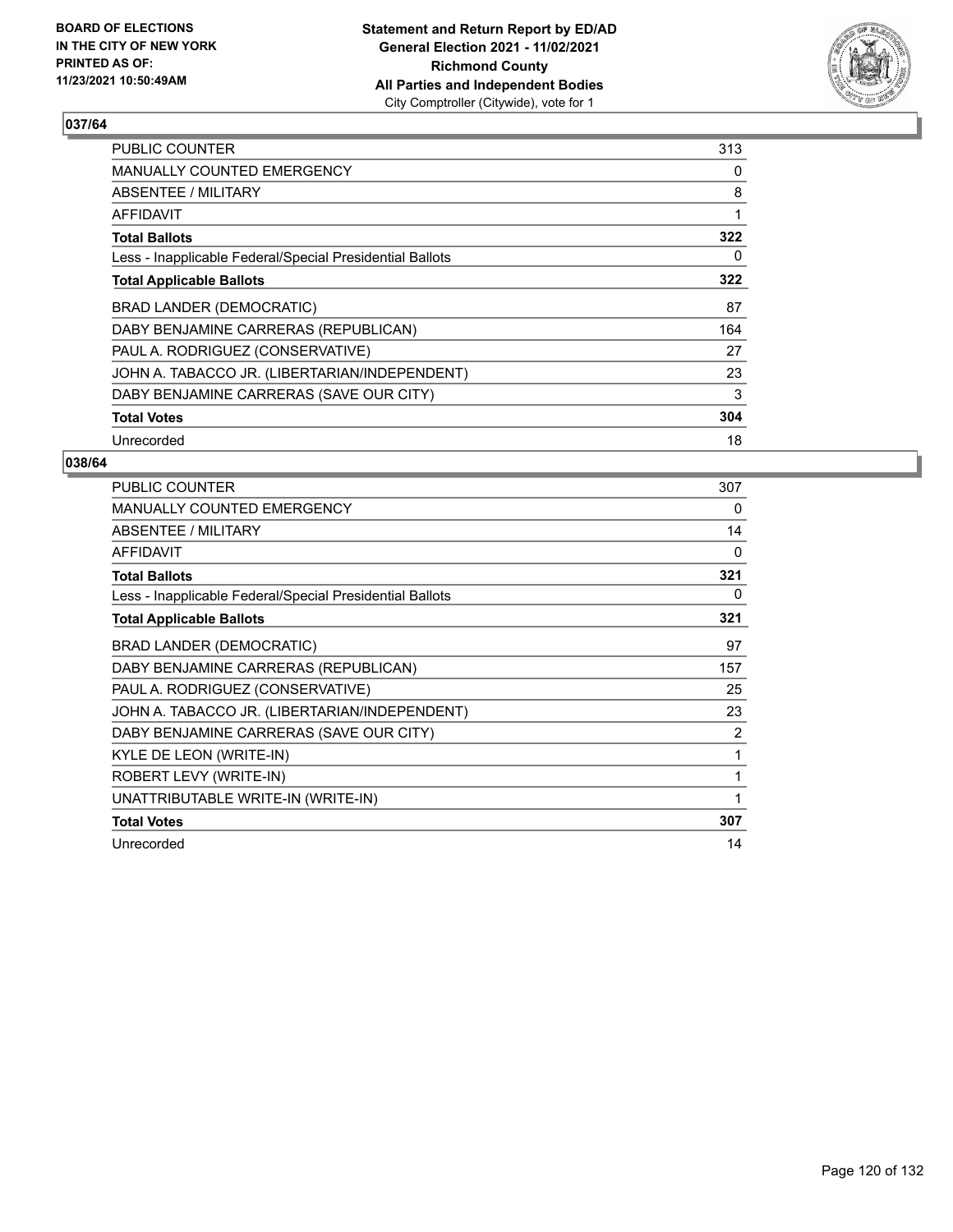

| <b>PUBLIC COUNTER</b>                                    | 313 |
|----------------------------------------------------------|-----|
| MANUALLY COUNTED EMERGENCY                               | 0   |
| ABSENTEE / MILITARY                                      | 8   |
| AFFIDAVIT                                                | 1   |
| <b>Total Ballots</b>                                     | 322 |
| Less - Inapplicable Federal/Special Presidential Ballots | 0   |
| <b>Total Applicable Ballots</b>                          | 322 |
| <b>BRAD LANDER (DEMOCRATIC)</b>                          | 87  |
| DABY BENJAMINE CARRERAS (REPUBLICAN)                     | 164 |
| PAUL A. RODRIGUEZ (CONSERVATIVE)                         | 27  |
| JOHN A. TABACCO JR. (LIBERTARIAN/INDEPENDENT)            | 23  |
| DABY BENJAMINE CARRERAS (SAVE OUR CITY)                  | 3   |
|                                                          |     |
| <b>Total Votes</b>                                       | 304 |

| <b>PUBLIC COUNTER</b>                                    | 307      |
|----------------------------------------------------------|----------|
| <b>MANUALLY COUNTED EMERGENCY</b>                        | 0        |
| ABSENTEE / MILITARY                                      | 14       |
| <b>AFFIDAVIT</b>                                         | $\Omega$ |
| <b>Total Ballots</b>                                     | 321      |
| Less - Inapplicable Federal/Special Presidential Ballots | 0        |
| <b>Total Applicable Ballots</b>                          | 321      |
| BRAD LANDER (DEMOCRATIC)                                 | 97       |
| DABY BENJAMINE CARRERAS (REPUBLICAN)                     | 157      |
| PAUL A. RODRIGUEZ (CONSERVATIVE)                         | 25       |
| JOHN A. TABACCO JR. (LIBERTARIAN/INDEPENDENT)            | 23       |
| DABY BENJAMINE CARRERAS (SAVE OUR CITY)                  | 2        |
| KYLE DE LEON (WRITE-IN)                                  | 1        |
| ROBERT LEVY (WRITE-IN)                                   | 1        |
| UNATTRIBUTABLE WRITE-IN (WRITE-IN)                       | 1        |
| <b>Total Votes</b>                                       | 307      |
| Unrecorded                                               | 14       |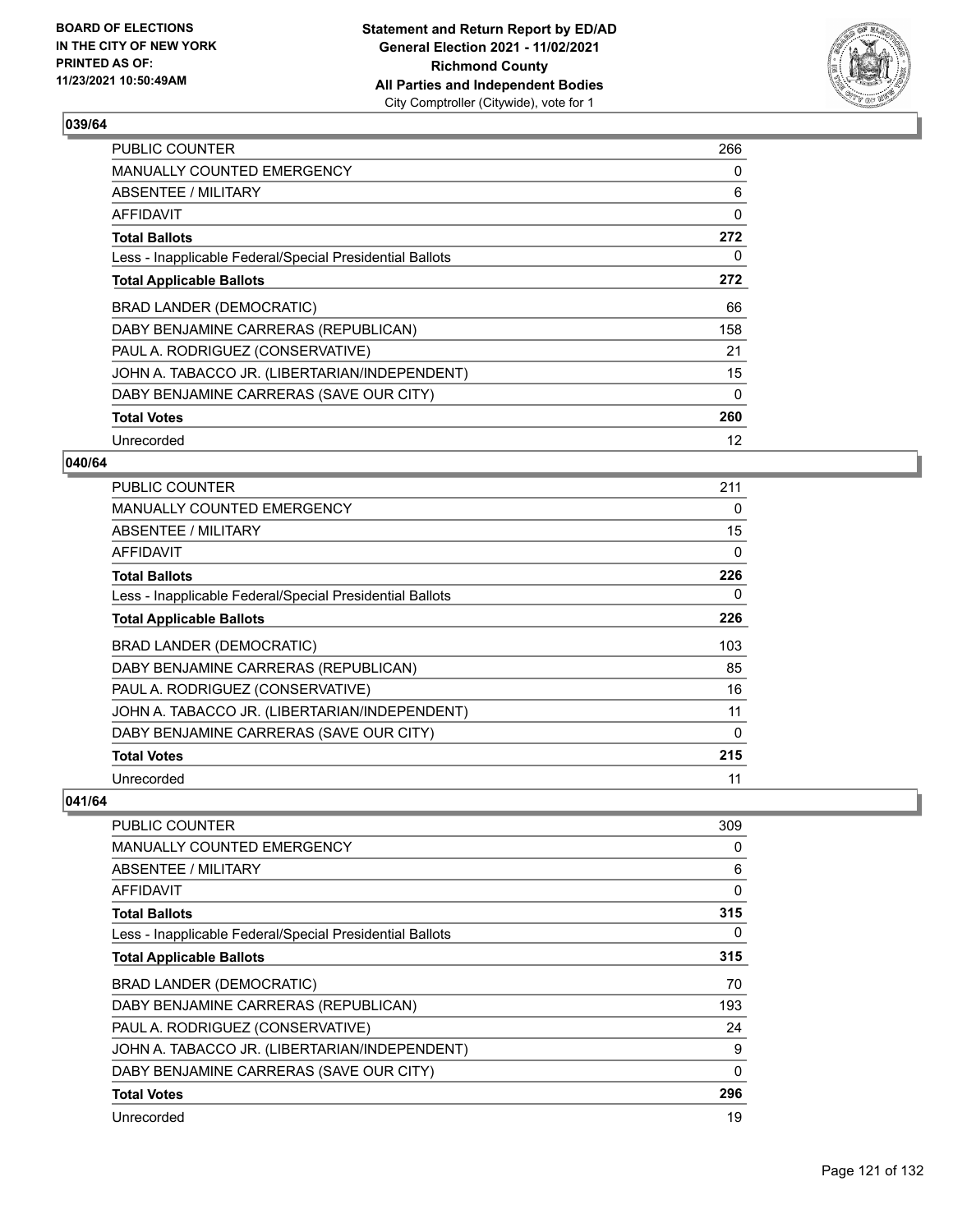

| <b>PUBLIC COUNTER</b>                                    | 266      |
|----------------------------------------------------------|----------|
| <b>MANUALLY COUNTED EMERGENCY</b>                        | 0        |
| ABSENTEE / MILITARY                                      | 6        |
| AFFIDAVIT                                                | 0        |
| <b>Total Ballots</b>                                     | 272      |
| Less - Inapplicable Federal/Special Presidential Ballots | 0        |
| <b>Total Applicable Ballots</b>                          | 272      |
| BRAD LANDER (DEMOCRATIC)                                 | 66       |
| DABY BENJAMINE CARRERAS (REPUBLICAN)                     | 158      |
| PAUL A. RODRIGUEZ (CONSERVATIVE)                         | 21       |
| JOHN A. TABACCO JR. (LIBERTARIAN/INDEPENDENT)            | 15       |
| DABY BENJAMINE CARRERAS (SAVE OUR CITY)                  | $\Omega$ |
| <b>Total Votes</b>                                       | 260      |
| Unrecorded                                               | 12       |

## **040/64**

| <b>PUBLIC COUNTER</b>                                    | 211 |
|----------------------------------------------------------|-----|
| <b>MANUALLY COUNTED EMERGENCY</b>                        | 0   |
| ABSENTEE / MILITARY                                      | 15  |
| AFFIDAVIT                                                | 0   |
| <b>Total Ballots</b>                                     | 226 |
| Less - Inapplicable Federal/Special Presidential Ballots | 0   |
| <b>Total Applicable Ballots</b>                          | 226 |
| <b>BRAD LANDER (DEMOCRATIC)</b>                          | 103 |
| DABY BENJAMINE CARRERAS (REPUBLICAN)                     | 85  |
| PAUL A. RODRIGUEZ (CONSERVATIVE)                         | 16  |
| JOHN A. TABACCO JR. (LIBERTARIAN/INDEPENDENT)            | 11  |
| DABY BENJAMINE CARRERAS (SAVE OUR CITY)                  | 0   |
| <b>Total Votes</b>                                       | 215 |
| Unrecorded                                               | 11  |

| <b>PUBLIC COUNTER</b>                                    | 309 |
|----------------------------------------------------------|-----|
| <b>MANUALLY COUNTED EMERGENCY</b>                        | 0   |
| <b>ABSENTEE / MILITARY</b>                               | 6   |
| <b>AFFIDAVIT</b>                                         | 0   |
| <b>Total Ballots</b>                                     | 315 |
| Less - Inapplicable Federal/Special Presidential Ballots | 0   |
| <b>Total Applicable Ballots</b>                          | 315 |
| <b>BRAD LANDER (DEMOCRATIC)</b>                          | 70  |
| DABY BENJAMINE CARRERAS (REPUBLICAN)                     | 193 |
| PAUL A. RODRIGUEZ (CONSERVATIVE)                         | 24  |
| JOHN A. TABACCO JR. (LIBERTARIAN/INDEPENDENT)            | 9   |
| DABY BENJAMINE CARRERAS (SAVE OUR CITY)                  | 0   |
| <b>Total Votes</b>                                       | 296 |
| Unrecorded                                               | 19  |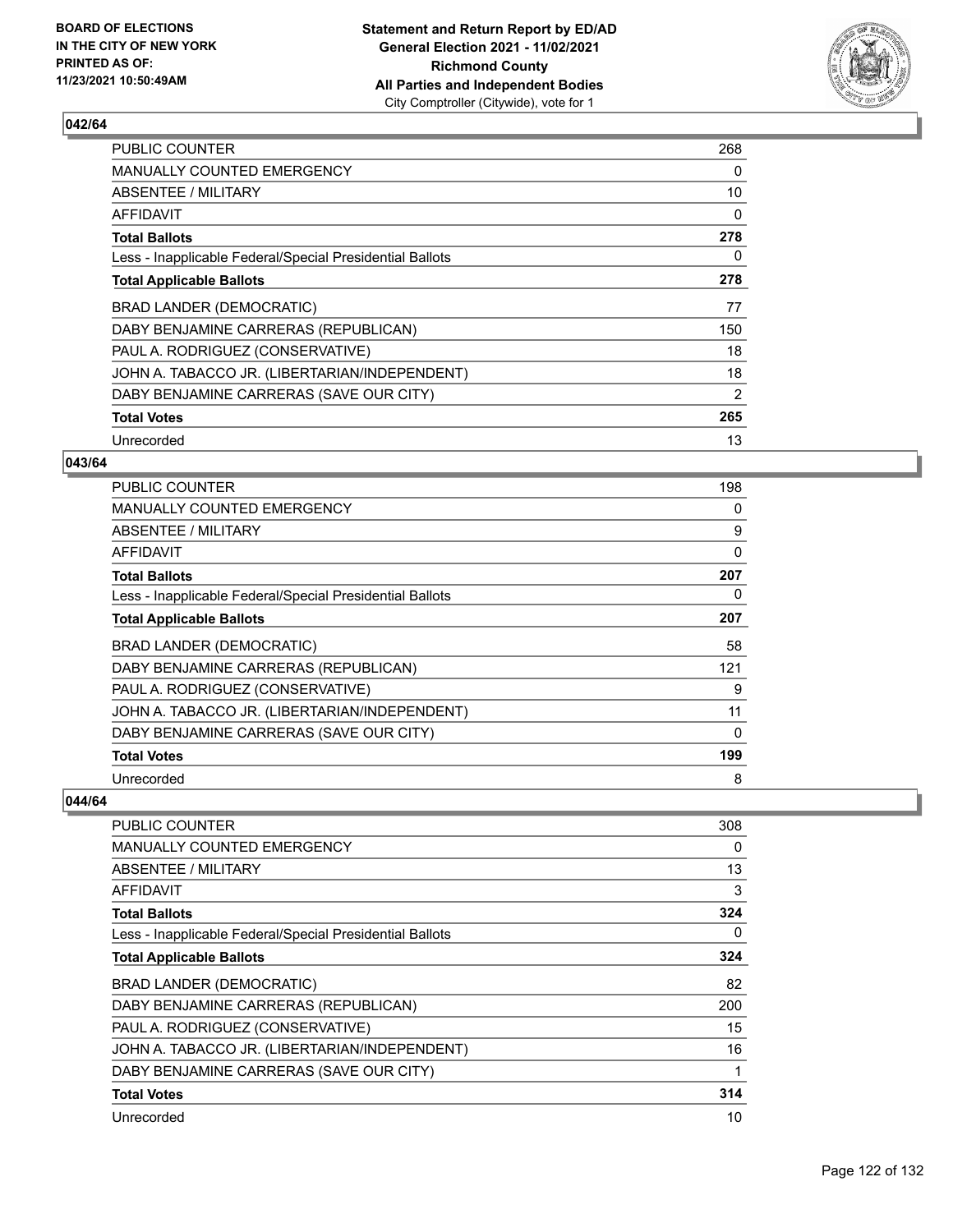

| <b>PUBLIC COUNTER</b>                                    | 268            |
|----------------------------------------------------------|----------------|
| <b>MANUALLY COUNTED EMERGENCY</b>                        | 0              |
| ABSENTEE / MILITARY                                      | 10             |
| AFFIDAVIT                                                | 0              |
| <b>Total Ballots</b>                                     | 278            |
| Less - Inapplicable Federal/Special Presidential Ballots | 0              |
| <b>Total Applicable Ballots</b>                          | 278            |
| BRAD LANDER (DEMOCRATIC)                                 | 77             |
| DABY BENJAMINE CARRERAS (REPUBLICAN)                     | 150            |
| PAUL A. RODRIGUEZ (CONSERVATIVE)                         | 18             |
| JOHN A. TABACCO JR. (LIBERTARIAN/INDEPENDENT)            | 18             |
| DABY BENJAMINE CARRERAS (SAVE OUR CITY)                  | $\overline{2}$ |
| <b>Total Votes</b>                                       | 265            |
| Unrecorded                                               | 13             |

#### **043/64**

| <b>PUBLIC COUNTER</b>                                    | 198 |
|----------------------------------------------------------|-----|
| <b>MANUALLY COUNTED EMERGENCY</b>                        | 0   |
| <b>ABSENTEE / MILITARY</b>                               | 9   |
| <b>AFFIDAVIT</b>                                         | 0   |
| <b>Total Ballots</b>                                     | 207 |
| Less - Inapplicable Federal/Special Presidential Ballots | 0   |
| <b>Total Applicable Ballots</b>                          | 207 |
| <b>BRAD LANDER (DEMOCRATIC)</b>                          | 58  |
| DABY BENJAMINE CARRERAS (REPUBLICAN)                     | 121 |
| PAUL A. RODRIGUEZ (CONSERVATIVE)                         | 9   |
| JOHN A. TABACCO JR. (LIBERTARIAN/INDEPENDENT)            | 11  |
| DABY BENJAMINE CARRERAS (SAVE OUR CITY)                  | 0   |
| <b>Total Votes</b>                                       | 199 |
| Unrecorded                                               | 8   |

| <b>PUBLIC COUNTER</b>                                    | 308 |
|----------------------------------------------------------|-----|
|                                                          |     |
| <b>MANUALLY COUNTED EMERGENCY</b>                        | 0   |
| <b>ABSENTEE / MILITARY</b>                               | 13  |
| <b>AFFIDAVIT</b>                                         | 3   |
| <b>Total Ballots</b>                                     | 324 |
| Less - Inapplicable Federal/Special Presidential Ballots | 0   |
| <b>Total Applicable Ballots</b>                          | 324 |
| <b>BRAD LANDER (DEMOCRATIC)</b>                          | 82  |
| DABY BENJAMINE CARRERAS (REPUBLICAN)                     | 200 |
| PAUL A. RODRIGUEZ (CONSERVATIVE)                         | 15  |
| JOHN A. TABACCO JR. (LIBERTARIAN/INDEPENDENT)            | 16  |
| DABY BENJAMINE CARRERAS (SAVE OUR CITY)                  |     |
| <b>Total Votes</b>                                       | 314 |
| Unrecorded                                               | 10  |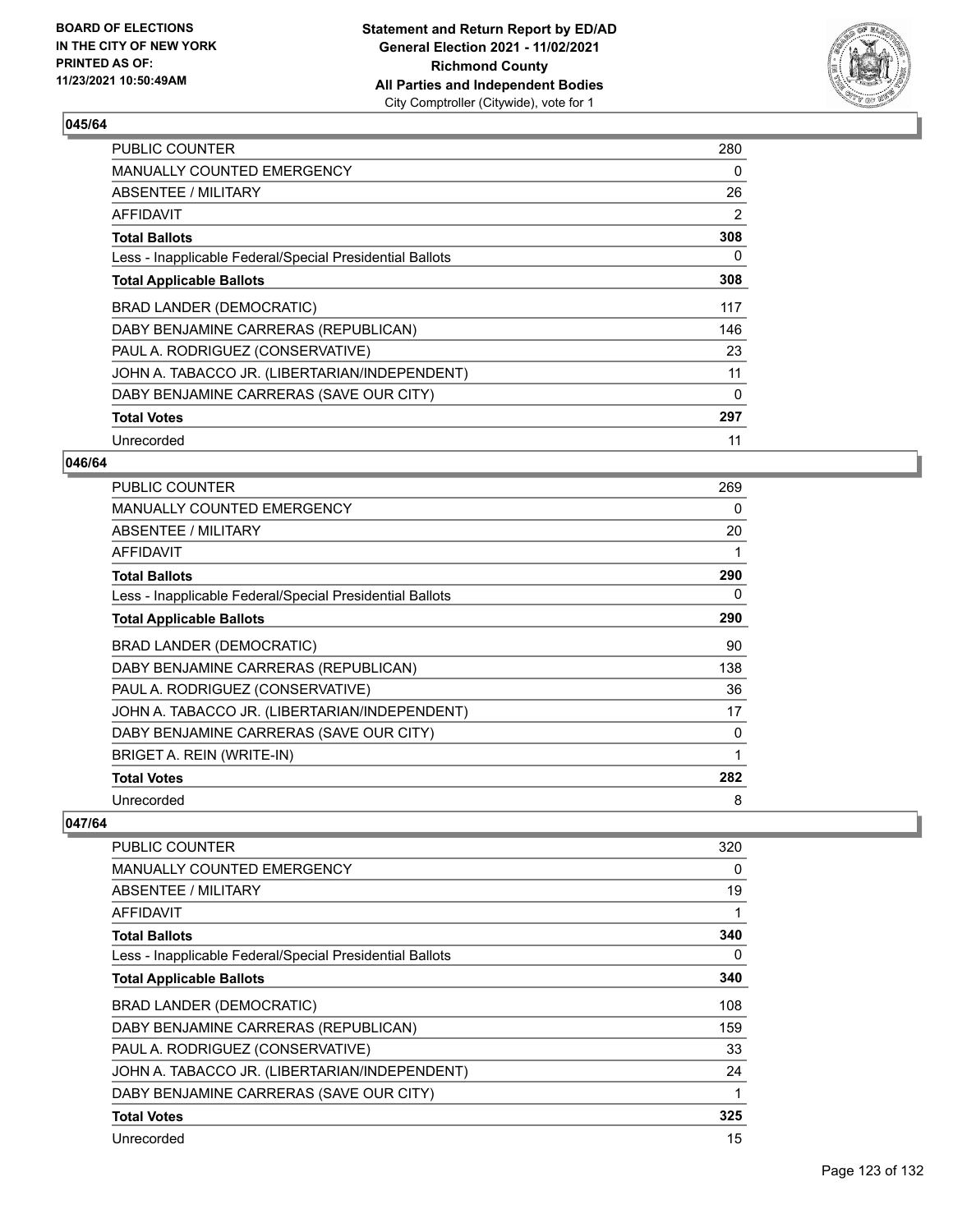

| <b>PUBLIC COUNTER</b>                                    | 280 |
|----------------------------------------------------------|-----|
| MANUALLY COUNTED EMERGENCY                               | 0   |
| ABSENTEE / MILITARY                                      | 26  |
| AFFIDAVIT                                                | 2   |
| <b>Total Ballots</b>                                     | 308 |
| Less - Inapplicable Federal/Special Presidential Ballots | 0   |
| <b>Total Applicable Ballots</b>                          | 308 |
| BRAD LANDER (DEMOCRATIC)                                 | 117 |
| DABY BENJAMINE CARRERAS (REPUBLICAN)                     | 146 |
| PAUL A. RODRIGUEZ (CONSERVATIVE)                         | 23  |
| JOHN A. TABACCO JR. (LIBERTARIAN/INDEPENDENT)            | 11  |
| DABY BENJAMINE CARRERAS (SAVE OUR CITY)                  | 0   |
| <b>Total Votes</b>                                       | 297 |
| Unrecorded                                               | 11  |

## **046/64**

| <b>PUBLIC COUNTER</b>                                    | 269 |
|----------------------------------------------------------|-----|
| <b>MANUALLY COUNTED EMERGENCY</b>                        | 0   |
| ABSENTEE / MILITARY                                      | 20  |
| AFFIDAVIT                                                |     |
| <b>Total Ballots</b>                                     | 290 |
| Less - Inapplicable Federal/Special Presidential Ballots | 0   |
| <b>Total Applicable Ballots</b>                          | 290 |
| BRAD LANDER (DEMOCRATIC)                                 | 90  |
| DABY BENJAMINE CARRERAS (REPUBLICAN)                     | 138 |
| PAUL A. RODRIGUEZ (CONSERVATIVE)                         | 36  |
| JOHN A. TABACCO JR. (LIBERTARIAN/INDEPENDENT)            | 17  |
| DABY BENJAMINE CARRERAS (SAVE OUR CITY)                  | 0   |
| BRIGET A. REIN (WRITE-IN)                                | 1   |
| <b>Total Votes</b>                                       | 282 |
| Unrecorded                                               | 8   |

| PUBLIC COUNTER                                           | 320 |
|----------------------------------------------------------|-----|
| <b>MANUALLY COUNTED EMERGENCY</b>                        | 0   |
| ABSENTEE / MILITARY                                      | 19  |
| <b>AFFIDAVIT</b>                                         | 1   |
| <b>Total Ballots</b>                                     | 340 |
| Less - Inapplicable Federal/Special Presidential Ballots | 0   |
| <b>Total Applicable Ballots</b>                          | 340 |
| <b>BRAD LANDER (DEMOCRATIC)</b>                          | 108 |
| DABY BENJAMINE CARRERAS (REPUBLICAN)                     | 159 |
| PAUL A. RODRIGUEZ (CONSERVATIVE)                         | 33  |
| JOHN A. TABACCO JR. (LIBERTARIAN/INDEPENDENT)            | 24  |
| DABY BENJAMINE CARRERAS (SAVE OUR CITY)                  | 1   |
| <b>Total Votes</b>                                       | 325 |
| Unrecorded                                               | 15  |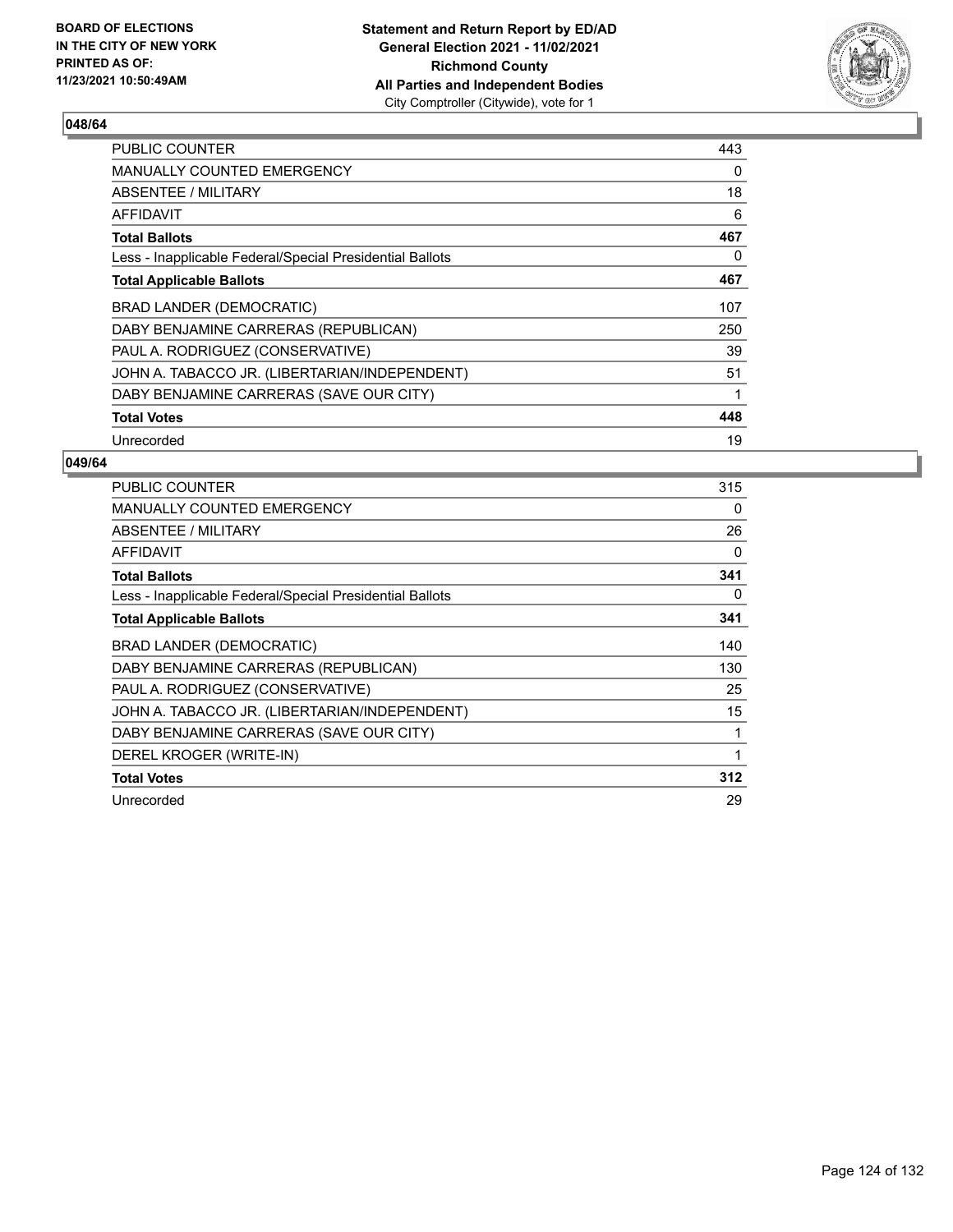

| <b>PUBLIC COUNTER</b>                                    | 443 |
|----------------------------------------------------------|-----|
| MANUALLY COUNTED EMERGENCY                               | 0   |
| ABSENTEE / MILITARY                                      | 18  |
| AFFIDAVIT                                                | 6   |
| <b>Total Ballots</b>                                     | 467 |
| Less - Inapplicable Federal/Special Presidential Ballots | 0   |
| <b>Total Applicable Ballots</b>                          | 467 |
| BRAD LANDER (DEMOCRATIC)                                 | 107 |
| DABY BENJAMINE CARRERAS (REPUBLICAN)                     | 250 |
| PAUL A. RODRIGUEZ (CONSERVATIVE)                         | 39  |
| JOHN A. TABACCO JR. (LIBERTARIAN/INDEPENDENT)            | 51  |
| DABY BENJAMINE CARRERAS (SAVE OUR CITY)                  |     |
| <b>Total Votes</b>                                       | 448 |
| Unrecorded                                               | 19  |

| <b>PUBLIC COUNTER</b>                                    | 315 |
|----------------------------------------------------------|-----|
| <b>MANUALLY COUNTED EMERGENCY</b>                        | 0   |
| <b>ABSENTEE / MILITARY</b>                               | 26  |
| AFFIDAVIT                                                | 0   |
| <b>Total Ballots</b>                                     | 341 |
| Less - Inapplicable Federal/Special Presidential Ballots | 0   |
| <b>Total Applicable Ballots</b>                          | 341 |
| <b>BRAD LANDER (DEMOCRATIC)</b>                          | 140 |
| DABY BENJAMINE CARRERAS (REPUBLICAN)                     | 130 |
| PAUL A. RODRIGUEZ (CONSERVATIVE)                         | 25  |
| JOHN A. TABACCO JR. (LIBERTARIAN/INDEPENDENT)            | 15  |
| DABY BENJAMINE CARRERAS (SAVE OUR CITY)                  | 1   |
| DEREL KROGER (WRITE-IN)                                  | 1   |
| <b>Total Votes</b>                                       | 312 |
| Unrecorded                                               | 29  |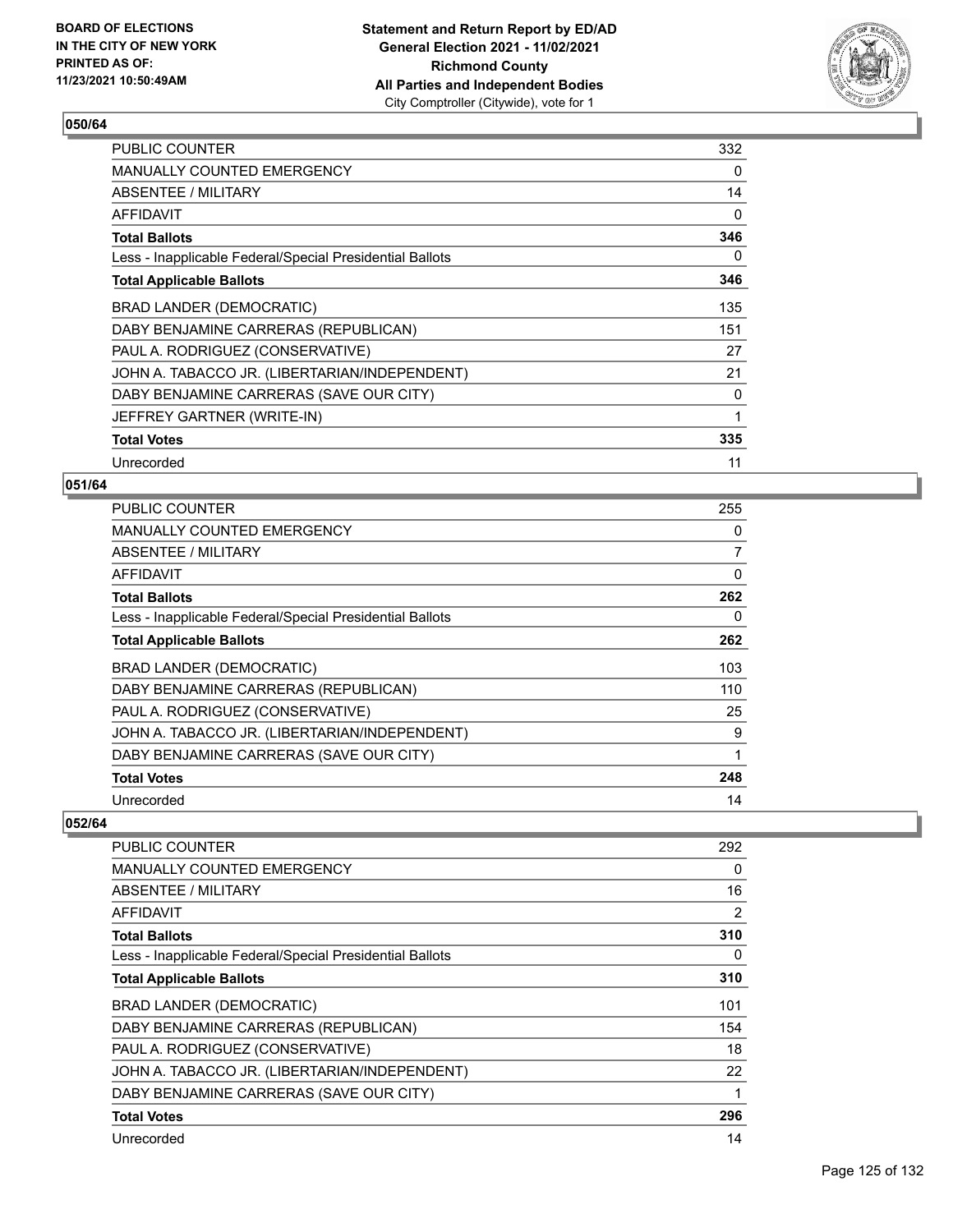

| PUBLIC COUNTER                                           | 332 |
|----------------------------------------------------------|-----|
| <b>MANUALLY COUNTED EMERGENCY</b>                        | 0   |
| ABSENTEE / MILITARY                                      | 14  |
| AFFIDAVIT                                                | 0   |
| <b>Total Ballots</b>                                     | 346 |
| Less - Inapplicable Federal/Special Presidential Ballots | 0   |
| <b>Total Applicable Ballots</b>                          | 346 |
| <b>BRAD LANDER (DEMOCRATIC)</b>                          | 135 |
| DABY BENJAMINE CARRERAS (REPUBLICAN)                     | 151 |
| PAUL A. RODRIGUEZ (CONSERVATIVE)                         | 27  |
| JOHN A. TABACCO JR. (LIBERTARIAN/INDEPENDENT)            | 21  |
| DABY BENJAMINE CARRERAS (SAVE OUR CITY)                  | 0   |
| JEFFREY GARTNER (WRITE-IN)                               | 1   |
| <b>Total Votes</b>                                       | 335 |
| Unrecorded                                               | 11  |

### **051/64**

| <b>PUBLIC COUNTER</b>                                    | 255 |
|----------------------------------------------------------|-----|
| MANUALLY COUNTED EMERGENCY                               | 0   |
| ABSENTEE / MILITARY                                      | 7   |
| AFFIDAVIT                                                | 0   |
| <b>Total Ballots</b>                                     | 262 |
| Less - Inapplicable Federal/Special Presidential Ballots | 0   |
| <b>Total Applicable Ballots</b>                          | 262 |
| BRAD LANDER (DEMOCRATIC)                                 | 103 |
| DABY BENJAMINE CARRERAS (REPUBLICAN)                     | 110 |
| PAUL A. RODRIGUEZ (CONSERVATIVE)                         | 25  |
| JOHN A. TABACCO JR. (LIBERTARIAN/INDEPENDENT)            | 9   |
| DABY BENJAMINE CARRERAS (SAVE OUR CITY)                  | 1   |
| <b>Total Votes</b>                                       | 248 |
| Unrecorded                                               | 14  |

| <b>PUBLIC COUNTER</b>                                    | 292            |
|----------------------------------------------------------|----------------|
| MANUALLY COUNTED EMERGENCY                               | 0              |
| ABSENTEE / MILITARY                                      | 16             |
| <b>AFFIDAVIT</b>                                         | $\overline{2}$ |
| <b>Total Ballots</b>                                     | 310            |
| Less - Inapplicable Federal/Special Presidential Ballots | 0              |
| <b>Total Applicable Ballots</b>                          | 310            |
| BRAD LANDER (DEMOCRATIC)                                 | 101            |
| DABY BENJAMINE CARRERAS (REPUBLICAN)                     | 154            |
| PAUL A. RODRIGUEZ (CONSERVATIVE)                         | 18             |
| JOHN A. TABACCO JR. (LIBERTARIAN/INDEPENDENT)            | 22             |
| DABY BENJAMINE CARRERAS (SAVE OUR CITY)                  | 1              |
| <b>Total Votes</b>                                       | 296            |
| Unrecorded                                               | 14             |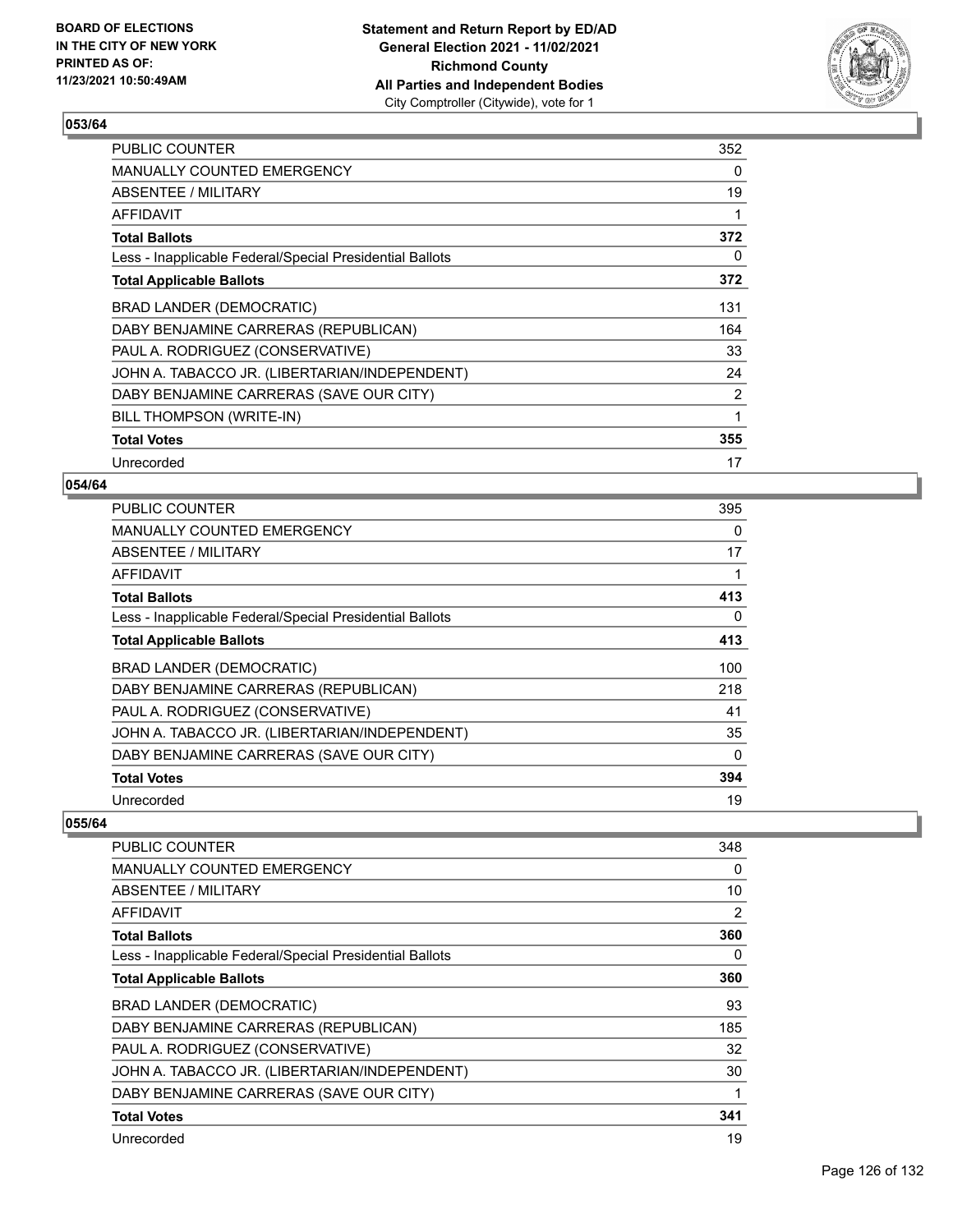

| <b>PUBLIC COUNTER</b>                                    | 352      |
|----------------------------------------------------------|----------|
| <b>MANUALLY COUNTED EMERGENCY</b>                        | $\Omega$ |
| ABSENTEE / MILITARY                                      | 19       |
| <b>AFFIDAVIT</b>                                         | 1        |
| <b>Total Ballots</b>                                     | 372      |
| Less - Inapplicable Federal/Special Presidential Ballots | 0        |
| <b>Total Applicable Ballots</b>                          | 372      |
| <b>BRAD LANDER (DEMOCRATIC)</b>                          | 131      |
| DABY BENJAMINE CARRERAS (REPUBLICAN)                     | 164      |
| PAUL A. RODRIGUEZ (CONSERVATIVE)                         | 33       |
| JOHN A. TABACCO JR. (LIBERTARIAN/INDEPENDENT)            | 24       |
| DABY BENJAMINE CARRERAS (SAVE OUR CITY)                  | 2        |
| BILL THOMPSON (WRITE-IN)                                 | 1        |
| <b>Total Votes</b>                                       | 355      |
| Unrecorded                                               | 17       |

### **054/64**

| <b>PUBLIC COUNTER</b>                                    | 395      |
|----------------------------------------------------------|----------|
| MANUALLY COUNTED EMERGENCY                               | 0        |
| ABSENTEE / MILITARY                                      | 17       |
| AFFIDAVIT                                                | 1        |
| <b>Total Ballots</b>                                     | 413      |
| Less - Inapplicable Federal/Special Presidential Ballots | 0        |
| <b>Total Applicable Ballots</b>                          | 413      |
| <b>BRAD LANDER (DEMOCRATIC)</b>                          | 100      |
| DABY BENJAMINE CARRERAS (REPUBLICAN)                     | 218      |
| PAUL A. RODRIGUEZ (CONSERVATIVE)                         | 41       |
| JOHN A. TABACCO JR. (LIBERTARIAN/INDEPENDENT)            | 35       |
| DABY BENJAMINE CARRERAS (SAVE OUR CITY)                  | $\Omega$ |
| <b>Total Votes</b>                                       | 394      |
| Unrecorded                                               | 19       |

| <b>PUBLIC COUNTER</b>                                    | 348 |
|----------------------------------------------------------|-----|
| MANUALLY COUNTED EMERGENCY                               | 0   |
| ABSENTEE / MILITARY                                      | 10  |
| <b>AFFIDAVIT</b>                                         | 2   |
| <b>Total Ballots</b>                                     | 360 |
| Less - Inapplicable Federal/Special Presidential Ballots | 0   |
| <b>Total Applicable Ballots</b>                          | 360 |
| BRAD LANDER (DEMOCRATIC)                                 | 93  |
| DABY BENJAMINE CARRERAS (REPUBLICAN)                     | 185 |
| PAUL A. RODRIGUEZ (CONSERVATIVE)                         | 32  |
| JOHN A. TABACCO JR. (LIBERTARIAN/INDEPENDENT)            | 30  |
| DABY BENJAMINE CARRERAS (SAVE OUR CITY)                  | 1   |
| <b>Total Votes</b>                                       | 341 |
| Unrecorded                                               | 19  |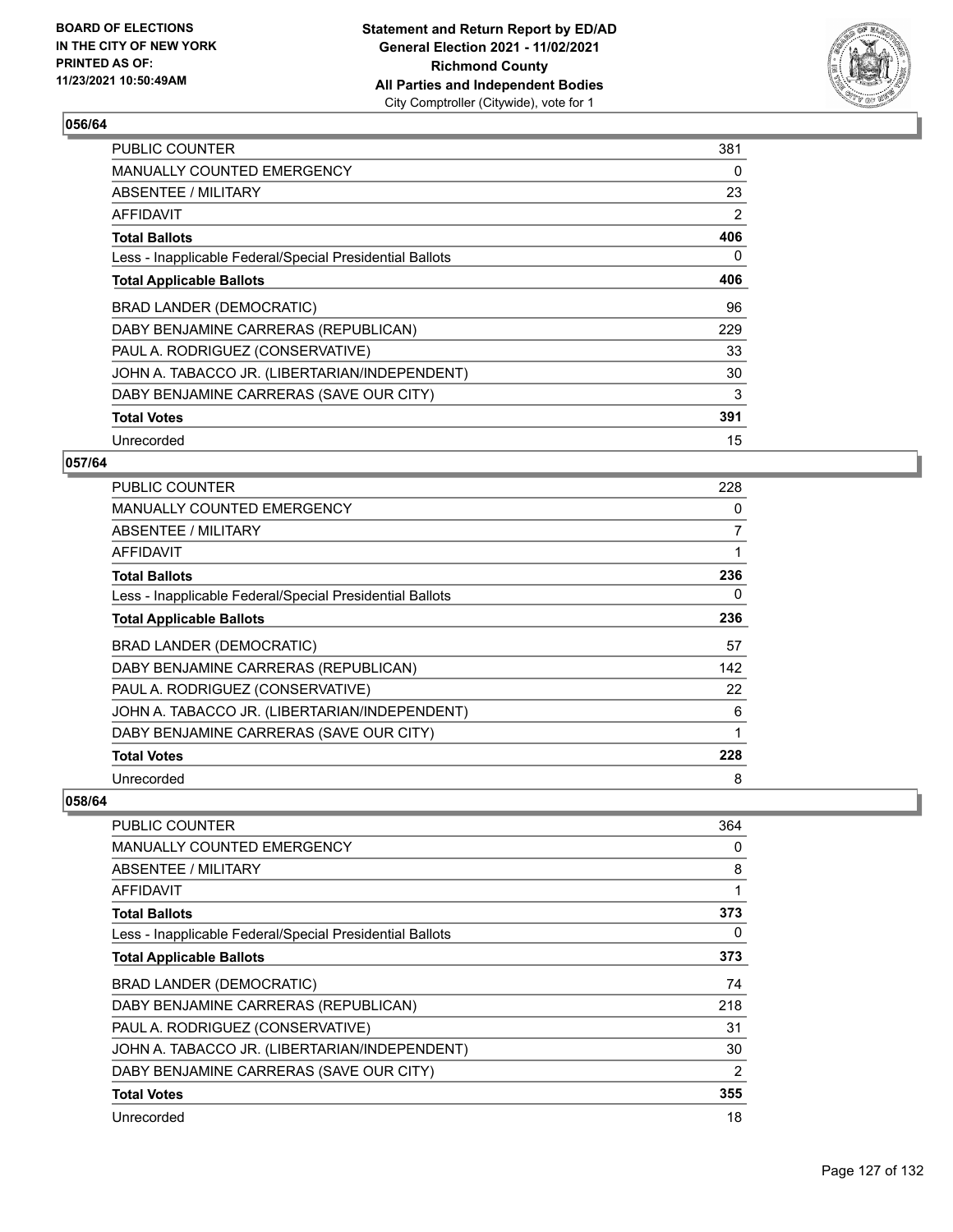

| <b>PUBLIC COUNTER</b>                                    | 381 |
|----------------------------------------------------------|-----|
| <b>MANUALLY COUNTED EMERGENCY</b>                        | 0   |
| ABSENTEE / MILITARY                                      | 23  |
| AFFIDAVIT                                                | 2   |
| <b>Total Ballots</b>                                     | 406 |
| Less - Inapplicable Federal/Special Presidential Ballots | 0   |
| <b>Total Applicable Ballots</b>                          | 406 |
| BRAD LANDER (DEMOCRATIC)                                 | 96  |
| DABY BENJAMINE CARRERAS (REPUBLICAN)                     | 229 |
| PAUL A. RODRIGUEZ (CONSERVATIVE)                         | 33  |
| JOHN A. TABACCO JR. (LIBERTARIAN/INDEPENDENT)            | 30  |
| DABY BENJAMINE CARRERAS (SAVE OUR CITY)                  | 3   |
| <b>Total Votes</b>                                       | 391 |
| Unrecorded                                               | 15  |

## **057/64**

| PUBLIC COUNTER                                           | 228 |
|----------------------------------------------------------|-----|
| <b>MANUALLY COUNTED EMERGENCY</b>                        | 0   |
| ABSENTEE / MILITARY                                      | 7   |
| AFFIDAVIT                                                | 1   |
| <b>Total Ballots</b>                                     | 236 |
| Less - Inapplicable Federal/Special Presidential Ballots | 0   |
| <b>Total Applicable Ballots</b>                          | 236 |
|                                                          |     |
| BRAD LANDER (DEMOCRATIC)                                 | 57  |
| DABY BENJAMINE CARRERAS (REPUBLICAN)                     | 142 |
| PAUL A. RODRIGUEZ (CONSERVATIVE)                         | 22  |
| JOHN A. TABACCO JR. (LIBERTARIAN/INDEPENDENT)            | 6   |
| DABY BENJAMINE CARRERAS (SAVE OUR CITY)                  | 1   |
| <b>Total Votes</b>                                       | 228 |

| <b>PUBLIC COUNTER</b>                                    | 364            |
|----------------------------------------------------------|----------------|
| <b>MANUALLY COUNTED EMERGENCY</b>                        | 0              |
| <b>ABSENTEE / MILITARY</b>                               | 8              |
| <b>AFFIDAVIT</b>                                         |                |
| <b>Total Ballots</b>                                     | 373            |
| Less - Inapplicable Federal/Special Presidential Ballots | 0              |
| <b>Total Applicable Ballots</b>                          | 373            |
| <b>BRAD LANDER (DEMOCRATIC)</b>                          | 74             |
| DABY BENJAMINE CARRERAS (REPUBLICAN)                     | 218            |
| PAUL A. RODRIGUEZ (CONSERVATIVE)                         | 31             |
| JOHN A. TABACCO JR. (LIBERTARIAN/INDEPENDENT)            | 30             |
| DABY BENJAMINE CARRERAS (SAVE OUR CITY)                  | $\overline{2}$ |
| <b>Total Votes</b>                                       | 355            |
| Unrecorded                                               | 18             |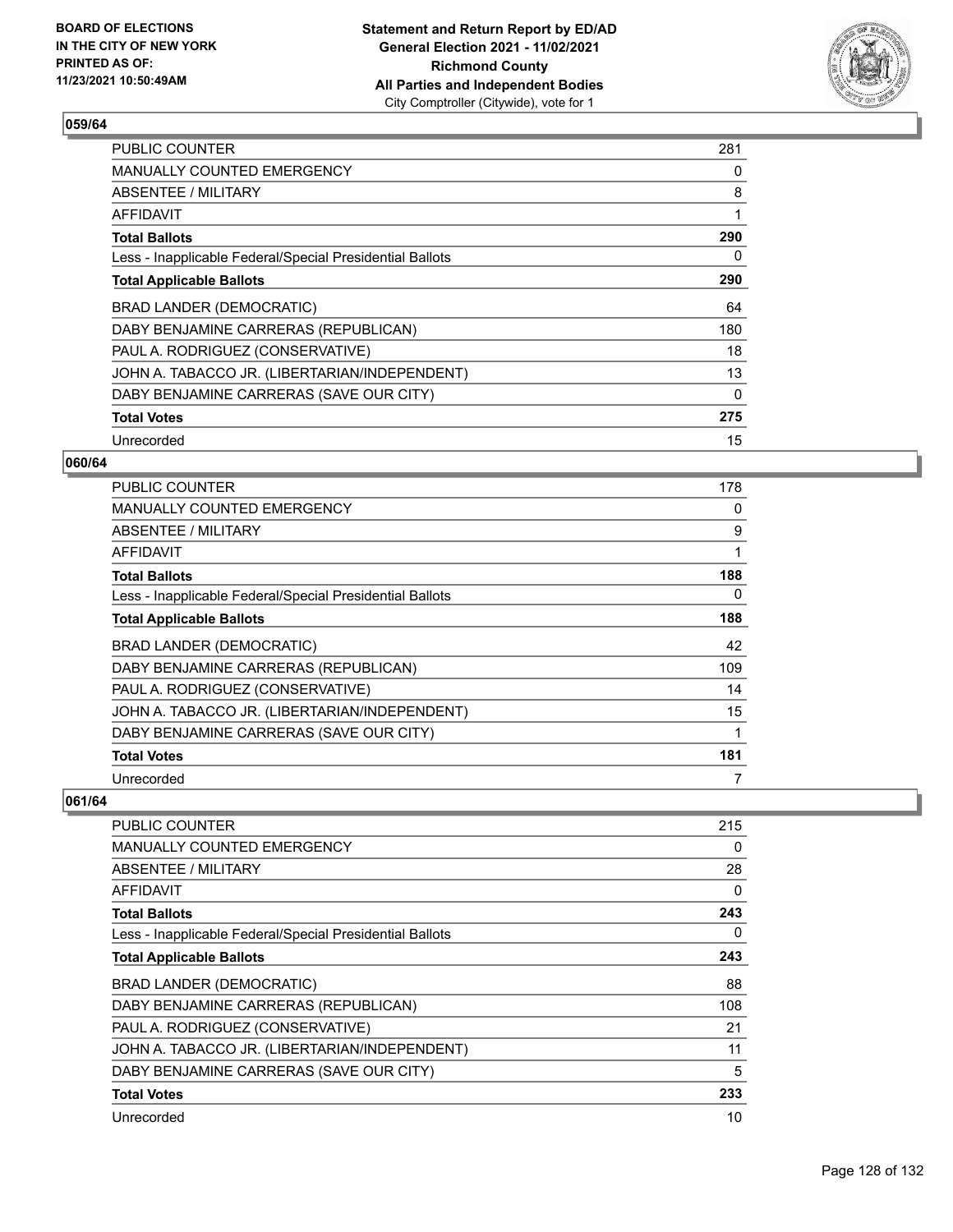

| <b>PUBLIC COUNTER</b>                                    | 281      |
|----------------------------------------------------------|----------|
| <b>MANUALLY COUNTED EMERGENCY</b>                        | 0        |
| ABSENTEE / MILITARY                                      | 8        |
| AFFIDAVIT                                                | 1        |
| <b>Total Ballots</b>                                     | 290      |
| Less - Inapplicable Federal/Special Presidential Ballots | 0        |
| <b>Total Applicable Ballots</b>                          | 290      |
| BRAD LANDER (DEMOCRATIC)                                 | 64       |
| DABY BENJAMINE CARRERAS (REPUBLICAN)                     | 180      |
| PAUL A. RODRIGUEZ (CONSERVATIVE)                         | 18       |
| JOHN A. TABACCO JR. (LIBERTARIAN/INDEPENDENT)            | 13       |
| DABY BENJAMINE CARRERAS (SAVE OUR CITY)                  | $\Omega$ |
| <b>Total Votes</b>                                       | 275      |
| Unrecorded                                               | 15       |

## **060/64**

| <b>PUBLIC COUNTER</b>                                    | 178 |
|----------------------------------------------------------|-----|
| <b>MANUALLY COUNTED EMERGENCY</b>                        | 0   |
| ABSENTEE / MILITARY                                      | 9   |
| <b>AFFIDAVIT</b>                                         | 1   |
| <b>Total Ballots</b>                                     | 188 |
| Less - Inapplicable Federal/Special Presidential Ballots | 0   |
| <b>Total Applicable Ballots</b>                          | 188 |
| BRAD LANDER (DEMOCRATIC)                                 | 42  |
| DABY BENJAMINE CARRERAS (REPUBLICAN)                     | 109 |
| PAUL A. RODRIGUEZ (CONSERVATIVE)                         | 14  |
| JOHN A. TABACCO JR. (LIBERTARIAN/INDEPENDENT)            | 15  |
| DABY BENJAMINE CARRERAS (SAVE OUR CITY)                  | 1   |
| <b>Total Votes</b>                                       | 181 |
| Unrecorded                                               | 7   |

| <b>PUBLIC COUNTER</b>                                    | 215      |
|----------------------------------------------------------|----------|
| <b>MANUALLY COUNTED EMERGENCY</b>                        | 0        |
| ABSENTEE / MILITARY                                      | 28       |
| AFFIDAVIT                                                | $\Omega$ |
| Total Ballots                                            | 243      |
| Less - Inapplicable Federal/Special Presidential Ballots | 0        |
| <b>Total Applicable Ballots</b>                          | 243      |
| BRAD LANDER (DEMOCRATIC)                                 | 88       |
| DABY BENJAMINE CARRERAS (REPUBLICAN)                     | 108      |
| PAUL A. RODRIGUEZ (CONSERVATIVE)                         | 21       |
| JOHN A. TABACCO JR. (LIBERTARIAN/INDEPENDENT)            | 11       |
| DABY BENJAMINE CARRERAS (SAVE OUR CITY)                  | 5        |
| <b>Total Votes</b>                                       | 233      |
| Unrecorded                                               | 10       |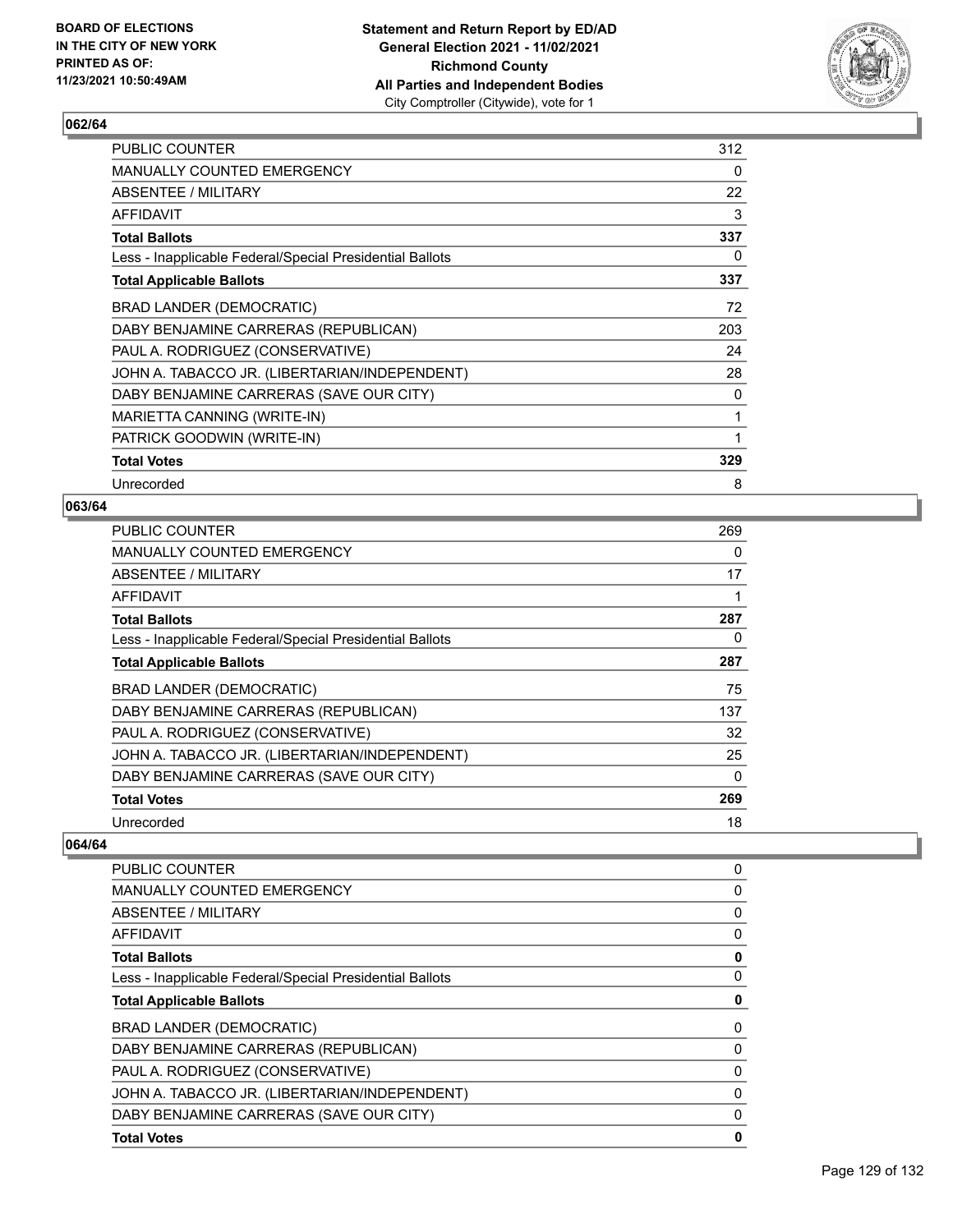

| PUBLIC COUNTER                                           | 312 |
|----------------------------------------------------------|-----|
| MANUALLY COUNTED EMERGENCY                               | 0   |
| <b>ABSENTEE / MILITARY</b>                               | 22  |
| AFFIDAVIT                                                | 3   |
| <b>Total Ballots</b>                                     | 337 |
| Less - Inapplicable Federal/Special Presidential Ballots | 0   |
| <b>Total Applicable Ballots</b>                          | 337 |
| <b>BRAD LANDER (DEMOCRATIC)</b>                          | 72  |
| DABY BENJAMINE CARRERAS (REPUBLICAN)                     | 203 |
| PAUL A. RODRIGUEZ (CONSERVATIVE)                         | 24  |
| JOHN A. TABACCO JR. (LIBERTARIAN/INDEPENDENT)            | 28  |
| DABY BENJAMINE CARRERAS (SAVE OUR CITY)                  | 0   |
| MARIETTA CANNING (WRITE-IN)                              | 1   |
| PATRICK GOODWIN (WRITE-IN)                               | 1   |
| <b>Total Votes</b>                                       | 329 |
| Unrecorded                                               | 8   |

### **063/64**

| <b>PUBLIC COUNTER</b>                                    | 269 |
|----------------------------------------------------------|-----|
| <b>MANUALLY COUNTED EMERGENCY</b>                        | 0   |
| ABSENTEE / MILITARY                                      | 17  |
| AFFIDAVIT                                                |     |
| <b>Total Ballots</b>                                     | 287 |
| Less - Inapplicable Federal/Special Presidential Ballots | 0   |
| <b>Total Applicable Ballots</b>                          | 287 |
| <b>BRAD LANDER (DEMOCRATIC)</b>                          | 75  |
| DABY BENJAMINE CARRERAS (REPUBLICAN)                     | 137 |
| PAUL A. RODRIGUEZ (CONSERVATIVE)                         | 32  |
| JOHN A. TABACCO JR. (LIBERTARIAN/INDEPENDENT)            | 25  |
| DABY BENJAMINE CARRERAS (SAVE OUR CITY)                  | 0   |
| <b>Total Votes</b>                                       | 269 |
| Unrecorded                                               | 18  |

| <b>PUBLIC COUNTER</b>                                    | 0 |
|----------------------------------------------------------|---|
| MANUALLY COUNTED EMERGENCY                               | 0 |
| ABSENTEE / MILITARY                                      | 0 |
| AFFIDAVIT                                                | 0 |
| <b>Total Ballots</b>                                     | 0 |
| Less - Inapplicable Federal/Special Presidential Ballots | 0 |
| <b>Total Applicable Ballots</b>                          | 0 |
| <b>BRAD LANDER (DEMOCRATIC)</b>                          | 0 |
| DABY BENJAMINE CARRERAS (REPUBLICAN)                     | 0 |
| PAUL A. RODRIGUEZ (CONSERVATIVE)                         | 0 |
| JOHN A. TABACCO JR. (LIBERTARIAN/INDEPENDENT)            | 0 |
| DABY BENJAMINE CARRERAS (SAVE OUR CITY)                  | 0 |
| <b>Total Votes</b>                                       | 0 |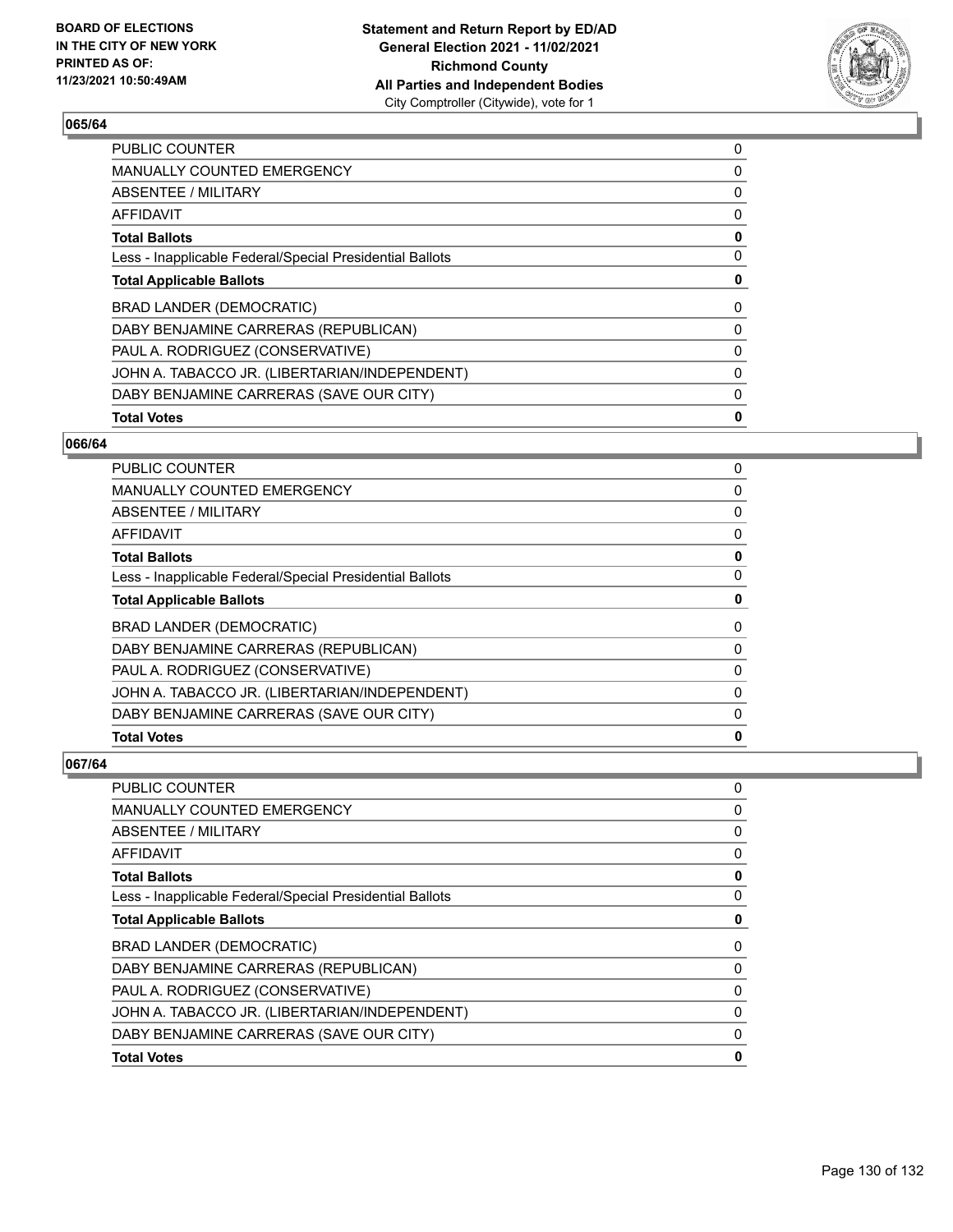

| <b>PUBLIC COUNTER</b>                                    | 0 |
|----------------------------------------------------------|---|
| <b>MANUALLY COUNTED EMERGENCY</b>                        | 0 |
| ABSENTEE / MILITARY                                      | 0 |
| <b>AFFIDAVIT</b>                                         | 0 |
| <b>Total Ballots</b>                                     | 0 |
| Less - Inapplicable Federal/Special Presidential Ballots | 0 |
| <b>Total Applicable Ballots</b>                          | 0 |
| <b>BRAD LANDER (DEMOCRATIC)</b>                          | 0 |
| DABY BENJAMINE CARRERAS (REPUBLICAN)                     | 0 |
| PAUL A. RODRIGUEZ (CONSERVATIVE)                         | 0 |
| JOHN A. TABACCO JR. (LIBERTARIAN/INDEPENDENT)            | 0 |
| DABY BENJAMINE CARRERAS (SAVE OUR CITY)                  | 0 |
| <b>Total Votes</b>                                       | 0 |
|                                                          |   |

### **066/64**

| <b>Total Votes</b>                                       | 0 |
|----------------------------------------------------------|---|
| DABY BENJAMINE CARRERAS (SAVE OUR CITY)                  | 0 |
| JOHN A. TABACCO JR. (LIBERTARIAN/INDEPENDENT)            | 0 |
| PAUL A. RODRIGUEZ (CONSERVATIVE)                         | 0 |
| DABY BENJAMINE CARRERAS (REPUBLICAN)                     | 0 |
| <b>BRAD LANDER (DEMOCRATIC)</b>                          | 0 |
| <b>Total Applicable Ballots</b>                          | 0 |
| Less - Inapplicable Federal/Special Presidential Ballots | 0 |
| <b>Total Ballots</b>                                     | 0 |
| AFFIDAVIT                                                | 0 |
| ABSENTEE / MILITARY                                      | 0 |
| MANUALLY COUNTED EMERGENCY                               | 0 |
| PUBLIC COUNTER                                           | 0 |

| <b>Total Votes</b>                                       | 0 |
|----------------------------------------------------------|---|
| DABY BENJAMINE CARRERAS (SAVE OUR CITY)                  | 0 |
| JOHN A. TABACCO JR. (LIBERTARIAN/INDEPENDENT)            | 0 |
| PAUL A. RODRIGUEZ (CONSERVATIVE)                         | 0 |
| DABY BENJAMINE CARRERAS (REPUBLICAN)                     | 0 |
| <b>BRAD LANDER (DEMOCRATIC)</b>                          | 0 |
| <b>Total Applicable Ballots</b>                          | 0 |
| Less - Inapplicable Federal/Special Presidential Ballots | 0 |
| <b>Total Ballots</b>                                     | 0 |
| <b>AFFIDAVIT</b>                                         | 0 |
| <b>ABSENTEE / MILITARY</b>                               | 0 |
| <b>MANUALLY COUNTED EMERGENCY</b>                        | 0 |
| PUBLIC COUNTER                                           | 0 |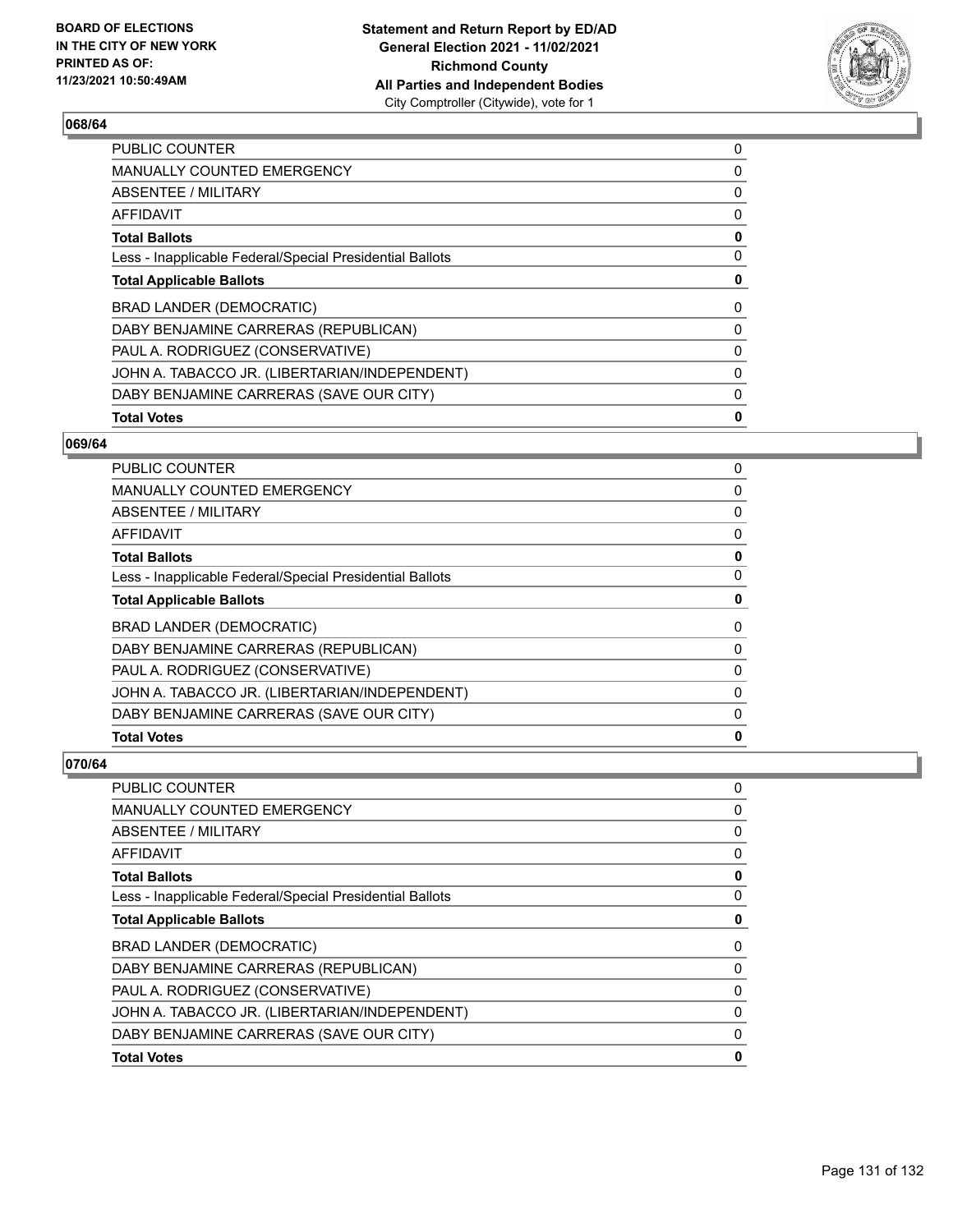

| <b>PUBLIC COUNTER</b>                                    | 0 |
|----------------------------------------------------------|---|
| <b>MANUALLY COUNTED EMERGENCY</b>                        | 0 |
| ABSENTEE / MILITARY                                      | 0 |
| <b>AFFIDAVIT</b>                                         | 0 |
| <b>Total Ballots</b>                                     | 0 |
| Less - Inapplicable Federal/Special Presidential Ballots | 0 |
| <b>Total Applicable Ballots</b>                          | 0 |
| <b>BRAD LANDER (DEMOCRATIC)</b>                          | 0 |
| DABY BENJAMINE CARRERAS (REPUBLICAN)                     | 0 |
| PAUL A. RODRIGUEZ (CONSERVATIVE)                         | 0 |
| JOHN A. TABACCO JR. (LIBERTARIAN/INDEPENDENT)            | 0 |
| DABY BENJAMINE CARRERAS (SAVE OUR CITY)                  | 0 |
| <b>Total Votes</b>                                       | 0 |
|                                                          |   |

### **069/64**

| <b>Total Votes</b>                                       | 0 |
|----------------------------------------------------------|---|
| DABY BENJAMINE CARRERAS (SAVE OUR CITY)                  | 0 |
| JOHN A. TABACCO JR. (LIBERTARIAN/INDEPENDENT)            | 0 |
| PAUL A. RODRIGUEZ (CONSERVATIVE)                         | 0 |
| DABY BENJAMINE CARRERAS (REPUBLICAN)                     | 0 |
| <b>BRAD LANDER (DEMOCRATIC)</b>                          | 0 |
| <b>Total Applicable Ballots</b>                          | 0 |
| Less - Inapplicable Federal/Special Presidential Ballots | 0 |
| <b>Total Ballots</b>                                     | 0 |
| AFFIDAVIT                                                | 0 |
| ABSENTEE / MILITARY                                      | 0 |
| MANUALLY COUNTED EMERGENCY                               | 0 |
| PUBLIC COUNTER                                           | 0 |

| <b>Total Votes</b>                                       | 0 |
|----------------------------------------------------------|---|
| DABY BENJAMINE CARRERAS (SAVE OUR CITY)                  | 0 |
| JOHN A. TABACCO JR. (LIBERTARIAN/INDEPENDENT)            | 0 |
| PAUL A. RODRIGUEZ (CONSERVATIVE)                         | 0 |
| DABY BENJAMINE CARRERAS (REPUBLICAN)                     | 0 |
| <b>BRAD LANDER (DEMOCRATIC)</b>                          | 0 |
| <b>Total Applicable Ballots</b>                          | 0 |
| Less - Inapplicable Federal/Special Presidential Ballots | 0 |
| <b>Total Ballots</b>                                     | 0 |
| <b>AFFIDAVIT</b>                                         | 0 |
| <b>ABSENTEE / MILITARY</b>                               | 0 |
| <b>MANUALLY COUNTED EMERGENCY</b>                        | 0 |
| PUBLIC COUNTER                                           | 0 |